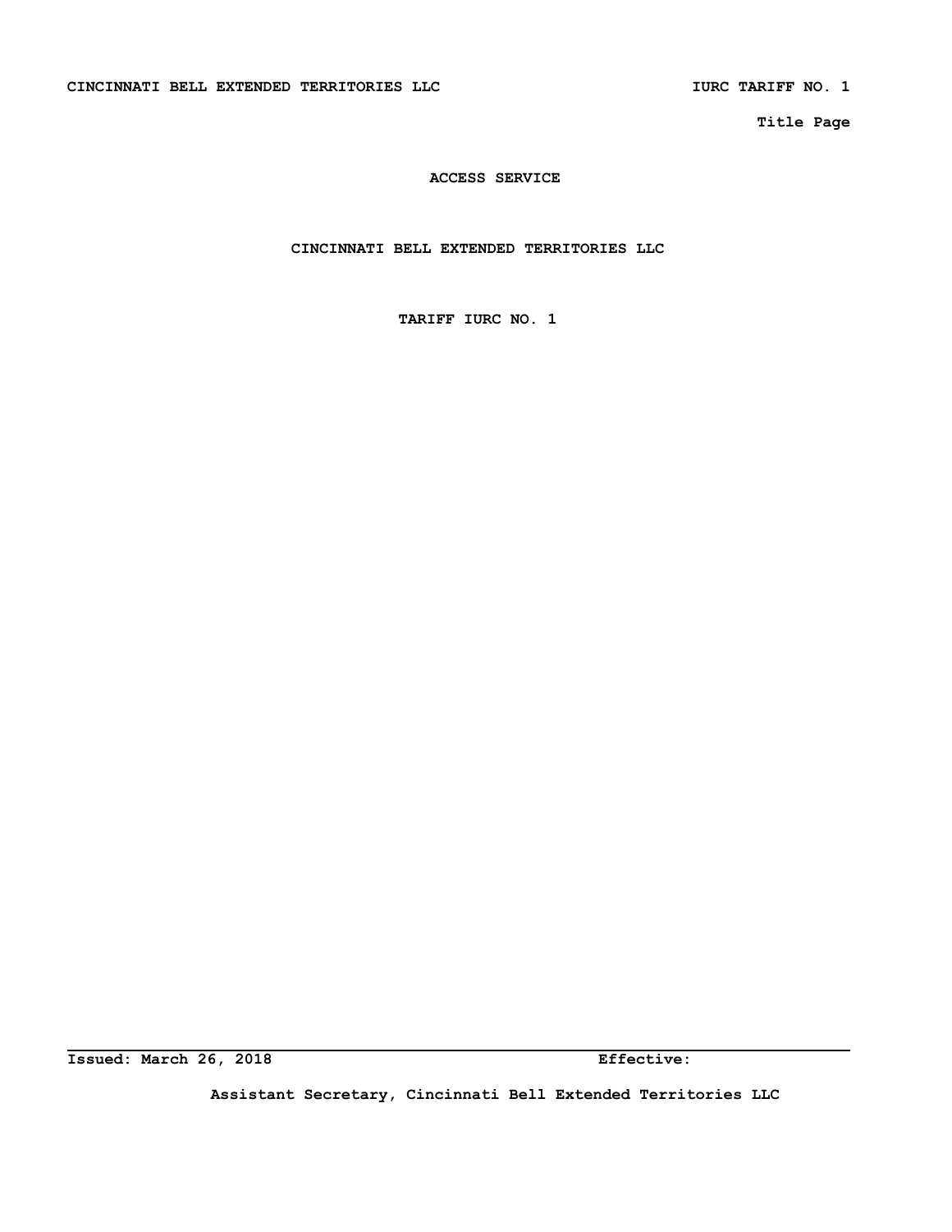**Title Page** 

# **ACCESS SERVICE**

**CINCINNATI BELL EXTENDED TERRITORIES LLC** 

**TARIFF IURC NO. 1** 

**Issued: March 26, 2018** Effective:

**Assistant Secretary, Cincinnati Bell Extended Territories LLC**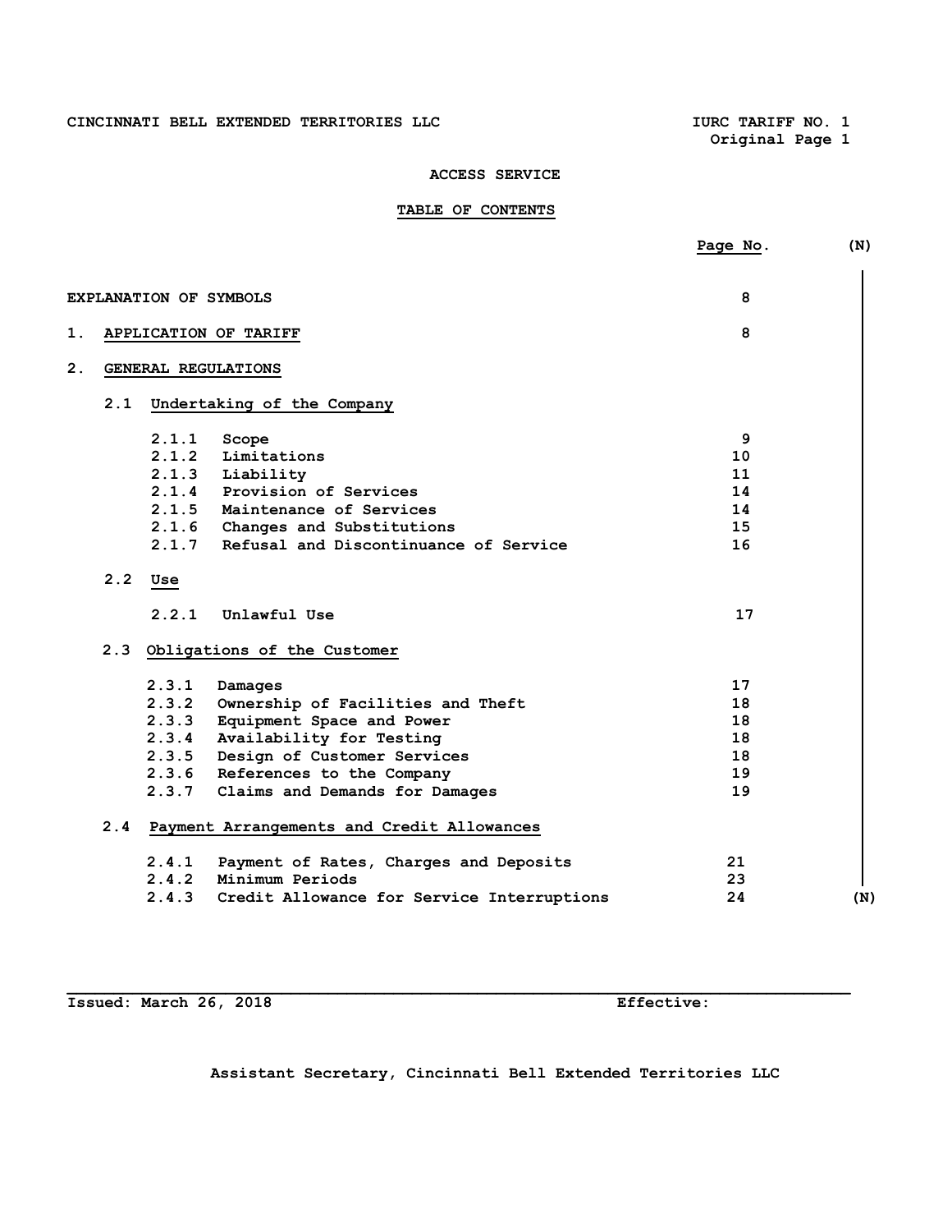# CINCINNATI BELL EXTENDED TERRITORIES LLC **IURC TARIFF NO. 1**

**Original Page 1** 

# **ACCESS SERVICE**

# **TABLE OF CONTENTS**

|    |                               |                                                | Page No. | (N) |
|----|-------------------------------|------------------------------------------------|----------|-----|
|    | <b>EXPLANATION OF SYMBOLS</b> |                                                | 8        |     |
| 1. |                               | APPLICATION OF TARIFF                          | 8        |     |
| 2. |                               | GENERAL REGULATIONS                            |          |     |
|    | 2.1                           | Undertaking of the Company                     |          |     |
|    | 2.1.1                         | Scope                                          | 9        |     |
|    | 2.1.2                         | Limitations                                    | 10       |     |
|    | 2.1.3                         | Liability                                      | 11       |     |
|    | 2.1.4                         | Provision of Services                          | 14       |     |
|    |                               | 2.1.5 Maintenance of Services                  | 14       |     |
|    |                               | 2.1.6 Changes and Substitutions                | 15       |     |
|    | 2.1.7                         | Refusal and Discontinuance of Service          | 16       |     |
|    | 2.2<br>Use                    |                                                |          |     |
|    | 2.2.1                         | Unlawful Use                                   | 17       |     |
|    |                               | 2.3 Obligations of the Customer                |          |     |
|    | 2.3.1                         | Damages                                        | 17       |     |
|    | 2.3.2                         | Ownership of Facilities and Theft              | 18       |     |
|    | 2.3.3                         | Equipment Space and Power                      | 18       |     |
|    | 2.3.4                         | Availability for Testing                       | 18       |     |
|    |                               | 2.3.5 Design of Customer Services              | 18       |     |
|    |                               | 2.3.6 References to the Company                | 19       |     |
|    |                               | 2.3.7 Claims and Demands for Damages           | 19       |     |
|    |                               | 2.4 Payment Arrangements and Credit Allowances |          |     |
|    | 2.4.1                         | Payment of Rates, Charges and Deposits         | 21       |     |
|    | 2.4.2                         | Minimum Periods                                | 23       |     |
|    | 2.4.3                         | Credit Allowance for Service Interruptions     | 24       | (N) |
|    |                               |                                                |          |     |

**Issued: March 26, 2018 Effective:** 

**Assistant Secretary, Cincinnati Bell Extended Territories LLC**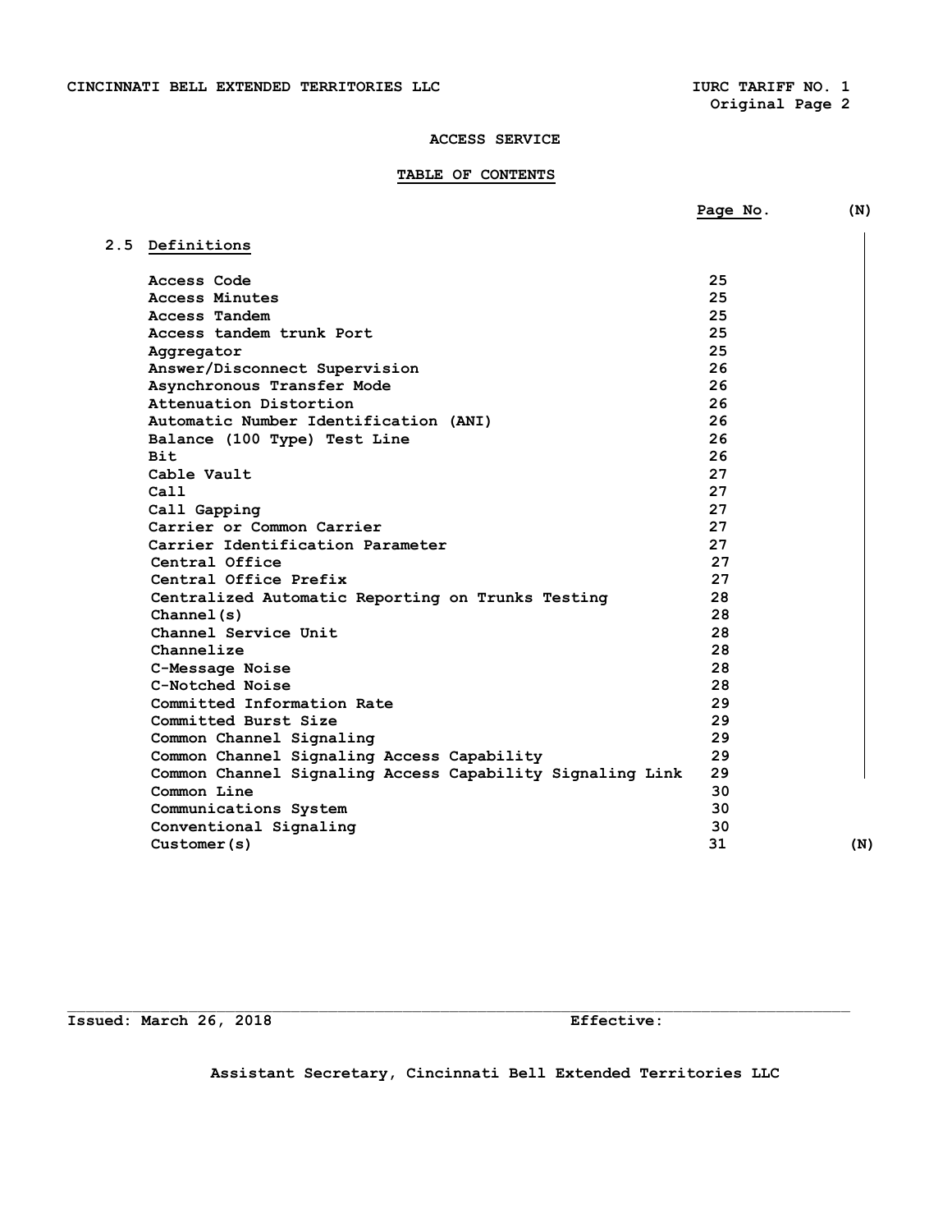# **TABLE OF CONTENTS**

|                                                           | Page No. | (N) |
|-----------------------------------------------------------|----------|-----|
| 2.5 Definitions                                           |          |     |
| Access Code                                               | 25       |     |
| Access Minutes                                            | 25       |     |
| Access Tandem                                             | 25       |     |
| Access tandem trunk Port                                  | 25       |     |
| Aggregator                                                | 25       |     |
| Answer/Disconnect Supervision                             | 26       |     |
| Asynchronous Transfer Mode                                | 26       |     |
| Attenuation Distortion                                    | 26       |     |
| Automatic Number Identification (ANI)                     | 26       |     |
| Balance (100 Type) Test Line                              | 26       |     |
| <b>Bit</b>                                                | 26       |     |
| Cable Vault                                               | 27       |     |
| Call                                                      | 27       |     |
| Call Gapping                                              | 27       |     |
| Carrier or Common Carrier                                 | 27       |     |
| Carrier Identification Parameter                          | 27       |     |
| Central Office                                            | 27       |     |
| Central Office Prefix                                     | 27       |     |
| Centralized Automatic Reporting on Trunks Testing         | 28       |     |
| Channel(s)                                                | 28       |     |
| Channel Service Unit                                      | 28       |     |
| Channelize                                                | 28       |     |
| C-Message Noise                                           | 28       |     |
| C-Notched Noise                                           | 28       |     |
| Committed Information Rate                                | 29       |     |
| Committed Burst Size                                      | 29       |     |
| Common Channel Signaling                                  | 29       |     |
| Common Channel Signaling Access Capability                | 29       |     |
| Common Channel Signaling Access Capability Signaling Link | 29       |     |
| Common Line                                               | 30       |     |
| Communications System                                     | 30       |     |
| Conventional Signaling                                    | 30       |     |
| Customer(s)                                               | 31       | (N) |

**Issued: March 26, 2018 Effective:** 

**Assistant Secretary, Cincinnati Bell Extended Territories LLC**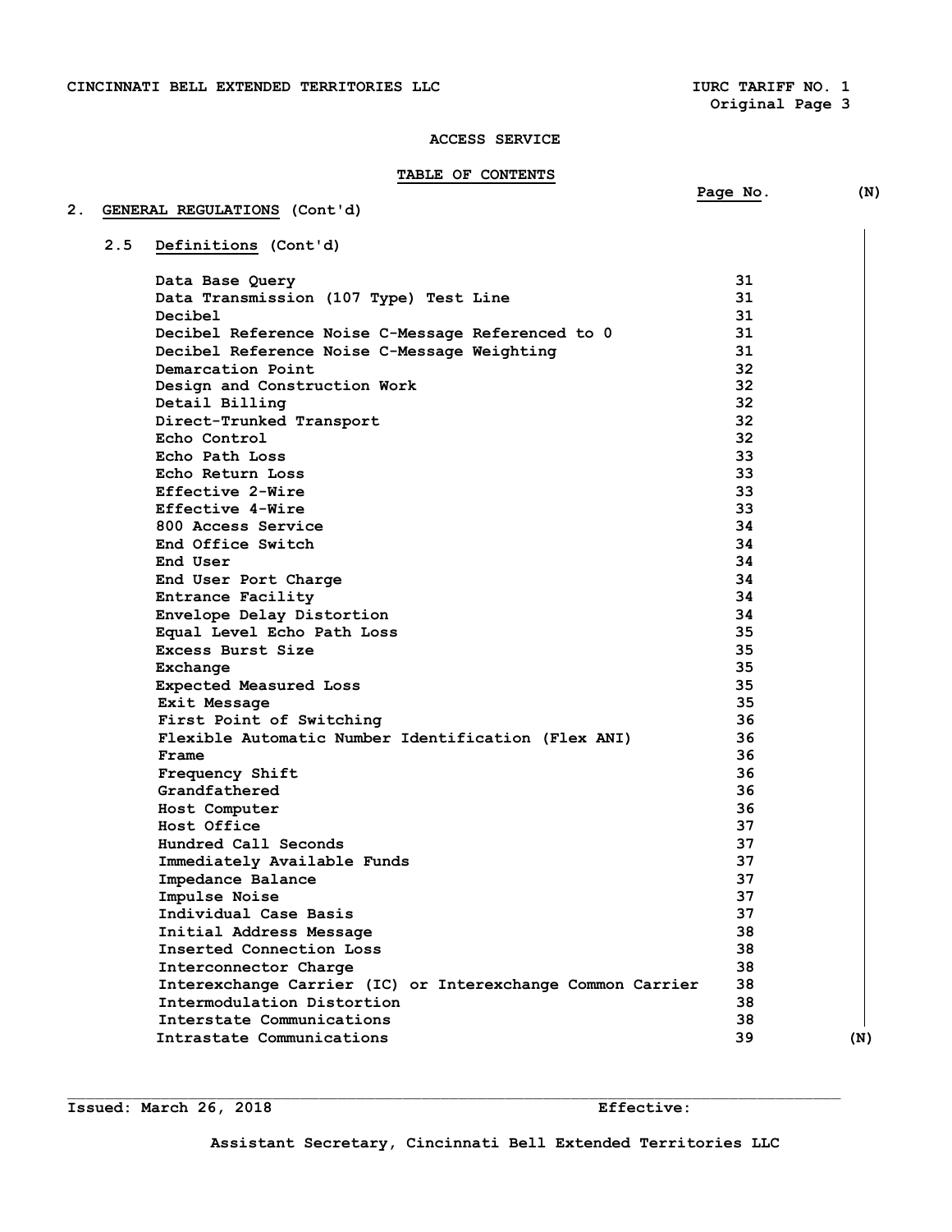# **TABLE OF CONTENTS**

|     |                                                            | Page No. | (N) |
|-----|------------------------------------------------------------|----------|-----|
|     | GENERAL REGULATIONS (Cont'd)                               |          |     |
| 2.5 | Definitions (Cont'd)                                       |          |     |
|     |                                                            |          |     |
|     | Data Base Query                                            | 31       |     |
|     | Data Transmission (107 Type) Test Line                     | 31       |     |
|     | Decibel                                                    | 31       |     |
|     | Decibel Reference Noise C-Message Referenced to 0          | 31       |     |
|     | Decibel Reference Noise C-Message Weighting                | 31       |     |
|     | Demarcation Point                                          | 32       |     |
|     | Design and Construction Work                               | 32       |     |
|     | Detail Billing                                             | 32       |     |
|     | Direct-Trunked Transport                                   | 32       |     |
|     | Echo Control                                               | 32       |     |
|     | Echo Path Loss                                             | 33       |     |
|     | Echo Return Loss                                           | 33       |     |
|     | Effective 2-Wire                                           | 33       |     |
|     | Effective 4-Wire                                           | 33       |     |
|     | 800 Access Service                                         | 34       |     |
|     | End Office Switch                                          | 34       |     |
|     | End User                                                   | 34       |     |
|     | End User Port Charge                                       | 34       |     |
|     | Entrance Facility                                          | 34       |     |
|     | Envelope Delay Distortion                                  | 34       |     |
|     | Equal Level Echo Path Loss                                 | 35       |     |
|     | Excess Burst Size                                          | 35       |     |
|     | Exchange                                                   | 35       |     |
|     | Expected Measured Loss                                     | 35       |     |
|     | Exit Message                                               | 35       |     |
|     | First Point of Switching                                   | 36       |     |
|     | Flexible Automatic Number Identification (Flex ANI)        | 36       |     |
|     | Frame                                                      | 36       |     |
|     | Frequency Shift                                            | 36       |     |
|     | Grandfathered                                              | 36       |     |
|     | Host Computer                                              | 36       |     |
|     | Host Office                                                | 37       |     |
|     | Hundred Call Seconds                                       | 37       |     |
|     | Immediately Available Funds                                | 37       |     |
|     | Impedance Balance                                          | 37       |     |
|     | Impulse Noise                                              | 37       |     |
|     | Individual Case Basis                                      | 37       |     |
|     | Initial Address Message                                    | 38       |     |
|     | Inserted Connection Loss                                   | 38       |     |
|     | Interconnector Charge                                      | 38       |     |
|     | Interexchange Carrier (IC) or Interexchange Common Carrier | 38       |     |
|     | Intermodulation Distortion                                 | 38       |     |
|     | Interstate Communications                                  | 38       |     |
|     | Intrastate Communications                                  | 39       | (N) |

**Issued: March 26, 2018 Effective:**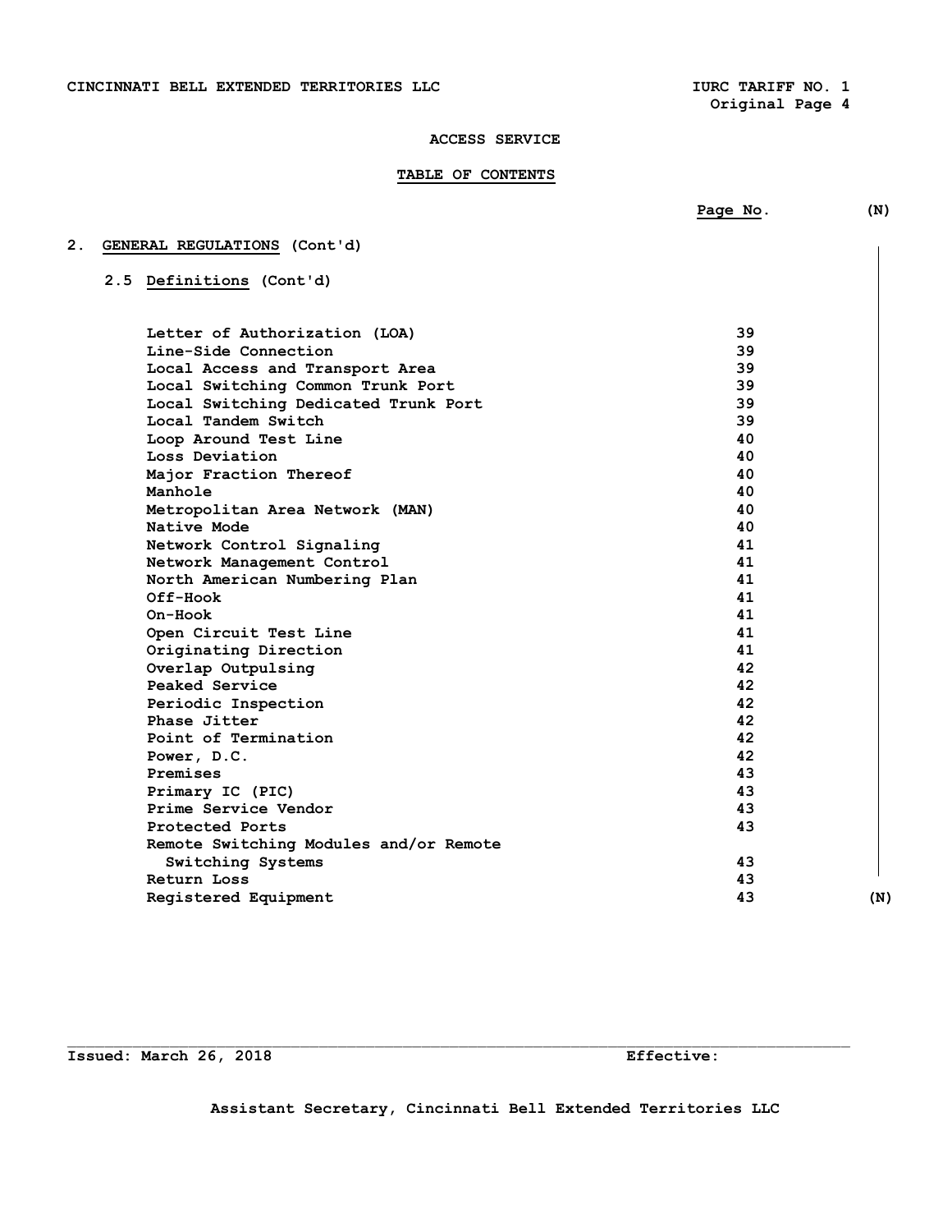# **TABLE OF CONTENTS**

|    |                                      | Page No. | (N) |
|----|--------------------------------------|----------|-----|
| 2. | GENERAL REGULATIONS (Cont'd)         |          |     |
|    | 2.5 Definitions (Cont'd)             |          |     |
|    | Letter of Authorization (LOA)        | 39       |     |
|    | Line-Side Connection                 | 39       |     |
|    | Local Access and Transport Area      | 39       |     |
|    | Local Switching Common Trunk Port    | 39       |     |
|    | Local Switching Dedicated Trunk Port | 39       |     |
|    | Local Tandem Switch                  | 39       |     |
|    | Loop Around Test Line                | 40       |     |
|    |                                      | . .      |     |

| LOCAL SWItching Dedicated Trunk Port   | ود |     |
|----------------------------------------|----|-----|
| Local Tandem Switch                    | 39 |     |
| Loop Around Test Line                  | 40 |     |
| Loss Deviation                         | 40 |     |
| Major Fraction Thereof                 | 40 |     |
| Manhole                                | 40 |     |
| Metropolitan Area Network (MAN)        | 40 |     |
| Native Mode                            | 40 |     |
| Network Control Signaling              | 41 |     |
| Network Management Control             | 41 |     |
| North American Numbering Plan          | 41 |     |
| $Off-Hook$                             | 41 |     |
| On-Hook                                | 41 |     |
| Open Circuit Test Line                 | 41 |     |
| Originating Direction                  | 41 |     |
| Overlap Outpulsing                     | 42 |     |
| Peaked Service                         | 42 |     |
| Periodic Inspection                    | 42 |     |
| Phase Jitter                           | 42 |     |
| Point of Termination                   | 42 |     |
| Power, D.C.                            | 42 |     |
| Premises                               | 43 |     |
| Primary IC (PIC)                       | 43 |     |
| Prime Service Vendor                   | 43 |     |
| Protected Ports                        | 43 |     |
| Remote Switching Modules and/or Remote |    |     |
| Switching Systems                      | 43 |     |
| Return Loss                            | 43 |     |
| Registered Equipment                   | 43 | (N) |
|                                        |    |     |

**Issued: March 26, 2018** Effective: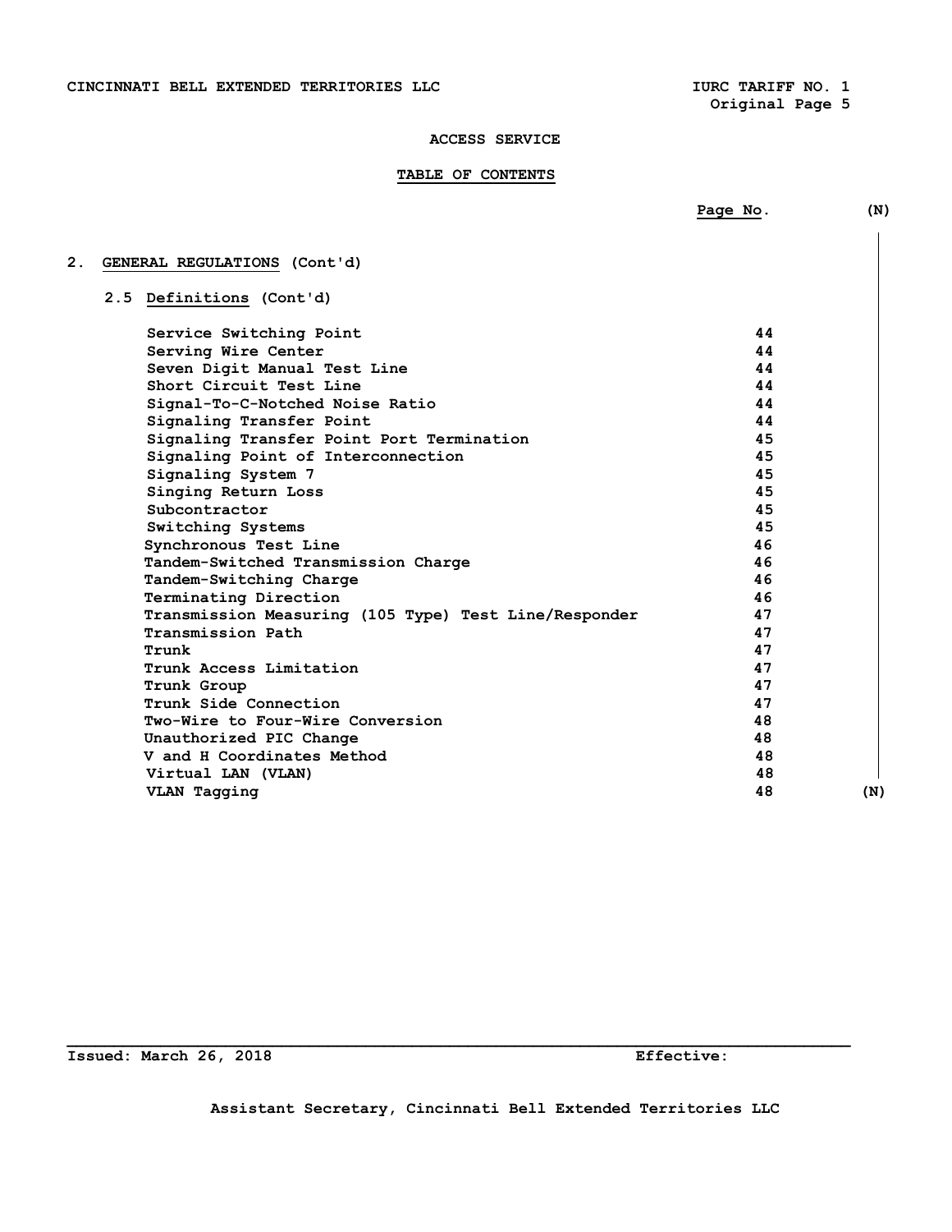**Original Page 5** 

#### **ACCESS SERVICE**

# **TABLE OF CONTENTS**

**2. GENERAL REGULATIONS (Cont'd) 2.5 Definitions (Cont'd) Service Switching Point 44 Serving Wire Center 44 Seven Digit Manual Test Line 44 Short Circuit Test Line 44 Signal-To-C-Notched Noise Ratio 44 Signaling Transfer Point Signaling Transfer Point Port Termination 45 Signaling Point of Interconnection 45 Signaling System 7 45 Singing Return Loss 45 Subcontractor** 45  **Switching Systems 45 Synchronous Test Line 46 Tandem-Switched Transmission Charge 46 Tandem-Switching Charge 46 Terminating Direction 46 Transmission Measuring (105 Type) Test Line/Responder 47 Transmission Path 47 Trunk** 47  **Trunk Access Limitation 47 Trunk Group 47 1 Trunk Side Connection 47 Two-Wire to Four-Wire Conversion 48 Unauthorized PIC Change 48 48 V and H Coordinates Method 48 Virtual LAN (VLAN) 48**  VLAN Tagging (N)

**Issued: March 26, 2018 Effective:** 

**\_\_\_\_\_\_\_\_\_\_\_\_\_\_\_\_\_\_\_\_\_\_\_\_\_\_\_\_\_\_\_\_\_\_\_\_\_\_\_\_\_\_\_\_\_\_\_\_\_\_\_\_\_\_\_\_\_\_\_\_\_\_\_\_\_\_\_\_\_\_\_\_\_\_\_\_\_\_\_\_\_\_\_\_** 

**Page No.** (N)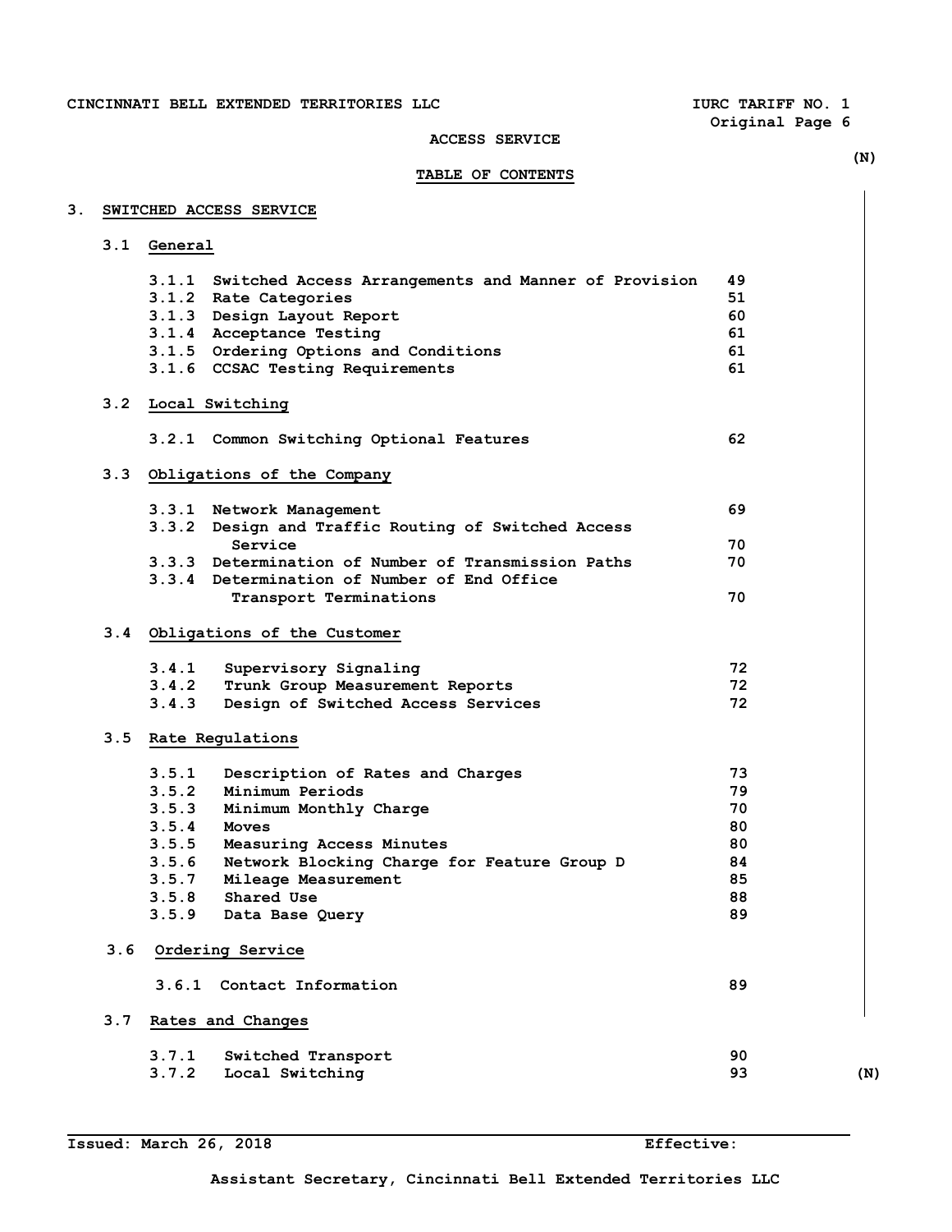**Original Page 6** 

# **ACCESS SERVICE**

|    |     | <b>TABLE OF CONTENTS</b>                                   |          | (N) |
|----|-----|------------------------------------------------------------|----------|-----|
|    |     |                                                            |          |     |
| З. |     | SWITCHED ACCESS SERVICE                                    |          |     |
|    | 3.1 | General                                                    |          |     |
|    |     | 3.1.1 Switched Access Arrangements and Manner of Provision | 49       |     |
|    |     | 3.1.2 Rate Categories                                      | 51       |     |
|    |     | 3.1.3 Design Layout Report                                 | 60       |     |
|    |     | 3.1.4 Acceptance Testing                                   | 61       |     |
|    |     | 3.1.5 Ordering Options and Conditions                      | 61       |     |
|    |     | 3.1.6 CCSAC Testing Requirements                           | 61       |     |
|    |     | 3.2 Local Switching                                        |          |     |
|    |     | 3.2.1 Common Switching Optional Features                   | 62       |     |
|    | 3.3 | Obligations of the Company                                 |          |     |
|    |     | 3.3.1 Network Management                                   | 69       |     |
|    |     | 3.3.2 Design and Traffic Routing of Switched Access        |          |     |
|    |     | Service                                                    | 70       |     |
|    |     | 3.3.3 Determination of Number of Transmission Paths        | 70       |     |
|    |     | 3.3.4 Determination of Number of End Office                |          |     |
|    |     | Transport Terminations                                     | 70       |     |
|    |     | 3.4 Obligations of the Customer                            |          |     |
|    |     | 3.4.1<br>Supervisory Signaling                             | 72       |     |
|    |     | 3.4.2<br>Trunk Group Measurement Reports                   | 72       |     |
|    |     | 3.4.3<br>Design of Switched Access Services                | 72       |     |
|    |     | 3.5 Rate Regulations                                       |          |     |
|    |     | 3.5.1 Description of Rates and Charges                     | 73       |     |
|    |     | 3.5.2 Minimum Periods                                      | 79       |     |
|    |     | 3.5.3<br>Minimum Monthly Charge                            | 70       |     |
|    |     | 3.5.4<br>Moves                                             | 80       |     |
|    |     | 3.5.5<br>Measuring Access Minutes                          | 80       |     |
|    |     | 3.5.6<br>Network Blocking Charge for Feature Group D       | 84       |     |
|    |     | 3.5.7<br>Mileage Measurement                               | 85       |     |
|    |     | 3.5.8<br>Shared Use<br>3.5.9<br>Data Base Query            | 88<br>89 |     |
|    | 3.6 | Ordering Service                                           |          |     |
|    |     |                                                            |          |     |
|    |     | Contact Information<br>3.6.1                               | 89       |     |
|    | 3.7 | Rates and Changes                                          |          |     |
|    |     | 3.7.1<br>Switched Transport                                | 90       |     |
|    |     | 3.7.2<br>Local Switching                                   | 93       | (N) |

**Issued: March 26, 2018 Effective:**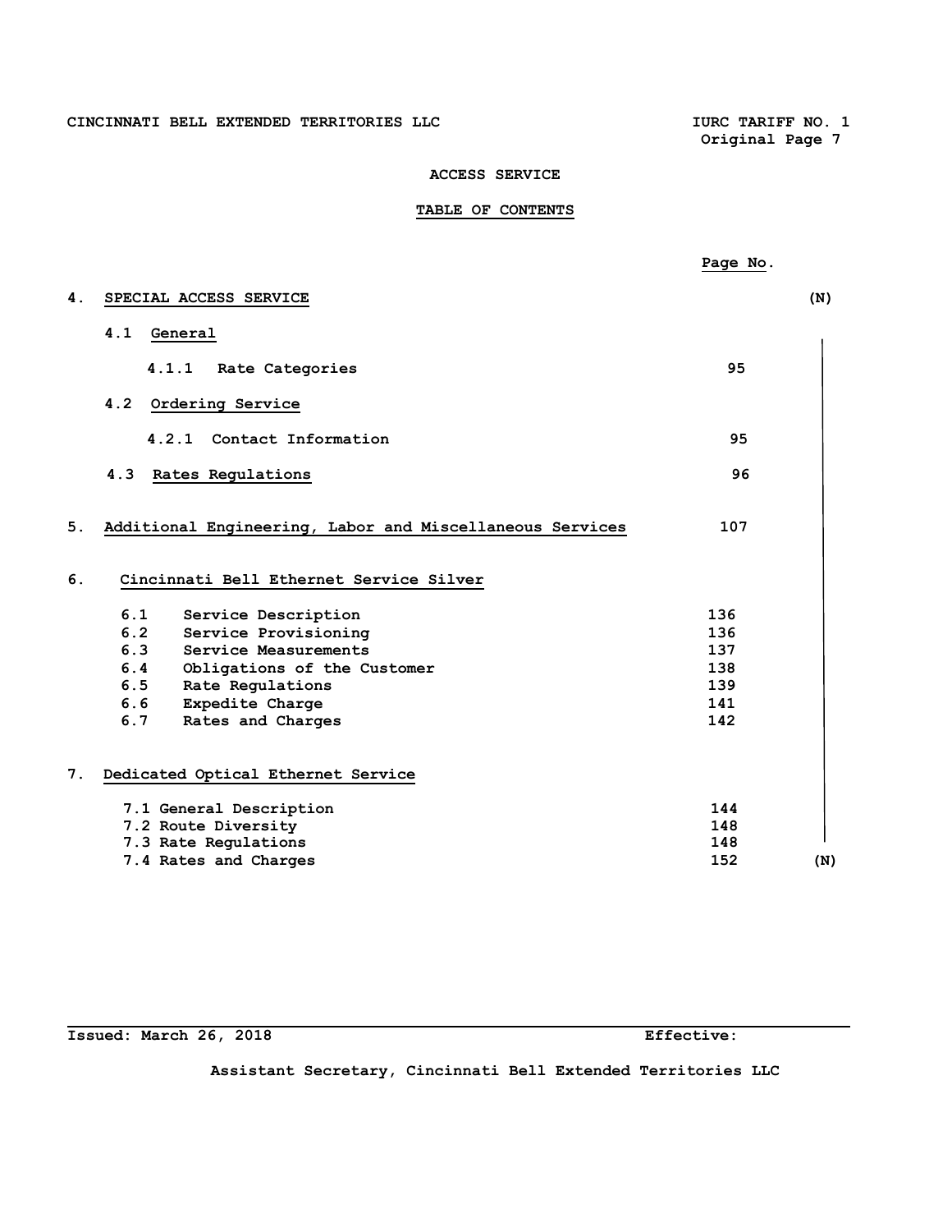# **TABLE OF CONTENTS**

|    |                                                          | Page No. |     |
|----|----------------------------------------------------------|----------|-----|
| 4. | SPECIAL ACCESS SERVICE                                   |          | (N) |
|    | 4.1<br>General                                           |          |     |
|    | 4.1.1<br>Rate Categories                                 | 95       |     |
|    | 4.2<br>Ordering Service                                  |          |     |
|    | 4.2.1<br>Contact Information                             | 95       |     |
|    | 4.3<br>Rates Regulations                                 | 96       |     |
| 5. | Additional Engineering, Labor and Miscellaneous Services | 107      |     |
| 6. | Cincinnati Bell Ethernet Service Silver                  |          |     |
|    | 6.1<br>Service Description                               | 136      |     |
|    | 6.2 Service Provisioning                                 | 136      |     |
|    | 6.3 Service Measurements                                 | 137      |     |
|    | 6.4 Obligations of the Customer                          | 138      |     |
|    | 6.5 Rate Regulations                                     | 139      |     |
|    | 6.6 Expedite Charge                                      | 141      |     |
|    | 6.7 Rates and Charges                                    | 142      |     |
| 7. | Dedicated Optical Ethernet Service                       |          |     |
|    | 7.1 General Description                                  | 144      |     |
|    | 7.2 Route Diversity                                      | 148      |     |
|    | 7.3 Rate Regulations                                     | 148      |     |
|    | 7.4 Rates and Charges                                    | 152      | (N) |

# **Issued: March 26, 2018 Effective:**

L.

**Assistant Secretary, Cincinnati Bell Extended Territories LLC**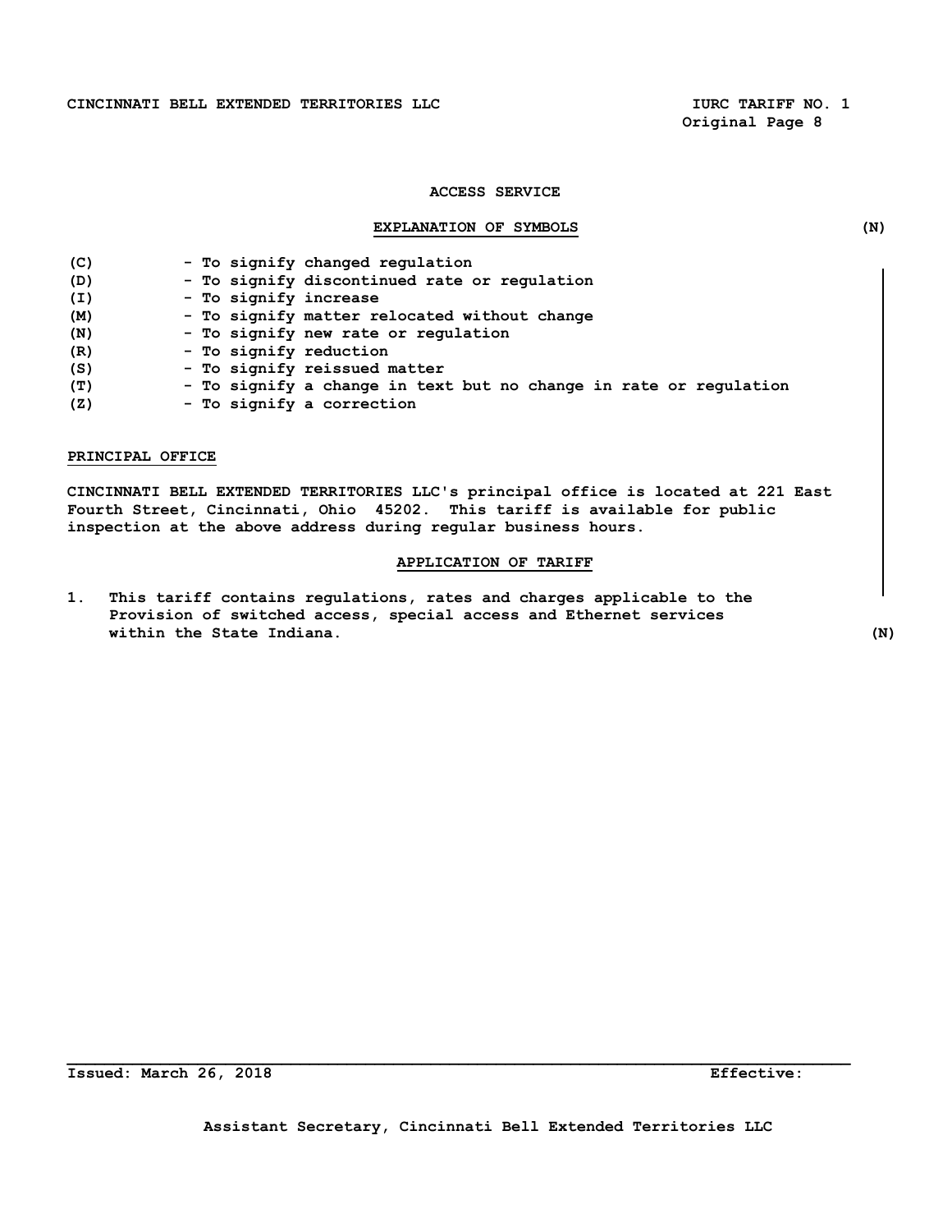CINCINNATI BELL EXTENDED TERRITORIES LLC **IURC TARIFF NO. 1** 

 **Original Page 8** 

# **ACCESS SERVICE**

# **EXPLANATION OF SYMBOLS (N)**

| (C) | - To signify changed regulation                                   |
|-----|-------------------------------------------------------------------|
| (D) | - To signify discontinued rate or regulation                      |
| (I) | - To signify increase                                             |
| (M) | - To signify matter relocated without change                      |
| (N) | - To signify new rate or regulation                               |
| (R) | - To signify reduction                                            |
| (S) | - To signify reissued matter                                      |
| (T) | - To signify a change in text but no change in rate or regulation |
| (Z) | - To signify a correction                                         |

# **PRINCIPAL OFFICE**

**CINCINNATI BELL EXTENDED TERRITORIES LLC's principal office is located at 221 East Fourth Street, Cincinnati, Ohio 45202. This tariff is available for public inspection at the above address during regular business hours.** 

# **APPLICATION OF TARIFF**

**1. This tariff contains regulations, rates and charges applicable to the Provision of switched access, special access and Ethernet services within the State Indiana. (N)**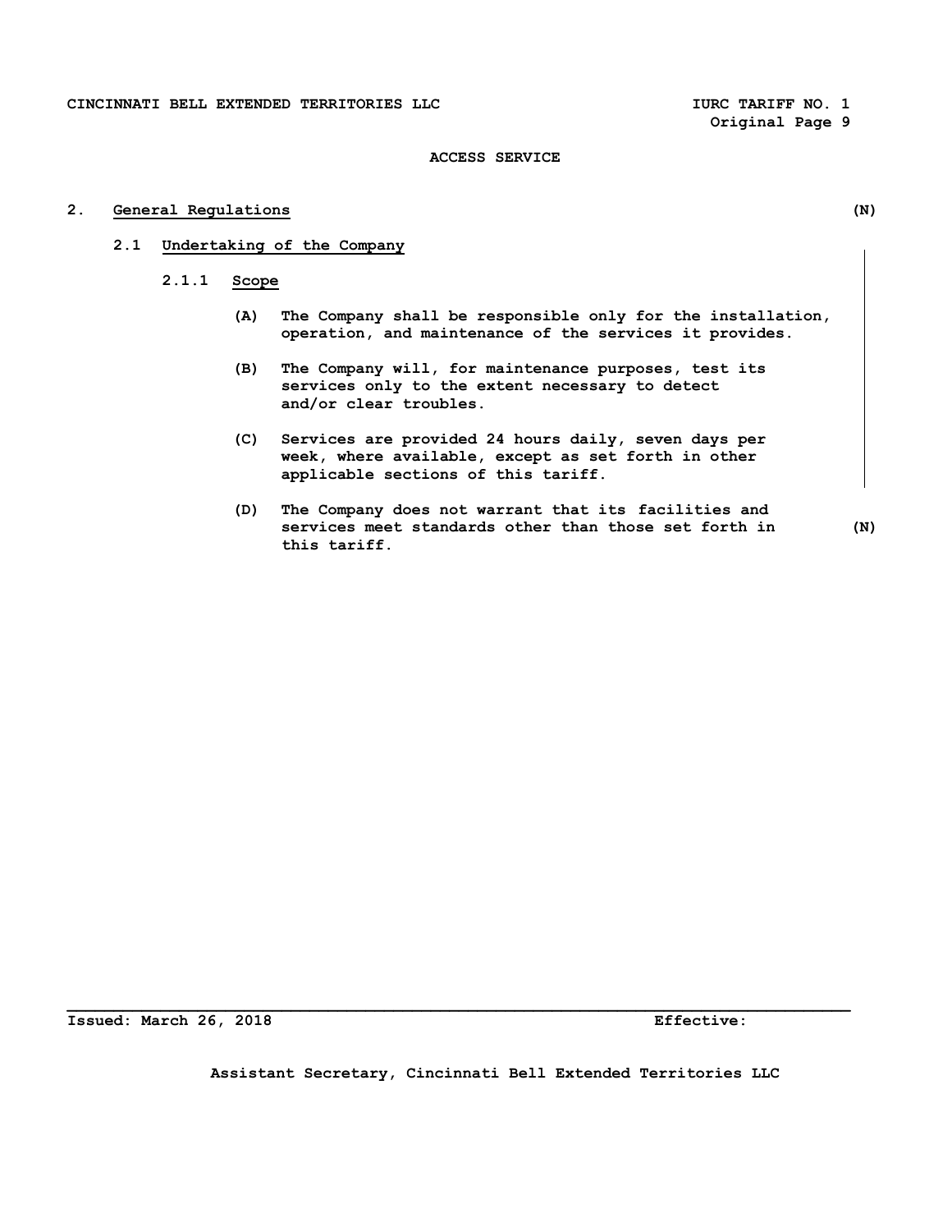**Original Page 9** 

# **ACCESS SERVICE**

# **2. General Regulations (N)**

- **2.1 Undertaking of the Company** 
	- **2.1.1 Scope** 
		- **(A) The Company shall be responsible only for the installation, operation, and maintenance of the services it provides.**
		- **(B) The Company will, for maintenance purposes, test its services only to the extent necessary to detect and/or clear troubles.**
		- **(C) Services are provided 24 hours daily, seven days per week, where available, except as set forth in other applicable sections of this tariff.**
		- **(D) The Company does not warrant that its facilities and services meet standards other than those set forth in (N) this tariff.**

**Issued: March 26, 2018 Effective:** 

**Assistant Secretary, Cincinnati Bell Extended Territories LLC**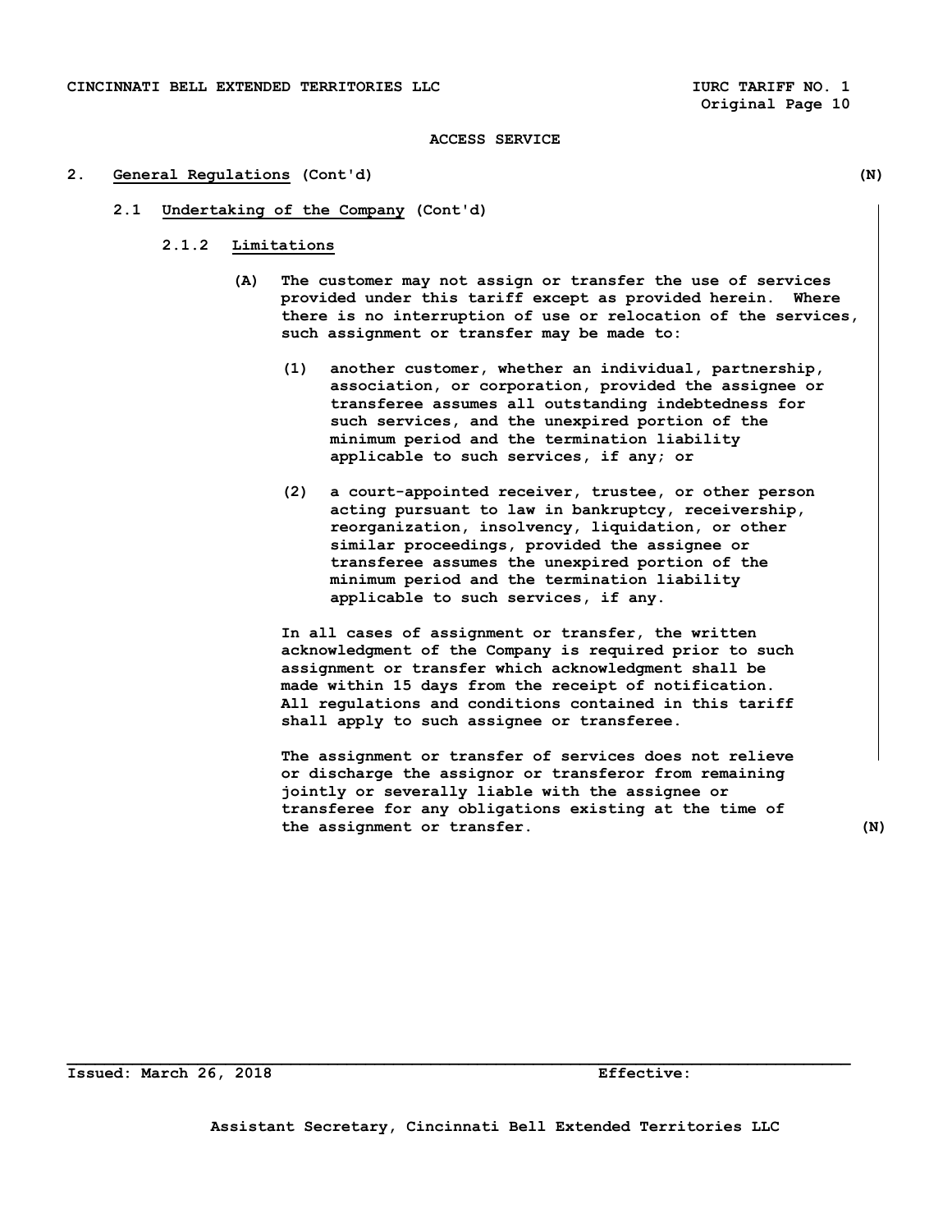#### **2. General Regulations (Cont'd) (N)**

- **2.1 Undertaking of the Company (Cont'd)** 
	- **2.1.2 Limitations** 
		- **(A) The customer may not assign or transfer the use of services provided under this tariff except as provided herein. Where there is no interruption of use or relocation of the services, such assignment or transfer may be made to:** 
			- **(1) another customer, whether an individual, partnership, association, or corporation, provided the assignee or transferee assumes all outstanding indebtedness for such services, and the unexpired portion of the minimum period and the termination liability applicable to such services, if any; or**
			- **(2) a court-appointed receiver, trustee, or other person acting pursuant to law in bankruptcy, receivership, reorganization, insolvency, liquidation, or other similar proceedings, provided the assignee or transferee assumes the unexpired portion of the minimum period and the termination liability applicable to such services, if any.**

 **In all cases of assignment or transfer, the written acknowledgment of the Company is required prior to such assignment or transfer which acknowledgment shall be made within 15 days from the receipt of notification. All regulations and conditions contained in this tariff shall apply to such assignee or transferee.** 

 **The assignment or transfer of services does not relieve or discharge the assignor or transferor from remaining jointly or severally liable with the assignee or transferee for any obligations existing at the time of the assignment or transfer. (N)** 

**Issued: March 26, 2018 Effective:**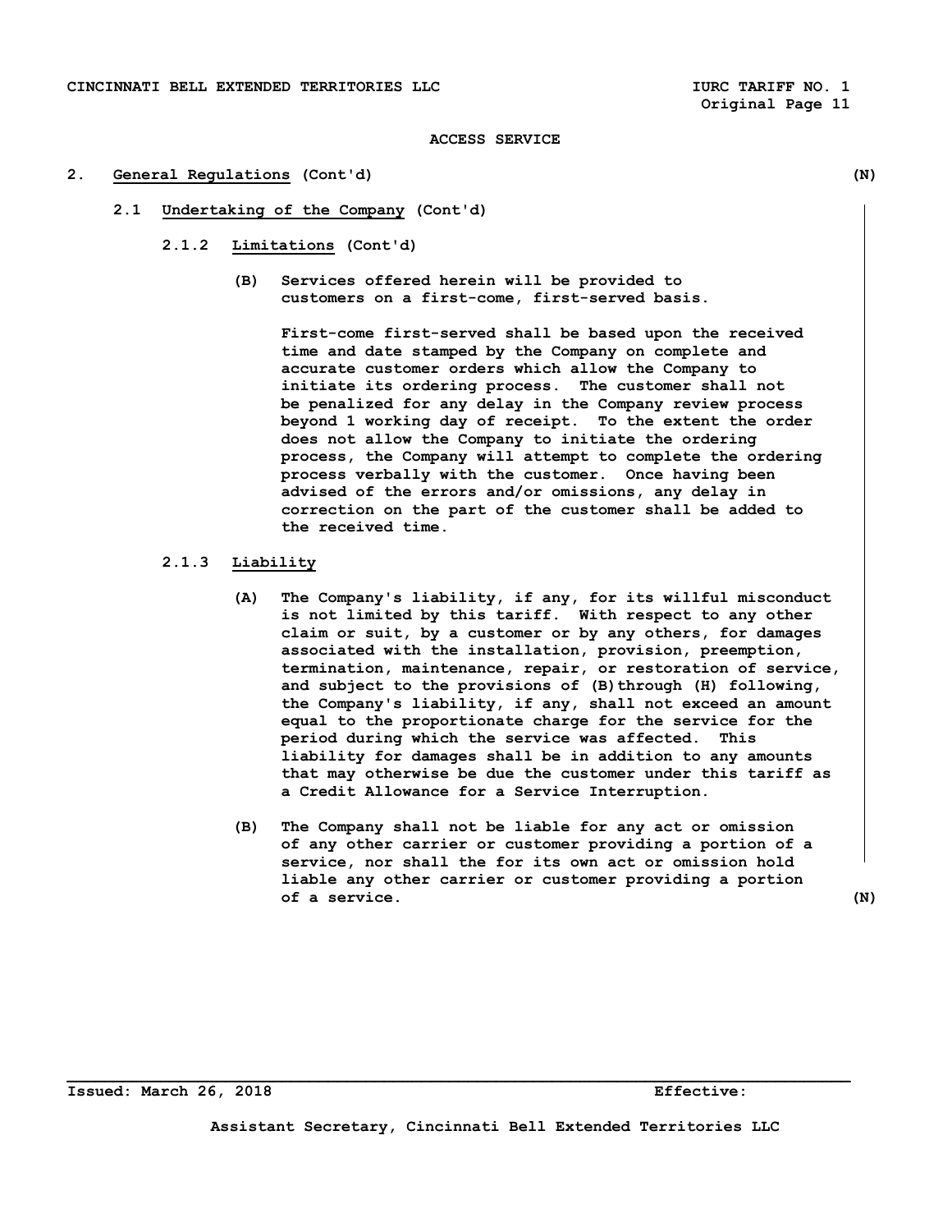### **2. General Regulations (Cont'd) (N)**

- **2.1 Undertaking of the Company (Cont'd)** 
	- **2.1.2 Limitations (Cont'd)** 
		- **(B) Services offered herein will be provided to customers on a first-come, first-served basis.**

 **First-come first-served shall be based upon the received time and date stamped by the Company on complete and accurate customer orders which allow the Company to initiate its ordering process. The customer shall not be penalized for any delay in the Company review process beyond 1 working day of receipt. To the extent the order does not allow the Company to initiate the ordering process, the Company will attempt to complete the ordering process verbally with the customer. Once having been advised of the errors and/or omissions, any delay in correction on the part of the customer shall be added to the received time.** 

# **2.1.3 Liability**

- **(A) The Company's liability, if any, for its willful misconduct is not limited by this tariff. With respect to any other claim or suit, by a customer or by any others, for damages associated with the installation, provision, preemption, termination, maintenance, repair, or restoration of service,**  and subject to the provisions of (B) through (H) following,  **the Company's liability, if any, shall not exceed an amount equal to the proportionate charge for the service for the period during which the service was affected. This liability for damages shall be in addition to any amounts that may otherwise be due the customer under this tariff as a Credit Allowance for a Service Interruption.**
- **(B) The Company shall not be liable for any act or omission of any other carrier or customer providing a portion of a service, nor shall the for its own act or omission hold liable any other carrier or customer providing a portion of a service. (N)**

**Issued: March 26, 2018 Effective:** 

**Assistant Secretary, Cincinnati Bell Extended Territories LLC**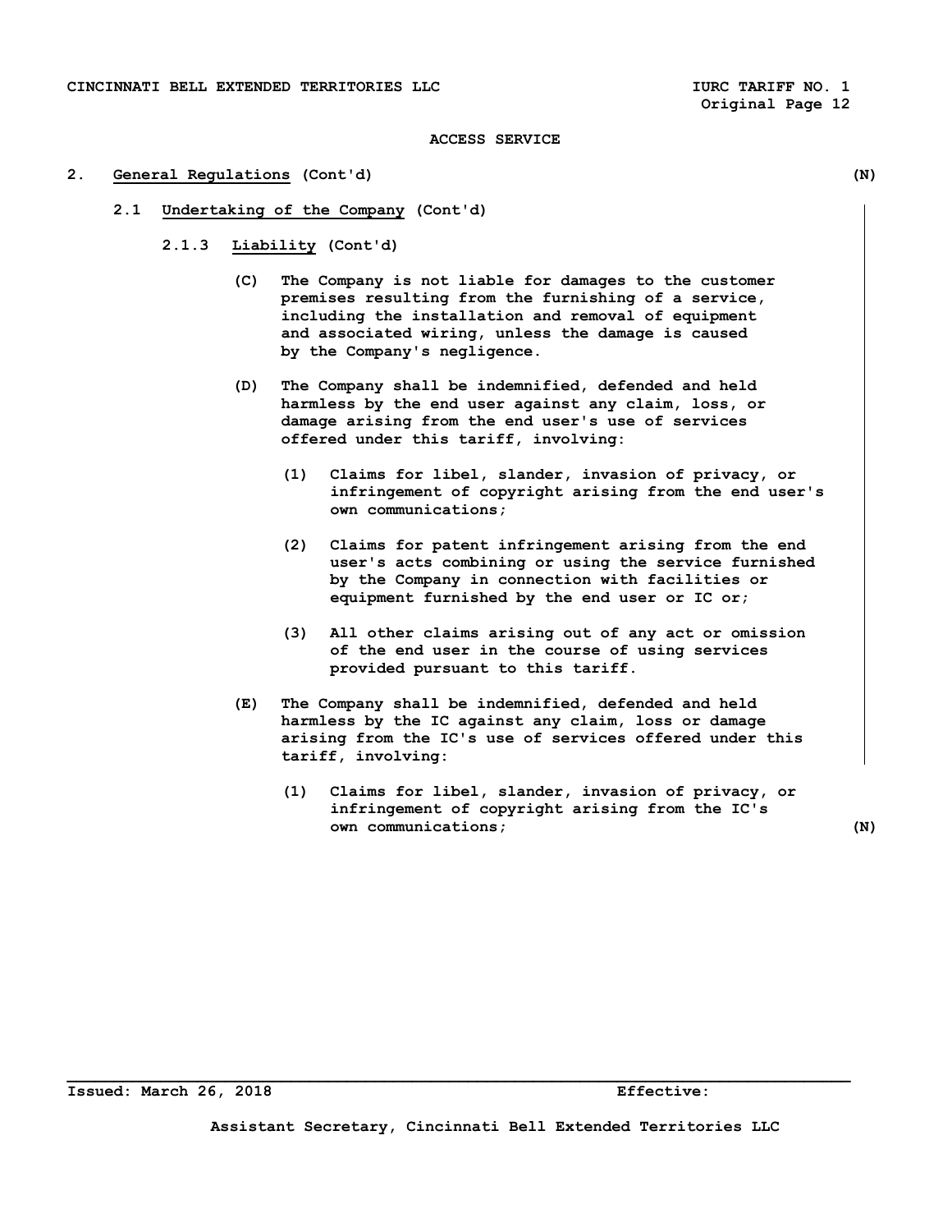#### **2. General Regulations (Cont'd) (N)**

- **2.1 Undertaking of the Company (Cont'd)** 
	- **2.1.3 Liability (Cont'd)** 
		- **(C) The Company is not liable for damages to the customer premises resulting from the furnishing of a service, including the installation and removal of equipment and associated wiring, unless the damage is caused by the Company's negligence.**
		- **(D) The Company shall be indemnified, defended and held harmless by the end user against any claim, loss, or damage arising from the end user's use of services offered under this tariff, involving:** 
			- **(1) Claims for libel, slander, invasion of privacy, or infringement of copyright arising from the end user's own communications;**
			- **(2) Claims for patent infringement arising from the end user's acts combining or using the service furnished by the Company in connection with facilities or equipment furnished by the end user or IC or;**
			- **(3) All other claims arising out of any act or omission of the end user in the course of using services provided pursuant to this tariff.**
		- **(E) The Company shall be indemnified, defended and held harmless by the IC against any claim, loss or damage arising from the IC's use of services offered under this tariff, involving:** 
			- **(1) Claims for libel, slander, invasion of privacy, or infringement of copyright arising from the IC's own communications; (N)**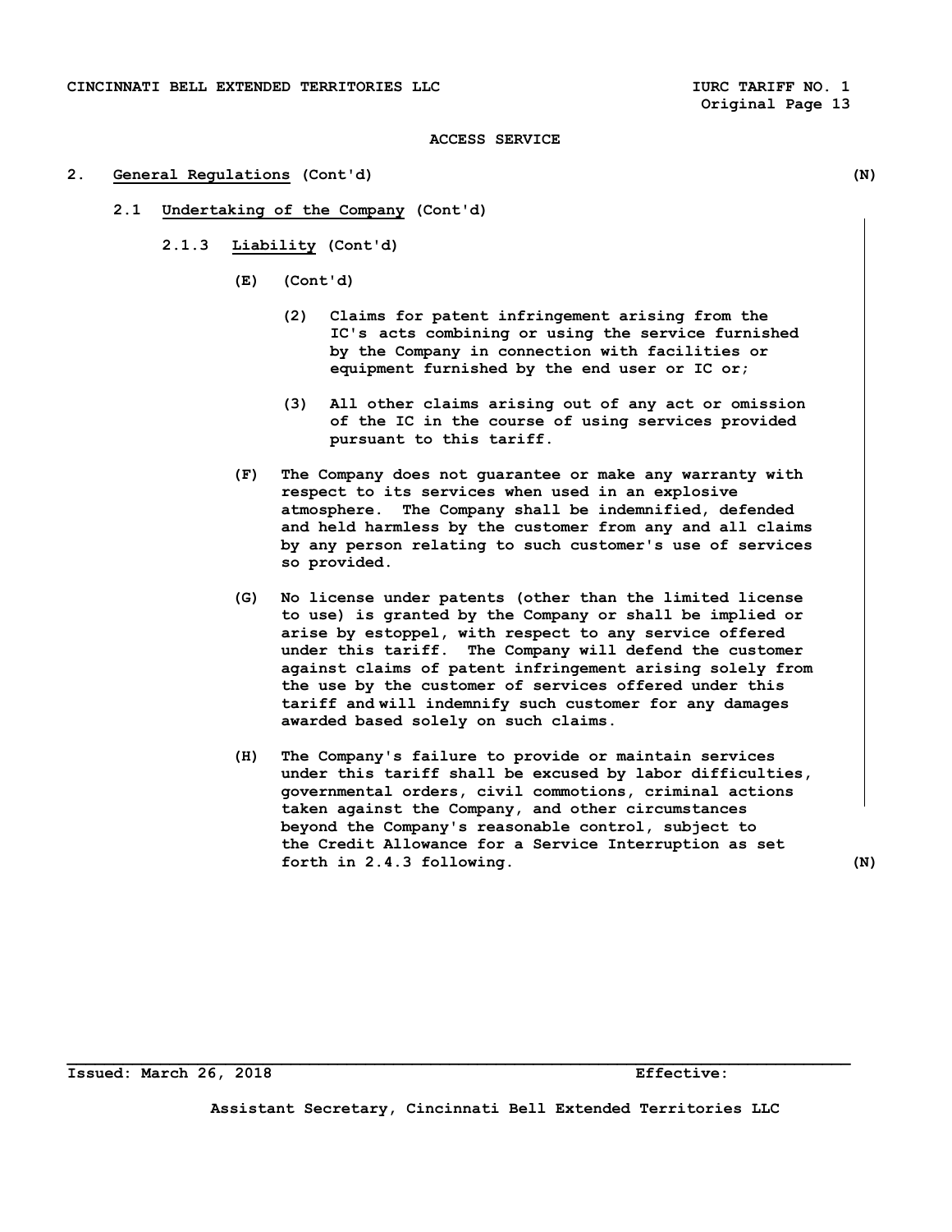#### **2. General Regulations (Cont'd) (N)**

- **2.1 Undertaking of the Company (Cont'd)** 
	- **2.1.3 Liability (Cont'd)** 
		- **(E) (Cont'd)** 
			- **(2) Claims for patent infringement arising from the IC's acts combining or using the service furnished by the Company in connection with facilities or equipment furnished by the end user or IC or;**
			- **(3) All other claims arising out of any act or omission of the IC in the course of using services provided pursuant to this tariff.**
		- **(F) The Company does not guarantee or make any warranty with respect to its services when used in an explosive atmosphere. The Company shall be indemnified, defended and held harmless by the customer from any and all claims by any person relating to such customer's use of services so provided.**
		- **(G) No license under patents (other than the limited license to use) is granted by the Company or shall be implied or arise by estoppel, with respect to any service offered under this tariff. The Company will defend the customer against claims of patent infringement arising solely from the use by the customer of services offered under this tariff and will indemnify such customer for any damages awarded based solely on such claims.**
		- **(H) The Company's failure to provide or maintain services under this tariff shall be excused by labor difficulties, governmental orders, civil commotions, criminal actions taken against the Company, and other circumstances beyond the Company's reasonable control, subject to the Credit Allowance for a Service Interruption as set forth in 2.4.3 following. (N)**

**Issued: March 26, 2018 Effective:** 

**Assistant Secretary, Cincinnati Bell Extended Territories LLC**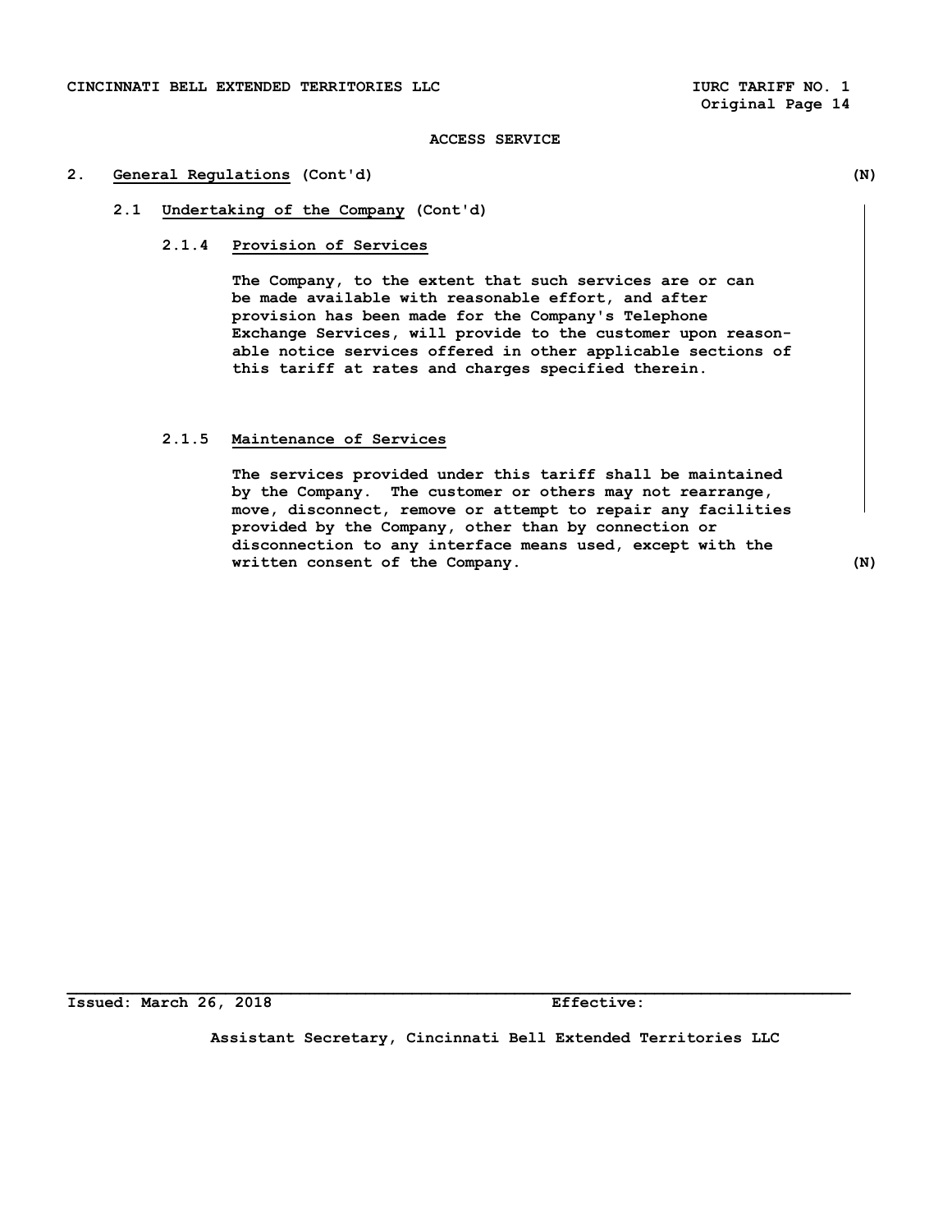# **2. General Regulations (Cont'd) (N)**

# **2.1 Undertaking of the Company (Cont'd)**

### **2.1.4 Provision of Services**

 **The Company, to the extent that such services are or can be made available with reasonable effort, and after provision has been made for the Company's Telephone Exchange Services, will provide to the customer upon reason able notice services offered in other applicable sections of this tariff at rates and charges specified therein.** 

### **2.1.5 Maintenance of Services**

 **The services provided under this tariff shall be maintained by the Company. The customer or others may not rearrange, move, disconnect, remove or attempt to repair any facilities provided by the Company, other than by connection or disconnection to any interface means used, except with the written consent of the Company. (N)** 

**Issued: March 26, 2018 Effective:** 

**Assistant Secretary, Cincinnati Bell Extended Territories LLC**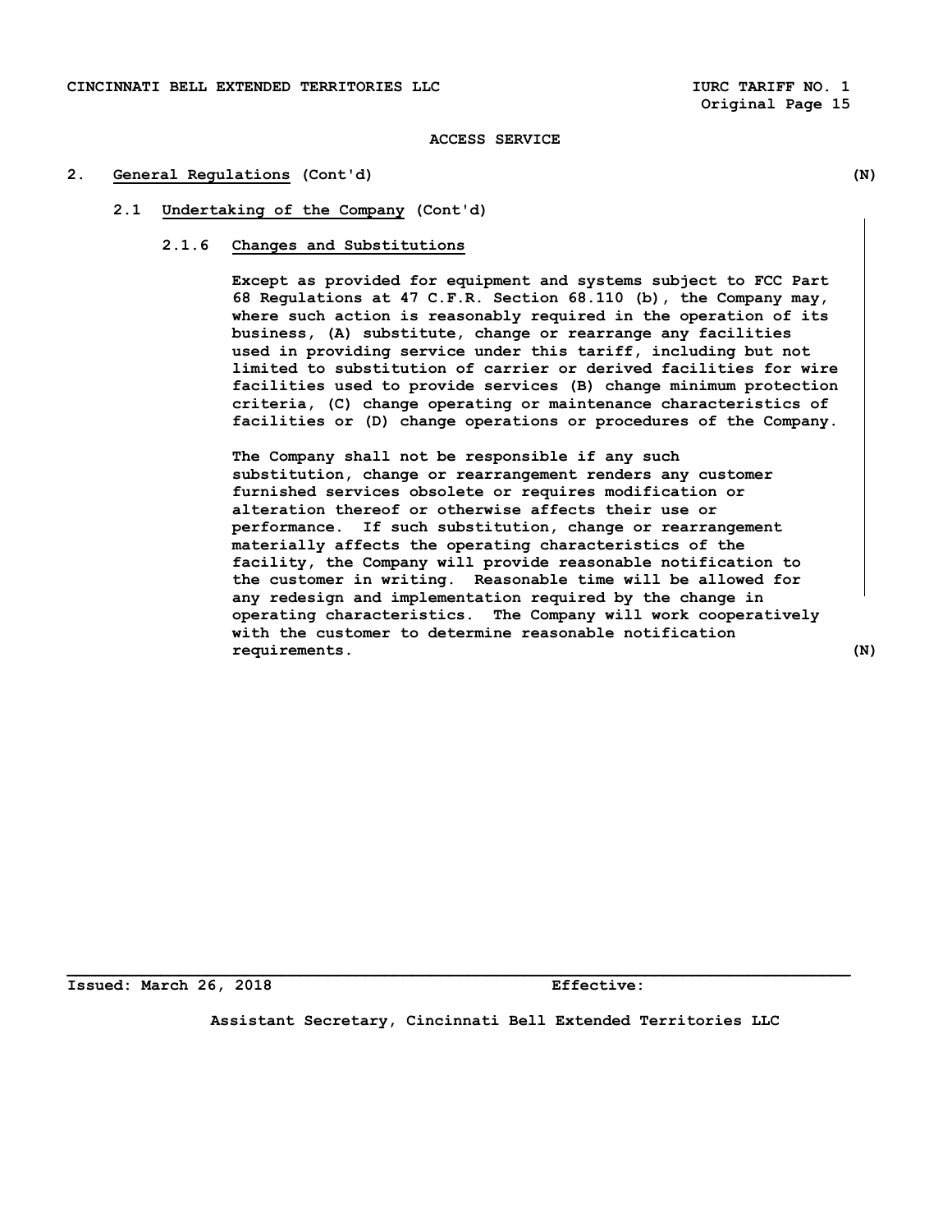# **2. General Regulations (Cont'd) (N)**

# **2.1 Undertaking of the Company (Cont'd)**

# **2.1.6 Changes and Substitutions**

 **Except as provided for equipment and systems subject to FCC Part 68 Regulations at 47 C.F.R. Section 68.110 (b), the Company may, where such action is reasonably required in the operation of its business, (A) substitute, change or rearrange any facilities used in providing service under this tariff, including but not limited to substitution of carrier or derived facilities for wire facilities used to provide services (B) change minimum protection criteria, (C) change operating or maintenance characteristics of facilities or (D) change operations or procedures of the Company.** 

**The Company shall not be responsible if any such substitution, change or rearrangement renders any customer furnished services obsolete or requires modification or alteration thereof or otherwise affects their use or performance. If such substitution, change or rearrangement materially affects the operating characteristics of the facility, the Company will provide reasonable notification to the customer in writing. Reasonable time will be allowed for any redesign and implementation required by the change in operating characteristics. The Company will work cooperatively with the customer to determine reasonable notification requirements. (N)** 

**Issued: March 26, 2018 Effective:** 

**Assistant Secretary, Cincinnati Bell Extended Territories LLC**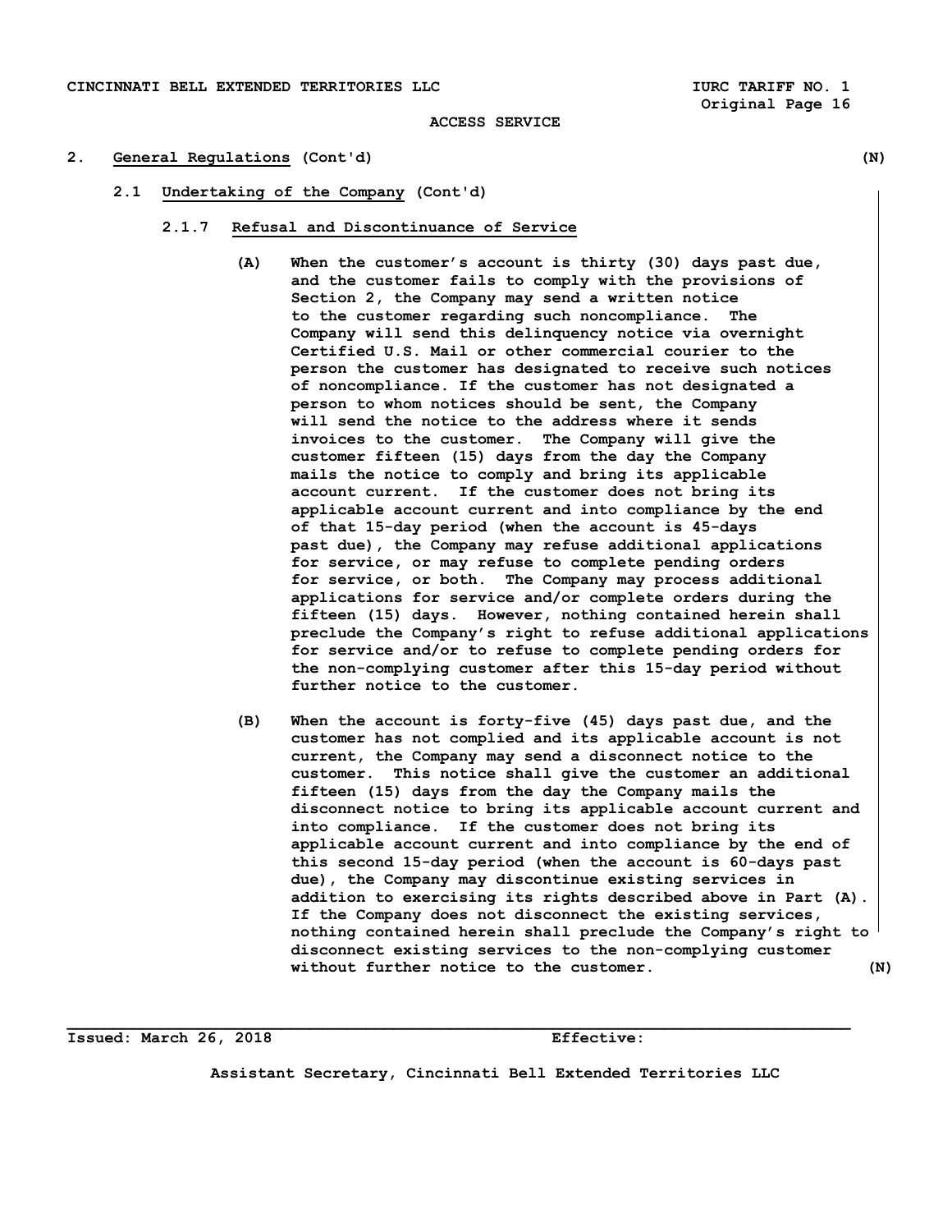- **2. General Regulations (Cont'd) (N)** 
	- **2.1 Undertaking of the Company (Cont'd)** 
		- **2.1.7 Refusal and Discontinuance of Service** 
			- **(A) When the customer's account is thirty (30) days past due, and the customer fails to comply with the provisions of Section 2, the Company may send a written notice to the customer regarding such noncompliance. The Company will send this delinquency notice via overnight Certified U.S. Mail or other commercial courier to the person the customer has designated to receive such notices of noncompliance. If the customer has not designated a person to whom notices should be sent, the Company will send the notice to the address where it sends invoices to the customer. The Company will give the customer fifteen (15) days from the day the Company mails the notice to comply and bring its applicable account current. If the customer does not bring its applicable account current and into compliance by the end of that 15-day period (when the account is 45-days past due), the Company may refuse additional applications for service, or may refuse to complete pending orders for service, or both. The Company may process additional applications for service and/or complete orders during the fifteen (15) days. However, nothing contained herein shall preclude the Company's right to refuse additional applications for service and/or to refuse to complete pending orders for the non-complying customer after this 15-day period without further notice to the customer.**
			- **(B) When the account is forty-five (45) days past due, and the customer has not complied and its applicable account is not current, the Company may send a disconnect notice to the customer. This notice shall give the customer an additional fifteen (15) days from the day the Company mails the disconnect notice to bring its applicable account current and into compliance. If the customer does not bring its applicable account current and into compliance by the end of this second 15-day period (when the account is 60-days past due), the Company may discontinue existing services in addition to exercising its rights described above in Part (A). If the Company does not disconnect the existing services, nothing contained herein shall preclude the Company's right to disconnect existing services to the non-complying customer without further notice to the customer. (N)**

**Issued: March 26, 2018 Effective:** 

**Assistant Secretary, Cincinnati Bell Extended Territories LLC**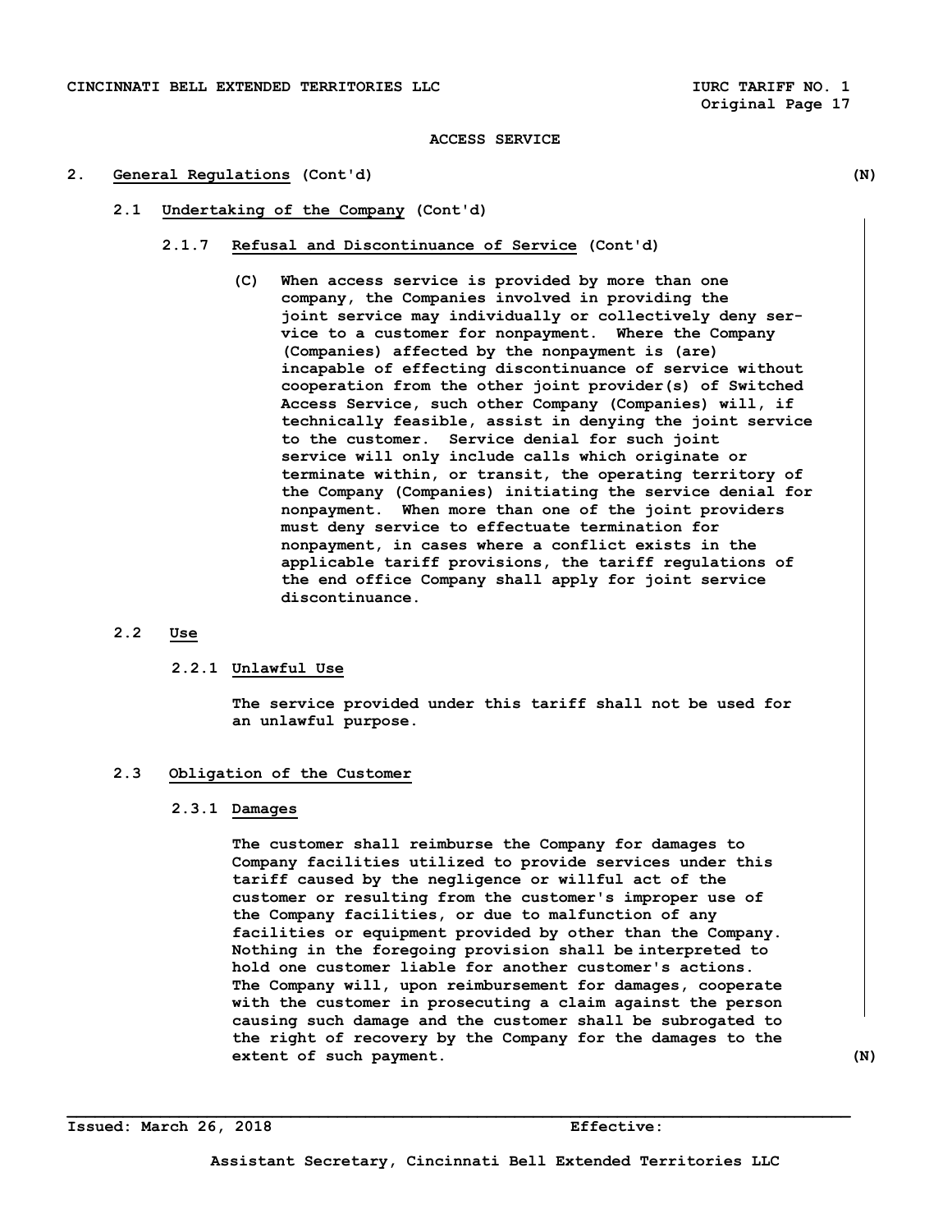### **2. General Regulations (Cont'd) (N)**

- **2.1 Undertaking of the Company (Cont'd)** 
	- **2.1.7 Refusal and Discontinuance of Service (Cont'd)** 
		- **(C) When access service is provided by more than one company, the Companies involved in providing the joint service may individually or collectively deny ser vice to a customer for nonpayment. Where the Company (Companies) affected by the nonpayment is (are) incapable of effecting discontinuance of service without cooperation from the other joint provider(s) of Switched Access Service, such other Company (Companies) will, if technically feasible, assist in denying the joint service to the customer. Service denial for such joint service will only include calls which originate or terminate within, or transit, the operating territory of the Company (Companies) initiating the service denial for nonpayment. When more than one of the joint providers must deny service to effectuate termination for nonpayment, in cases where a conflict exists in the applicable tariff provisions, the tariff regulations of the end office Company shall apply for joint service discontinuance.**

# **2.2 Use**

# **2.2.1 Unlawful Use**

 **The service provided under this tariff shall not be used for an unlawful purpose.** 

# **2.3 Obligation of the Customer**

# **2.3.1 Damages**

 **The customer shall reimburse the Company for damages to Company facilities utilized to provide services under this tariff caused by the negligence or willful act of the customer or resulting from the customer's improper use of the Company facilities, or due to malfunction of any facilities or equipment provided by other than the Company. Nothing in the foregoing provision shall be interpreted to hold one customer liable for another customer's actions. The Company will, upon reimbursement for damages, cooperate with the customer in prosecuting a claim against the person causing such damage and the customer shall be subrogated to the right of recovery by the Company for the damages to the extent of such payment.** (N)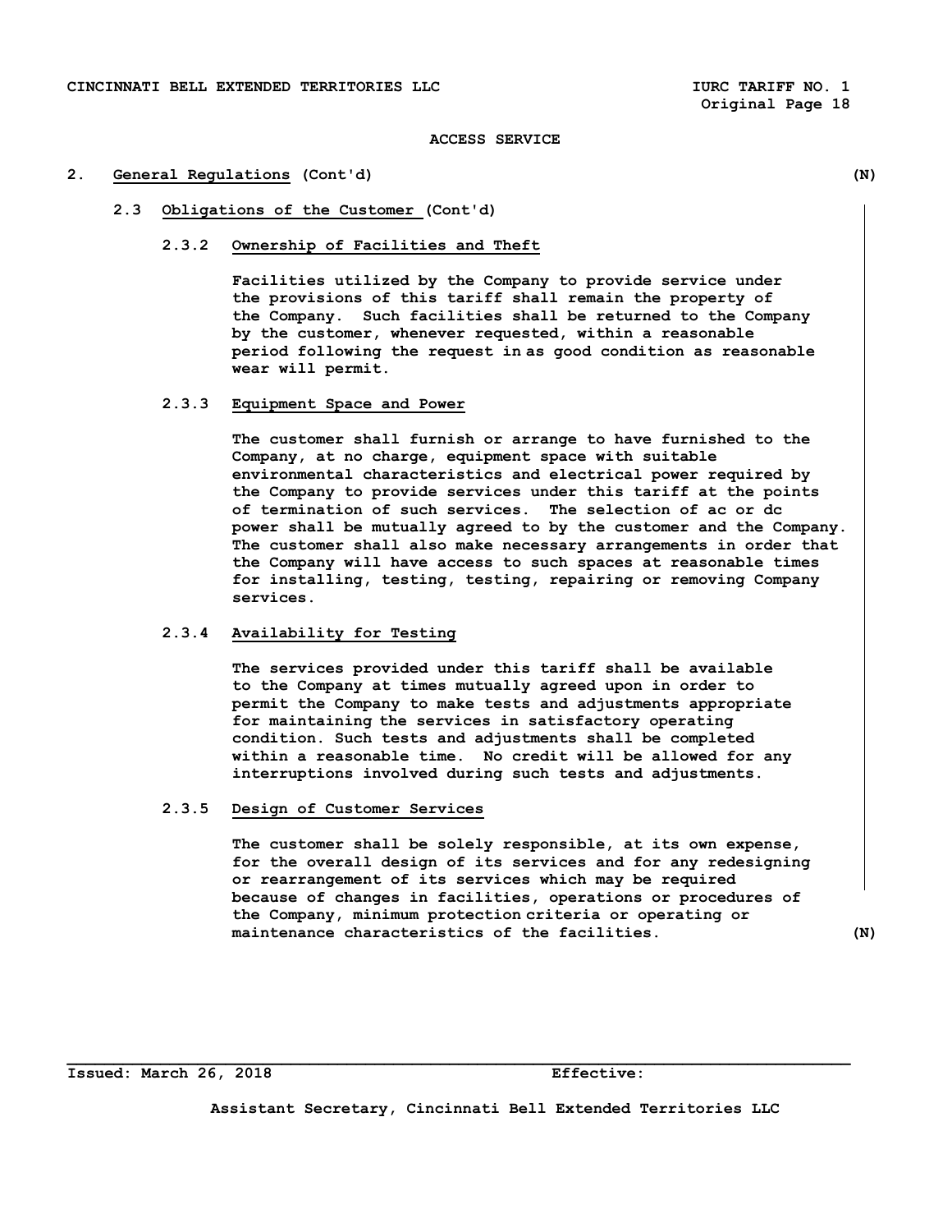#### **2. General Regulations (Cont'd) (N)**

- **2.3 Obligations of the Customer (Cont'd)** 
	- **2.3.2 Ownership of Facilities and Theft**

 **Facilities utilized by the Company to provide service under the provisions of this tariff shall remain the property of the Company. Such facilities shall be returned to the Company by the customer, whenever requested, within a reasonable period following the request in as good condition as reasonable wear will permit.** 

# **2.3.3 Equipment Space and Power**

 **The customer shall furnish or arrange to have furnished to the Company, at no charge, equipment space with suitable environmental characteristics and electrical power required by the Company to provide services under this tariff at the points of termination of such services. The selection of ac or dc power shall be mutually agreed to by the customer and the Company. The customer shall also make necessary arrangements in order that the Company will have access to such spaces at reasonable times for installing, testing, testing, repairing or removing Company services.** 

# **2.3.4 Availability for Testing**

 **The services provided under this tariff shall be available to the Company at times mutually agreed upon in order to permit the Company to make tests and adjustments appropriate for maintaining the services in satisfactory operating condition. Such tests and adjustments shall be completed within a reasonable time. No credit will be allowed for any interruptions involved during such tests and adjustments.** 

# **2.3.5 Design of Customer Services**

 **The customer shall be solely responsible, at its own expense, for the overall design of its services and for any redesigning or rearrangement of its services which may be required because of changes in facilities, operations or procedures of the Company, minimum protection criteria or operating or maintenance characteristics of the facilities. (N)** 

**Issued: March 26, 2018 Effective:** 

**Assistant Secretary, Cincinnati Bell Extended Territories LLC**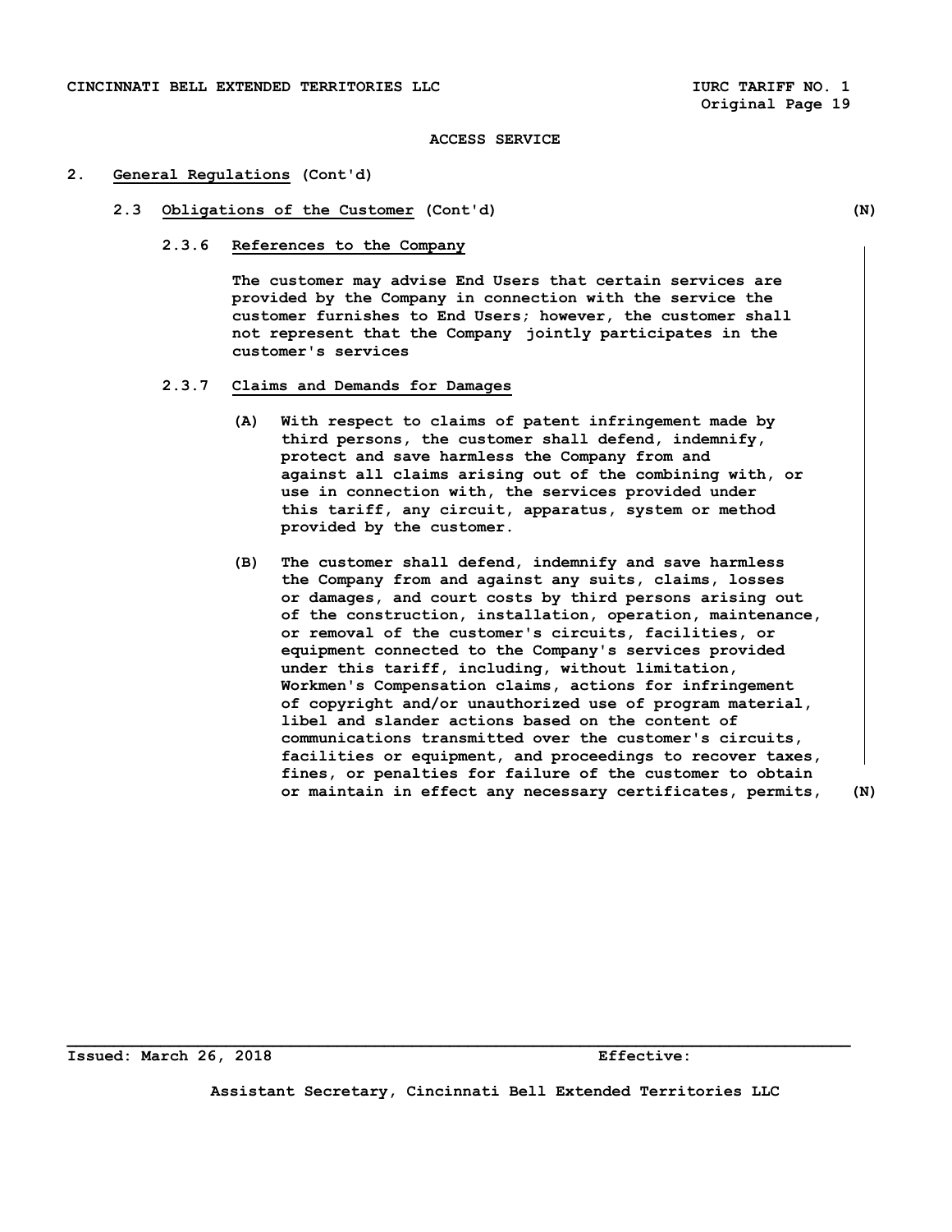#### **2. General Regulations (Cont'd)**

- **2.3 Obligations of the Customer (Cont'd) (N)** 
	- **2.3.6 References to the Company**

 **The customer may advise End Users that certain services are provided by the Company in connection with the service the customer furnishes to End Users; however, the customer shall not represent that the Company jointly participates in the customer's services** 

- **2.3.7 Claims and Demands for Damages** 
	- **(A) With respect to claims of patent infringement made by third persons, the customer shall defend, indemnify, protect and save harmless the Company from and against all claims arising out of the combining with, or use in connection with, the services provided under this tariff, any circuit, apparatus, system or method provided by the customer.**
	- **(B) The customer shall defend, indemnify and save harmless the Company from and against any suits, claims, losses or damages, and court costs by third persons arising out of the construction, installation, operation, maintenance, or removal of the customer's circuits, facilities, or equipment connected to the Company's services provided under this tariff, including, without limitation, Workmen's Compensation claims, actions for infringement of copyright and/or unauthorized use of program material, libel and slander actions based on the content of communications transmitted over the customer's circuits, facilities or equipment, and proceedings to recover taxes, fines, or penalties for failure of the customer to obtain or maintain in effect any necessary certificates, permits, (N)**

**Issued: March 26, 2018 Effective:** 

**Assistant Secretary, Cincinnati Bell Extended Territories LLC**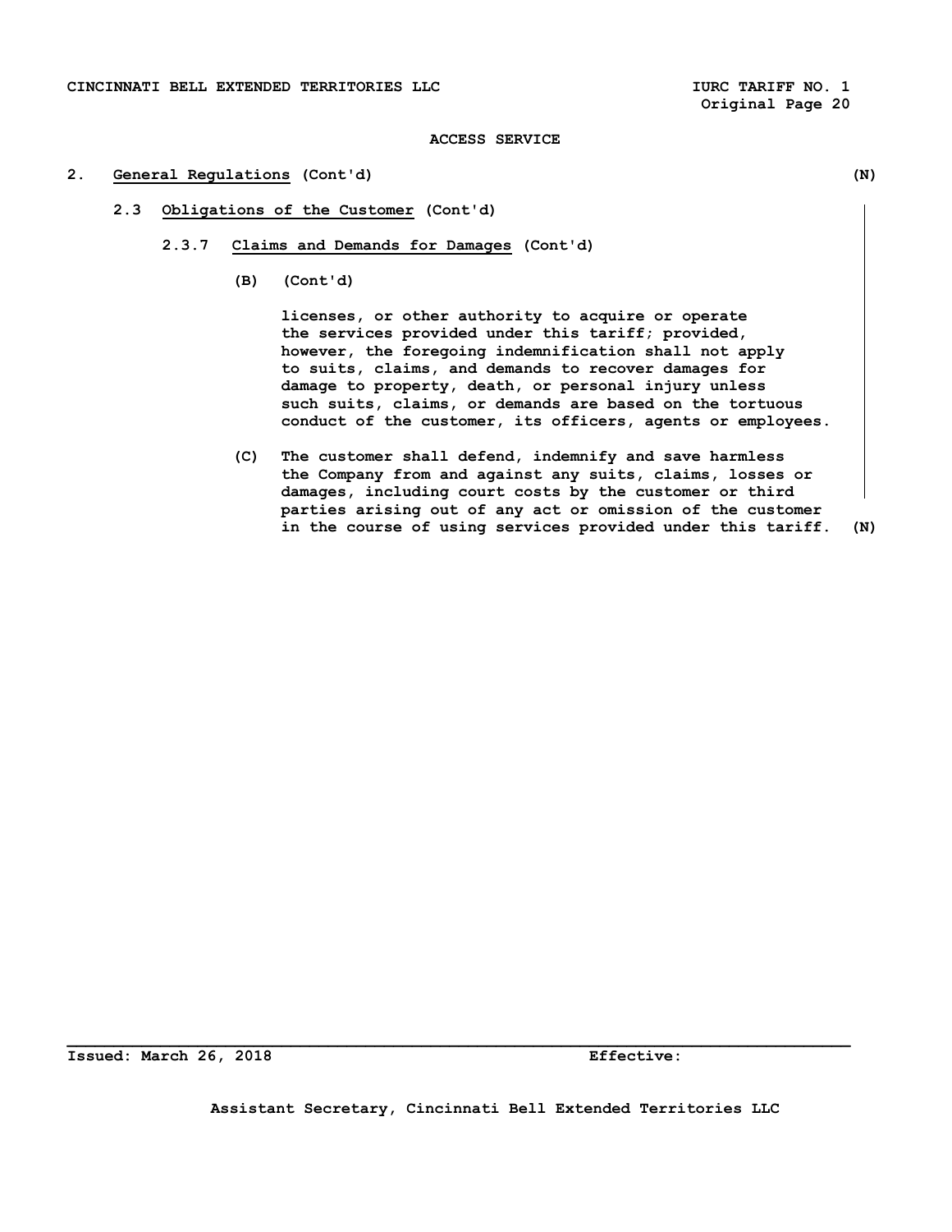# **2. General Regulations (Cont'd) (N)**

- **2.3 Obligations of the Customer (Cont'd)** 
	- **2.3.7 Claims and Demands for Damages (Cont'd)** 
		- **(B) (Cont'd)**

 **licenses, or other authority to acquire or operate the services provided under this tariff; provided, however, the foregoing indemnification shall not apply to suits, claims, and demands to recover damages for damage to property, death, or personal injury unless such suits, claims, or demands are based on the tortuous conduct of the customer, its officers, agents or employees.** 

 **(C) The customer shall defend, indemnify and save harmless the Company from and against any suits, claims, losses or damages, including court costs by the customer or third parties arising out of any act or omission of the customer in the course of using services provided under this tariff. (N)** 

**Issued: March 26, 2018 Effective:**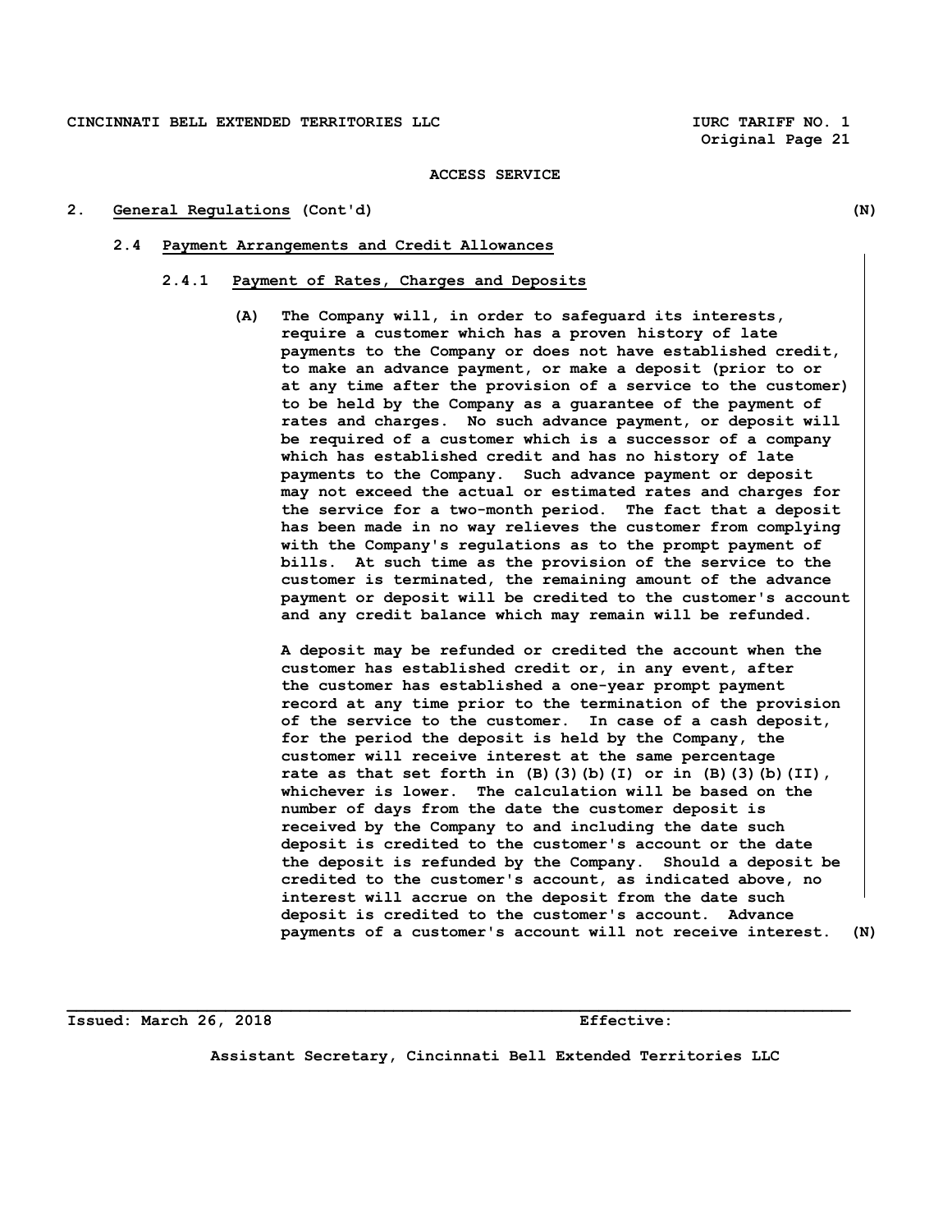#### **2. General Regulations (Cont'd) (N)**

#### **2.4 Payment Arrangements and Credit Allowances**

# **2.4.1 Payment of Rates, Charges and Deposits**

**(A) The Company will, in order to safeguard its interests, require a customer which has a proven history of late payments to the Company or does not have established credit, to make an advance payment, or make a deposit (prior to or at any time after the provision of a service to the customer) to be held by the Company as a guarantee of the payment of rates and charges. No such advance payment, or deposit will be required of a customer which is a successor of a company which has established credit and has no history of late payments to the Company. Such advance payment or deposit may not exceed the actual or estimated rates and charges for the service for a two-month period. The fact that a deposit has been made in no way relieves the customer from complying with the Company's regulations as to the prompt payment of bills. At such time as the provision of the service to the customer is terminated, the remaining amount of the advance payment or deposit will be credited to the customer's account and any credit balance which may remain will be refunded.** 

 **A deposit may be refunded or credited the account when the customer has established credit or, in any event, after the customer has established a one-year prompt payment record at any time prior to the termination of the provision of the service to the customer. In case of a cash deposit, for the period the deposit is held by the Company, the customer will receive interest at the same percentage rate as that set forth in (B)(3)(b)(I) or in (B)(3)(b)(II), whichever is lower. The calculation will be based on the number of days from the date the customer deposit is received by the Company to and including the date such deposit is credited to the customer's account or the date the deposit is refunded by the Company. Should a deposit be credited to the customer's account, as indicated above, no interest will accrue on the deposit from the date such deposit is credited to the customer's account. Advance payments of a customer's account will not receive interest. (N)** 

**Issued: March 26, 2018 Effective:** 

**Assistant Secretary, Cincinnati Bell Extended Territories LLC**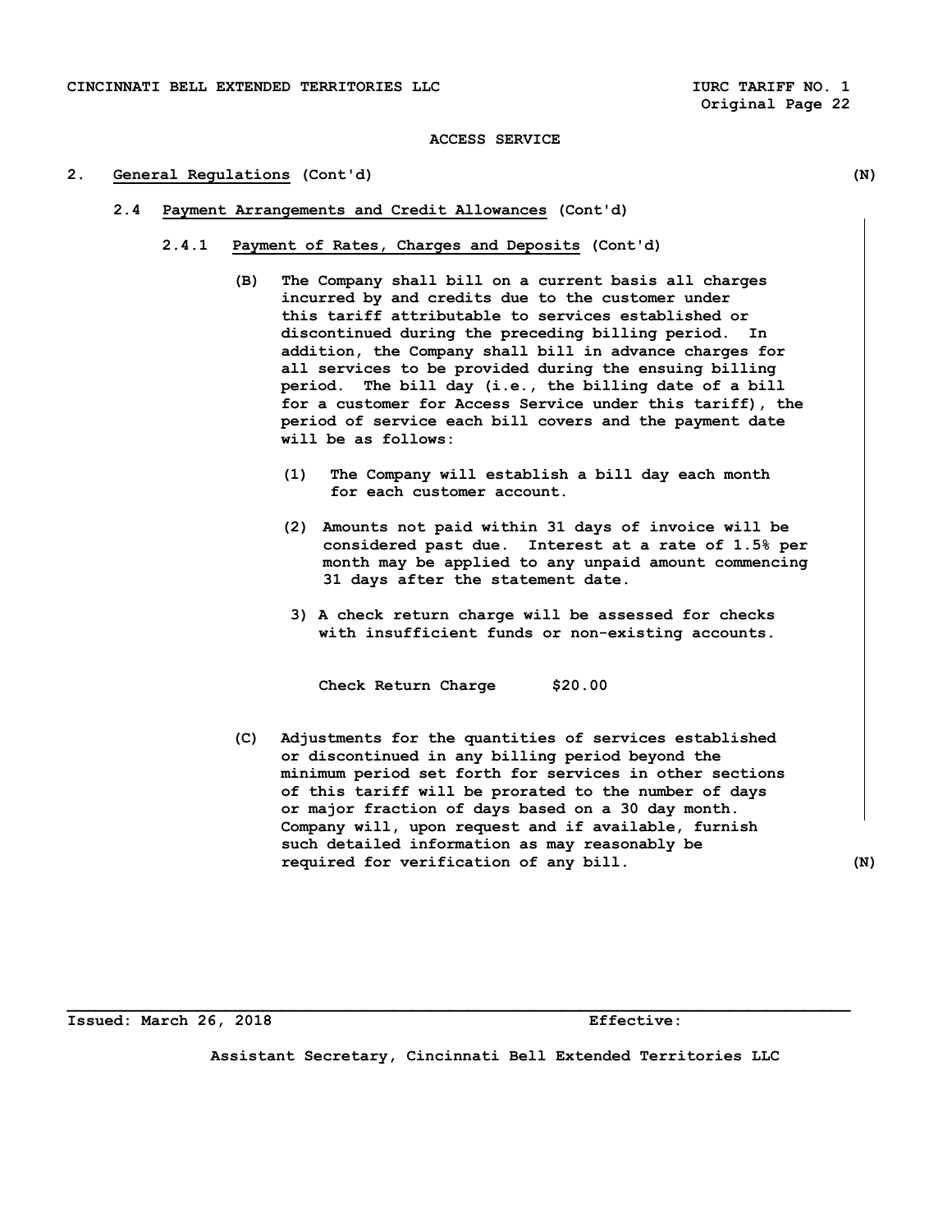#### **2. General Regulations (Cont'd) (N)**

- **2.4 Payment Arrangements and Credit Allowances (Cont'd)** 
	- **2.4.1 Payment of Rates, Charges and Deposits (Cont'd)** 
		- **(B) The Company shall bill on a current basis all charges incurred by and credits due to the customer under this tariff attributable to services established or discontinued during the preceding billing period. In addition, the Company shall bill in advance charges for all services to be provided during the ensuing billing period. The bill day (i.e., the billing date of a bill for a customer for Access Service under this tariff), the period of service each bill covers and the payment date will be as follows:** 
			- **(1) The Company will establish a bill day each month for each customer account.**
			- **(2) Amounts not paid within 31 days of invoice will be considered past due. Interest at a rate of 1.5% per month may be applied to any unpaid amount commencing 31 days after the statement date.**
			- **3) A check return charge will be assessed for checks with insufficient funds or non-existing accounts.**

 **Check Return Charge \$20.00** 

 **(C) Adjustments for the quantities of services established or discontinued in any billing period beyond the minimum period set forth for services in other sections of this tariff will be prorated to the number of days or major fraction of days based on a 30 day month. Company will, upon request and if available, furnish such detailed information as may reasonably be required for verification of any bill. (N)** 

**Issued: March 26, 2018 Effective:** 

**Assistant Secretary, Cincinnati Bell Extended Territories LLC**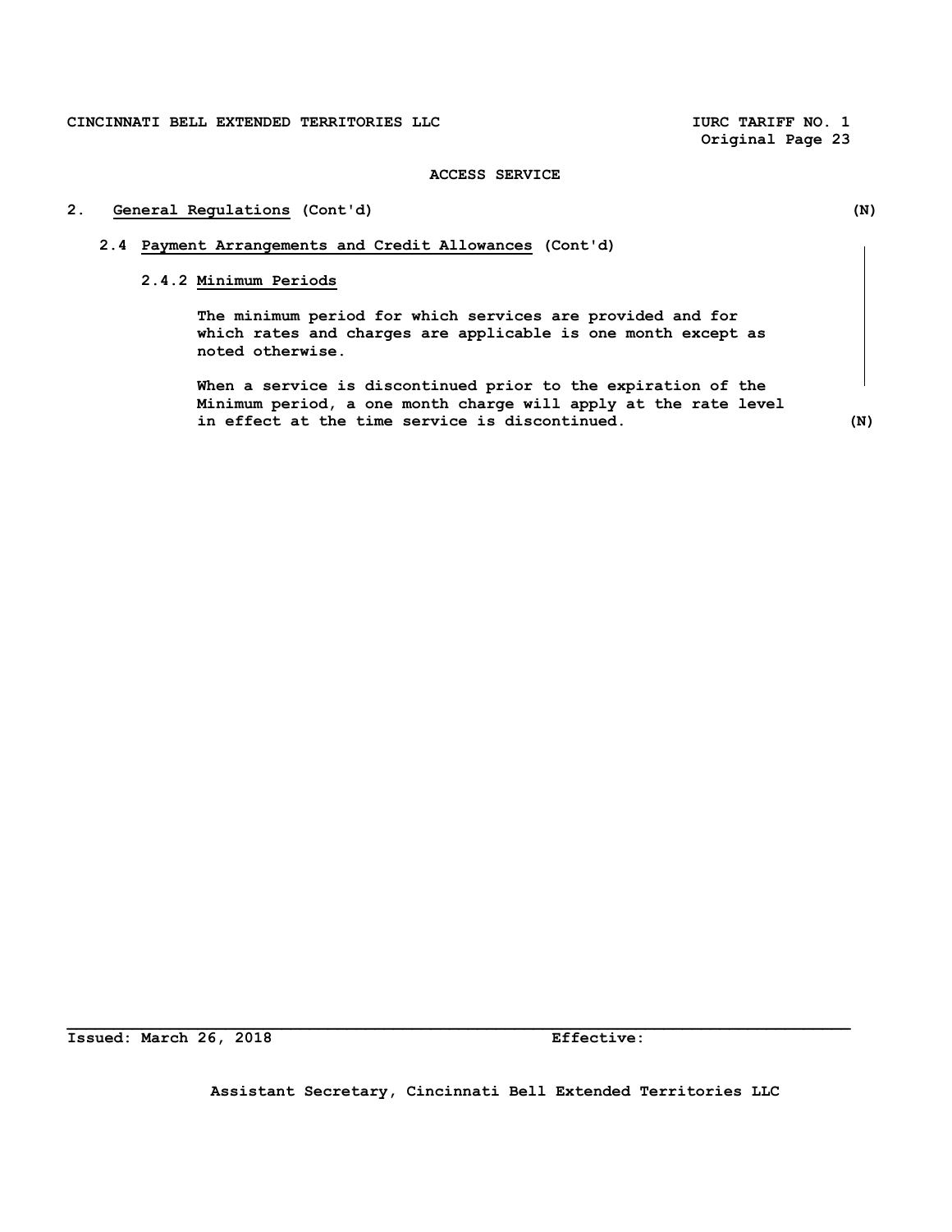**Original Page 23** 

# **ACCESS SERVICE**

# **2. General Regulations (Cont'd) (N)**

# **2.4 Payment Arrangements and Credit Allowances (Cont'd)**

# **2.4.2 Minimum Periods**

 **The minimum period for which services are provided and for which rates and charges are applicable is one month except as noted otherwise.** 

 **When a service is discontinued prior to the expiration of the Minimum period, a one month charge will apply at the rate level in effect at the time service is discontinued. (N)** 

**Issued: March 26, 2018 Effective:** 

**Assistant Secretary, Cincinnati Bell Extended Territories LLC**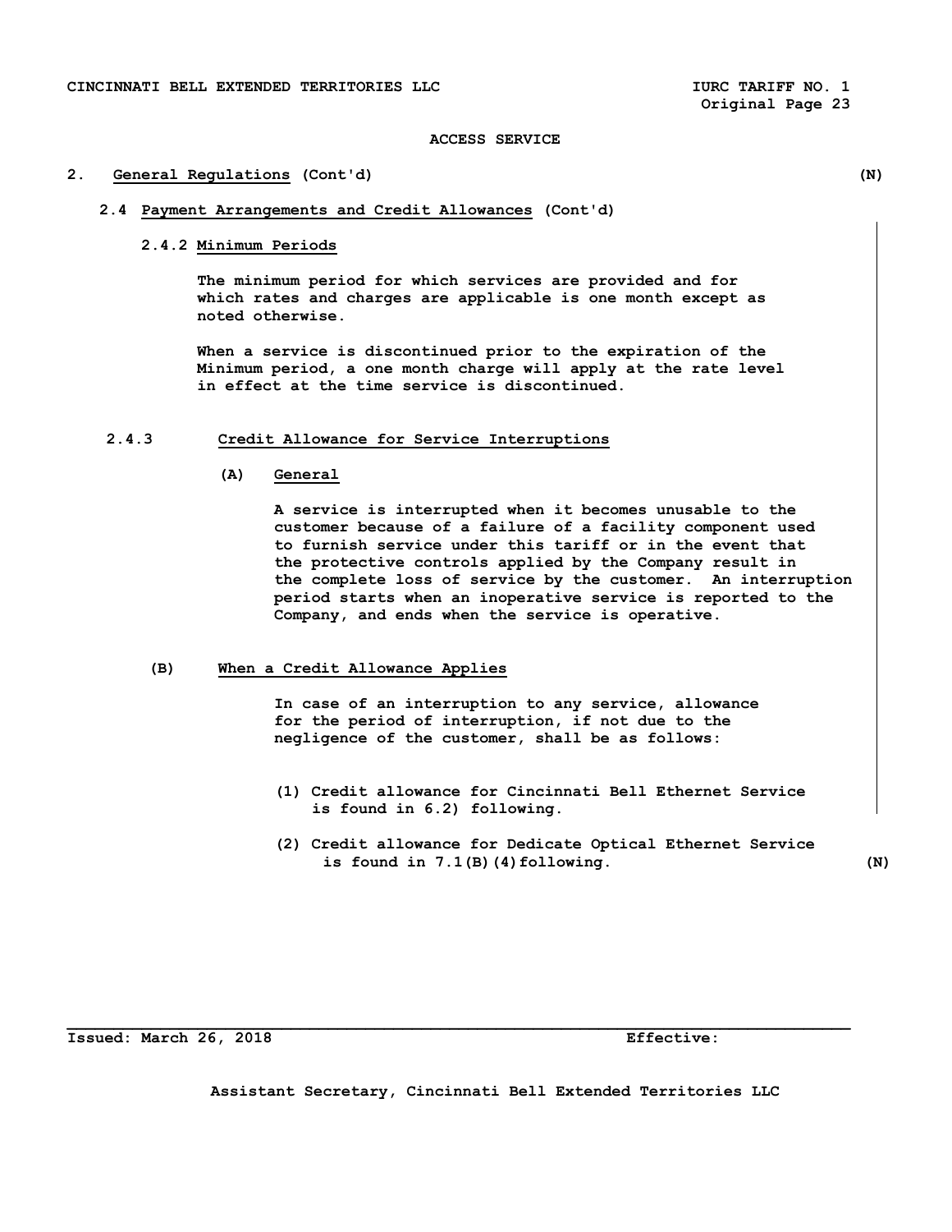#### **2. General Regulations (Cont'd) (N)**

# **2.4 Payment Arrangements and Credit Allowances (Cont'd)**

 **2.4.2 Minimum Periods** 

 **The minimum period for which services are provided and for which rates and charges are applicable is one month except as noted otherwise.** 

 **When a service is discontinued prior to the expiration of the Minimum period, a one month charge will apply at the rate level in effect at the time service is discontinued.** 

# **2.4.3 Credit Allowance for Service Interruptions**

 **(A) General** 

 **A service is interrupted when it becomes unusable to the customer because of a failure of a facility component used to furnish service under this tariff or in the event that the protective controls applied by the Company result in the complete loss of service by the customer. An interruption period starts when an inoperative service is reported to the Company, and ends when the service is operative.** 

# **(B) When a Credit Allowance Applies**

 **In case of an interruption to any service, allowance for the period of interruption, if not due to the negligence of the customer, shall be as follows:** 

- **(1) Credit allowance for Cincinnati Bell Ethernet Service is found in 6.2) following.**
- **(2) Credit allowance for Dedicate Optical Ethernet Service is found in 7.1(B)(4)following. (N)**

**Issued: March 26, 2018 Effective:** 

**Assistant Secretary, Cincinnati Bell Extended Territories LLC**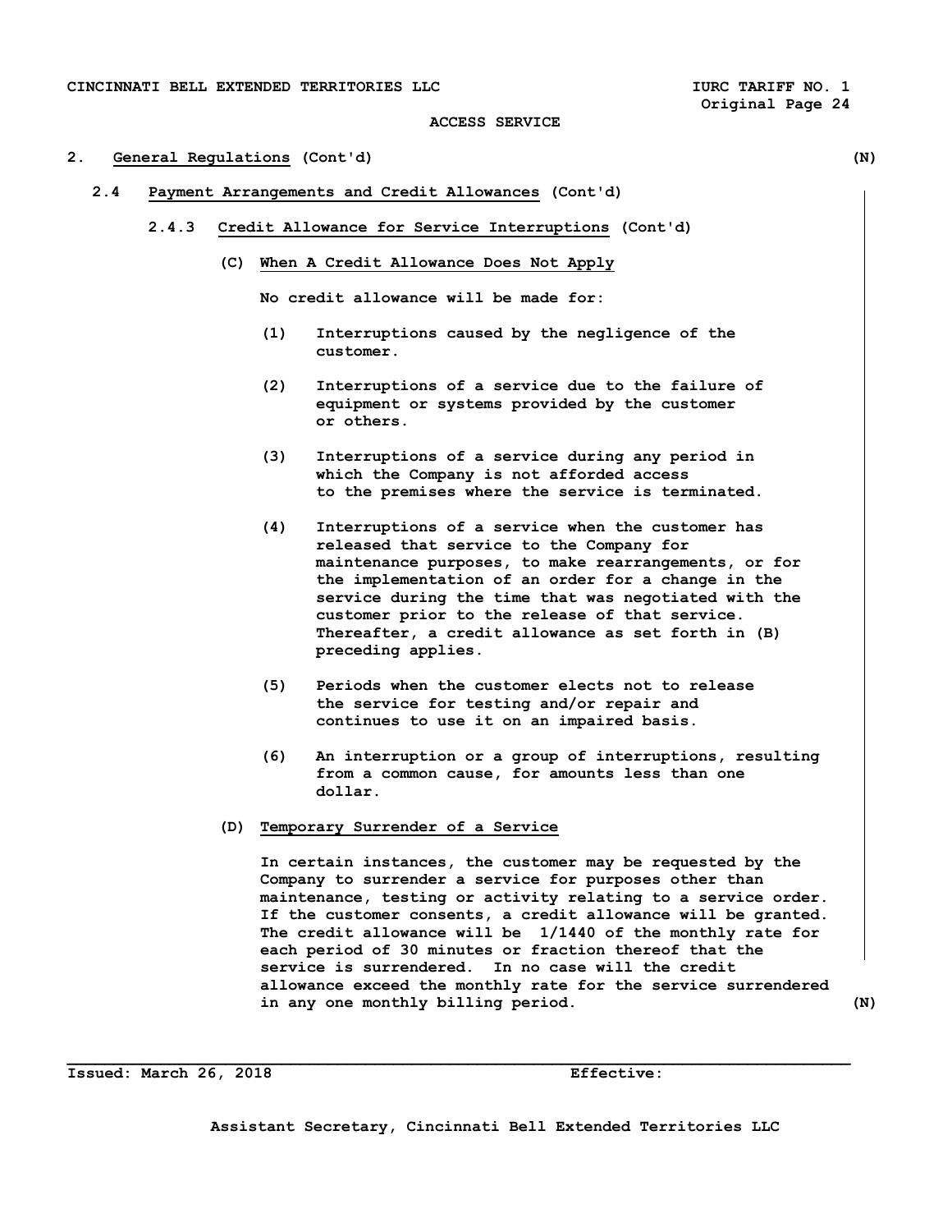# **2. General Regulations (Cont'd) (N)**

- **2.4 Payment Arrangements and Credit Allowances (Cont'd)** 
	- **2.4.3 Credit Allowance for Service Interruptions (Cont'd)** 
		- **(C) When A Credit Allowance Does Not Apply**

 **No credit allowance will be made for:** 

- **(1) Interruptions caused by the negligence of the customer.**
- **(2) Interruptions of a service due to the failure of equipment or systems provided by the customer or others.**
- **(3) Interruptions of a service during any period in which the Company is not afforded access to the premises where the service is terminated.**
- **(4) Interruptions of a service when the customer has released that service to the Company for maintenance purposes, to make rearrangements, or for the implementation of an order for a change in the service during the time that was negotiated with the customer prior to the release of that service. Thereafter, a credit allowance as set forth in (B) preceding applies.**
- **(5) Periods when the customer elects not to release the service for testing and/or repair and continues to use it on an impaired basis.**
- **(6) An interruption or a group of interruptions, resulting from a common cause, for amounts less than one dollar.**
- **(D) Temporary Surrender of a Service**

 **In certain instances, the customer may be requested by the Company to surrender a service for purposes other than maintenance, testing or activity relating to a service order. If the customer consents, a credit allowance will be granted. The credit allowance will be 1/1440 of the monthly rate for each period of 30 minutes or fraction thereof that the service is surrendered. In no case will the credit allowance exceed the monthly rate for the service surrendered in any one monthly billing period. (N)** 

**Issued: March 26, 2018 Effective:**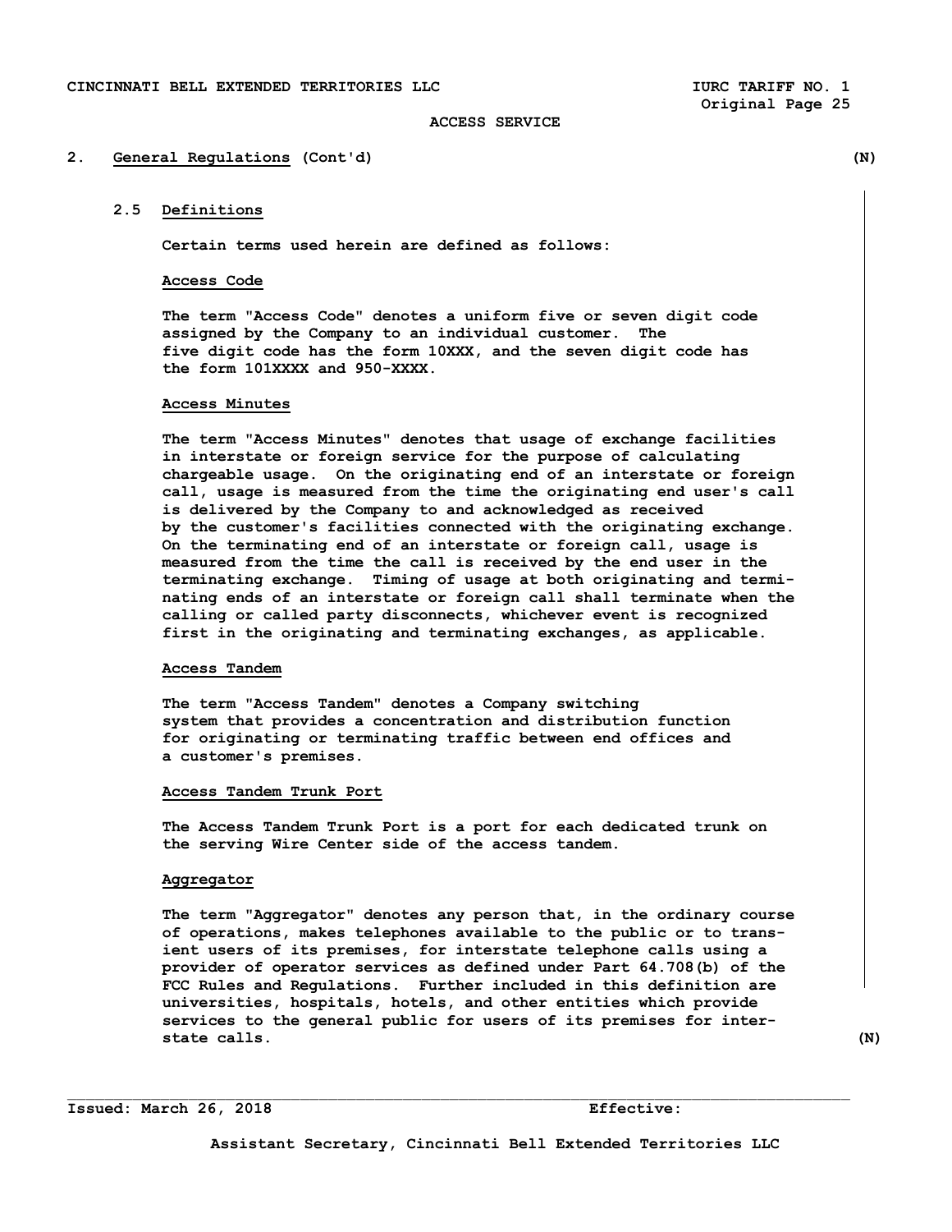#### **2. General Regulations (Cont'd) (N)**

# **2.5 Definitions**

**Certain terms used herein are defined as follows:** 

# **Access Code**

 **The term "Access Code" denotes a uniform five or seven digit code assigned by the Company to an individual customer. The five digit code has the form 10XXX, and the seven digit code has the form 101XXXX and 950-XXXX.** 

### **Access Minutes**

 **The term "Access Minutes" denotes that usage of exchange facilities in interstate or foreign service for the purpose of calculating chargeable usage. On the originating end of an interstate or foreign call, usage is measured from the time the originating end user's call is delivered by the Company to and acknowledged as received by the customer's facilities connected with the originating exchange. On the terminating end of an interstate or foreign call, usage is measured from the time the call is received by the end user in the terminating exchange. Timing of usage at both originating and termi nating ends of an interstate or foreign call shall terminate when the calling or called party disconnects, whichever event is recognized first in the originating and terminating exchanges, as applicable.** 

### **Access Tandem**

 **The term "Access Tandem" denotes a Company switching system that provides a concentration and distribution function for originating or terminating traffic between end offices and a customer's premises.** 

#### **Access Tandem Trunk Port**

 **The Access Tandem Trunk Port is a port for each dedicated trunk on the serving Wire Center side of the access tandem.** 

#### **Aggregator**

 **The term "Aggregator" denotes any person that, in the ordinary course of operations, makes telephones available to the public or to trans ient users of its premises, for interstate telephone calls using a provider of operator services as defined under Part 64.708(b) of the FCC Rules and Regulations. Further included in this definition are universities, hospitals, hotels, and other entities which provide services to the general public for users of its premises for inter state calls.** (N)

**Issued: March 26, 2018 Effective:**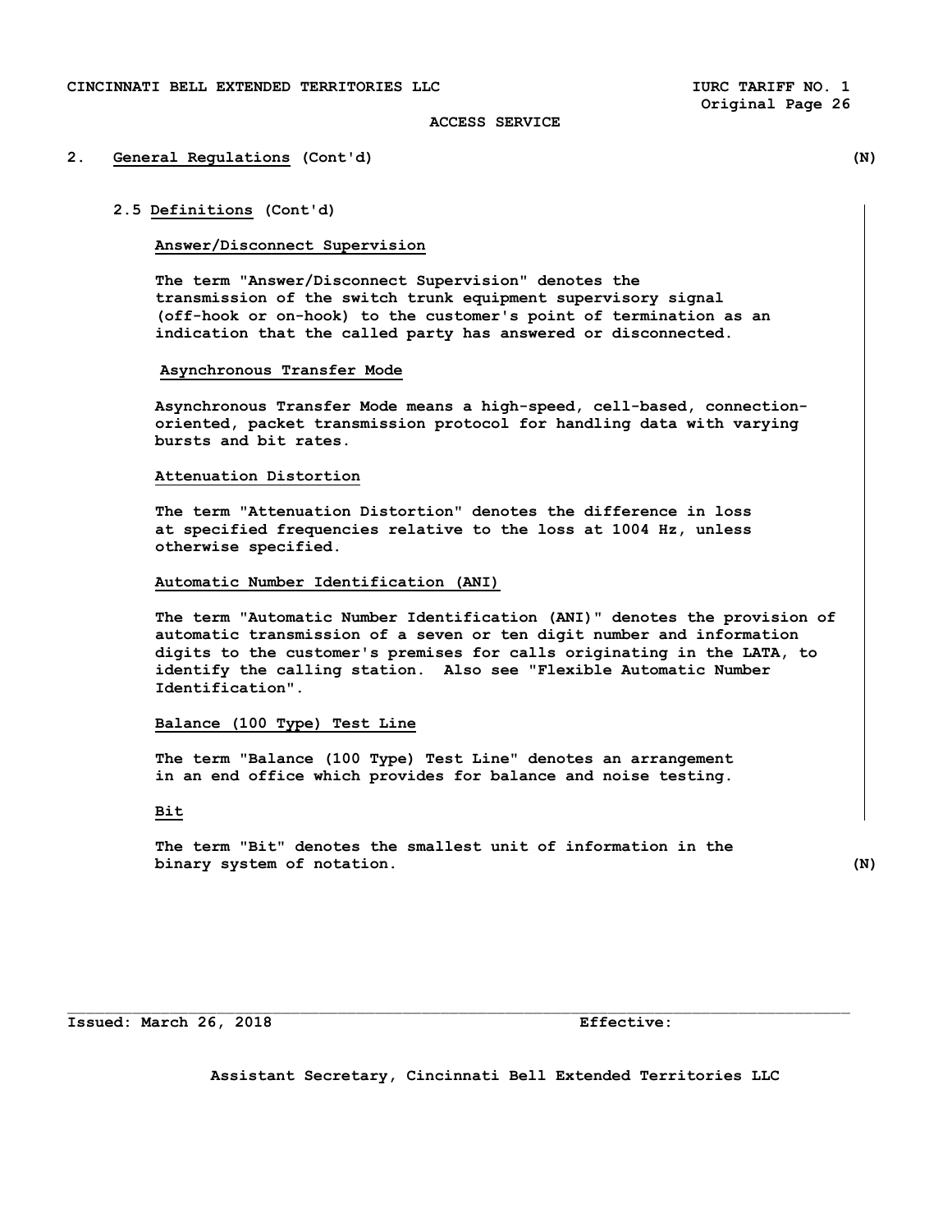# **2. General Regulations (Cont'd) (N)**

### **2.5 Definitions (Cont'd)**

#### **Answer/Disconnect Supervision**

 **The term "Answer/Disconnect Supervision" denotes the transmission of the switch trunk equipment supervisory signal (off-hook or on-hook) to the customer's point of termination as an indication that the called party has answered or disconnected.** 

# **Asynchronous Transfer Mode**

**Asynchronous Transfer Mode means a high-speed, cell-based, connectionoriented, packet transmission protocol for handling data with varying bursts and bit rates.** 

### **Attenuation Distortion**

 **The term "Attenuation Distortion" denotes the difference in loss at specified frequencies relative to the loss at 1004 Hz, unless otherwise specified.** 

# **Automatic Number Identification (ANI)**

 **The term "Automatic Number Identification (ANI)" denotes the provision of automatic transmission of a seven or ten digit number and information digits to the customer's premises for calls originating in the LATA, to identify the calling station. Also see "Flexible Automatic Number Identification".** 

# **Balance (100 Type) Test Line**

 **The term "Balance (100 Type) Test Line" denotes an arrangement in an end office which provides for balance and noise testing.** 

# **Bit**

 **The term "Bit" denotes the smallest unit of information in the binary system of notation. (N)**

**Issued: March 26, 2018 Effective:** 

**Assistant Secretary, Cincinnati Bell Extended Territories LLC**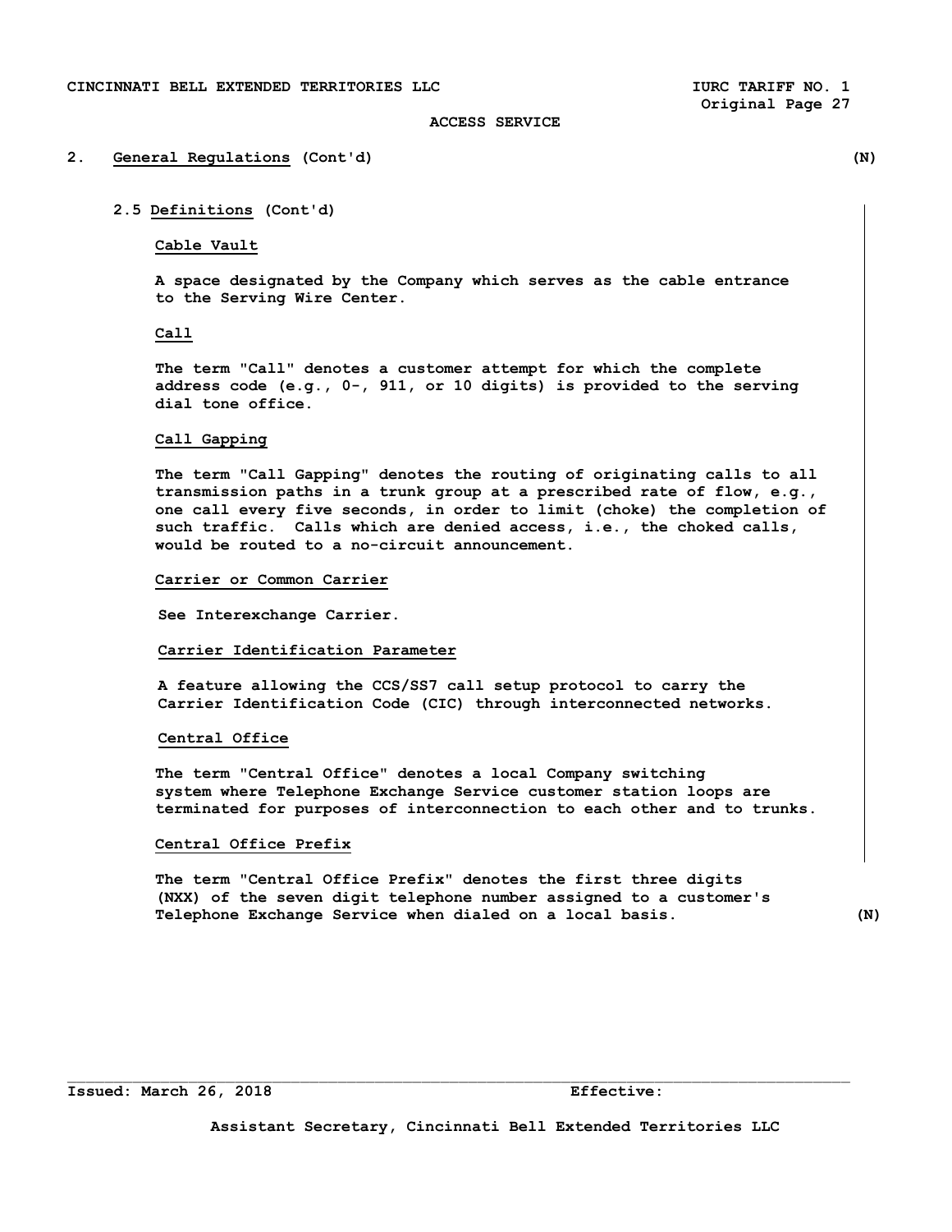# **2. General Regulations (Cont'd) (N)**

**2.5 Definitions (Cont'd)** 

**Cable Vault** 

 **A space designated by the Company which serves as the cable entrance to the Serving Wire Center.** 

# **Call**

 **The term "Call" denotes a customer attempt for which the complete address code (e.g., 0-, 911, or 10 digits) is provided to the serving dial tone office.** 

# **Call Gapping**

 **The term "Call Gapping" denotes the routing of originating calls to all transmission paths in a trunk group at a prescribed rate of flow, e.g., one call every five seconds, in order to limit (choke) the completion of such traffic. Calls which are denied access, i.e., the choked calls, would be routed to a no-circuit announcement.** 

# **Carrier or Common Carrier**

 **See Interexchange Carrier.** 

#### **Carrier Identification Parameter**

 **A feature allowing the CCS/SS7 call setup protocol to carry the Carrier Identification Code (CIC) through interconnected networks.** 

# **Central Office**

 **The term "Central Office" denotes a local Company switching system where Telephone Exchange Service customer station loops are terminated for purposes of interconnection to each other and to trunks.** 

#### **Central Office Prefix**

 **The term "Central Office Prefix" denotes the first three digits (NXX) of the seven digit telephone number assigned to a customer's Telephone Exchange Service when dialed on a local basis. (N)**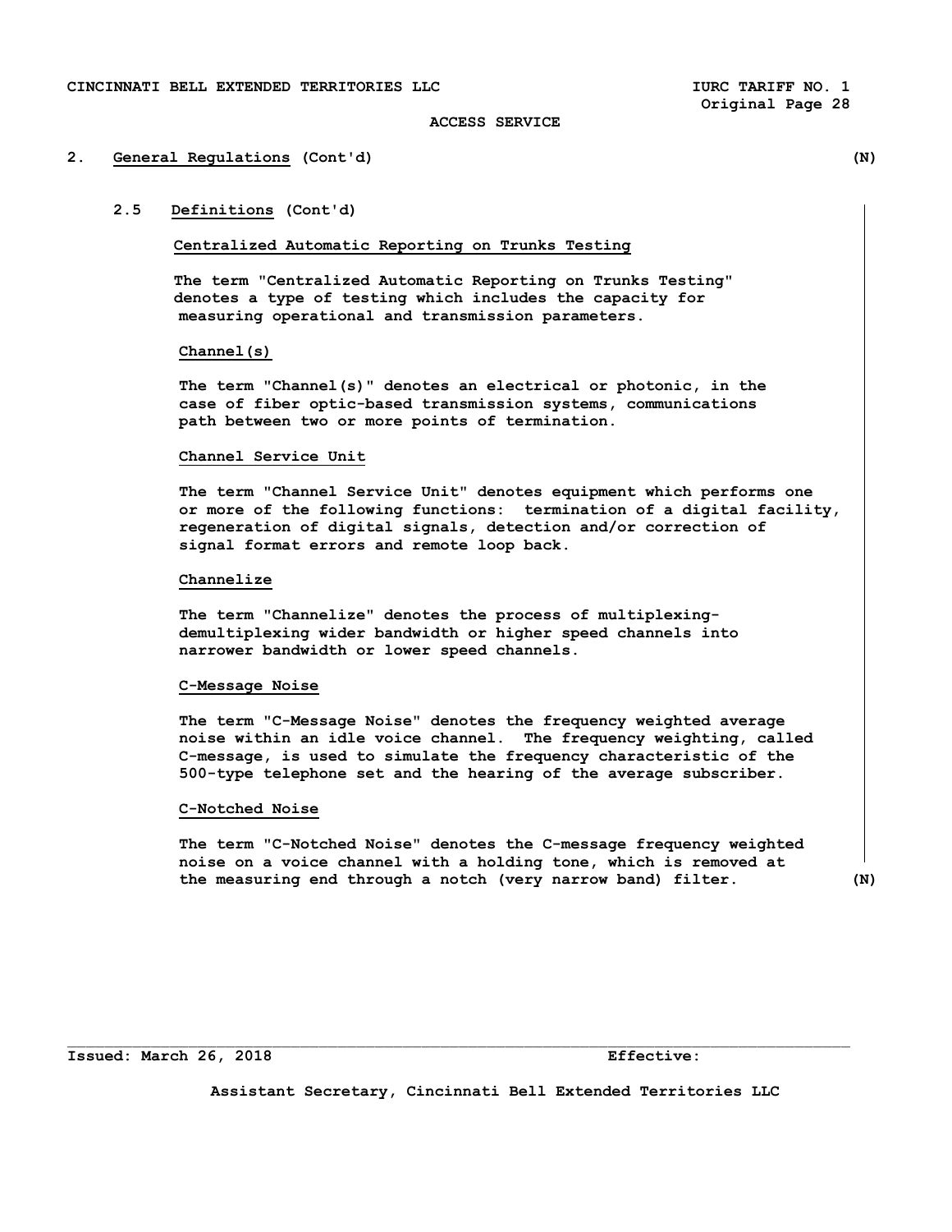# **2. General Regulations (Cont'd) (N)**

# **2.5 Definitions (Cont'd)**

# **Centralized Automatic Reporting on Trunks Testing**

 **The term "Centralized Automatic Reporting on Trunks Testing" denotes a type of testing which includes the capacity for measuring operational and transmission parameters.** 

# **Channel(s)**

 **The term "Channel(s)" denotes an electrical or photonic, in the case of fiber optic-based transmission systems, communications path between two or more points of termination.** 

### **Channel Service Unit**

 **The term "Channel Service Unit" denotes equipment which performs one or more of the following functions: termination of a digital facility, regeneration of digital signals, detection and/or correction of signal format errors and remote loop back.** 

# **Channelize**

 **The term "Channelize" denotes the process of multiplexing demultiplexing wider bandwidth or higher speed channels into narrower bandwidth or lower speed channels.** 

# **C-Message Noise**

 **The term "C-Message Noise" denotes the frequency weighted average noise within an idle voice channel. The frequency weighting, called C-message, is used to simulate the frequency characteristic of the 500-type telephone set and the hearing of the average subscriber.** 

# **C-Notched Noise**

 **The term "C-Notched Noise" denotes the C-message frequency weighted noise on a voice channel with a holding tone, which is removed at the measuring end through a notch (very narrow band) filter. (N)** 

**Issued: March 26, 2018 Effective:** 

**Assistant Secretary, Cincinnati Bell Extended Territories LLC**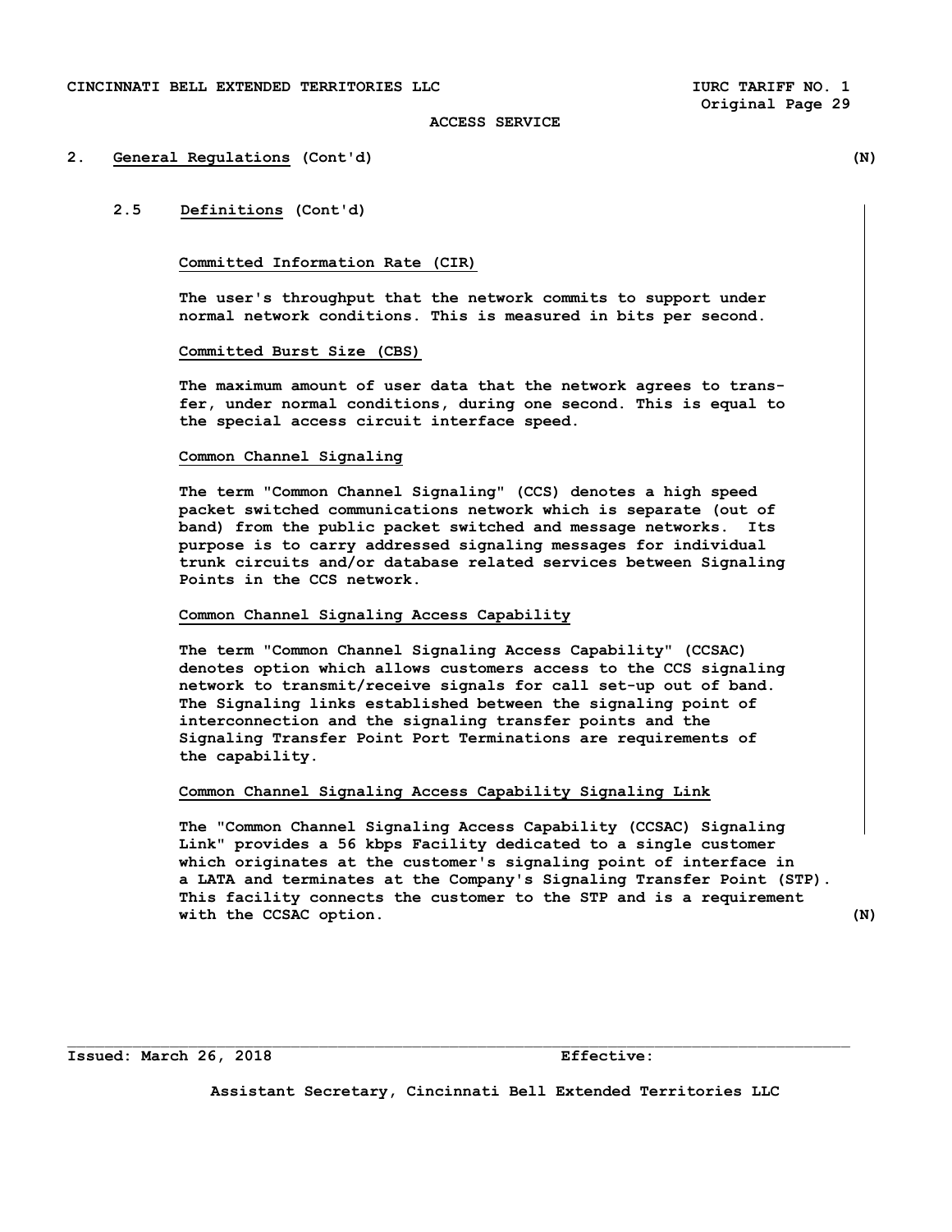#### **2. General Regulations (Cont'd) (N)**

# **2.5 Definitions (Cont'd)**

# **Committed Information Rate (CIR)**

 **The user's throughput that the network commits to support under normal network conditions. This is measured in bits per second.** 

### **Committed Burst Size (CBS)**

 **The maximum amount of user data that the network agrees to trans fer, under normal conditions, during one second. This is equal to the special access circuit interface speed.** 

### **Common Channel Signaling**

 **The term "Common Channel Signaling" (CCS) denotes a high speed packet switched communications network which is separate (out of band) from the public packet switched and message networks. Its purpose is to carry addressed signaling messages for individual trunk circuits and/or database related services between Signaling Points in the CCS network.** 

# **Common Channel Signaling Access Capability**

 **The term "Common Channel Signaling Access Capability" (CCSAC) denotes option which allows customers access to the CCS signaling network to transmit/receive signals for call set-up out of band. The Signaling links established between the signaling point of interconnection and the signaling transfer points and the Signaling Transfer Point Port Terminations are requirements of the capability.** 

### **Common Channel Signaling Access Capability Signaling Link**

 **The "Common Channel Signaling Access Capability (CCSAC) Signaling Link" provides a 56 kbps Facility dedicated to a single customer which originates at the customer's signaling point of interface in a LATA and terminates at the Company's Signaling Transfer Point (STP). This facility connects the customer to the STP and is a requirement with the CCSAC option. (N)** 

**Issued: March 26, 2018 Effective:** 

**Assistant Secretary, Cincinnati Bell Extended Territories LLC**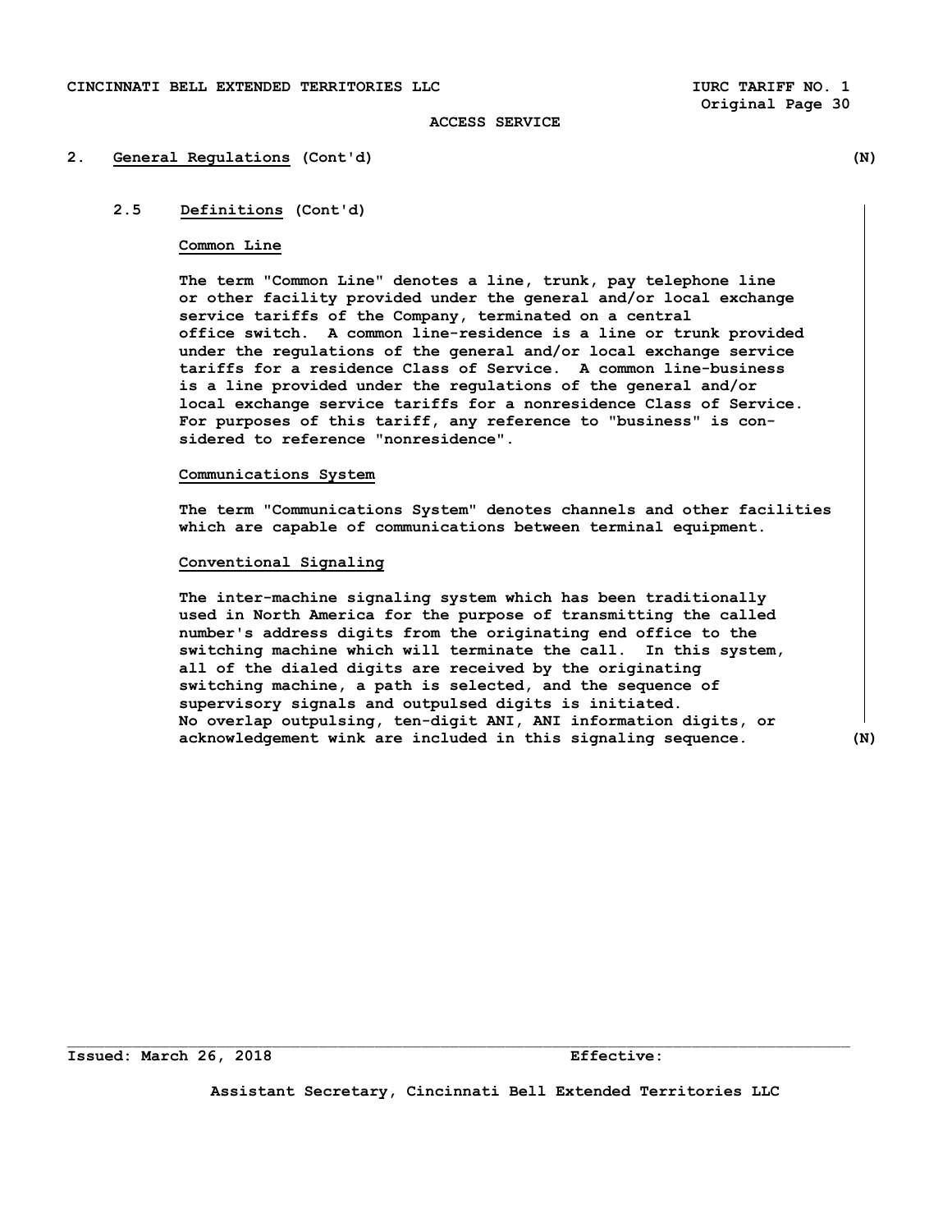# **2. General Regulations (Cont'd) (N)**

# **2.5 Definitions (Cont'd)**

#### **Common Line**

 **The term "Common Line" denotes a line, trunk, pay telephone line or other facility provided under the general and/or local exchange service tariffs of the Company, terminated on a central office switch. A common line-residence is a line or trunk provided under the regulations of the general and/or local exchange service tariffs for a residence Class of Service. A common line-business is a line provided under the regulations of the general and/or local exchange service tariffs for a nonresidence Class of Service. For purposes of this tariff, any reference to "business" is con sidered to reference "nonresidence".** 

#### **Communications System**

**The term "Communications System" denotes channels and other facilities which are capable of communications between terminal equipment.** 

# **Conventional Signaling**

 **The inter-machine signaling system which has been traditionally used in North America for the purpose of transmitting the called number's address digits from the originating end office to the switching machine which will terminate the call. In this system, all of the dialed digits are received by the originating switching machine, a path is selected, and the sequence of supervisory signals and outpulsed digits is initiated. No overlap outpulsing, ten-digit ANI, ANI information digits, or acknowledgement wink are included in this signaling sequence. (N)** 

**Assistant Secretary, Cincinnati Bell Extended Territories LLC**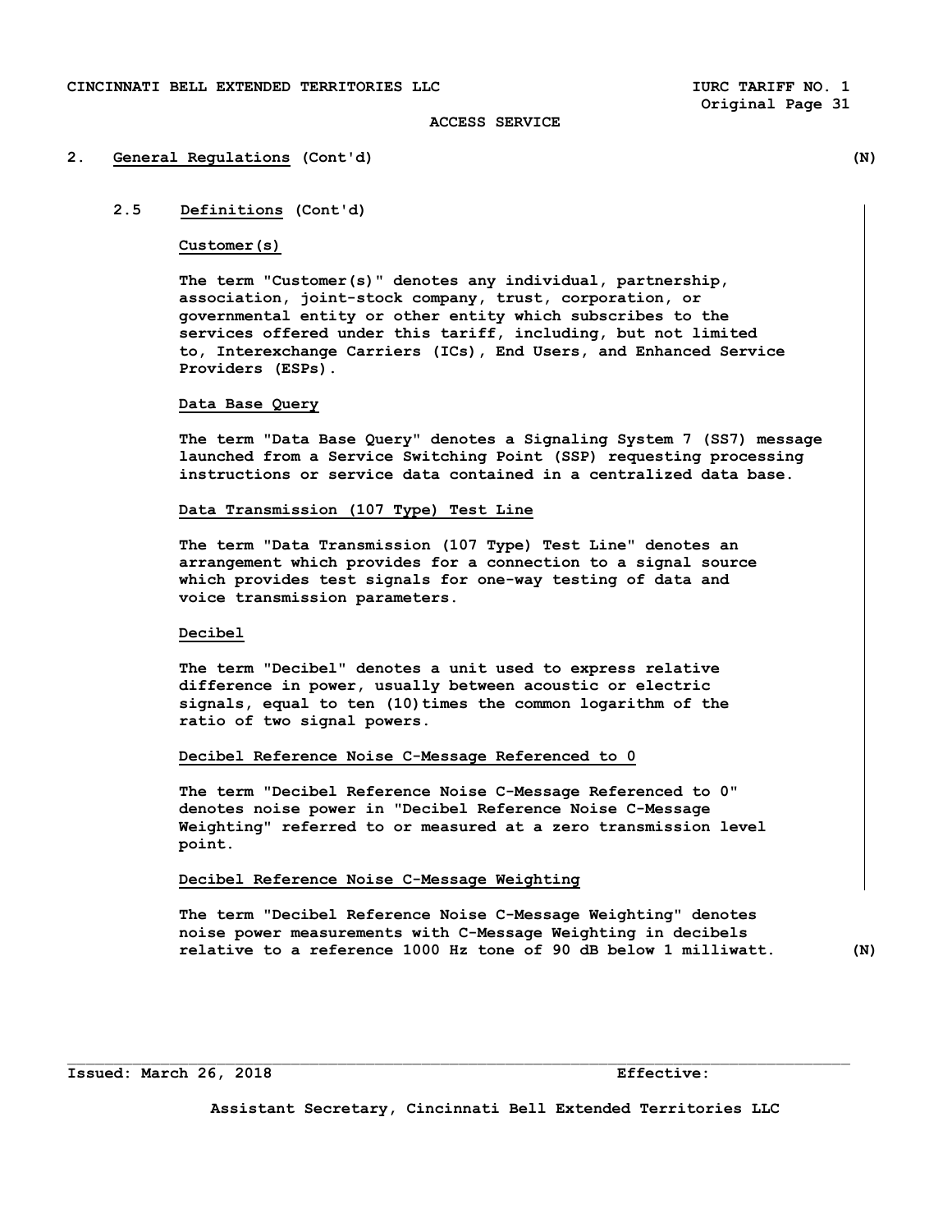#### **2. General Regulations (Cont'd) (N)**

**2.5 Definitions (Cont'd)** 

#### **Customer(s)**

 **The term "Customer(s)" denotes any individual, partnership, association, joint-stock company, trust, corporation, or governmental entity or other entity which subscribes to the services offered under this tariff, including, but not limited to, Interexchange Carriers (ICs), End Users, and Enhanced Service Providers (ESPs).** 

# **Data Base Query**

 **The term "Data Base Query" denotes a Signaling System 7 (SS7) message launched from a Service Switching Point (SSP) requesting processing instructions or service data contained in a centralized data base.** 

# **Data Transmission (107 Type) Test Line**

 **The term "Data Transmission (107 Type) Test Line" denotes an arrangement which provides for a connection to a signal source which provides test signals for one-way testing of data and voice transmission parameters.** 

# **Decibel**

 **The term "Decibel" denotes a unit used to express relative difference in power, usually between acoustic or electric signals, equal to ten (10)times the common logarithm of the ratio of two signal powers.** 

### **Decibel Reference Noise C-Message Referenced to 0**

**The term "Decibel Reference Noise C-Message Referenced to 0" denotes noise power in "Decibel Reference Noise C-Message Weighting" referred to or measured at a zero transmission level point.** 

# **Decibel Reference Noise C-Message Weighting**

**The term "Decibel Reference Noise C-Message Weighting" denotes noise power measurements with C-Message Weighting in decibels relative to a reference 1000 Hz tone of 90 dB below 1 milliwatt. (N)** 

#### **Issued: March 26, 2018 Effective:**

**Assistant Secretary, Cincinnati Bell Extended Territories LLC** 

 $\mathcal{L}_\text{max}$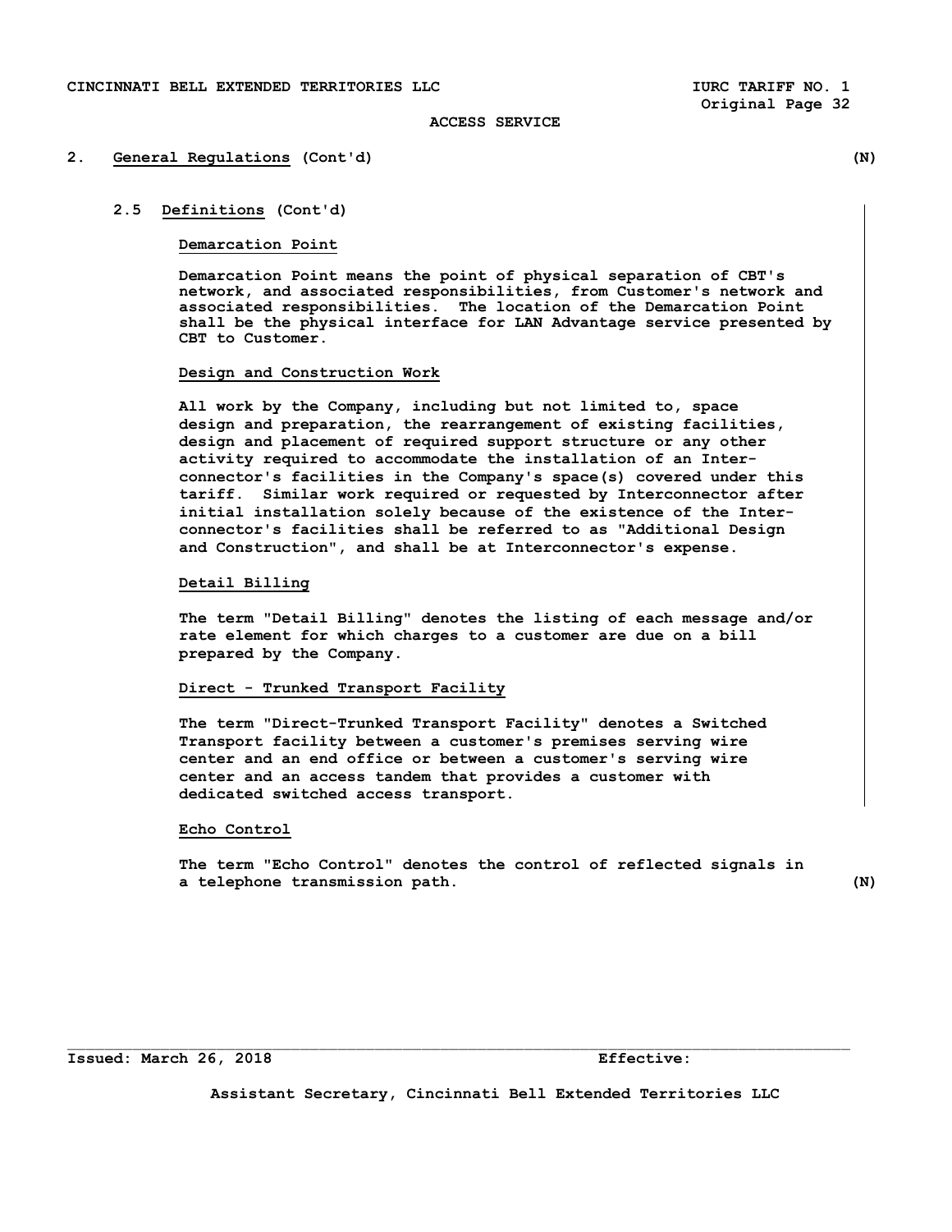#### **2. General Regulations (Cont'd) (N)**

### **2.5 Definitions (Cont'd)**

# **Demarcation Point**

 **Demarcation Point means the point of physical separation of CBT's network, and associated responsibilities, from Customer's network and associated responsibilities. The location of the Demarcation Point shall be the physical interface for LAN Advantage service presented by CBT to Customer.** 

#### **Design and Construction Work**

 **All work by the Company, including but not limited to, space design and preparation, the rearrangement of existing facilities, design and placement of required support structure or any other activity required to accommodate the installation of an Interconnector's facilities in the Company's space(s) covered under this tariff. Similar work required or requested by Interconnector after initial installation solely because of the existence of the Interconnector's facilities shall be referred to as "Additional Design and Construction", and shall be at Interconnector's expense.** 

### **Detail Billing**

 **The term "Detail Billing" denotes the listing of each message and/or rate element for which charges to a customer are due on a bill prepared by the Company.** 

# **Direct - Trunked Transport Facility**

 **The term "Direct-Trunked Transport Facility" denotes a Switched Transport facility between a customer's premises serving wire center and an end office or between a customer's serving wire center and an access tandem that provides a customer with dedicated switched access transport.** 

# **Echo Control**

 **The term "Echo Control" denotes the control of reflected signals in a telephone transmission path. (N)** 

**Issued: March 26, 2018 Effective:** 

**Assistant Secretary, Cincinnati Bell Extended Territories LLC**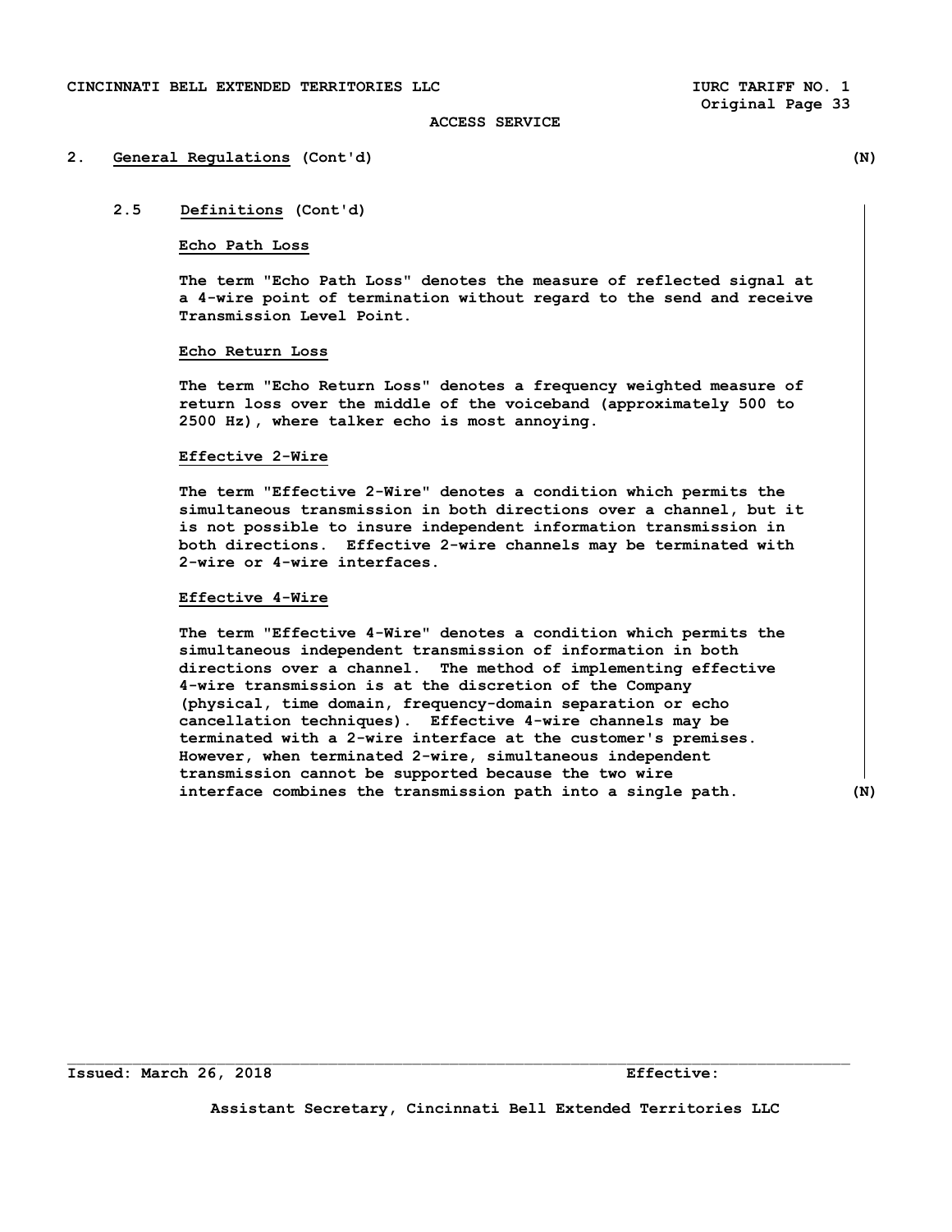# **2. General Regulations (Cont'd) (N)**

# **2.5 Definitions (Cont'd)**

#### **Echo Path Loss**

 **The term "Echo Path Loss" denotes the measure of reflected signal at a 4-wire point of termination without regard to the send and receive Transmission Level Point.** 

### **Echo Return Loss**

 **The term "Echo Return Loss" denotes a frequency weighted measure of return loss over the middle of the voiceband (approximately 500 to 2500 Hz), where talker echo is most annoying.** 

#### **Effective 2-Wire**

 **The term "Effective 2-Wire" denotes a condition which permits the simultaneous transmission in both directions over a channel, but it is not possible to insure independent information transmission in both directions. Effective 2-wire channels may be terminated with 2-wire or 4-wire interfaces.** 

# **Effective 4-Wire**

 **The term "Effective 4-Wire" denotes a condition which permits the simultaneous independent transmission of information in both directions over a channel. The method of implementing effective 4-wire transmission is at the discretion of the Company (physical, time domain, frequency-domain separation or echo cancellation techniques). Effective 4-wire channels may be terminated with a 2-wire interface at the customer's premises. However, when terminated 2-wire, simultaneous independent transmission cannot be supported because the two wire interface combines the transmission path into a single path. (N)** 

**Issued: March 26, 2018 Effective:** 

**Assistant Secretary, Cincinnati Bell Extended Territories LLC** 

 $\mathcal{L}_\text{max}$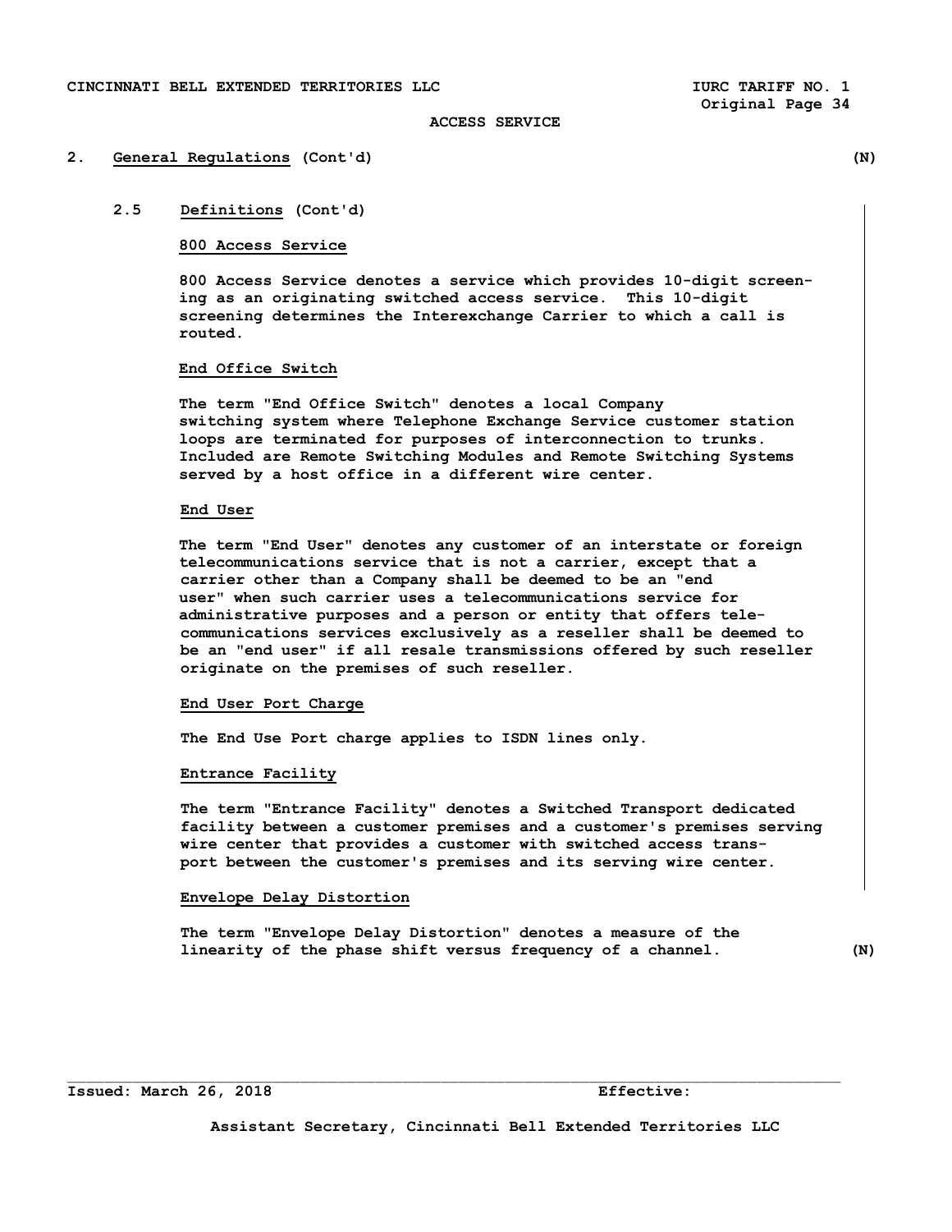#### **2. General Regulations (Cont'd) (N)**

# **2.5 Definitions (Cont'd)**

# **800 Access Service**

 **800 Access Service denotes a service which provides 10-digit screen ing as an originating switched access service. This 10-digit screening determines the Interexchange Carrier to which a call is routed.** 

### **End Office Switch**

 **The term "End Office Switch" denotes a local Company switching system where Telephone Exchange Service customer station loops are terminated for purposes of interconnection to trunks. Included are Remote Switching Modules and Remote Switching Systems served by a host office in a different wire center.** 

#### **End User**

**The term "End User" denotes any customer of an interstate or foreign telecommunications service that is not a carrier, except that a carrier other than a Company shall be deemed to be an "end user" when such carrier uses a telecommunications service for administrative purposes and a person or entity that offers tele communications services exclusively as a reseller shall be deemed to be an "end user" if all resale transmissions offered by such reseller originate on the premises of such reseller.** 

# **End User Port Charge**

 **The End Use Port charge applies to ISDN lines only.** 

#### **Entrance Facility**

 **The term "Entrance Facility" denotes a Switched Transport dedicated facility between a customer premises and a customer's premises serving wire center that provides a customer with switched access trans port between the customer's premises and its serving wire center.** 

# **Envelope Delay Distortion**

 **The term "Envelope Delay Distortion" denotes a measure of the linearity of the phase shift versus frequency of a channel. (N)**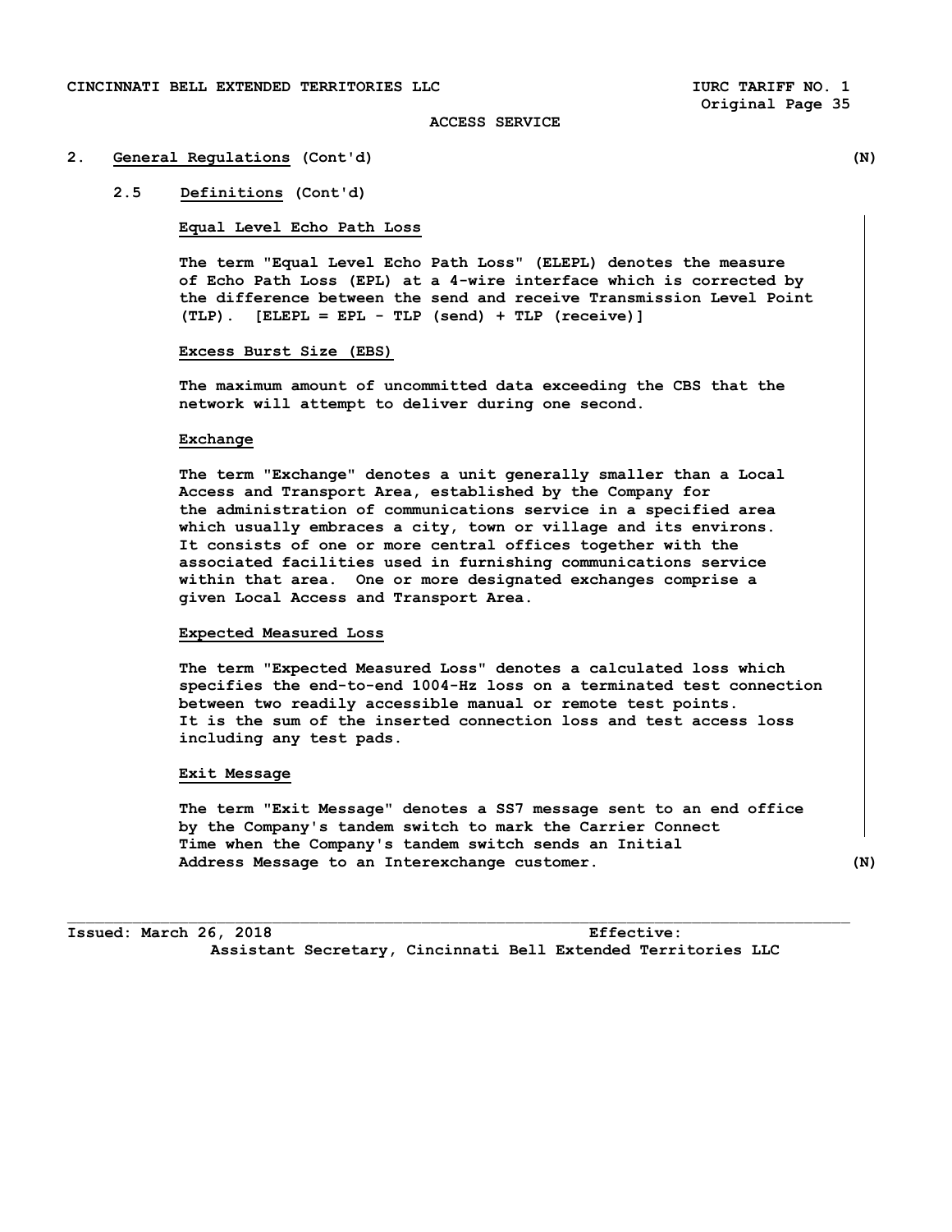# **2. General Regulations (Cont'd) (N)**

**2.5 Definitions (Cont'd)** 

# **Equal Level Echo Path Loss**

 **The term "Equal Level Echo Path Loss" (ELEPL) denotes the measure of Echo Path Loss (EPL) at a 4-wire interface which is corrected by the difference between the send and receive Transmission Level Point (TLP). [ELEPL = EPL - TLP (send) + TLP (receive)]** 

# **Excess Burst Size (EBS)**

 **The maximum amount of uncommitted data exceeding the CBS that the network will attempt to deliver during one second.** 

### **Exchange**

 **The term "Exchange" denotes a unit generally smaller than a Local Access and Transport Area, established by the Company for the administration of communications service in a specified area which usually embraces a city, town or village and its environs. It consists of one or more central offices together with the associated facilities used in furnishing communications service within that area. One or more designated exchanges comprise a given Local Access and Transport Area.** 

# **Expected Measured Loss**

 **The term "Expected Measured Loss" denotes a calculated loss which specifies the end-to-end 1004-Hz loss on a terminated test connection between two readily accessible manual or remote test points. It is the sum of the inserted connection loss and test access loss including any test pads.** 

#### **Exit Message**

 **The term "Exit Message" denotes a SS7 message sent to an end office by the Company's tandem switch to mark the Carrier Connect Time when the Company's tandem switch sends an Initial Address Message to an Interexchange customer. (N)** 

 $\Box$ 

**Issued: March 26, 2018 Effective: Assistant Secretary, Cincinnati Bell Extended Territories LLC**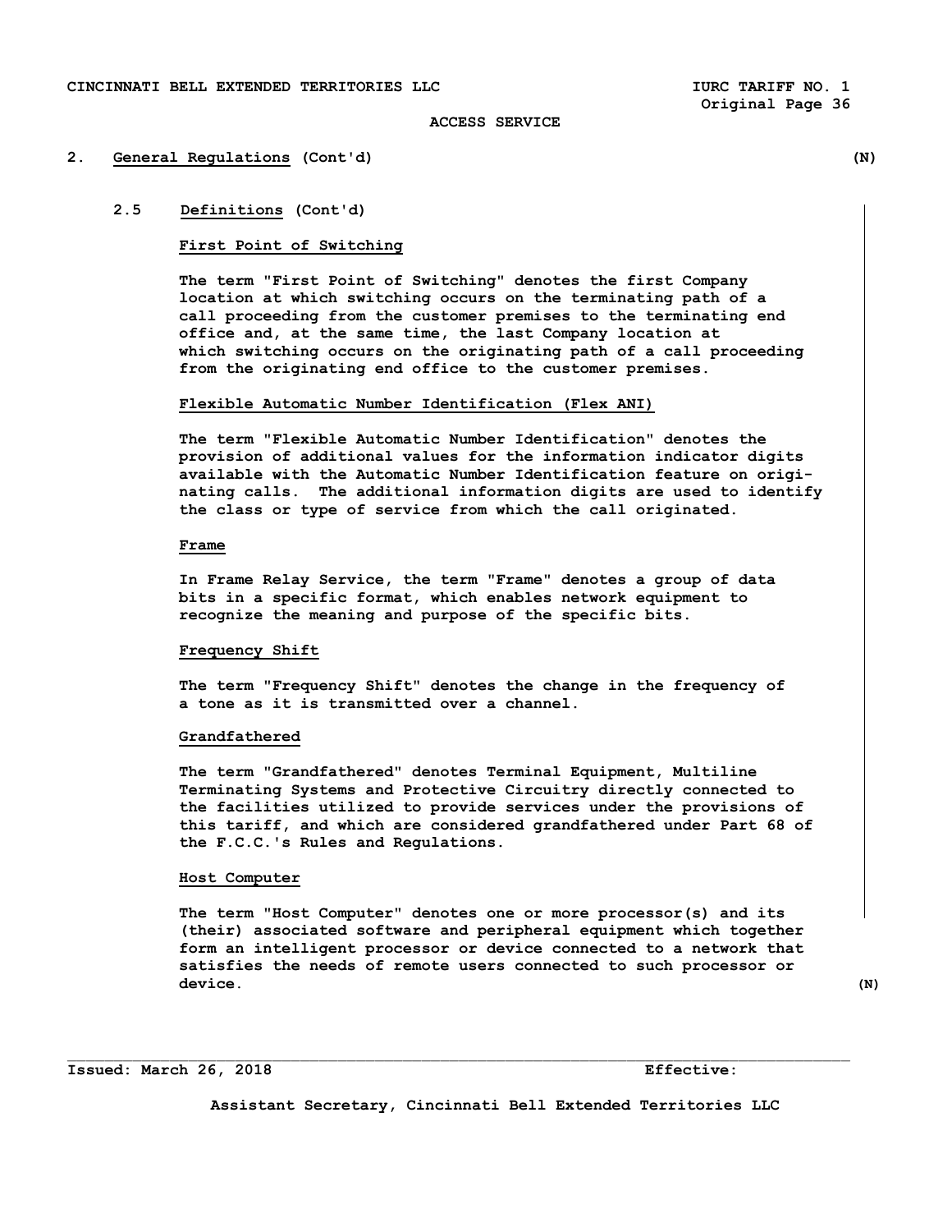#### **2. General Regulations (Cont'd) (N)**

# **2.5 Definitions (Cont'd)**

# **First Point of Switching**

 **The term "First Point of Switching" denotes the first Company location at which switching occurs on the terminating path of a call proceeding from the customer premises to the terminating end office and, at the same time, the last Company location at which switching occurs on the originating path of a call proceeding from the originating end office to the customer premises.** 

# **Flexible Automatic Number Identification (Flex ANI)**

**The term "Flexible Automatic Number Identification" denotes the provision of additional values for the information indicator digits available with the Automatic Number Identification feature on origi nating calls. The additional information digits are used to identify the class or type of service from which the call originated.** 

# **Frame**

 **In Frame Relay Service, the term "Frame" denotes a group of data bits in a specific format, which enables network equipment to recognize the meaning and purpose of the specific bits.** 

### **Frequency Shift**

 **The term "Frequency Shift" denotes the change in the frequency of a tone as it is transmitted over a channel.** 

#### **Grandfathered**

 **The term "Grandfathered" denotes Terminal Equipment, Multiline Terminating Systems and Protective Circuitry directly connected to the facilities utilized to provide services under the provisions of this tariff, and which are considered grandfathered under Part 68 of the F.C.C.'s Rules and Regulations.** 

#### **Host Computer**

 **The term "Host Computer" denotes one or more processor(s) and its (their) associated software and peripheral equipment which together form an intelligent processor or device connected to a network that satisfies the needs of remote users connected to such processor or**  device. (N)

**Issued: March 26, 2018 Effective:** 

**Assistant Secretary, Cincinnati Bell Extended Territories LLC** 

 $\mathcal{L}_\text{max}$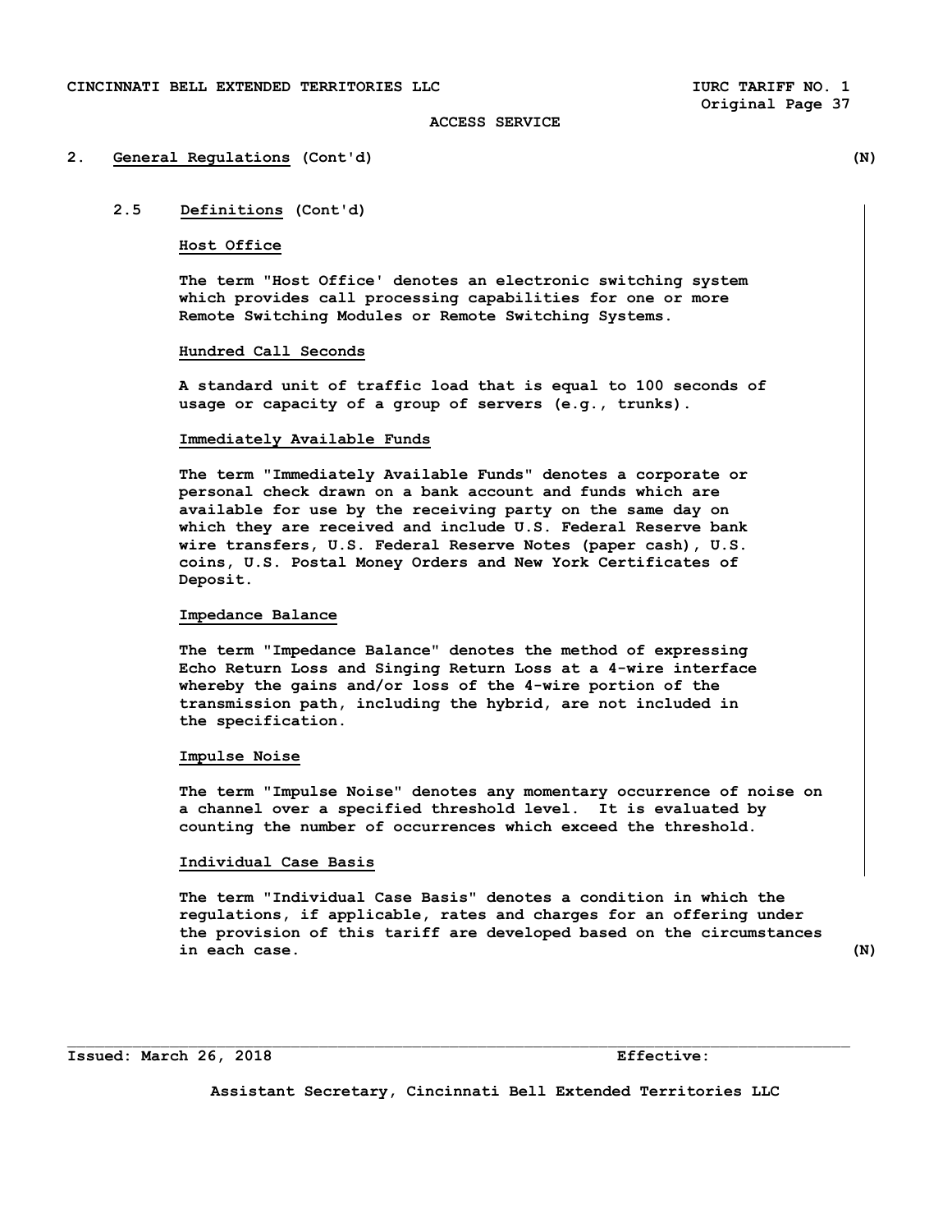#### **2. General Regulations (Cont'd) (N)**

# **2.5 Definitions (Cont'd)**

#### **Host Office**

 **The term "Host Office' denotes an electronic switching system which provides call processing capabilities for one or more Remote Switching Modules or Remote Switching Systems.** 

### **Hundred Call Seconds**

 **A standard unit of traffic load that is equal to 100 seconds of usage or capacity of a group of servers (e.g., trunks).** 

#### **Immediately Available Funds**

 **The term "Immediately Available Funds" denotes a corporate or personal check drawn on a bank account and funds which are available for use by the receiving party on the same day on which they are received and include U.S. Federal Reserve bank wire transfers, U.S. Federal Reserve Notes (paper cash), U.S. coins, U.S. Postal Money Orders and New York Certificates of Deposit.** 

# **Impedance Balance**

 **The term "Impedance Balance" denotes the method of expressing Echo Return Loss and Singing Return Loss at a 4-wire interface whereby the gains and/or loss of the 4-wire portion of the transmission path, including the hybrid, are not included in the specification.** 

#### **Impulse Noise**

 **The term "Impulse Noise" denotes any momentary occurrence of noise on a channel over a specified threshold level. It is evaluated by counting the number of occurrences which exceed the threshold.** 

#### **Individual Case Basis**

 **The term "Individual Case Basis" denotes a condition in which the regulations, if applicable, rates and charges for an offering under the provision of this tariff are developed based on the circumstances in each case. (N)** 

**Issued: March 26, 2018 Effective:** 

**Assistant Secretary, Cincinnati Bell Extended Territories LLC** 

 $\Box$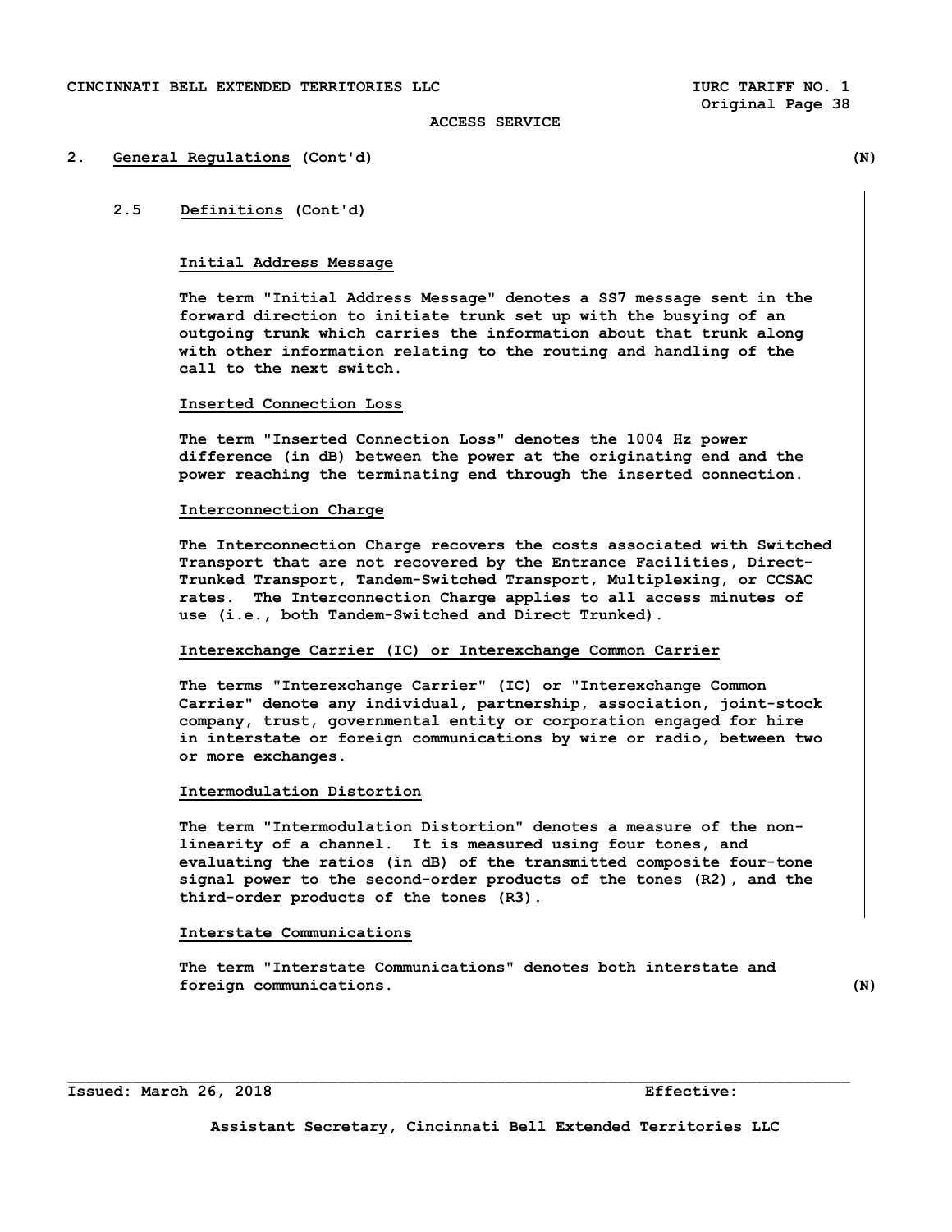#### **2. General Regulations (Cont'd) (N)**

# **2.5 Definitions (Cont'd)**

# **Initial Address Message**

 **The term "Initial Address Message" denotes a SS7 message sent in the forward direction to initiate trunk set up with the busying of an outgoing trunk which carries the information about that trunk along with other information relating to the routing and handling of the call to the next switch.** 

## **Inserted Connection Loss**

 **The term "Inserted Connection Loss" denotes the 1004 Hz power difference (in dB) between the power at the originating end and the power reaching the terminating end through the inserted connection.** 

# **Interconnection Charge**

 **The Interconnection Charge recovers the costs associated with Switched Transport that are not recovered by the Entrance Facilities, Direct- Trunked Transport, Tandem-Switched Transport, Multiplexing, or CCSAC rates. The Interconnection Charge applies to all access minutes of use (i.e., both Tandem-Switched and Direct Trunked).** 

### **Interexchange Carrier (IC) or Interexchange Common Carrier**

 **The terms "Interexchange Carrier" (IC) or "Interexchange Common Carrier" denote any individual, partnership, association, joint-stock company, trust, governmental entity or corporation engaged for hire in interstate or foreign communications by wire or radio, between two or more exchanges.** 

#### **Intermodulation Distortion**

 **The term "Intermodulation Distortion" denotes a measure of the non linearity of a channel. It is measured using four tones, and evaluating the ratios (in dB) of the transmitted composite four-tone signal power to the second-order products of the tones (R2), and the third-order products of the tones (R3).** 

### **Interstate Communications**

 **The term "Interstate Communications" denotes both interstate and foreign communications.** (N)

 $\Box$ 

### **Issued: March 26, 2018 Effective:**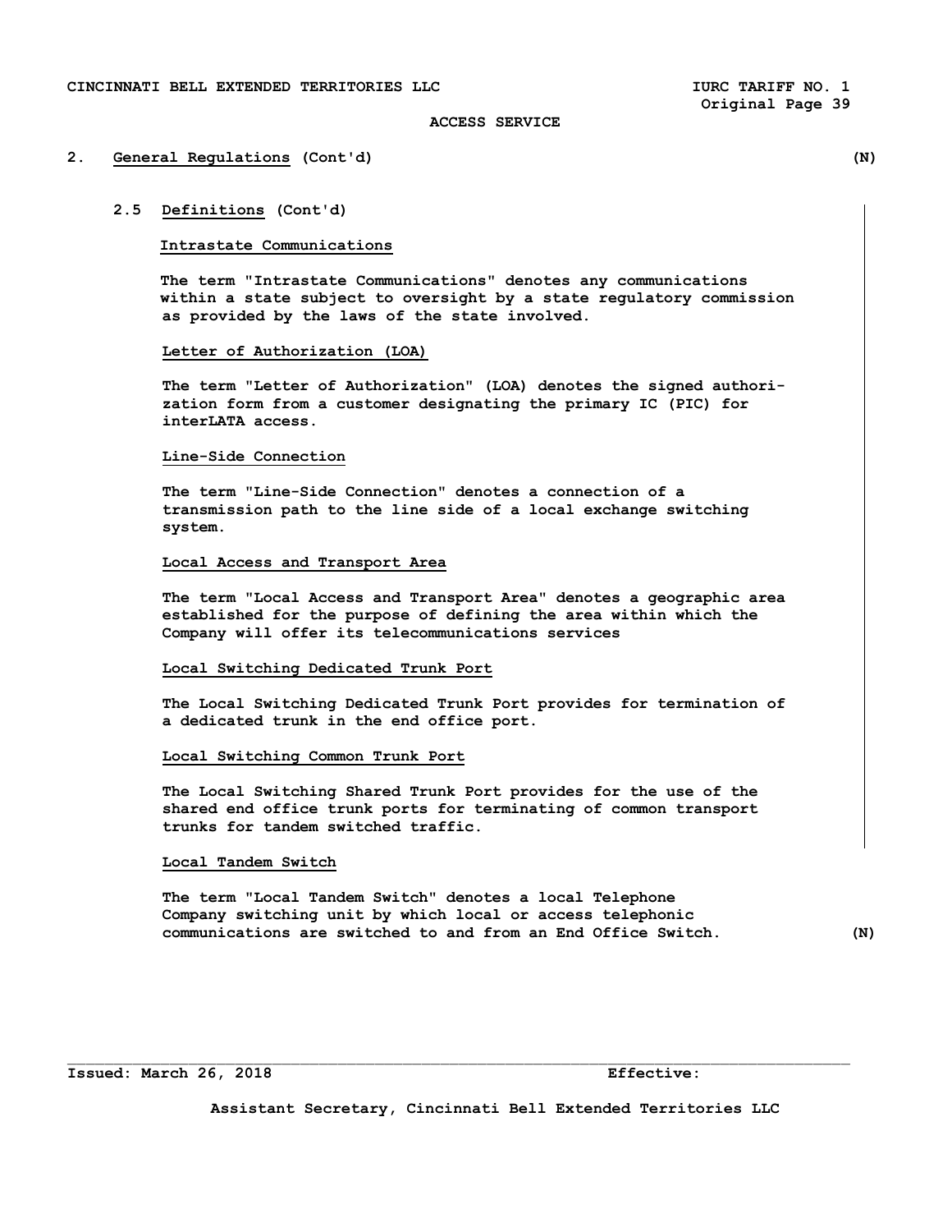# **2. General Regulations (Cont'd) (N)**

### **2.5 Definitions (Cont'd)**

#### **Intrastate Communications**

 **The term "Intrastate Communications" denotes any communications within a state subject to oversight by a state regulatory commission as provided by the laws of the state involved.** 

# **Letter of Authorization (LOA)**

 **The term "Letter of Authorization" (LOA) denotes the signed authori zation form from a customer designating the primary IC (PIC) for interLATA access.** 

#### **Line-Side Connection**

 **The term "Line-Side Connection" denotes a connection of a transmission path to the line side of a local exchange switching system.** 

# **Local Access and Transport Area**

 **The term "Local Access and Transport Area" denotes a geographic area established for the purpose of defining the area within which the Company will offer its telecommunications services** 

#### **Local Switching Dedicated Trunk Port**

 **The Local Switching Dedicated Trunk Port provides for termination of a dedicated trunk in the end office port.** 

# **Local Switching Common Trunk Port**

 **The Local Switching Shared Trunk Port provides for the use of the shared end office trunk ports for terminating of common transport trunks for tandem switched traffic.** 

#### **Local Tandem Switch**

 **The term "Local Tandem Switch" denotes a local Telephone Company switching unit by which local or access telephonic communications are switched to and from an End Office Switch. (N)** 

**Issued: March 26, 2018 Effective:** 

**Assistant Secretary, Cincinnati Bell Extended Territories LLC** 

 $\mathcal{L}_\text{max}$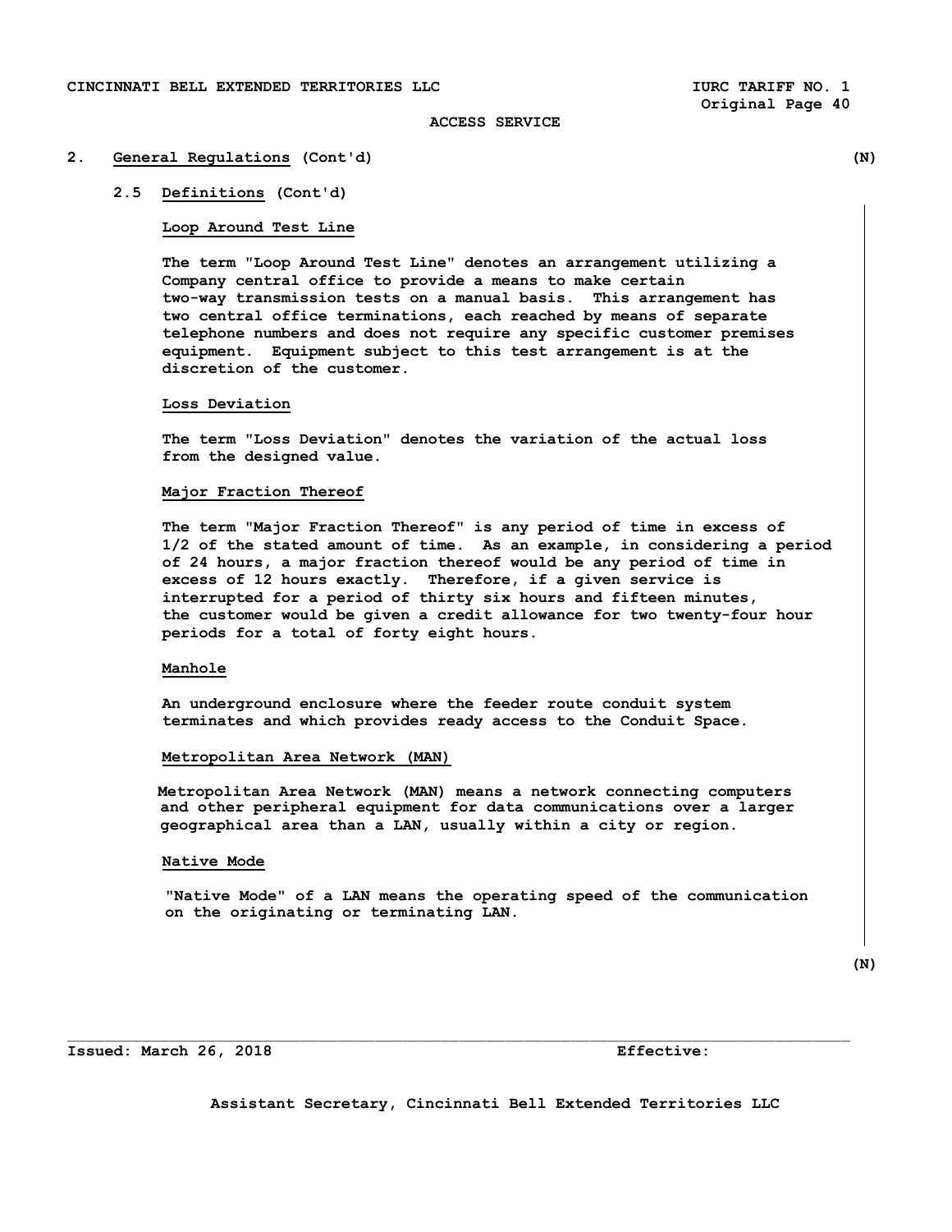# **2. General Regulations (Cont'd) (N)**

**2.5 Definitions (Cont'd)** 

### **Loop Around Test Line**

 **The term "Loop Around Test Line" denotes an arrangement utilizing a Company central office to provide a means to make certain two-way transmission tests on a manual basis. This arrangement has two central office terminations, each reached by means of separate telephone numbers and does not require any specific customer premises equipment. Equipment subject to this test arrangement is at the discretion of the customer.** 

### **Loss Deviation**

 **The term "Loss Deviation" denotes the variation of the actual loss from the designed value.** 

### **Major Fraction Thereof**

 **The term "Major Fraction Thereof" is any period of time in excess of 1/2 of the stated amount of time. As an example, in considering a period of 24 hours, a major fraction thereof would be any period of time in excess of 12 hours exactly. Therefore, if a given service is interrupted for a period of thirty six hours and fifteen minutes, the customer would be given a credit allowance for two twenty-four hour periods for a total of forty eight hours.** 

# **Manhole**

 **An underground enclosure where the feeder route conduit system terminates and which provides ready access to the Conduit Space.** 

#### **Metropolitan Area Network (MAN)**

 **Metropolitan Area Network (MAN) means a network connecting computers and other peripheral equipment for data communications over a larger geographical area than a LAN, usually within a city or region.** 

#### **Native Mode**

 **"Native Mode" of a LAN means the operating speed of the communication on the originating or terminating LAN.** 

**Issued: March 26, 2018 Effective:**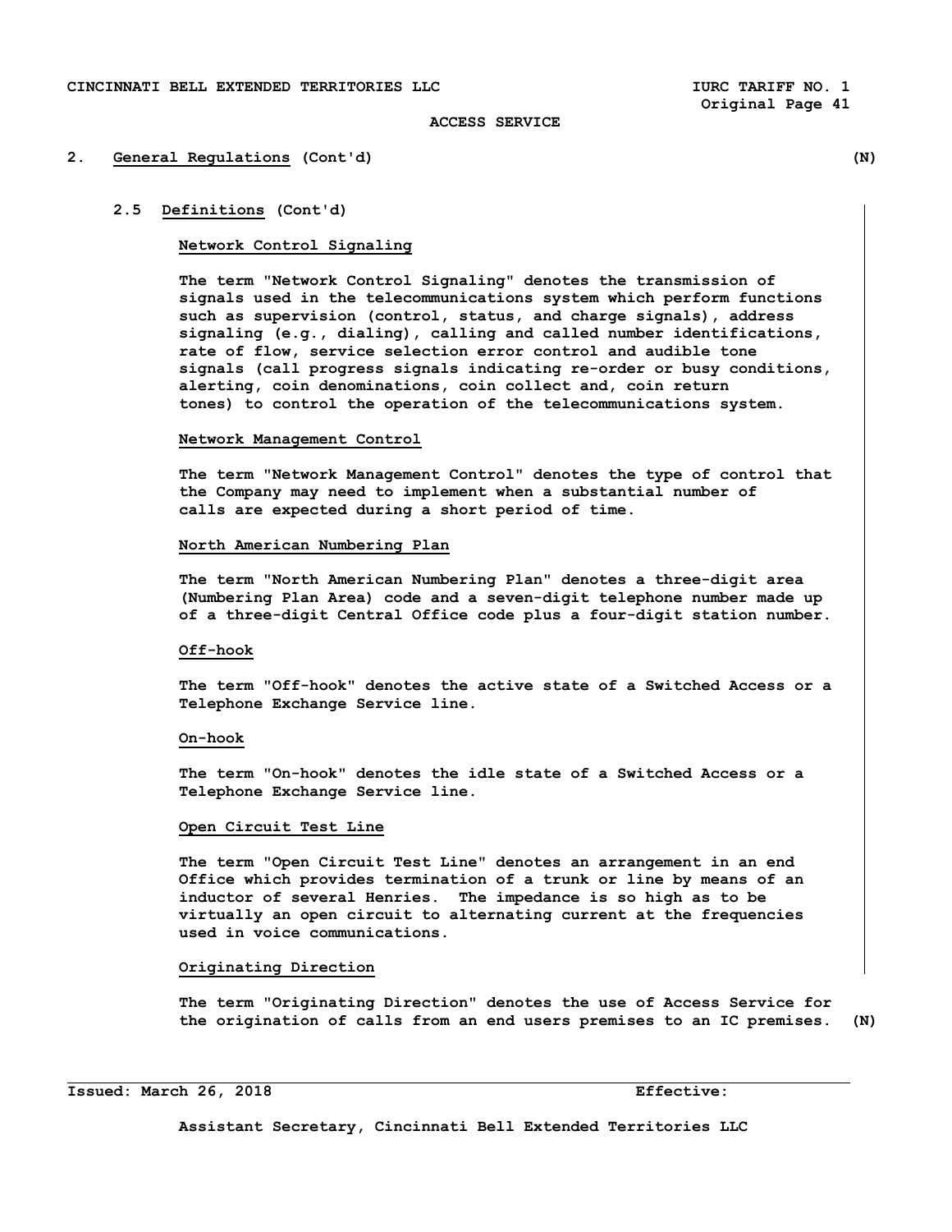#### **2. General Regulations (Cont'd) (N)**

# **2.5 Definitions (Cont'd)**

### **Network Control Signaling**

 **The term "Network Control Signaling" denotes the transmission of signals used in the telecommunications system which perform functions such as supervision (control, status, and charge signals), address signaling (e.g., dialing), calling and called number identifications, rate of flow, service selection error control and audible tone signals (call progress signals indicating re-order or busy conditions, alerting, coin denominations, coin collect and, coin return tones) to control the operation of the telecommunications system.** 

#### **Network Management Control**

 **The term "Network Management Control" denotes the type of control that the Company may need to implement when a substantial number of calls are expected during a short period of time.** 

#### **North American Numbering Plan**

 **The term "North American Numbering Plan" denotes a three-digit area (Numbering Plan Area) code and a seven-digit telephone number made up of a three-digit Central Office code plus a four-digit station number.** 

# **Off-hook**

 **The term "Off-hook" denotes the active state of a Switched Access or a Telephone Exchange Service line.** 

### **On-hook**

 **The term "On-hook" denotes the idle state of a Switched Access or a Telephone Exchange Service line.** 

# **Open Circuit Test Line**

 **The term "Open Circuit Test Line" denotes an arrangement in an end Office which provides termination of a trunk or line by means of an inductor of several Henries. The impedance is so high as to be virtually an open circuit to alternating current at the frequencies used in voice communications.** 

# **Originating Direction**

 **The term "Originating Direction" denotes the use of Access Service for the origination of calls from an end users premises to an IC premises. (N)** 

**Issued: March 26, 2018 Effective:** 

i<br>S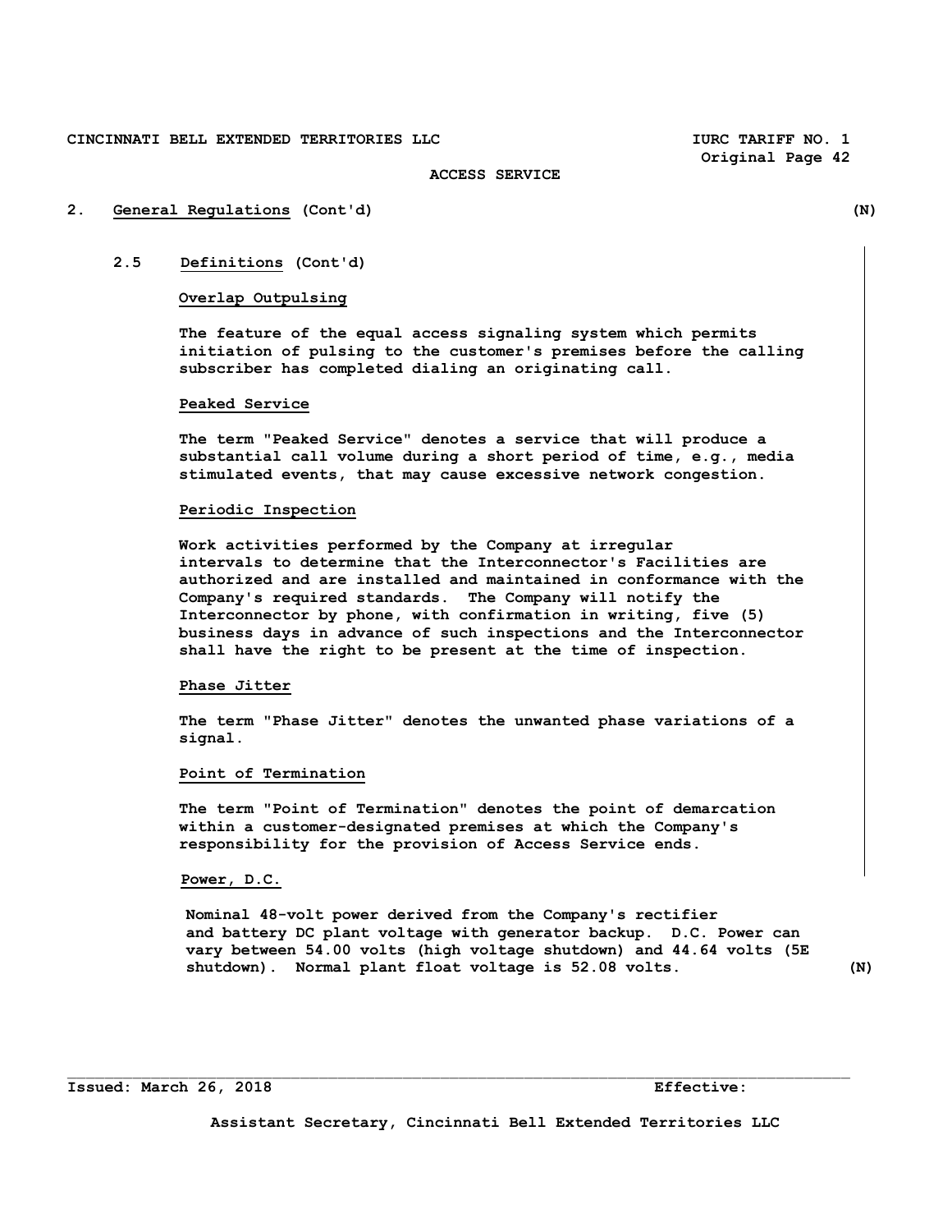**Original Page 42** 

#### **ACCESS SERVICE**

# **2. General Regulations (Cont'd) (N)**

# **2.5 Definitions (Cont'd)**

# **Overlap Outpulsing**

 **The feature of the equal access signaling system which permits initiation of pulsing to the customer's premises before the calling subscriber has completed dialing an originating call.** 

# **Peaked Service**

 **The term "Peaked Service" denotes a service that will produce a substantial call volume during a short period of time, e.g., media stimulated events, that may cause excessive network congestion.** 

### **Periodic Inspection**

 **Work activities performed by the Company at irregular intervals to determine that the Interconnector's Facilities are authorized and are installed and maintained in conformance with the Company's required standards. The Company will notify the Interconnector by phone, with confirmation in writing, five (5) business days in advance of such inspections and the Interconnector shall have the right to be present at the time of inspection.** 

### **Phase Jitter**

 **The term "Phase Jitter" denotes the unwanted phase variations of a signal.** 

#### **Point of Termination**

 **The term "Point of Termination" denotes the point of demarcation within a customer-designated premises at which the Company's responsibility for the provision of Access Service ends.** 

# **Power, D.C.**

 **Nominal 48-volt power derived from the Company's rectifier and battery DC plant voltage with generator backup. D.C. Power can vary between 54.00 volts (high voltage shutdown) and 44.64 volts (5E shutdown). Normal plant float voltage is 52.08 volts. (N)**

 $\mathcal{L}_\text{max}$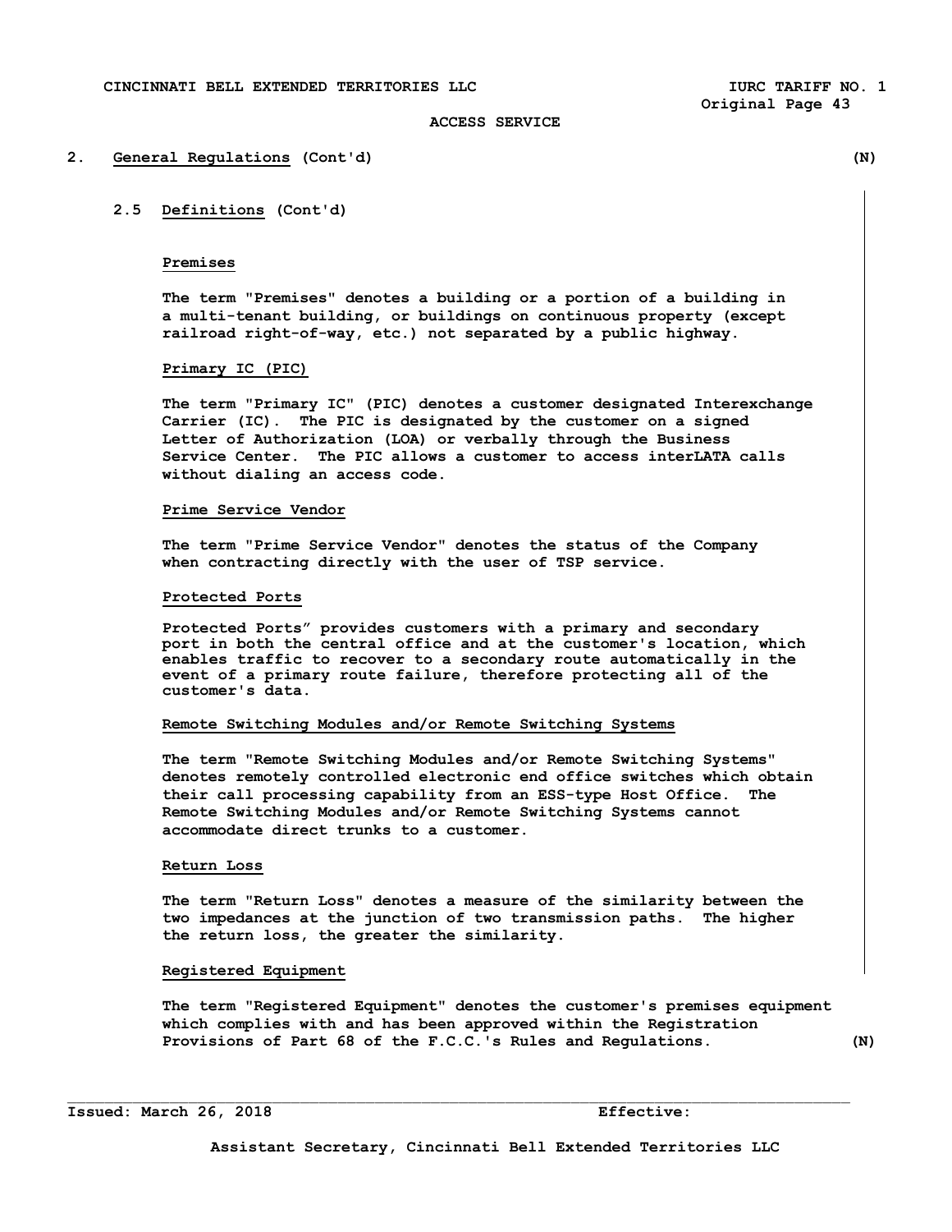#### **2. General Regulations (Cont'd) (N)**

# **2.5 Definitions (Cont'd)**

### **Premises**

 **The term "Premises" denotes a building or a portion of a building in a multi-tenant building, or buildings on continuous property (except railroad right-of-way, etc.) not separated by a public highway.** 

### **Primary IC (PIC)**

 **The term "Primary IC" (PIC) denotes a customer designated Interexchange Carrier (IC). The PIC is designated by the customer on a signed Letter of Authorization (LOA) or verbally through the Business Service Center. The PIC allows a customer to access interLATA calls without dialing an access code.** 

### **Prime Service Vendor**

 **The term "Prime Service Vendor" denotes the status of the Company when contracting directly with the user of TSP service.** 

#### **Protected Ports**

**Protected Ports" provides customers with a primary and secondary port in both the central office and at the customer's location, which enables traffic to recover to a secondary route automatically in the event of a primary route failure, therefore protecting all of the customer's data.** 

#### **Remote Switching Modules and/or Remote Switching Systems**

 **The term "Remote Switching Modules and/or Remote Switching Systems" denotes remotely controlled electronic end office switches which obtain their call processing capability from an ESS-type Host Office. The Remote Switching Modules and/or Remote Switching Systems cannot accommodate direct trunks to a customer.** 

### **Return Loss**

 **The term "Return Loss" denotes a measure of the similarity between the two impedances at the junction of two transmission paths. The higher the return loss, the greater the similarity.** 

#### **Registered Equipment**

 **The term "Registered Equipment" denotes the customer's premises equipment which complies with and has been approved within the Registration Provisions of Part 68 of the F.C.C.'s Rules and Regulations. (N)** 

 $\Box$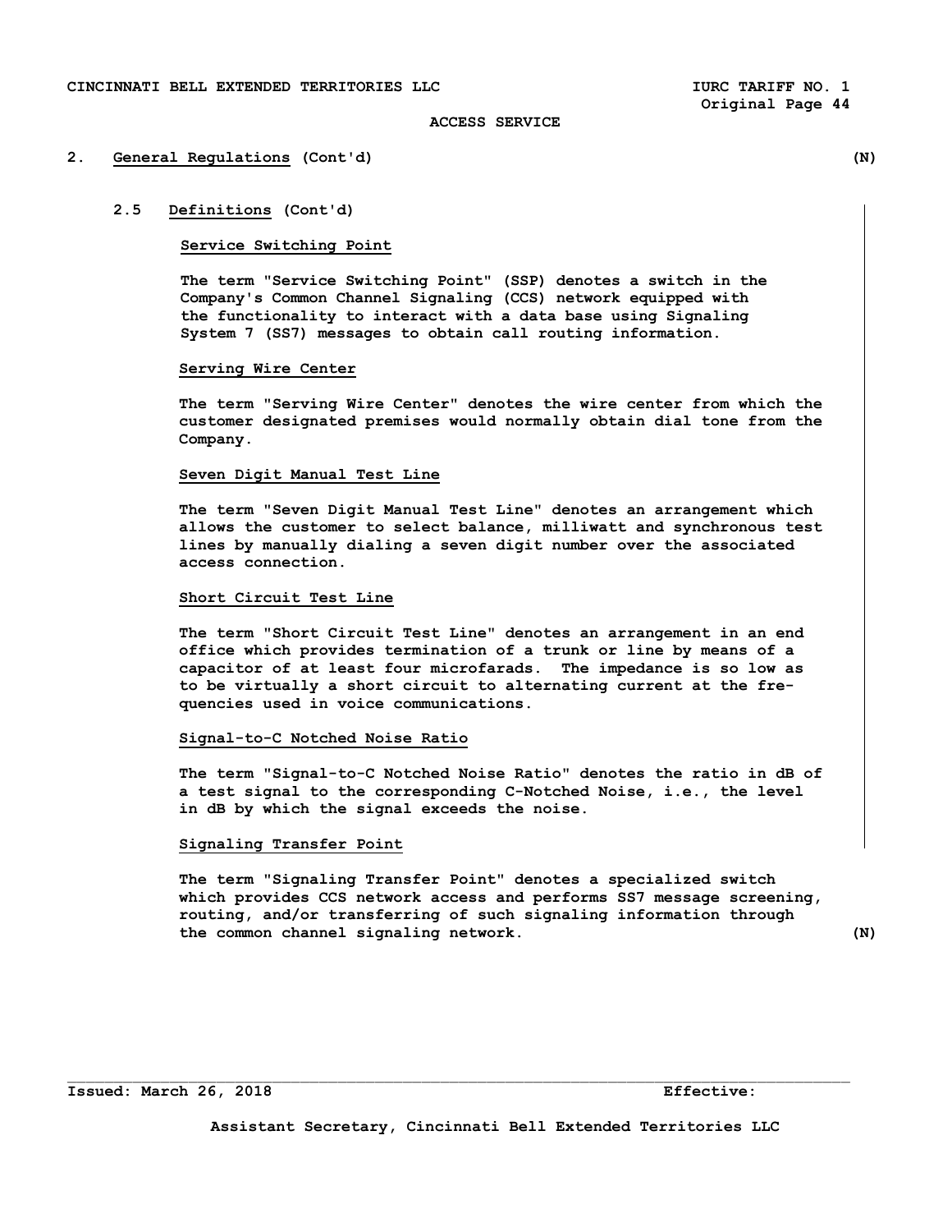#### **2. General Regulations (Cont'd) (N)**

# **2.5 Definitions (Cont'd)**

### **Service Switching Point**

 **The term "Service Switching Point" (SSP) denotes a switch in the Company's Common Channel Signaling (CCS) network equipped with the functionality to interact with a data base using Signaling System 7 (SS7) messages to obtain call routing information.** 

### **Serving Wire Center**

 **The term "Serving Wire Center" denotes the wire center from which the customer designated premises would normally obtain dial tone from the Company.** 

#### **Seven Digit Manual Test Line**

 **The term "Seven Digit Manual Test Line" denotes an arrangement which allows the customer to select balance, milliwatt and synchronous test lines by manually dialing a seven digit number over the associated access connection.** 

### **Short Circuit Test Line**

 **The term "Short Circuit Test Line" denotes an arrangement in an end office which provides termination of a trunk or line by means of a capacitor of at least four microfarads. The impedance is so low as to be virtually a short circuit to alternating current at the fre quencies used in voice communications.** 

### **Signal-to-C Notched Noise Ratio**

 **The term "Signal-to-C Notched Noise Ratio" denotes the ratio in dB of a test signal to the corresponding C-Notched Noise, i.e., the level in dB by which the signal exceeds the noise.** 

# **Signaling Transfer Point**

 **The term "Signaling Transfer Point" denotes a specialized switch which provides CCS network access and performs SS7 message screening, routing, and/or transferring of such signaling information through the common channel signaling network. (N)** 

 $\Box$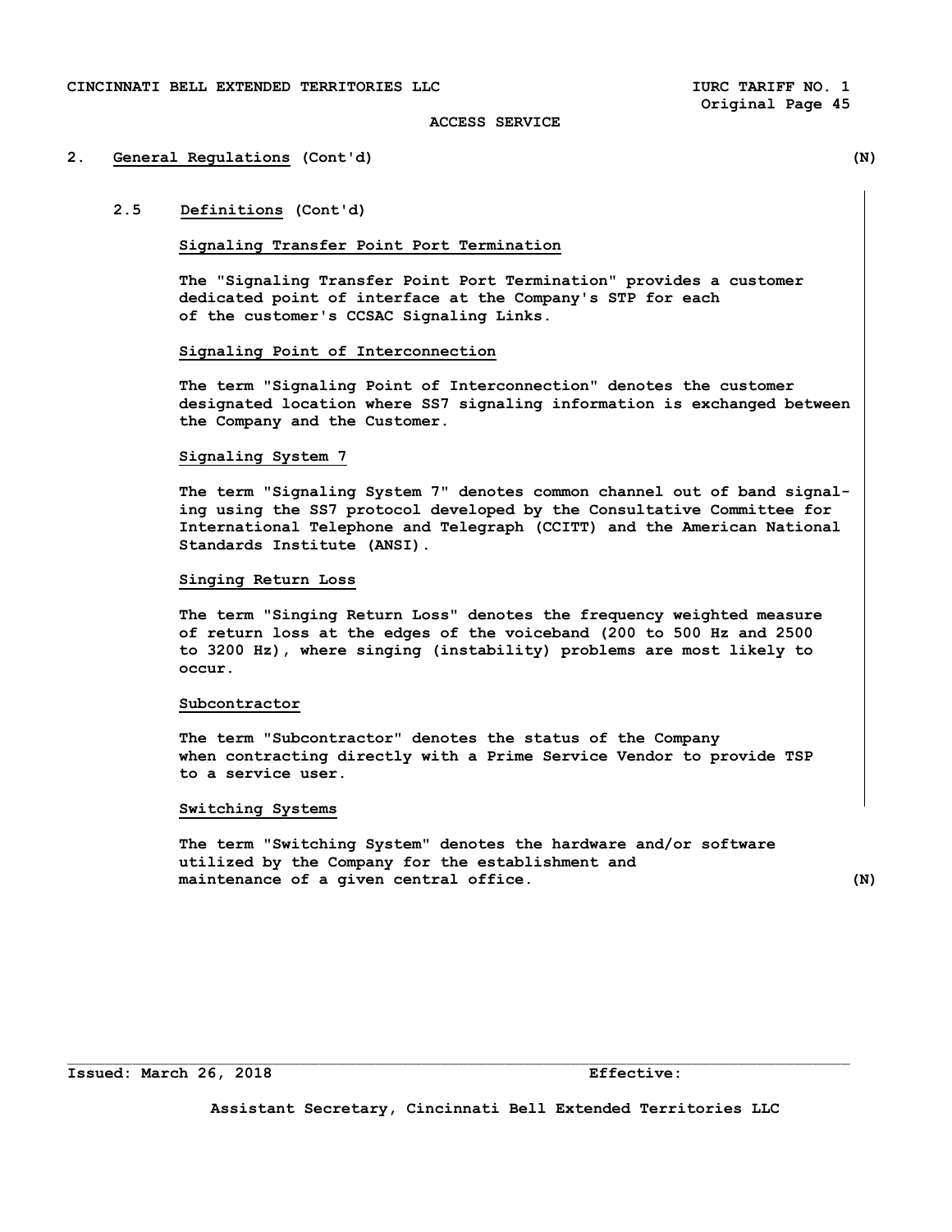#### **2. General Regulations (Cont'd) (N)**

# **2.5 Definitions (Cont'd)**

#### **Signaling Transfer Point Port Termination**

 **The "Signaling Transfer Point Port Termination" provides a customer dedicated point of interface at the Company's STP for each of the customer's CCSAC Signaling Links.** 

# **Signaling Point of Interconnection**

 **The term "Signaling Point of Interconnection" denotes the customer designated location where SS7 signaling information is exchanged between the Company and the Customer.** 

#### **Signaling System 7**

 **The term "Signaling System 7" denotes common channel out of band signal ing using the SS7 protocol developed by the Consultative Committee for International Telephone and Telegraph (CCITT) and the American National Standards Institute (ANSI).** 

# **Singing Return Loss**

 **The term "Singing Return Loss" denotes the frequency weighted measure of return loss at the edges of the voiceband (200 to 500 Hz and 2500 to 3200 Hz), where singing (instability) problems are most likely to occur.** 

### **Subcontractor**

 **The term "Subcontractor" denotes the status of the Company when contracting directly with a Prime Service Vendor to provide TSP to a service user.** 

### **Switching Systems**

 **The term "Switching System" denotes the hardware and/or software utilized by the Company for the establishment and maintenance of a given central office. (N)** 

**Issued: March 26, 2018 Effective:** 

**Assistant Secretary, Cincinnati Bell Extended Territories LLC** 

 $\mathcal{L}_\text{max}$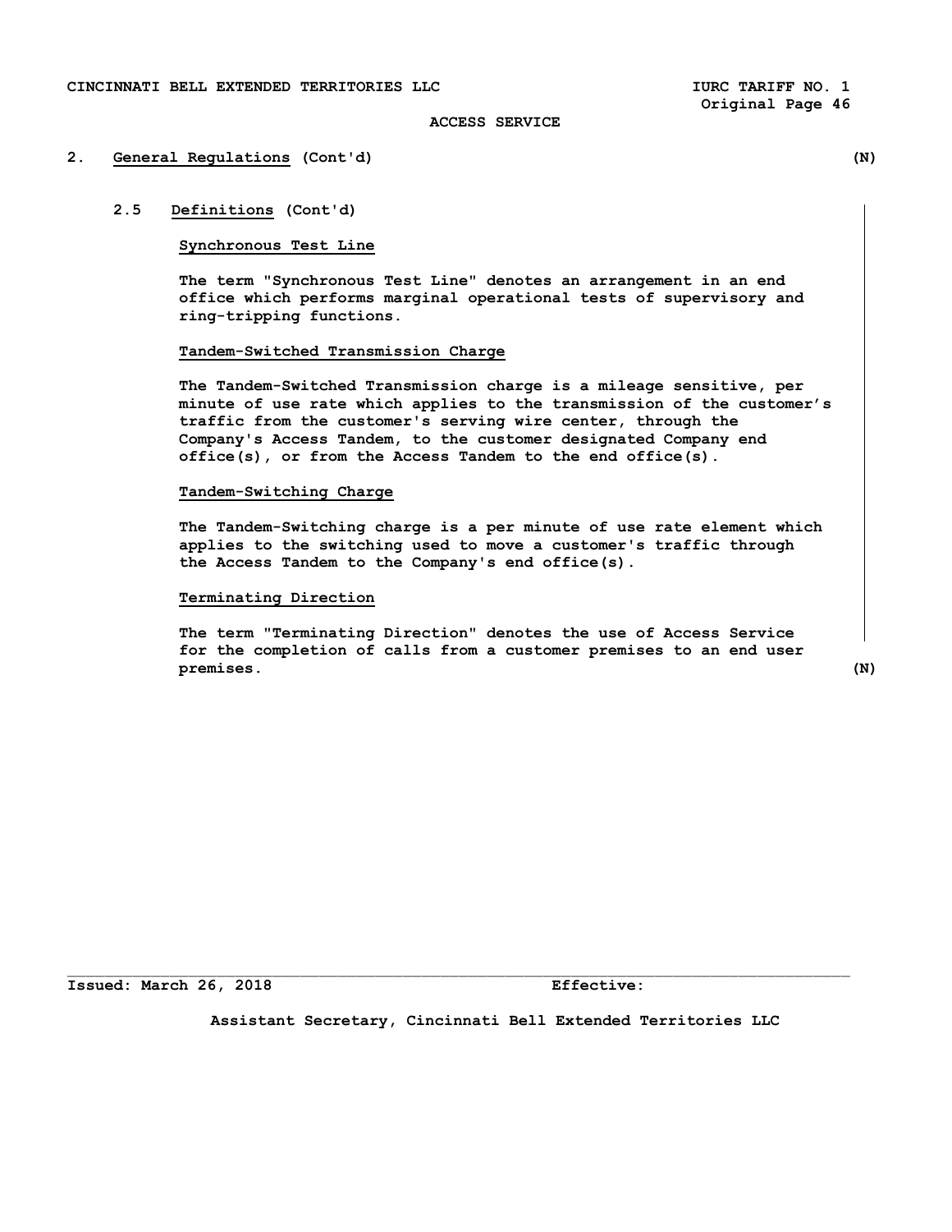# **2. General Regulations (Cont'd) (N)**

# **2.5 Definitions (Cont'd)**

# **Synchronous Test Line**

 **The term "Synchronous Test Line" denotes an arrangement in an end office which performs marginal operational tests of supervisory and ring-tripping functions.** 

# **Tandem-Switched Transmission Charge**

 **The Tandem-Switched Transmission charge is a mileage sensitive, per minute of use rate which applies to the transmission of the customer's traffic from the customer's serving wire center, through the Company's Access Tandem, to the customer designated Company end office(s), or from the Access Tandem to the end office(s).** 

### **Tandem-Switching Charge**

 **The Tandem-Switching charge is a per minute of use rate element which applies to the switching used to move a customer's traffic through the Access Tandem to the Company's end office(s).** 

# **Terminating Direction**

 **The term "Terminating Direction" denotes the use of Access Service for the completion of calls from a customer premises to an end user premises. (N)** 

**Issued: March 26, 2018 Effective:**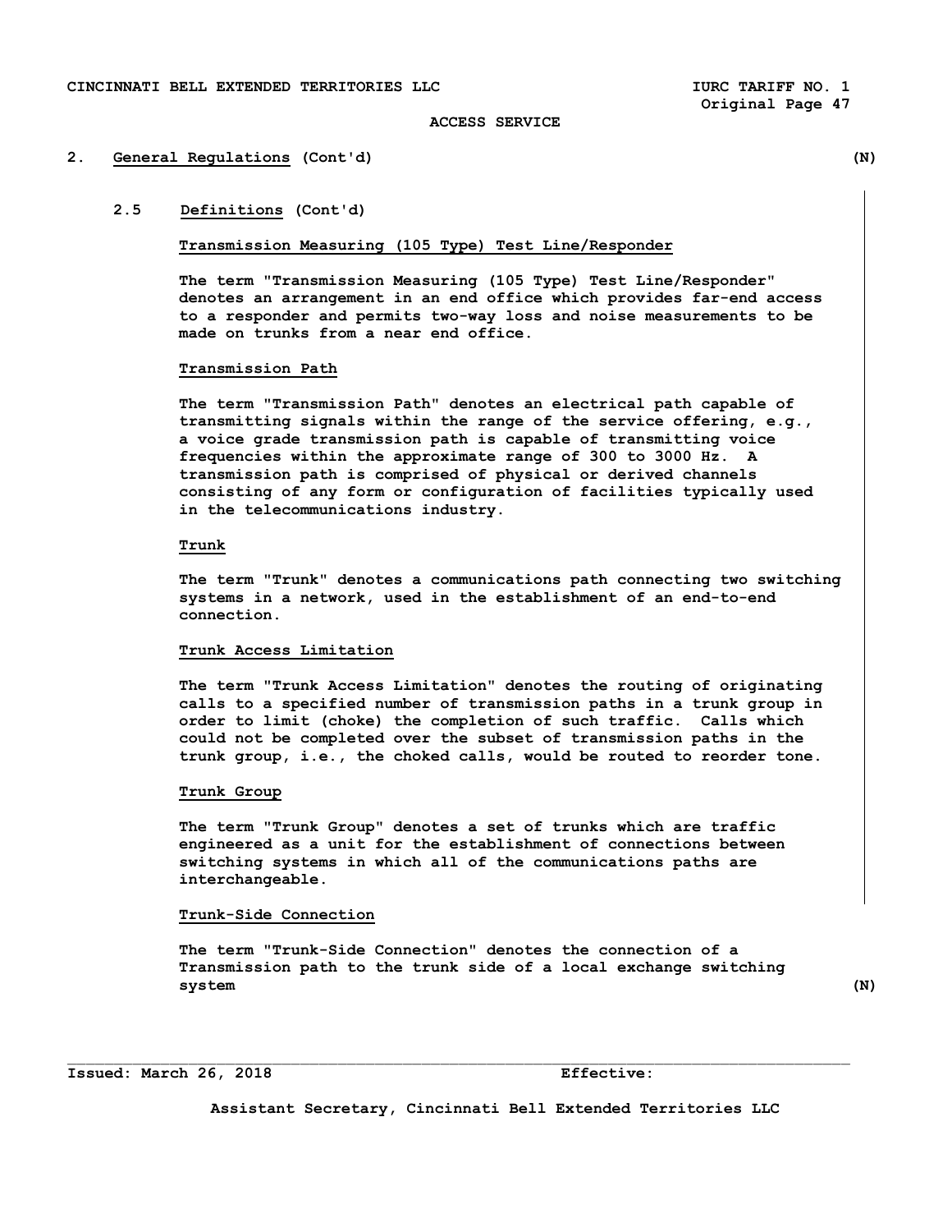#### **2. General Regulations (Cont'd) (N)**

**2.5 Definitions (Cont'd)** 

# **Transmission Measuring (105 Type) Test Line/Responder**

**The term "Transmission Measuring (105 Type) Test Line/Responder" denotes an arrangement in an end office which provides far-end access to a responder and permits two-way loss and noise measurements to be made on trunks from a near end office.** 

### **Transmission Path**

 **The term "Transmission Path" denotes an electrical path capable of transmitting signals within the range of the service offering, e.g., a voice grade transmission path is capable of transmitting voice frequencies within the approximate range of 300 to 3000 Hz. A transmission path is comprised of physical or derived channels consisting of any form or configuration of facilities typically used in the telecommunications industry.** 

### **Trunk**

 **The term "Trunk" denotes a communications path connecting two switching systems in a network, used in the establishment of an end-to-end connection.** 

### **Trunk Access Limitation**

 **The term "Trunk Access Limitation" denotes the routing of originating calls to a specified number of transmission paths in a trunk group in order to limit (choke) the completion of such traffic. Calls which could not be completed over the subset of transmission paths in the trunk group, i.e., the choked calls, would be routed to reorder tone.** 

#### **Trunk Group**

 **The term "Trunk Group" denotes a set of trunks which are traffic engineered as a unit for the establishment of connections between switching systems in which all of the communications paths are interchangeable.** 

### **Trunk-Side Connection**

 **The term "Trunk-Side Connection" denotes the connection of a Transmission path to the trunk side of a local exchange switching system (N)** 

 $\mathcal{L}_\text{max}$ 

#### **Issued: March 26, 2018 Effective:**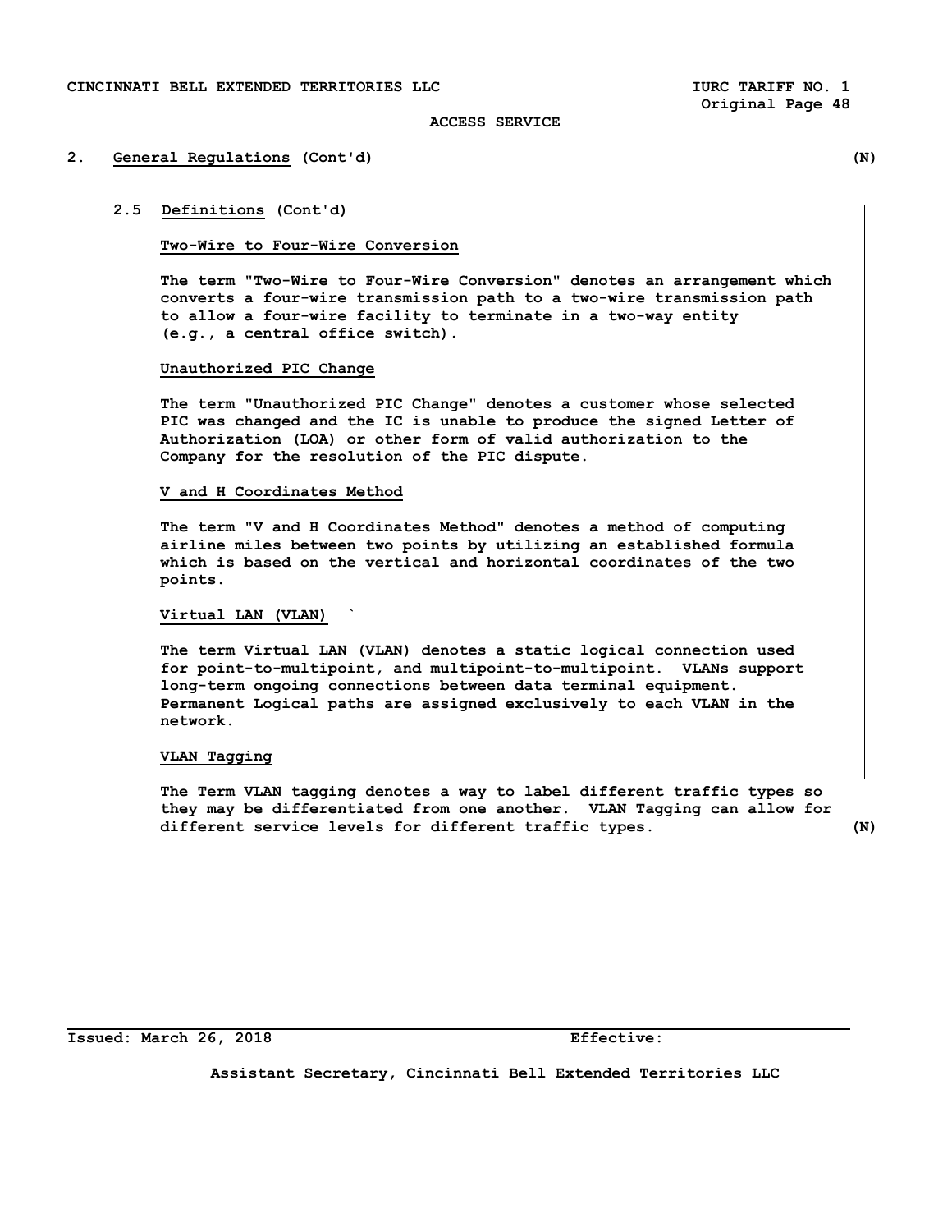# **2. General Regulations (Cont'd) (N)**

### **2.5 Definitions (Cont'd)**

### **Two-Wire to Four-Wire Conversion**

 **The term "Two-Wire to Four-Wire Conversion" denotes an arrangement which converts a four-wire transmission path to a two-wire transmission path to allow a four-wire facility to terminate in a two-way entity (e.g., a central office switch).** 

### **Unauthorized PIC Change**

 **The term "Unauthorized PIC Change" denotes a customer whose selected PIC was changed and the IC is unable to produce the signed Letter of Authorization (LOA) or other form of valid authorization to the Company for the resolution of the PIC dispute.** 

#### **V and H Coordinates Method**

 **The term "V and H Coordinates Method" denotes a method of computing airline miles between two points by utilizing an established formula which is based on the vertical and horizontal coordinates of the two points.** 

# **Virtual LAN (VLAN) `**

 **The term Virtual LAN (VLAN) denotes a static logical connection used for point-to-multipoint, and multipoint-to-multipoint. VLANs support long-term ongoing connections between data terminal equipment. Permanent Logical paths are assigned exclusively to each VLAN in the network.** 

### **VLAN Tagging**

 **The Term VLAN tagging denotes a way to label different traffic types so they may be differentiated from one another. VLAN Tagging can allow for different service levels for different traffic types. (N)** 

**Issued: March 26, 2018 Effective:**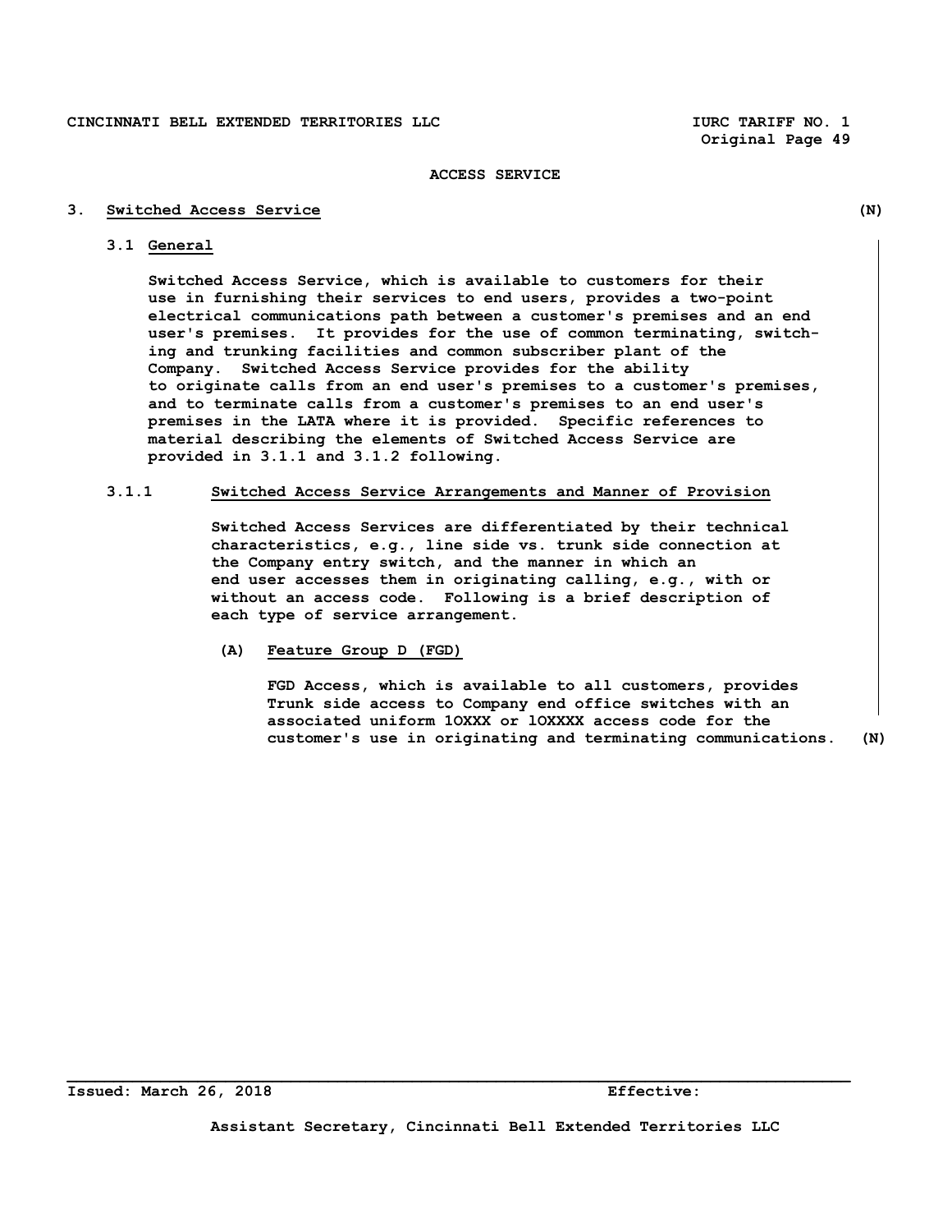# **3. Switched Access Service (N)**

# **3.1 General**

 **Switched Access Service, which is available to customers for their use in furnishing their services to end users, provides a two-point electrical communications path between a customer's premises and an end user's premises. It provides for the use of common terminating, switch ing and trunking facilities and common subscriber plant of the Company. Switched Access Service provides for the ability to originate calls from an end user's premises to a customer's premises, and to terminate calls from a customer's premises to an end user's premises in the LATA where it is provided. Specific references to material describing the elements of Switched Access Service are provided in 3.1.1 and 3.1.2 following.** 

# **3.1.1 Switched Access Service Arrangements and Manner of Provision**

 **Switched Access Services are differentiated by their technical characteristics, e.g., line side vs. trunk side connection at the Company entry switch, and the manner in which an end user accesses them in originating calling, e.g., with or without an access code. Following is a brief description of each type of service arrangement.** 

 **(A) Feature Group D (FGD)** 

 **FGD Access, which is available to all customers, provides Trunk side access to Company end office switches with an associated uniform 1OXXX or lOXXXX access code for the customer's use in originating and terminating communications. (N)**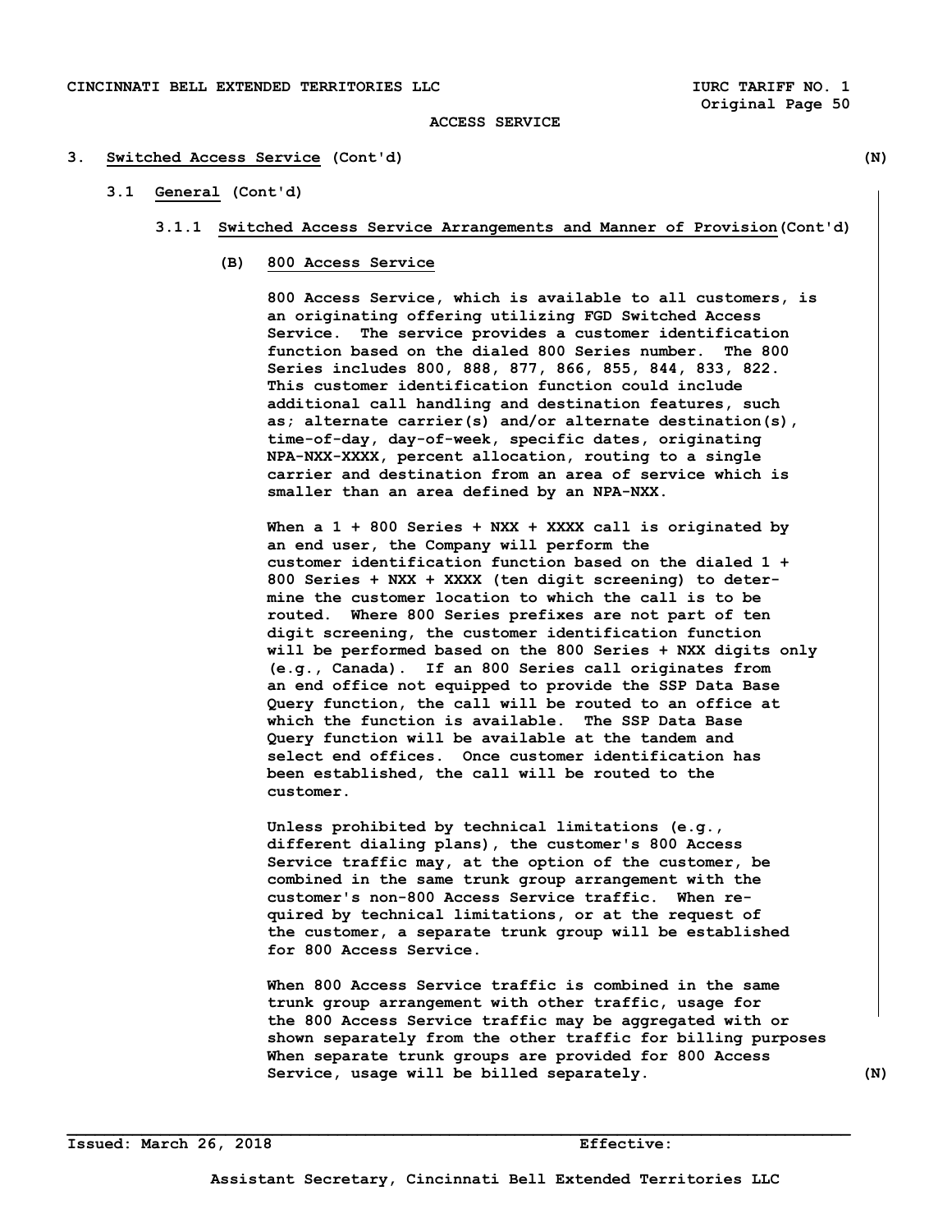### **3. Switched Access Service (Cont'd) (N)**

 **3.1 General (Cont'd)** 

### **3.1.1 Switched Access Service Arrangements and Manner of Provision(Cont'd)**

 **(B) 800 Access Service** 

 **800 Access Service, which is available to all customers, is an originating offering utilizing FGD Switched Access Service. The service provides a customer identification function based on the dialed 800 Series number. The 800 Series includes 800, 888, 877, 866, 855, 844, 833, 822. This customer identification function could include additional call handling and destination features, such as; alternate carrier(s) and/or alternate destination(s), time-of-day, day-of-week, specific dates, originating NPA-NXX-XXXX, percent allocation, routing to a single carrier and destination from an area of service which is smaller than an area defined by an NPA-NXX.** 

 **When a 1 + 800 Series + NXX + XXXX call is originated by an end user, the Company will perform the customer identification function based on the dialed 1 + 800 Series + NXX + XXXX (ten digit screening) to deter mine the customer location to which the call is to be routed. Where 800 Series prefixes are not part of ten digit screening, the customer identification function will be performed based on the 800 Series + NXX digits only (e.g., Canada). If an 800 Series call originates from an end office not equipped to provide the SSP Data Base Query function, the call will be routed to an office at which the function is available. The SSP Data Base Query function will be available at the tandem and select end offices. Once customer identification has been established, the call will be routed to the customer.** 

 **Unless prohibited by technical limitations (e.g., different dialing plans), the customer's 800 Access Service traffic may, at the option of the customer, be combined in the same trunk group arrangement with the customer's non-800 Access Service traffic. When re quired by technical limitations, or at the request of the customer, a separate trunk group will be established for 800 Access Service.** 

 **When 800 Access Service traffic is combined in the same trunk group arrangement with other traffic, usage for the 800 Access Service traffic may be aggregated with or shown separately from the other traffic for billing purposes When separate trunk groups are provided for 800 Access**  Service, usage will be billed separately. (N)

**Issued: March 26, 2018 Effective:**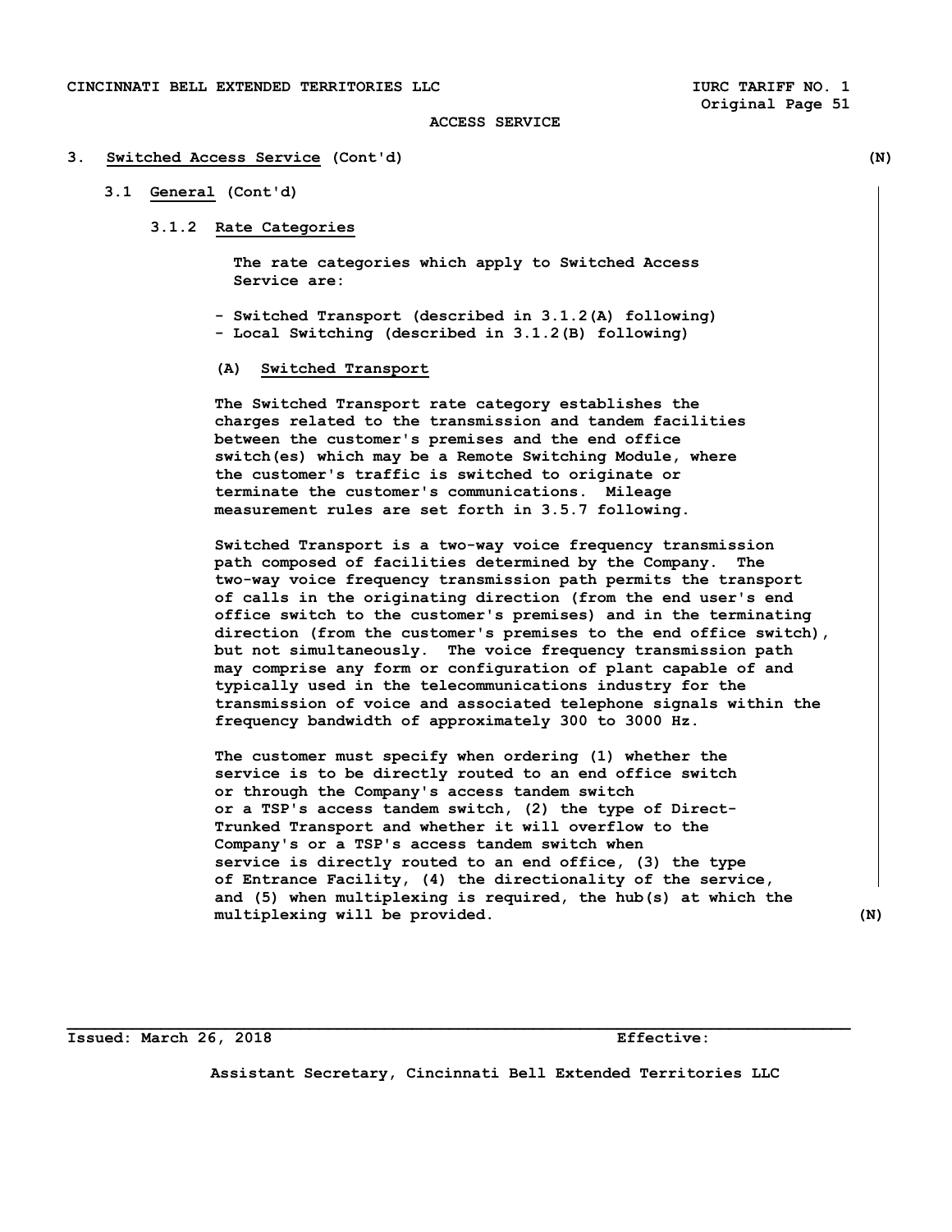# **3. Switched Access Service (Cont'd) (N)**

# **3.1 General (Cont'd)**

# **3.1.2 Rate Categories**

 **The rate categories which apply to Switched Access Service are:** 

 **- Switched Transport (described in 3.1.2(A) following) - Local Switching (described in 3.1.2(B) following)** 

### **(A) Switched Transport**

 **The Switched Transport rate category establishes the charges related to the transmission and tandem facilities between the customer's premises and the end office switch(es) which may be a Remote Switching Module, where the customer's traffic is switched to originate or terminate the customer's communications. Mileage measurement rules are set forth in 3.5.7 following.** 

 **Switched Transport is a two-way voice frequency transmission path composed of facilities determined by the Company. The two-way voice frequency transmission path permits the transport of calls in the originating direction (from the end user's end office switch to the customer's premises) and in the terminating direction (from the customer's premises to the end office switch), but not simultaneously. The voice frequency transmission path may comprise any form or configuration of plant capable of and typically used in the telecommunications industry for the transmission of voice and associated telephone signals within the frequency bandwidth of approximately 300 to 3000 Hz.** 

 **The customer must specify when ordering (1) whether the service is to be directly routed to an end office switch or through the Company's access tandem switch or a TSP's access tandem switch, (2) the type of Direct- Trunked Transport and whether it will overflow to the Company's or a TSP's access tandem switch when service is directly routed to an end office, (3) the type of Entrance Facility, (4) the directionality of the service, and (5) when multiplexing is required, the hub(s) at which the multiplexing will be provided. (N)** 

**Issued: March 26, 2018 Effective:** 

**Assistant Secretary, Cincinnati Bell Extended Territories LLC**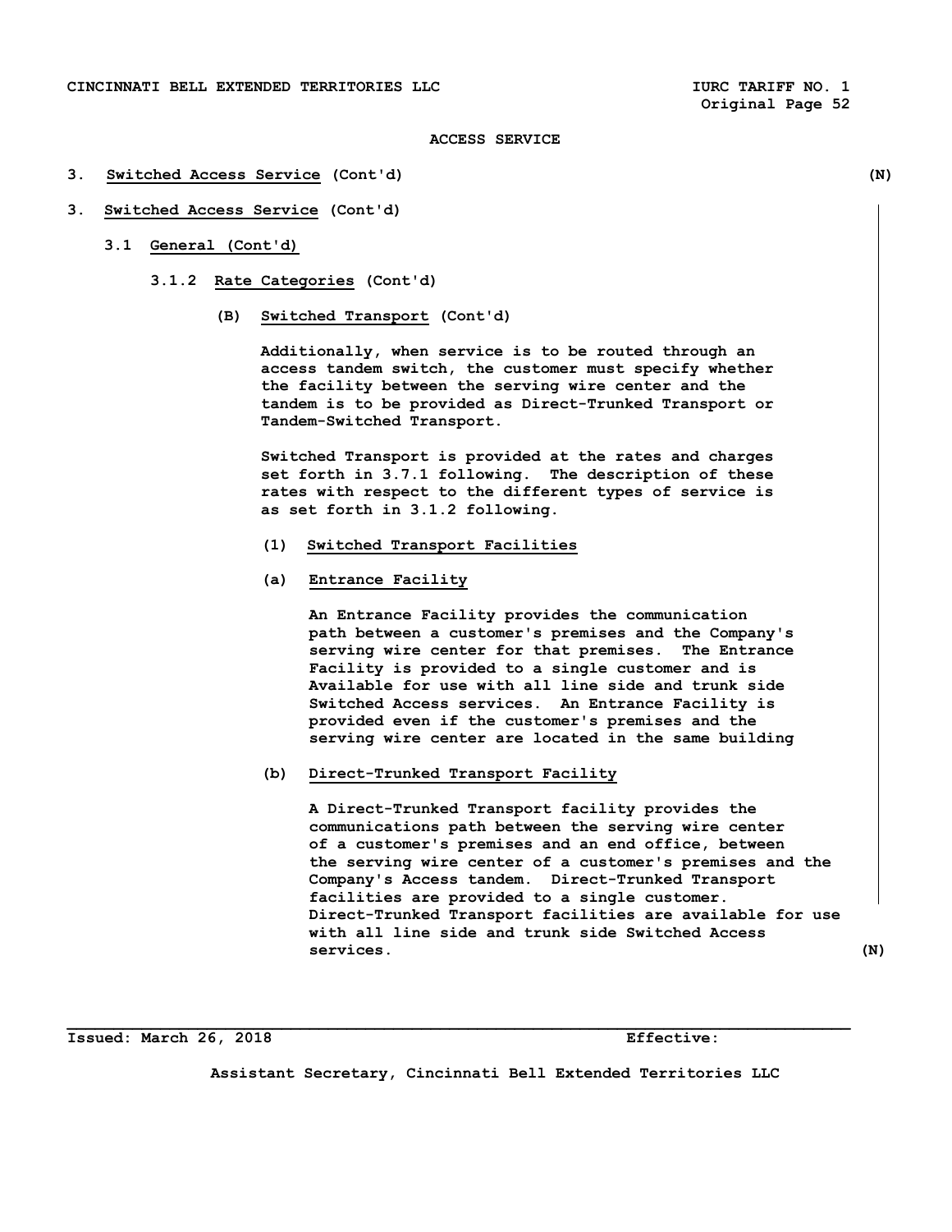- **3. Switched Access Service (Cont'd) (N)**
- **3. Switched Access Service (Cont'd)** 
	- **3.1 General (Cont'd)** 
		- **3.1.2 Rate Categories (Cont'd)** 
			- **(B) Switched Transport (Cont'd)**

 **Additionally, when service is to be routed through an access tandem switch, the customer must specify whether the facility between the serving wire center and the tandem is to be provided as Direct-Trunked Transport or Tandem-Switched Transport.** 

 **Switched Transport is provided at the rates and charges set forth in 3.7.1 following. The description of these rates with respect to the different types of service is as set forth in 3.1.2 following.** 

- **(1) Switched Transport Facilities**
- **(a) Entrance Facility**

 **An Entrance Facility provides the communication path between a customer's premises and the Company's serving wire center for that premises. The Entrance Facility is provided to a single customer and is Available for use with all line side and trunk side Switched Access services. An Entrance Facility is provided even if the customer's premises and the serving wire center are located in the same building** 

 **(b) Direct-Trunked Transport Facility** 

 **A Direct-Trunked Transport facility provides the communications path between the serving wire center of a customer's premises and an end office, between the serving wire center of a customer's premises and the Company's Access tandem. Direct-Trunked Transport facilities are provided to a single customer. Direct-Trunked Transport facilities are available for use with all line side and trunk side Switched Access services. (N)** 

**Issued: March 26, 2018 Effective:** 

**Assistant Secretary, Cincinnati Bell Extended Territories LLC**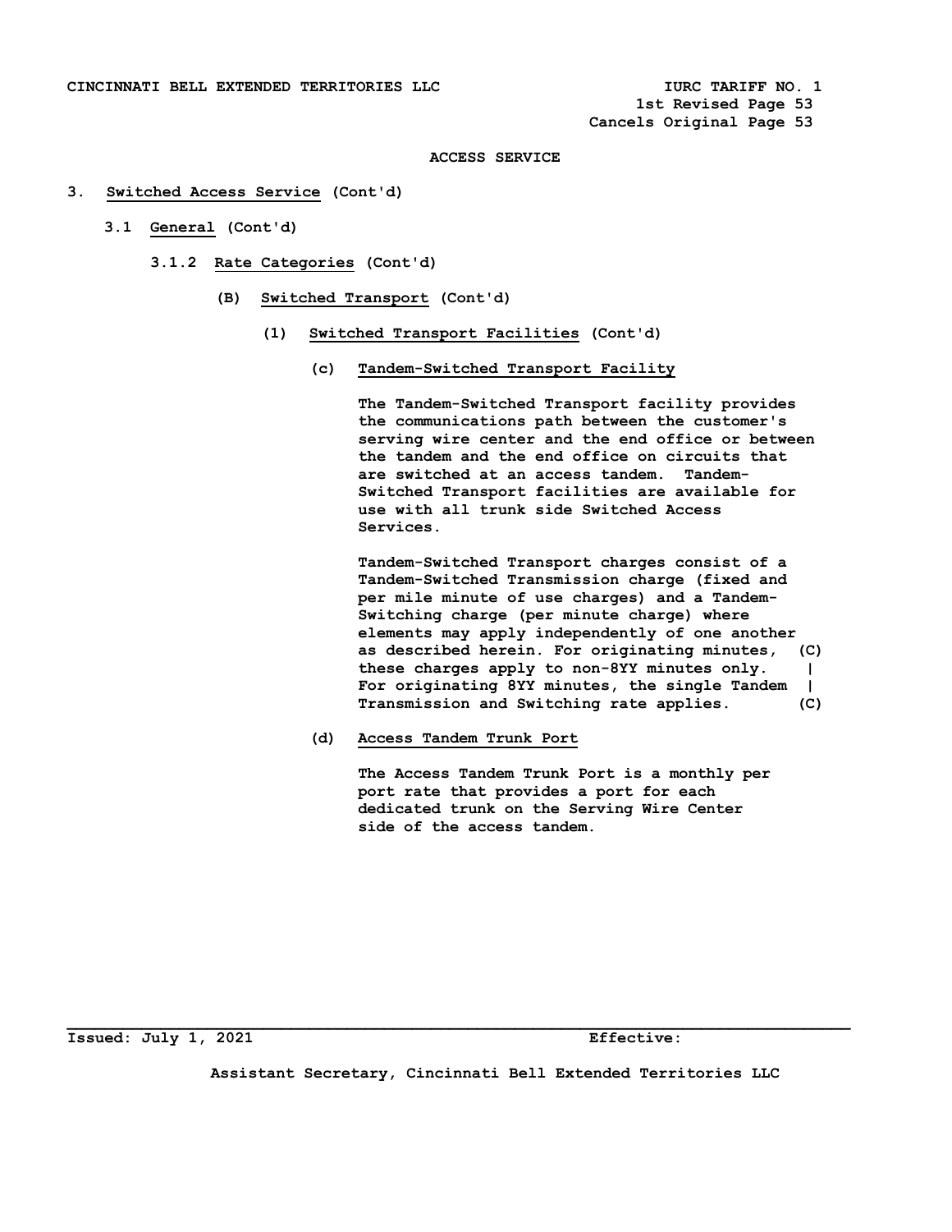### **3. Switched Access Service (Cont'd)**

- **3.1 General (Cont'd)** 
	- **3.1.2 Rate Categories (Cont'd)** 
		- **(B) Switched Transport (Cont'd)** 
			- **(1) Switched Transport Facilities (Cont'd)** 
				- **(c) Tandem-Switched Transport Facility**

 **The Tandem-Switched Transport facility provides the communications path between the customer's serving wire center and the end office or between the tandem and the end office on circuits that are switched at an access tandem. Tandem- Switched Transport facilities are available for use with all trunk side Switched Access Services.** 

 **Tandem-Switched Transport charges consist of a Tandem-Switched Transmission charge (fixed and per mile minute of use charges) and a Tandem- Switching charge (per minute charge) where elements may apply independently of one another as described herein. For originating minutes, (C) these charges apply to non-8YY minutes only. | For originating 8YY minutes, the single Tandem | Transmission and Switching rate applies. (C)** 

 **(d) Access Tandem Trunk Port** 

 **The Access Tandem Trunk Port is a monthly per port rate that provides a port for each dedicated trunk on the Serving Wire Center side of the access tandem.** 

**Issued: July 1, 2021 Effective:** 

**Assistant Secretary, Cincinnati Bell Extended Territories LLC**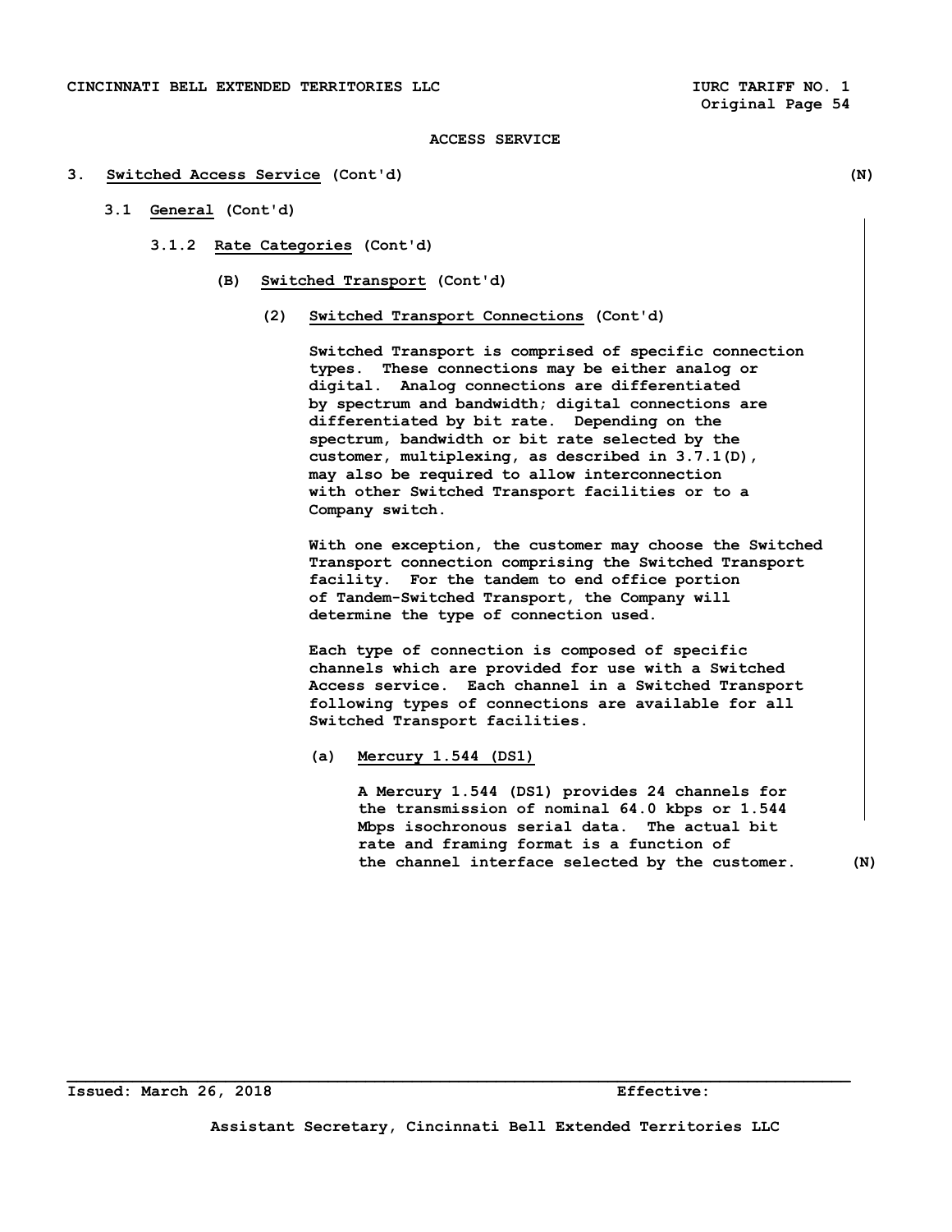#### **3. Switched Access Service (Cont'd) (N)**

- **3.1 General (Cont'd)** 
	- **3.1.2 Rate Categories (Cont'd)** 
		- **(B) Switched Transport (Cont'd)** 
			- **(2) Switched Transport Connections (Cont'd)**

 **Switched Transport is comprised of specific connection types. These connections may be either analog or digital. Analog connections are differentiated by spectrum and bandwidth; digital connections are differentiated by bit rate. Depending on the spectrum, bandwidth or bit rate selected by the customer, multiplexing, as described in 3.7.1(D), may also be required to allow interconnection with other Switched Transport facilities or to a Company switch.** 

 **With one exception, the customer may choose the Switched Transport connection comprising the Switched Transport facility. For the tandem to end office portion of Tandem-Switched Transport, the Company will determine the type of connection used.** 

 **Each type of connection is composed of specific channels which are provided for use with a Switched Access service. Each channel in a Switched Transport following types of connections are available for all Switched Transport facilities.** 

 **(a) Mercury 1.544 (DS1)** 

 **A Mercury 1.544 (DS1) provides 24 channels for the transmission of nominal 64.0 kbps or 1.544 Mbps isochronous serial data. The actual bit rate and framing format is a function of the channel interface selected by the customer. (N)**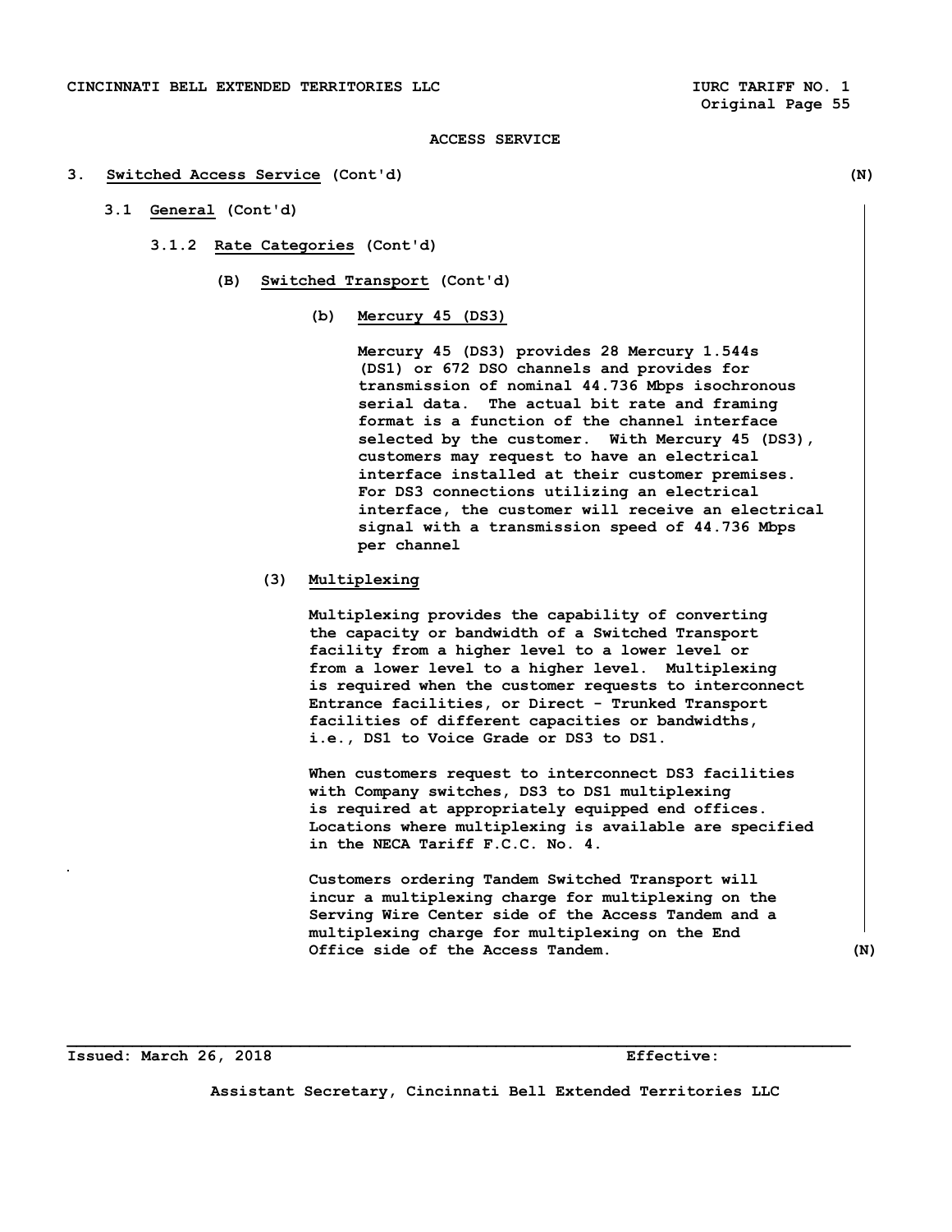### **3. Switched Access Service (Cont'd) (N)**

- **3.1 General (Cont'd)** 
	- **3.1.2 Rate Categories (Cont'd)** 
		- **(B) Switched Transport (Cont'd)** 
			- **(b) Mercury 45 (DS3)**

 **Mercury 45 (DS3) provides 28 Mercury 1.544s (DS1) or 672 DSO channels and provides for transmission of nominal 44.736 Mbps isochronous serial data. The actual bit rate and framing format is a function of the channel interface selected by the customer. With Mercury 45 (DS3), customers may request to have an electrical interface installed at their customer premises. For DS3 connections utilizing an electrical interface, the customer will receive an electrical signal with a transmission speed of 44.736 Mbps per channel** 

 **(3) Multiplexing** 

 **Multiplexing provides the capability of converting the capacity or bandwidth of a Switched Transport facility from a higher level to a lower level or from a lower level to a higher level. Multiplexing is required when the customer requests to interconnect Entrance facilities, or Direct - Trunked Transport facilities of different capacities or bandwidths, i.e., DS1 to Voice Grade or DS3 to DS1.** 

 **When customers request to interconnect DS3 facilities with Company switches, DS3 to DS1 multiplexing is required at appropriately equipped end offices. Locations where multiplexing is available are specified in the NECA Tariff F.C.C. No. 4.** 

 **Customers ordering Tandem Switched Transport will incur a multiplexing charge for multiplexing on the Serving Wire Center side of the Access Tandem and a multiplexing charge for multiplexing on the End Office side of the Access Tandem. (N)** 

**Issued: March 26, 2018 Effective:** 

**Assistant Secretary, Cincinnati Bell Extended Territories LLC**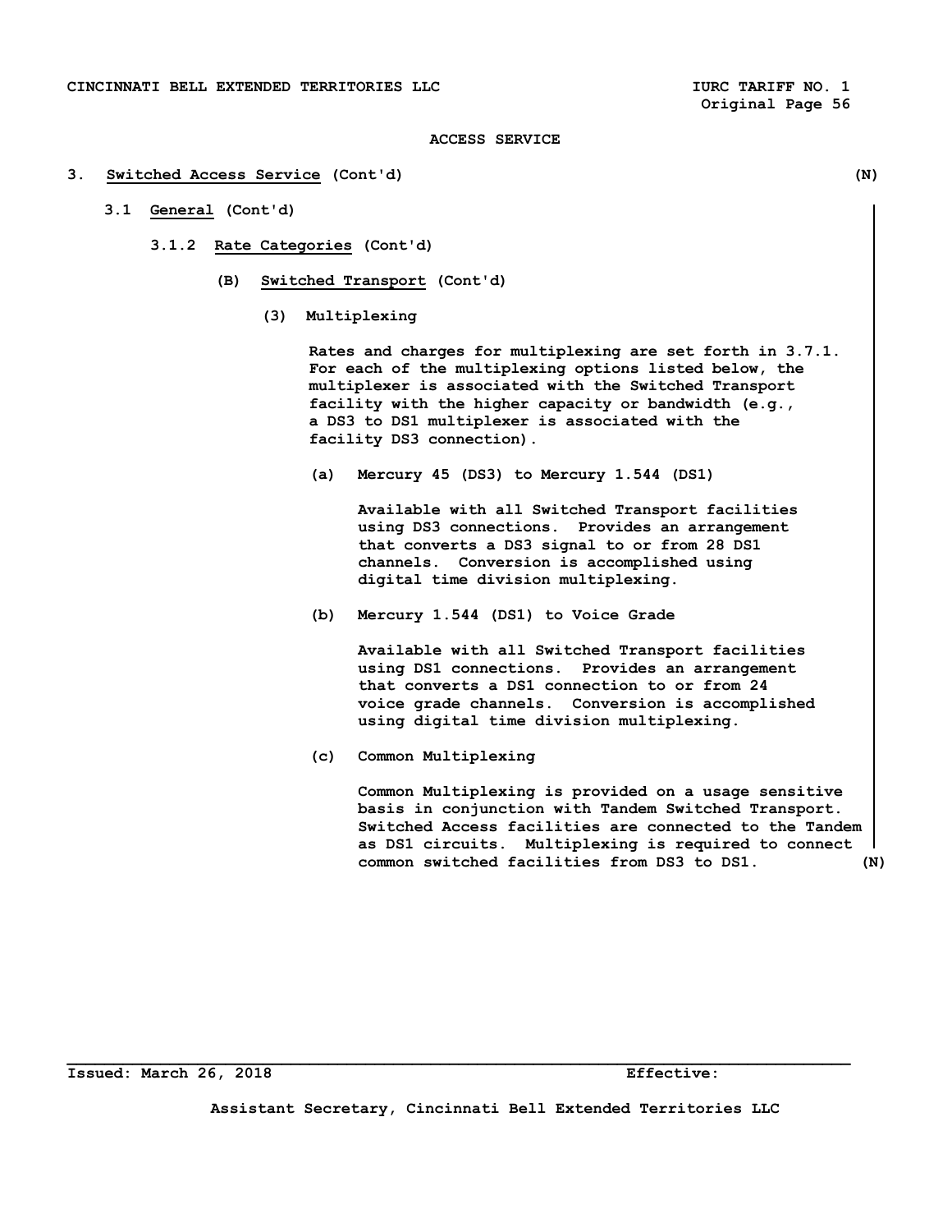#### **3. Switched Access Service (Cont'd) (N)**

- **3.1 General (Cont'd)** 
	- **3.1.2 Rate Categories (Cont'd)** 
		- **(B) Switched Transport (Cont'd)** 
			- **(3) Multiplexing**

 **Rates and charges for multiplexing are set forth in 3.7.1. For each of the multiplexing options listed below, the multiplexer is associated with the Switched Transport facility with the higher capacity or bandwidth (e.g., a DS3 to DS1 multiplexer is associated with the facility DS3 connection).** 

 **(a) Mercury 45 (DS3) to Mercury 1.544 (DS1)** 

 **Available with all Switched Transport facilities using DS3 connections. Provides an arrangement that converts a DS3 signal to or from 28 DS1 channels. Conversion is accomplished using digital time division multiplexing.** 

 **(b) Mercury 1.544 (DS1) to Voice Grade** 

 **Available with all Switched Transport facilities using DS1 connections. Provides an arrangement that converts a DS1 connection to or from 24 voice grade channels. Conversion is accomplished using digital time division multiplexing.** 

 **(c) Common Multiplexing** 

 **Common Multiplexing is provided on a usage sensitive basis in conjunction with Tandem Switched Transport. Switched Access facilities are connected to the Tandem as DS1 circuits. Multiplexing is required to connect common switched facilities from DS3 to DS1. (N)** 

**Assistant Secretary, Cincinnati Bell Extended Territories LLC**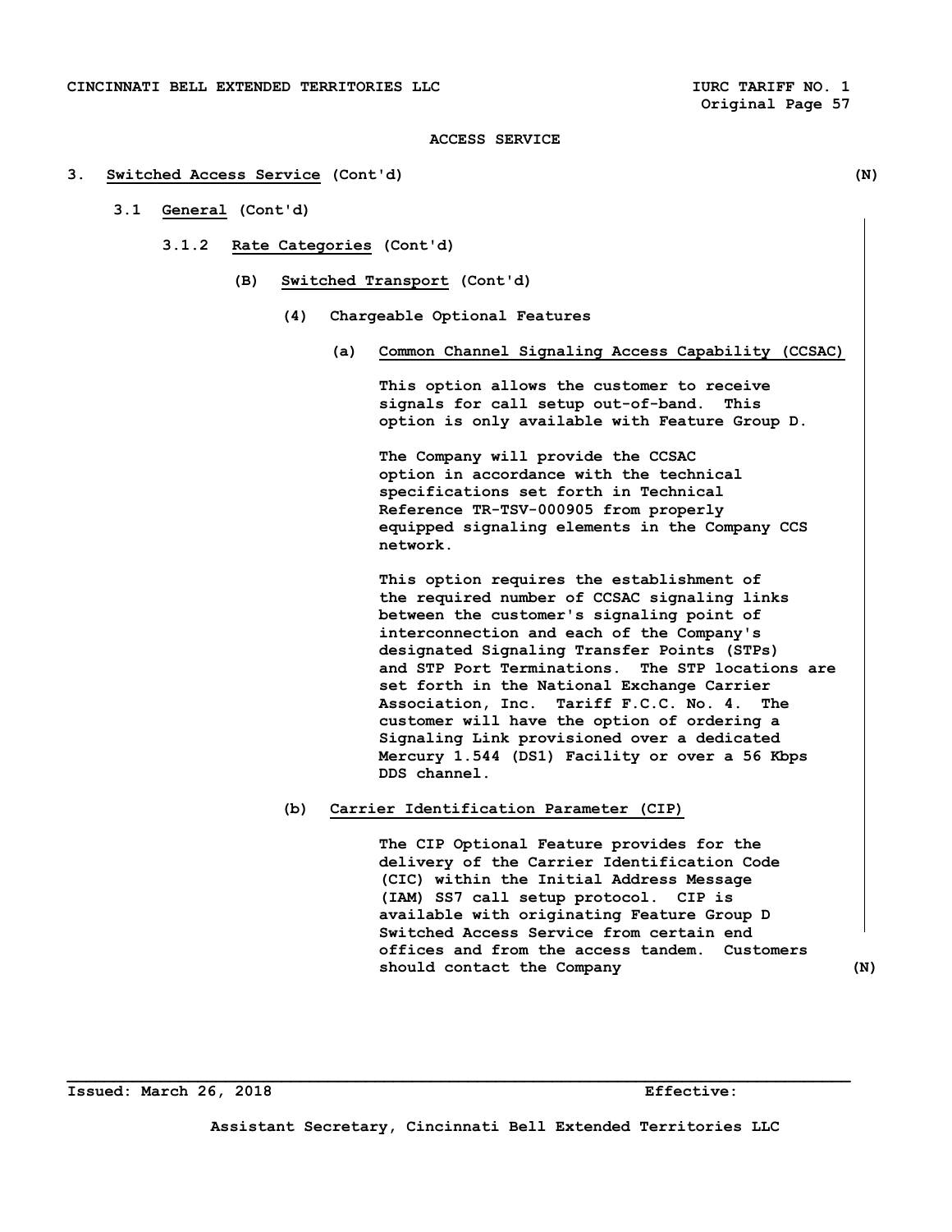### **3. Switched Access Service (Cont'd) (N)**

- **3.1 General (Cont'd)** 
	- **3.1.2 Rate Categories (Cont'd)** 
		- **(B) Switched Transport (Cont'd)** 
			- **(4) Chargeable Optional Features** 
				- **(a) Common Channel Signaling Access Capability (CCSAC)**

 **This option allows the customer to receive signals for call setup out-of-band. This option is only available with Feature Group D.** 

 **The Company will provide the CCSAC option in accordance with the technical specifications set forth in Technical Reference TR-TSV-000905 from properly equipped signaling elements in the Company CCS network.** 

 **This option requires the establishment of the required number of CCSAC signaling links between the customer's signaling point of interconnection and each of the Company's designated Signaling Transfer Points (STPs) and STP Port Terminations. The STP locations are set forth in the National Exchange Carrier Association, Inc. Tariff F.C.C. No. 4. The customer will have the option of ordering a Signaling Link provisioned over a dedicated Mercury 1.544 (DS1) Facility or over a 56 Kbps DDS channel.** 

# **(b) Carrier Identification Parameter (CIP)**

 **The CIP Optional Feature provides for the delivery of the Carrier Identification Code (CIC) within the Initial Address Message (IAM) SS7 call setup protocol. CIP is available with originating Feature Group D Switched Access Service from certain end offices and from the access tandem. Customers**  should contact the Company (N)

**Issued: March 26, 2018 Effective:** 

**Assistant Secretary, Cincinnati Bell Extended Territories LLC**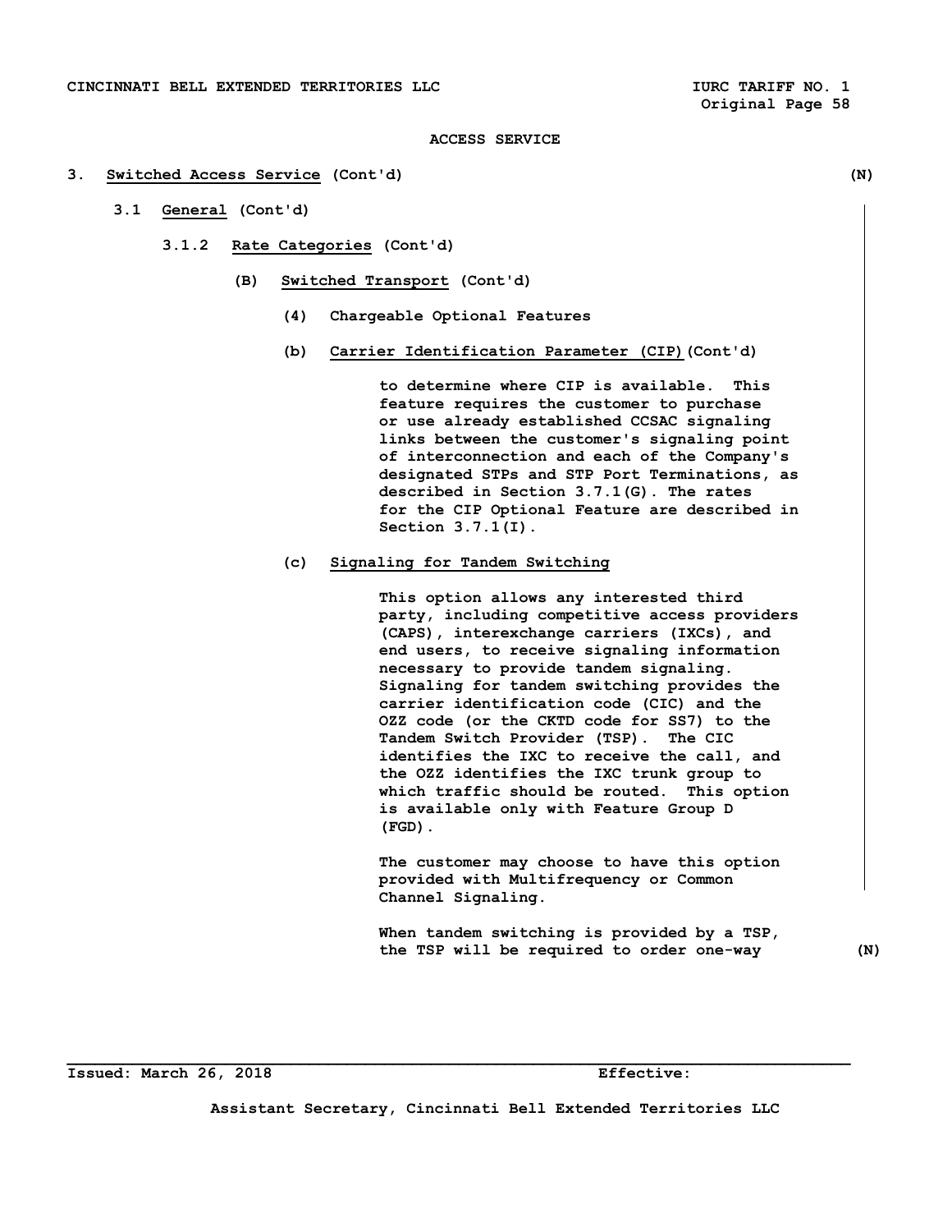#### **3. Switched Access Service (Cont'd) (N)**

- **3.1 General (Cont'd)** 
	- **3.1.2 Rate Categories (Cont'd)** 
		- **(B) Switched Transport (Cont'd)** 
			- **(4) Chargeable Optional Features**
			- **(b) Carrier Identification Parameter (CIP)(Cont'd)**

 **to determine where CIP is available. This feature requires the customer to purchase or use already established CCSAC signaling links between the customer's signaling point of interconnection and each of the Company's designated STPs and STP Port Terminations, as described in Section 3.7.1(G). The rates for the CIP Optional Feature are described in Section 3.7.1(I).** 

# **(c) Signaling for Tandem Switching**

 **This option allows any interested third party, including competitive access providers (CAPS), interexchange carriers (IXCs), and end users, to receive signaling information necessary to provide tandem signaling. Signaling for tandem switching provides the carrier identification code (CIC) and the OZZ code (or the CKTD code for SS7) to the Tandem Switch Provider (TSP). The CIC identifies the IXC to receive the call, and the OZZ identifies the IXC trunk group to which traffic should be routed. This option is available only with Feature Group D (FGD).** 

 **The customer may choose to have this option provided with Multifrequency or Common Channel Signaling.** 

 **When tandem switching is provided by a TSP, the TSP will be required to order one-way (N)** 

**Issued: March 26, 2018 Effective:** 

**Assistant Secretary, Cincinnati Bell Extended Territories LLC**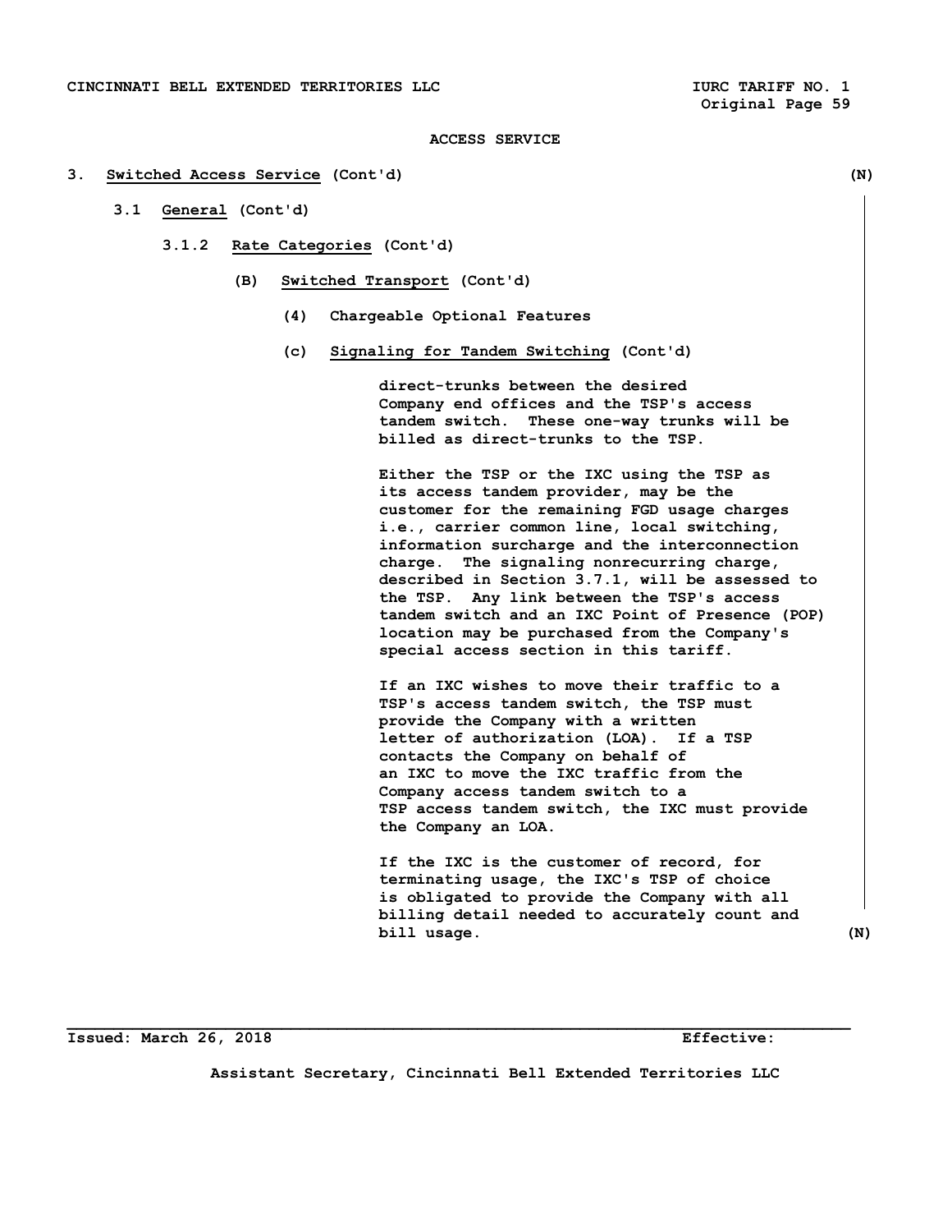#### **3. Switched Access Service (Cont'd) (N)**

- **3.1 General (Cont'd)** 
	- **3.1.2 Rate Categories (Cont'd)** 
		- **(B) Switched Transport (Cont'd)** 
			- **(4) Chargeable Optional Features**
			- **(c) Signaling for Tandem Switching (Cont'd)**

 **direct-trunks between the desired Company end offices and the TSP's access tandem switch. These one-way trunks will be billed as direct-trunks to the TSP.** 

 **Either the TSP or the IXC using the TSP as its access tandem provider, may be the customer for the remaining FGD usage charges i.e., carrier common line, local switching, information surcharge and the interconnection charge. The signaling nonrecurring charge, described in Section 3.7.1, will be assessed to the TSP. Any link between the TSP's access tandem switch and an IXC Point of Presence (POP) location may be purchased from the Company's special access section in this tariff.** 

 **If an IXC wishes to move their traffic to a TSP's access tandem switch, the TSP must provide the Company with a written letter of authorization (LOA). If a TSP contacts the Company on behalf of an IXC to move the IXC traffic from the Company access tandem switch to a TSP access tandem switch, the IXC must provide the Company an LOA.** 

 **If the IXC is the customer of record, for terminating usage, the IXC's TSP of choice is obligated to provide the Company with all billing detail needed to accurately count and bill usage.** (N)

**Issued: March 26, 2018 Effective:** 

**Assistant Secretary, Cincinnati Bell Extended Territories LLC**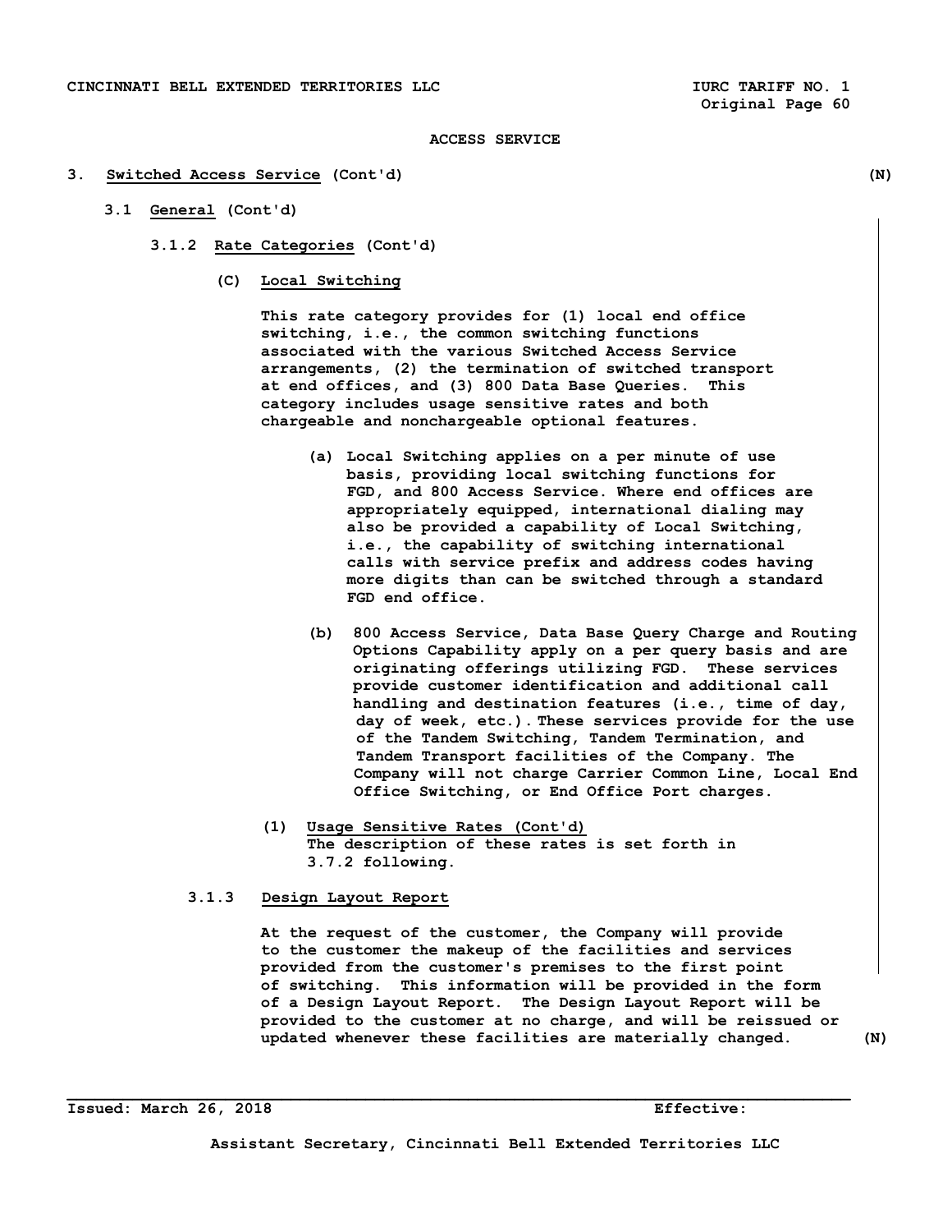#### **3. Switched Access Service (Cont'd) (N)**

- **3.1 General (Cont'd)** 
	- **3.1.2 Rate Categories (Cont'd)** 
		- **(C) Local Switching**

 **This rate category provides for (1) local end office switching, i.e., the common switching functions associated with the various Switched Access Service arrangements, (2) the termination of switched transport at end offices, and (3) 800 Data Base Queries. This category includes usage sensitive rates and both chargeable and nonchargeable optional features.** 

- **(a) Local Switching applies on a per minute of use basis, providing local switching functions for FGD, and 800 Access Service. Where end offices are appropriately equipped, international dialing may also be provided a capability of Local Switching, i.e., the capability of switching international calls with service prefix and address codes having more digits than can be switched through a standard FGD end office.**
- **(b) 800 Access Service, Data Base Query Charge and Routing Options Capability apply on a per query basis and are originating offerings utilizing FGD. These services provide customer identification and additional call handling and destination features (i.e., time of day, day of week, etc.). These services provide for the use of the Tandem Switching, Tandem Termination, and Tandem Transport facilities of the Company. The Company will not charge Carrier Common Line, Local End Office Switching, or End Office Port charges.**
- **(1) Usage Sensitive Rates (Cont'd) The description of these rates is set forth in 3.7.2 following.**
- **3.1.3 Design Layout Report**

 **At the request of the customer, the Company will provide to the customer the makeup of the facilities and services provided from the customer's premises to the first point of switching. This information will be provided in the form of a Design Layout Report. The Design Layout Report will be provided to the customer at no charge, and will be reissued or updated whenever these facilities are materially changed. (N)**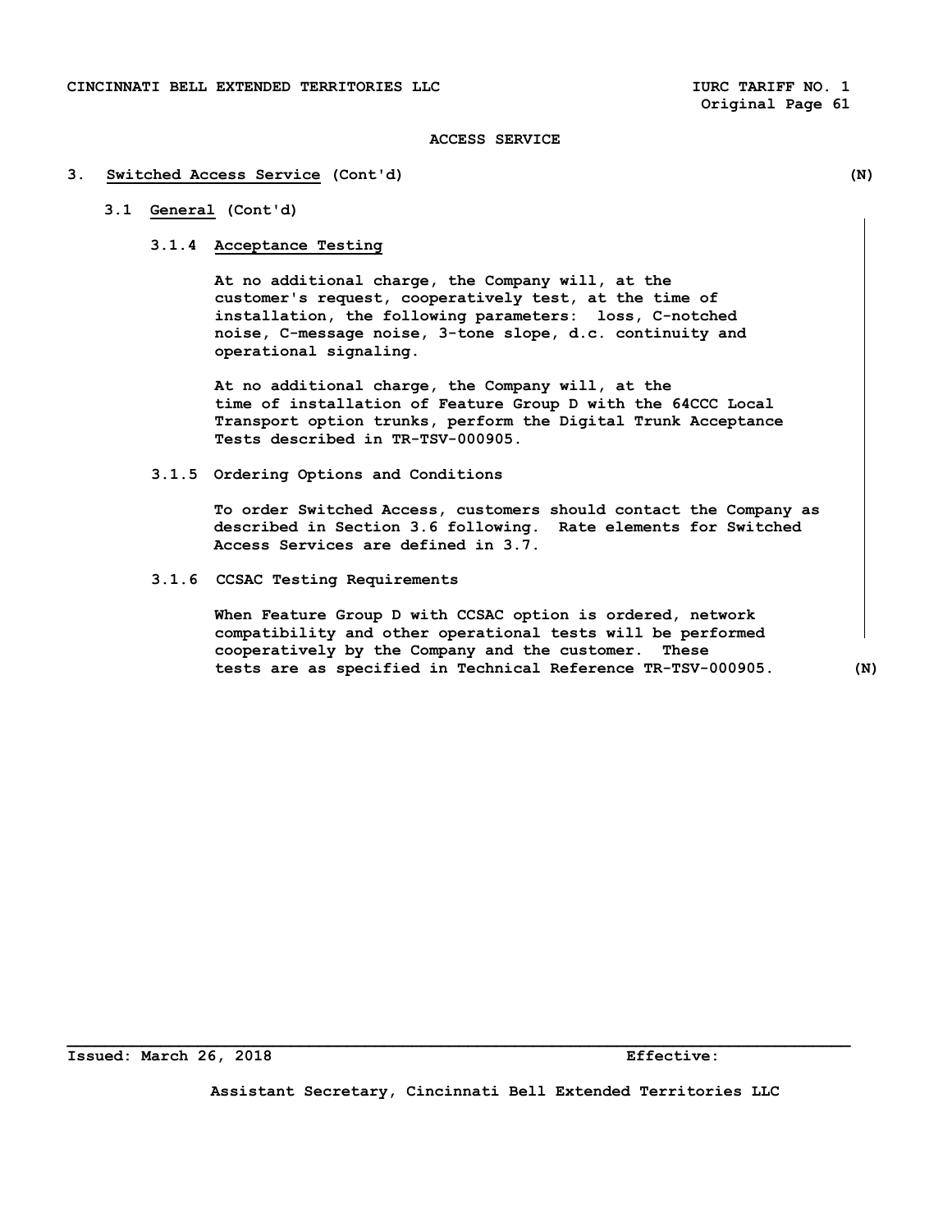#### **3. Switched Access Service (Cont'd) (N)**

# **3.1 General (Cont'd)**

# **3.1.4 Acceptance Testing**

 **At no additional charge, the Company will, at the customer's request, cooperatively test, at the time of installation, the following parameters: loss, C-notched noise, C-message noise, 3-tone slope, d.c. continuity and operational signaling.** 

 **At no additional charge, the Company will, at the time of installation of Feature Group D with the 64CCC Local Transport option trunks, perform the Digital Trunk Acceptance Tests described in TR-TSV-000905.** 

### **3.1.5 Ordering Options and Conditions**

 **To order Switched Access, customers should contact the Company as described in Section 3.6 following. Rate elements for Switched Access Services are defined in 3.7.** 

 **3.1.6 CCSAC Testing Requirements** 

 **When Feature Group D with CCSAC option is ordered, network compatibility and other operational tests will be performed cooperatively by the Company and the customer. These tests are as specified in Technical Reference TR-TSV-000905. (N)** 

**Assistant Secretary, Cincinnati Bell Extended Territories LLC**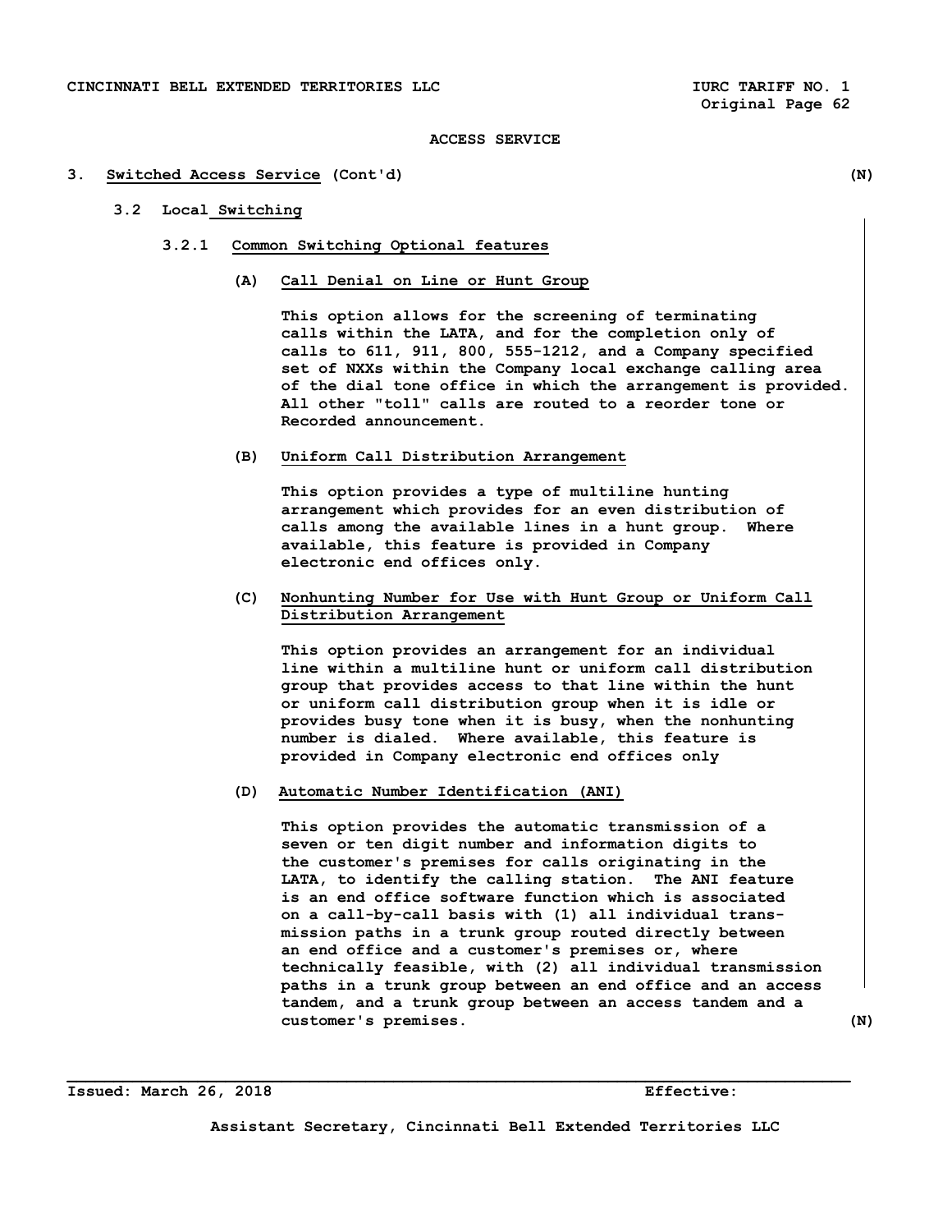### **3. Switched Access Service (Cont'd) (N)**

# **3.2 Local Switching**

- **3.2.1 Common Switching Optional features** 
	- **(A) Call Denial on Line or Hunt Group**

 **This option allows for the screening of terminating calls within the LATA, and for the completion only of calls to 611, 911, 800, 555-1212, and a Company specified set of NXXs within the Company local exchange calling area of the dial tone office in which the arrangement is provided. All other "toll" calls are routed to a reorder tone or Recorded announcement.** 

 **(B) Uniform Call Distribution Arrangement** 

 **This option provides a type of multiline hunting arrangement which provides for an even distribution of calls among the available lines in a hunt group. Where available, this feature is provided in Company electronic end offices only.** 

 **(C) Nonhunting Number for Use with Hunt Group or Uniform Call Distribution Arrangement** 

 **This option provides an arrangement for an individual line within a multiline hunt or uniform call distribution group that provides access to that line within the hunt or uniform call distribution group when it is idle or provides busy tone when it is busy, when the nonhunting number is dialed. Where available, this feature is provided in Company electronic end offices only** 

 **(D) Automatic Number Identification (ANI)** 

 **This option provides the automatic transmission of a seven or ten digit number and information digits to the customer's premises for calls originating in the LATA, to identify the calling station. The ANI feature is an end office software function which is associated on a call-by-call basis with (1) all individual trans mission paths in a trunk group routed directly between an end office and a customer's premises or, where technically feasible, with (2) all individual transmission paths in a trunk group between an end office and an access tandem, and a trunk group between an access tandem and a customer's premises. (N)**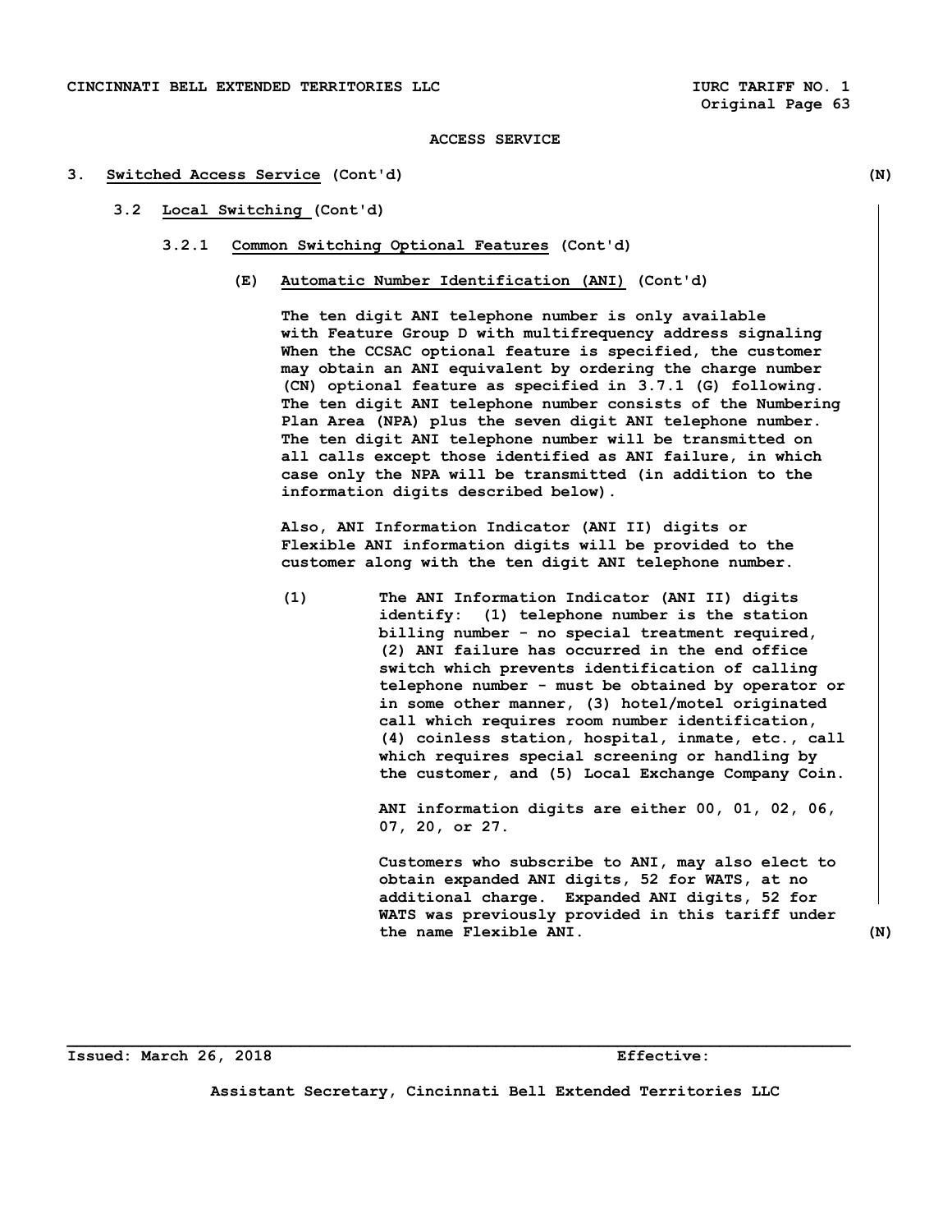### **3. Switched Access Service (Cont'd) (N)**

# **3.2 Local Switching (Cont'd)**

- **3.2.1 Common Switching Optional Features (Cont'd)** 
	- **(E) Automatic Number Identification (ANI) (Cont'd)**

 **The ten digit ANI telephone number is only available with Feature Group D with multifrequency address signaling When the CCSAC optional feature is specified, the customer may obtain an ANI equivalent by ordering the charge number (CN) optional feature as specified in 3.7.1 (G) following. The ten digit ANI telephone number consists of the Numbering Plan Area (NPA) plus the seven digit ANI telephone number. The ten digit ANI telephone number will be transmitted on all calls except those identified as ANI failure, in which case only the NPA will be transmitted (in addition to the information digits described below).** 

 **Also, ANI Information Indicator (ANI II) digits or Flexible ANI information digits will be provided to the customer along with the ten digit ANI telephone number.** 

 **(1) The ANI Information Indicator (ANI II) digits identify: (1) telephone number is the station billing number - no special treatment required, (2) ANI failure has occurred in the end office switch which prevents identification of calling telephone number - must be obtained by operator or in some other manner, (3) hotel/motel originated call which requires room number identification, (4) coinless station, hospital, inmate, etc., call which requires special screening or handling by the customer, and (5) Local Exchange Company Coin.** 

> **ANI information digits are either 00, 01, 02, 06, 07, 20, or 27.**

 **Customers who subscribe to ANI, may also elect to obtain expanded ANI digits, 52 for WATS, at no additional charge. Expanded ANI digits, 52 for WATS was previously provided in this tariff under the name Flexible ANI. (N)** 

**Issued: March 26, 2018 Effective:** 

**Assistant Secretary, Cincinnati Bell Extended Territories LLC**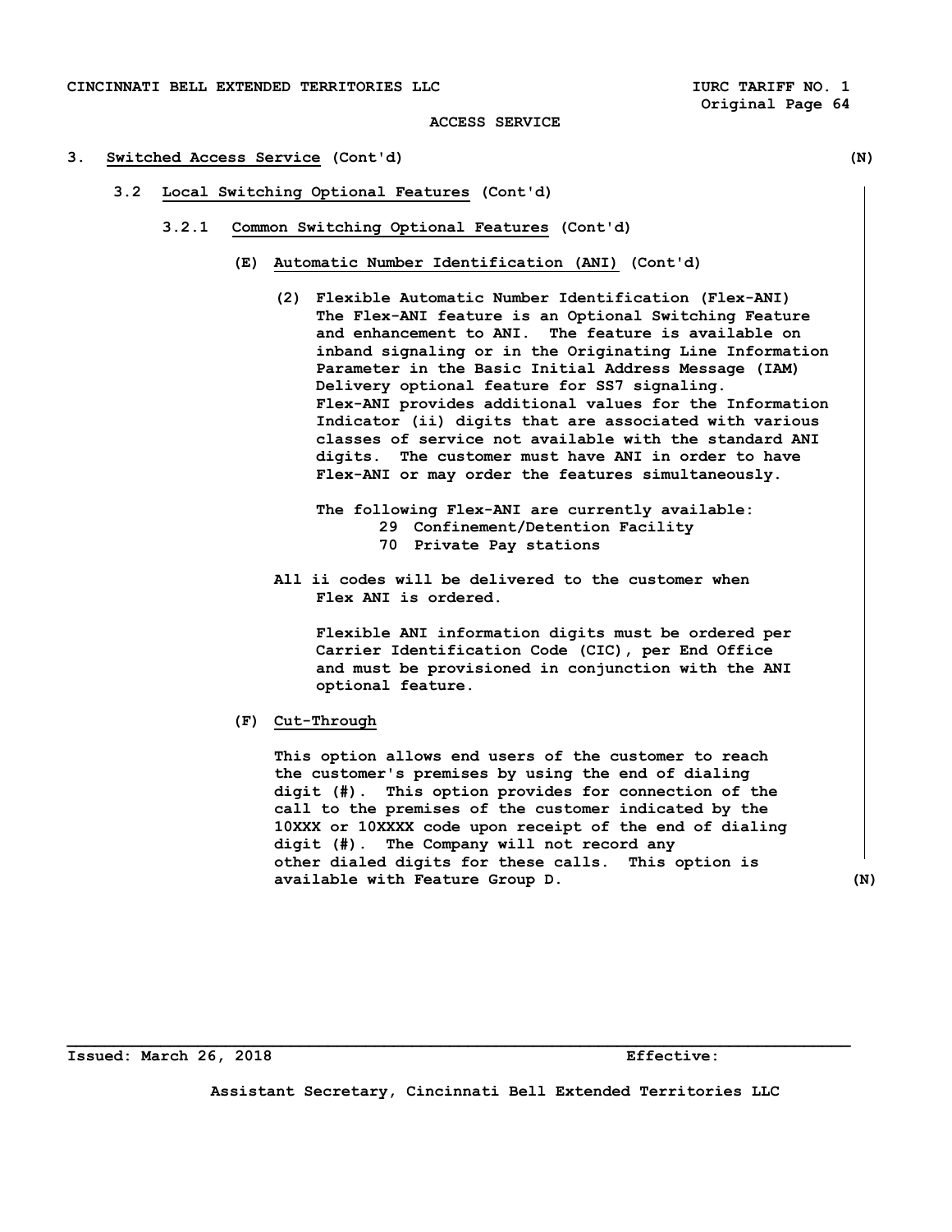- **3. Switched Access Service (Cont'd) (N)** 
	- **3.2 Local Switching Optional Features (Cont'd)** 
		- **3.2.1 Common Switching Optional Features (Cont'd)** 
			- **(E) Automatic Number Identification (ANI) (Cont'd)** 
				- **(2) Flexible Automatic Number Identification (Flex-ANI) The Flex-ANI feature is an Optional Switching Feature and enhancement to ANI. The feature is available on inband signaling or in the Originating Line Information Parameter in the Basic Initial Address Message (IAM) Delivery optional feature for SS7 signaling. Flex-ANI provides additional values for the Information Indicator (ii) digits that are associated with various classes of service not available with the standard ANI digits. The customer must have ANI in order to have Flex-ANI or may order the features simultaneously.**

 **The following Flex-ANI are currently available: 29 Confinement/Detention Facility 70 Private Pay stations** 

 **All ii codes will be delivered to the customer when Flex ANI is ordered.** 

 **Flexible ANI information digits must be ordered per Carrier Identification Code (CIC), per End Office and must be provisioned in conjunction with the ANI optional feature.** 

 **(F) Cut-Through** 

 **This option allows end users of the customer to reach the customer's premises by using the end of dialing digit (#). This option provides for connection of the call to the premises of the customer indicated by the 10XXX or 10XXXX code upon receipt of the end of dialing digit (#). The Company will not record any other dialed digits for these calls. This option is available with Feature Group D. (N)** 

**Issued: March 26, 2018 Effective:** 

**Assistant Secretary, Cincinnati Bell Extended Territories LLC**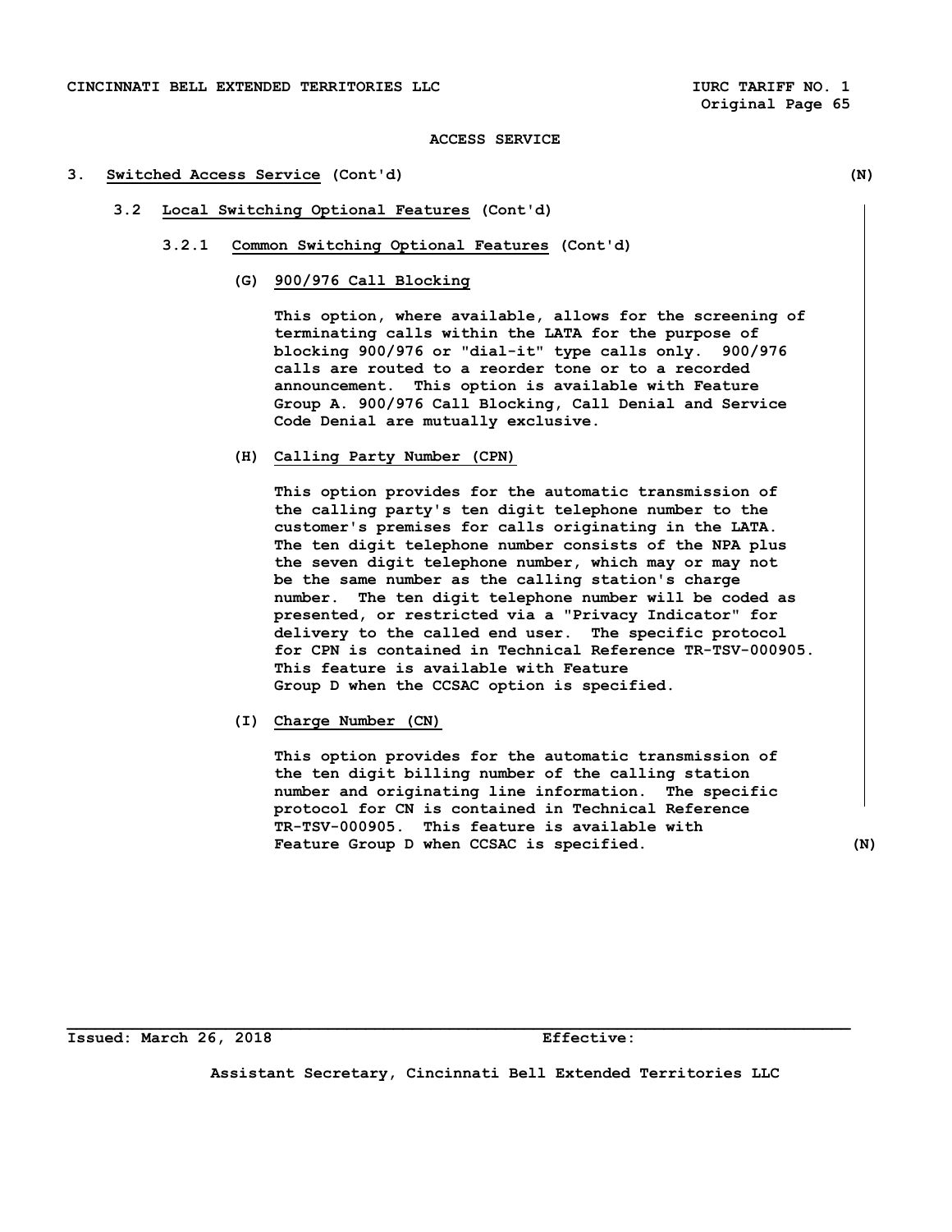### **3. Switched Access Service (Cont'd) (N)**

- **3.2 Local Switching Optional Features (Cont'd)** 
	- **3.2.1 Common Switching Optional Features (Cont'd)** 
		- **(G) 900/976 Call Blocking**

 **This option, where available, allows for the screening of terminating calls within the LATA for the purpose of blocking 900/976 or "dial-it" type calls only. 900/976 calls are routed to a reorder tone or to a recorded announcement. This option is available with Feature Group A. 900/976 Call Blocking, Call Denial and Service Code Denial are mutually exclusive.** 

 **(H) Calling Party Number (CPN)** 

 **This option provides for the automatic transmission of the calling party's ten digit telephone number to the customer's premises for calls originating in the LATA. The ten digit telephone number consists of the NPA plus the seven digit telephone number, which may or may not be the same number as the calling station's charge number. The ten digit telephone number will be coded as presented, or restricted via a "Privacy Indicator" for delivery to the called end user. The specific protocol for CPN is contained in Technical Reference TR-TSV-000905. This feature is available with Feature Group D when the CCSAC option is specified.** 

 **(I) Charge Number (CN)** 

 **This option provides for the automatic transmission of the ten digit billing number of the calling station number and originating line information. The specific protocol for CN is contained in Technical Reference TR-TSV-000905. This feature is available with**  Feature Group D when CCSAC is specified. (N)

**Issued: March 26, 2018 Effective:** 

**Assistant Secretary, Cincinnati Bell Extended Territories LLC**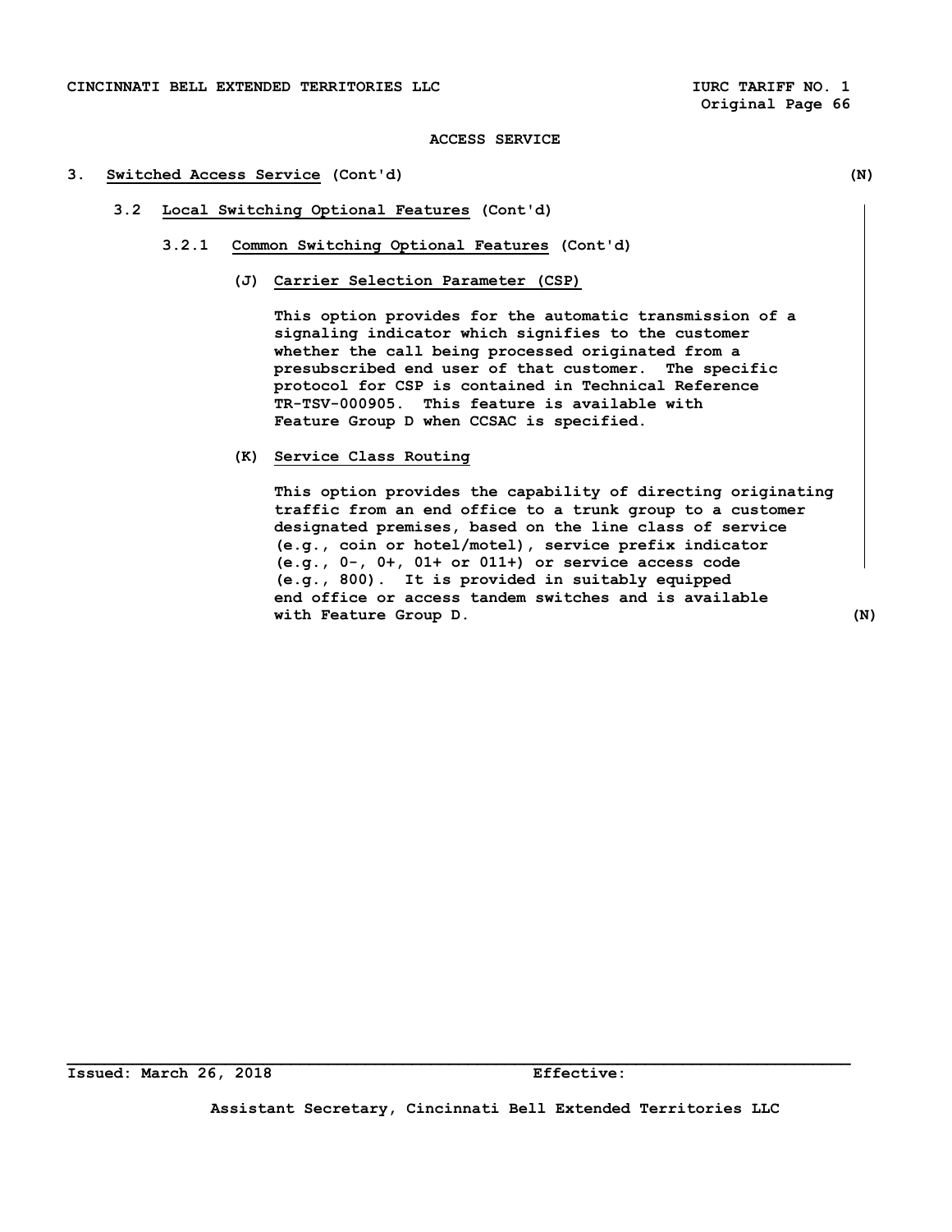### **3. Switched Access Service (Cont'd) (N)**

- **3.2 Local Switching Optional Features (Cont'd)** 
	- **3.2.1 Common Switching Optional Features (Cont'd)** 
		- **(J) Carrier Selection Parameter (CSP)**

 **This option provides for the automatic transmission of a signaling indicator which signifies to the customer whether the call being processed originated from a presubscribed end user of that customer. The specific protocol for CSP is contained in Technical Reference TR-TSV-000905. This feature is available with Feature Group D when CCSAC is specified.** 

 **(K) Service Class Routing** 

 **This option provides the capability of directing originating traffic from an end office to a trunk group to a customer designated premises, based on the line class of service (e.g., coin or hotel/motel), service prefix indicator (e.g., 0-, 0+, 01+ or 011+) or service access code (e.g., 800). It is provided in suitably equipped end office or access tandem switches and is available with Feature Group D. (N)** 

**Assistant Secretary, Cincinnati Bell Extended Territories LLC**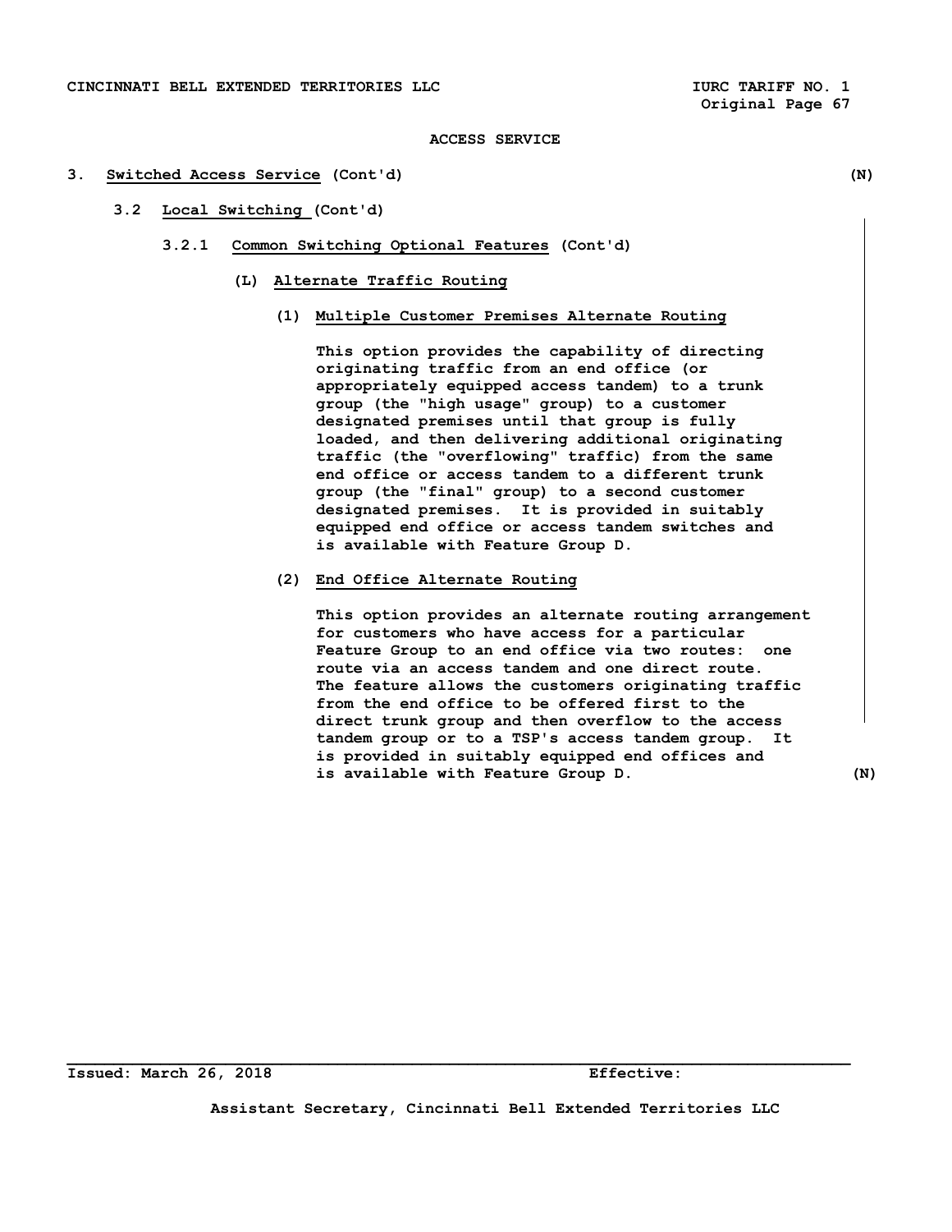### **3. Switched Access Service (Cont'd) (N)**

- **3.2 Local Switching (Cont'd)** 
	- **3.2.1 Common Switching Optional Features (Cont'd)** 
		- **(L) Alternate Traffic Routing** 
			- **(1) Multiple Customer Premises Alternate Routing**

 **This option provides the capability of directing originating traffic from an end office (or appropriately equipped access tandem) to a trunk group (the "high usage" group) to a customer designated premises until that group is fully loaded, and then delivering additional originating traffic (the "overflowing" traffic) from the same end office or access tandem to a different trunk group (the "final" group) to a second customer designated premises. It is provided in suitably equipped end office or access tandem switches and is available with Feature Group D.** 

# **(2) End Office Alternate Routing**

 **This option provides an alternate routing arrangement for customers who have access for a particular Feature Group to an end office via two routes: one route via an access tandem and one direct route. The feature allows the customers originating traffic from the end office to be offered first to the direct trunk group and then overflow to the access tandem group or to a TSP's access tandem group. It is provided in suitably equipped end offices and is available with Feature Group D. (N)** 

**Assistant Secretary, Cincinnati Bell Extended Territories LLC**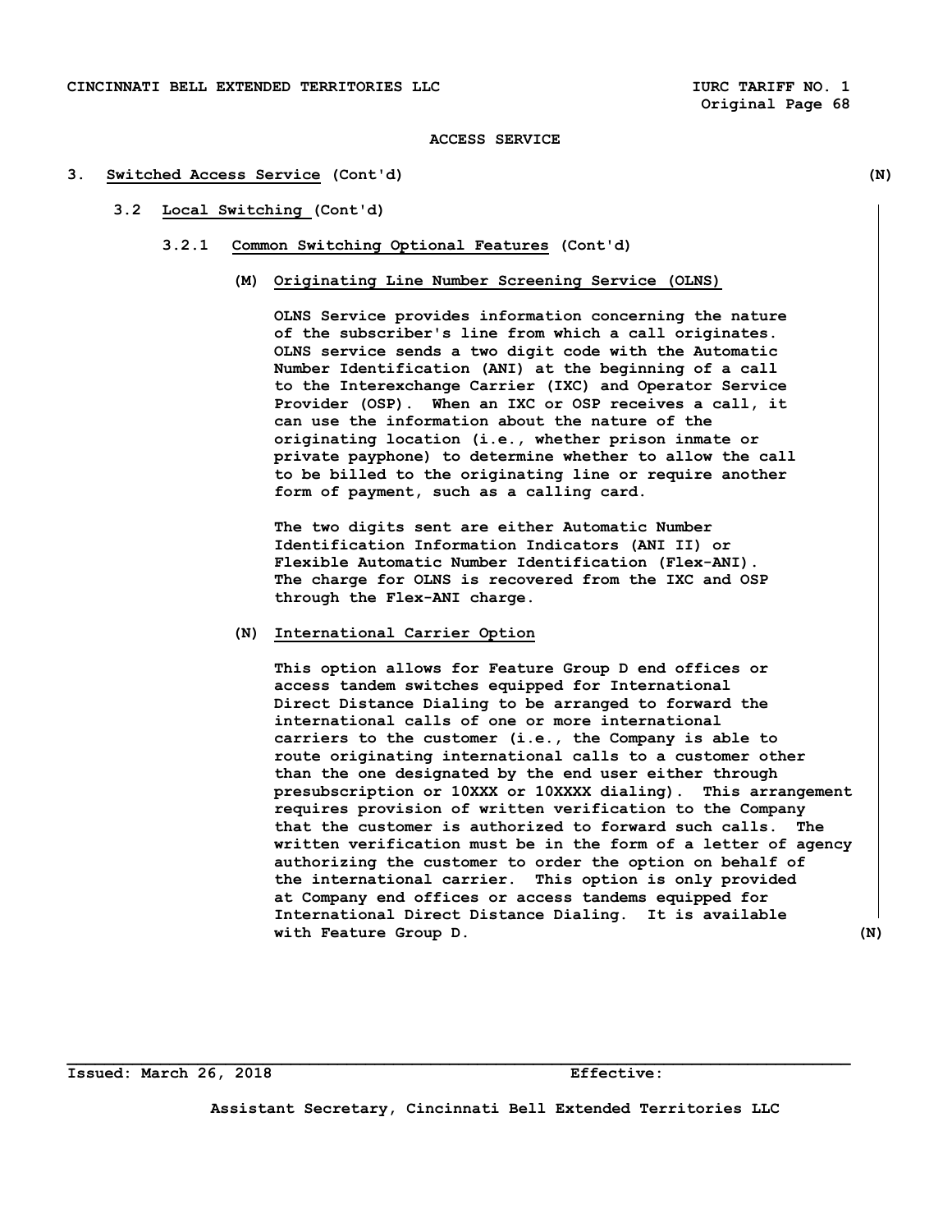## **3. Switched Access Service (Cont'd) (N)**

# **3.2 Local Switching (Cont'd)**

- **3.2.1 Common Switching Optional Features (Cont'd)** 
	- **(M) Originating Line Number Screening Service (OLNS)**

 **OLNS Service provides information concerning the nature of the subscriber's line from which a call originates. OLNS service sends a two digit code with the Automatic Number Identification (ANI) at the beginning of a call to the Interexchange Carrier (IXC) and Operator Service Provider (OSP). When an IXC or OSP receives a call, it can use the information about the nature of the originating location (i.e., whether prison inmate or private payphone) to determine whether to allow the call to be billed to the originating line or require another form of payment, such as a calling card.** 

 **The two digits sent are either Automatic Number Identification Information Indicators (ANI II) or Flexible Automatic Number Identification (Flex-ANI). The charge for OLNS is recovered from the IXC and OSP through the Flex-ANI charge.** 

# **(N) International Carrier Option**

 **This option allows for Feature Group D end offices or access tandem switches equipped for International Direct Distance Dialing to be arranged to forward the international calls of one or more international carriers to the customer (i.e., the Company is able to route originating international calls to a customer other than the one designated by the end user either through presubscription or 10XXX or 10XXXX dialing). This arrangement requires provision of written verification to the Company that the customer is authorized to forward such calls. The written verification must be in the form of a letter of agency authorizing the customer to order the option on behalf of the international carrier. This option is only provided at Company end offices or access tandems equipped for International Direct Distance Dialing. It is available with Feature Group D.** (N)

**Issued: March 26, 2018 Effective:** 

**Assistant Secretary, Cincinnati Bell Extended Territories LLC**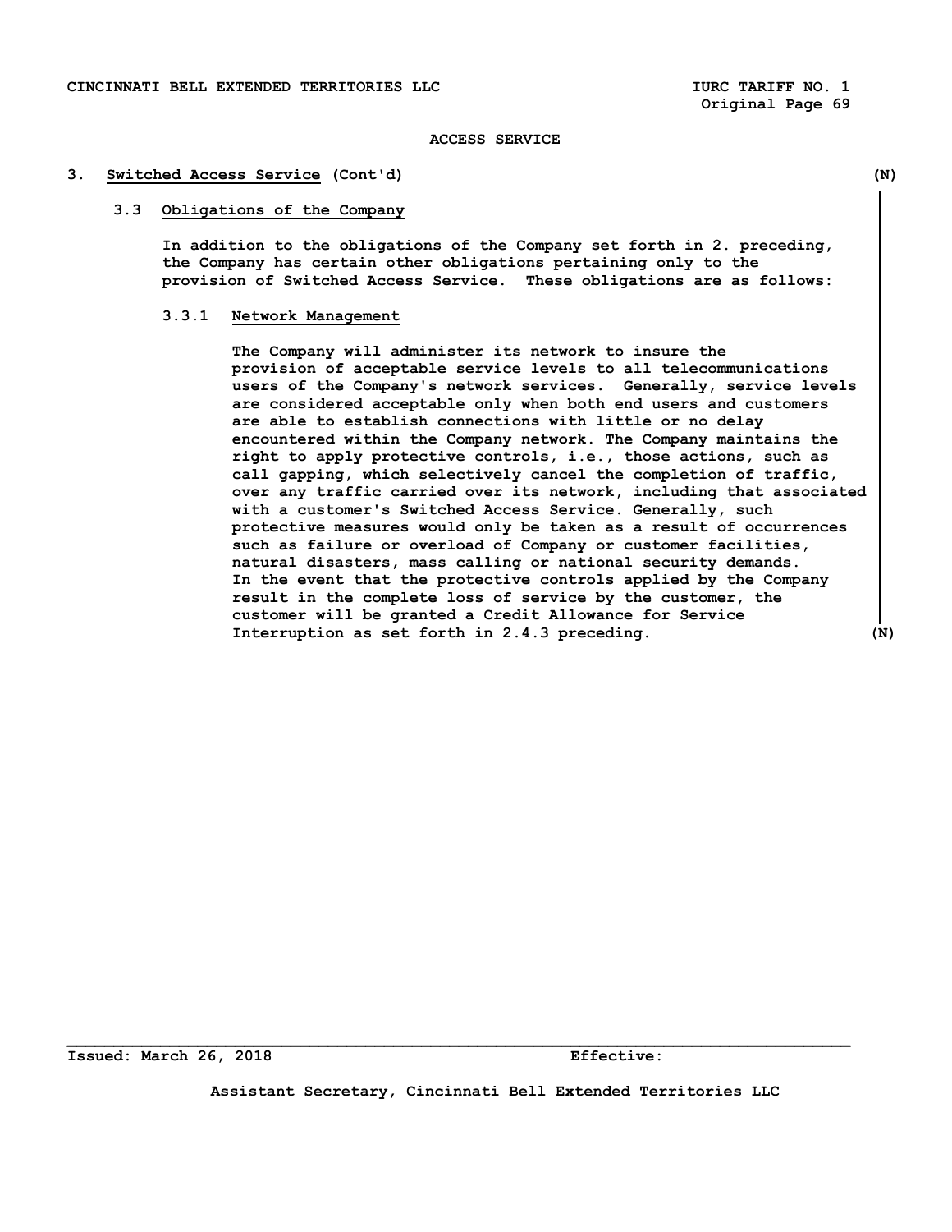#### **3. Switched Access Service (Cont'd) (N)**

## **3.3 Obligations of the Company**

 **In addition to the obligations of the Company set forth in 2. preceding, the Company has certain other obligations pertaining only to the provision of Switched Access Service. These obligations are as follows:** 

# **3.3.1 Network Management**

 **The Company will administer its network to insure the provision of acceptable service levels to all telecommunications users of the Company's network services. Generally, service levels are considered acceptable only when both end users and customers are able to establish connections with little or no delay encountered within the Company network. The Company maintains the right to apply protective controls, i.e., those actions, such as call gapping, which selectively cancel the completion of traffic, over any traffic carried over its network, including that associated with a customer's Switched Access Service. Generally, such protective measures would only be taken as a result of occurrences such as failure or overload of Company or customer facilities, natural disasters, mass calling or national security demands. In the event that the protective controls applied by the Company result in the complete loss of service by the customer, the customer will be granted a Credit Allowance for Service Interruption as set forth in 2.4.3 preceding. (N)** 

**Issued: March 26, 2018 Effective:** 

**Assistant Secretary, Cincinnati Bell Extended Territories LLC**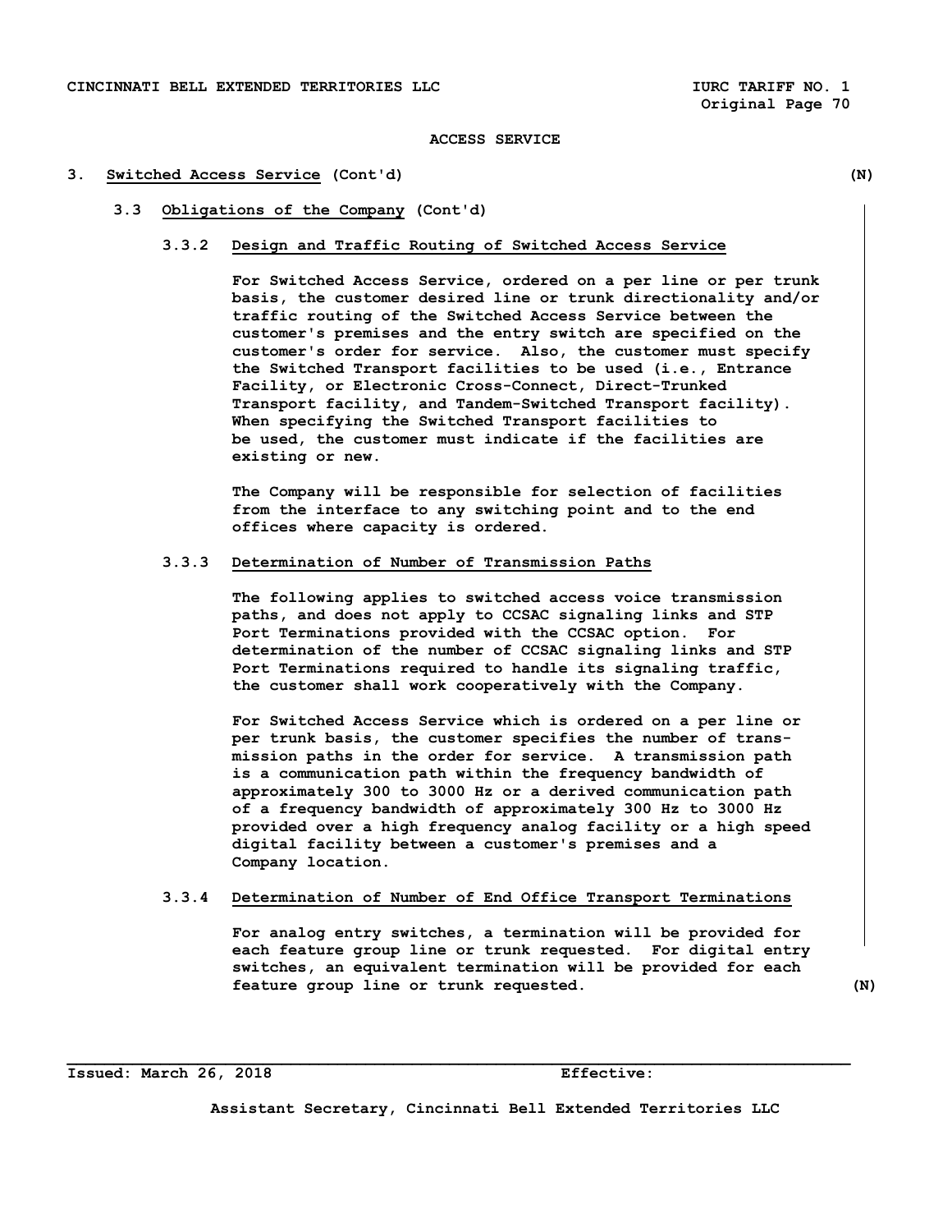### **3. Switched Access Service (Cont'd) (N)**

### **3.3 Obligations of the Company (Cont'd)**

### **3.3.2 Design and Traffic Routing of Switched Access Service**

 **For Switched Access Service, ordered on a per line or per trunk basis, the customer desired line or trunk directionality and/or traffic routing of the Switched Access Service between the customer's premises and the entry switch are specified on the customer's order for service. Also, the customer must specify the Switched Transport facilities to be used (i.e., Entrance Facility, or Electronic Cross-Connect, Direct-Trunked Transport facility, and Tandem-Switched Transport facility). When specifying the Switched Transport facilities to be used, the customer must indicate if the facilities are existing or new.** 

 **The Company will be responsible for selection of facilities from the interface to any switching point and to the end offices where capacity is ordered.** 

# **3.3.3 Determination of Number of Transmission Paths**

 **The following applies to switched access voice transmission paths, and does not apply to CCSAC signaling links and STP Port Terminations provided with the CCSAC option. For determination of the number of CCSAC signaling links and STP Port Terminations required to handle its signaling traffic, the customer shall work cooperatively with the Company.** 

 **For Switched Access Service which is ordered on a per line or per trunk basis, the customer specifies the number of trans mission paths in the order for service. A transmission path is a communication path within the frequency bandwidth of approximately 300 to 3000 Hz or a derived communication path of a frequency bandwidth of approximately 300 Hz to 3000 Hz provided over a high frequency analog facility or a high speed digital facility between a customer's premises and a Company location.** 

# **3.3.4 Determination of Number of End Office Transport Terminations**

 **For analog entry switches, a termination will be provided for each feature group line or trunk requested. For digital entry switches, an equivalent termination will be provided for each feature group line or trunk requested. (N)** 

### **Issued: March 26, 2018 Effective:**

**Assistant Secretary, Cincinnati Bell Extended Territories LLC**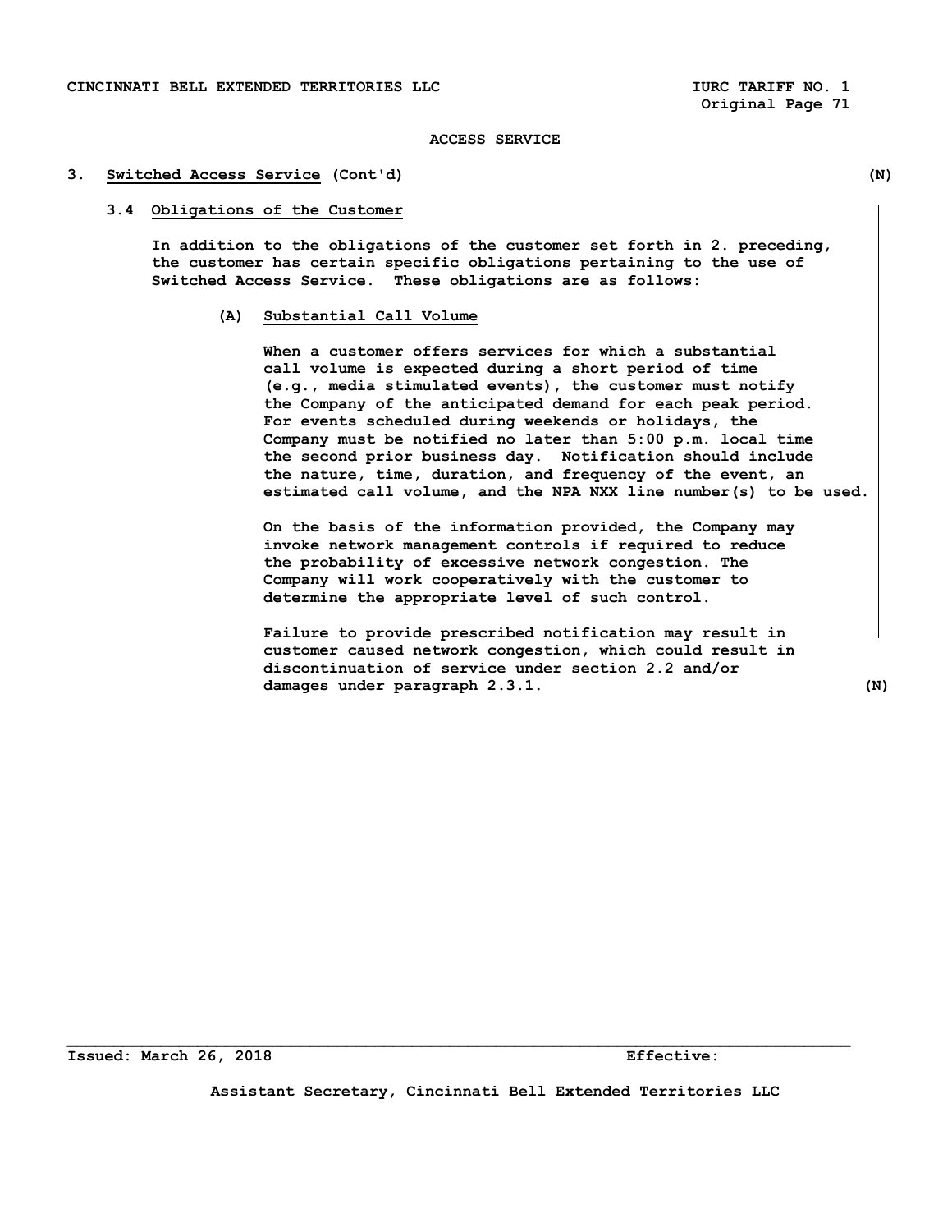#### **3. Switched Access Service (Cont'd) (N)**

## **3.4 Obligations of the Customer**

 **In addition to the obligations of the customer set forth in 2. preceding, the customer has certain specific obligations pertaining to the use of Switched Access Service. These obligations are as follows:** 

## **(A) Substantial Call Volume**

 **When a customer offers services for which a substantial call volume is expected during a short period of time (e.g., media stimulated events), the customer must notify the Company of the anticipated demand for each peak period. For events scheduled during weekends or holidays, the Company must be notified no later than 5:00 p.m. local time the second prior business day. Notification should include the nature, time, duration, and frequency of the event, an estimated call volume, and the NPA NXX line number(s) to be used.** 

 **On the basis of the information provided, the Company may invoke network management controls if required to reduce the probability of excessive network congestion. The Company will work cooperatively with the customer to determine the appropriate level of such control.** 

 **Failure to provide prescribed notification may result in customer caused network congestion, which could result in discontinuation of service under section 2.2 and/or damages under paragraph 2.3.1. (N)** 

**Issued: March 26, 2018 Effective:** 

**Assistant Secretary, Cincinnati Bell Extended Territories LLC**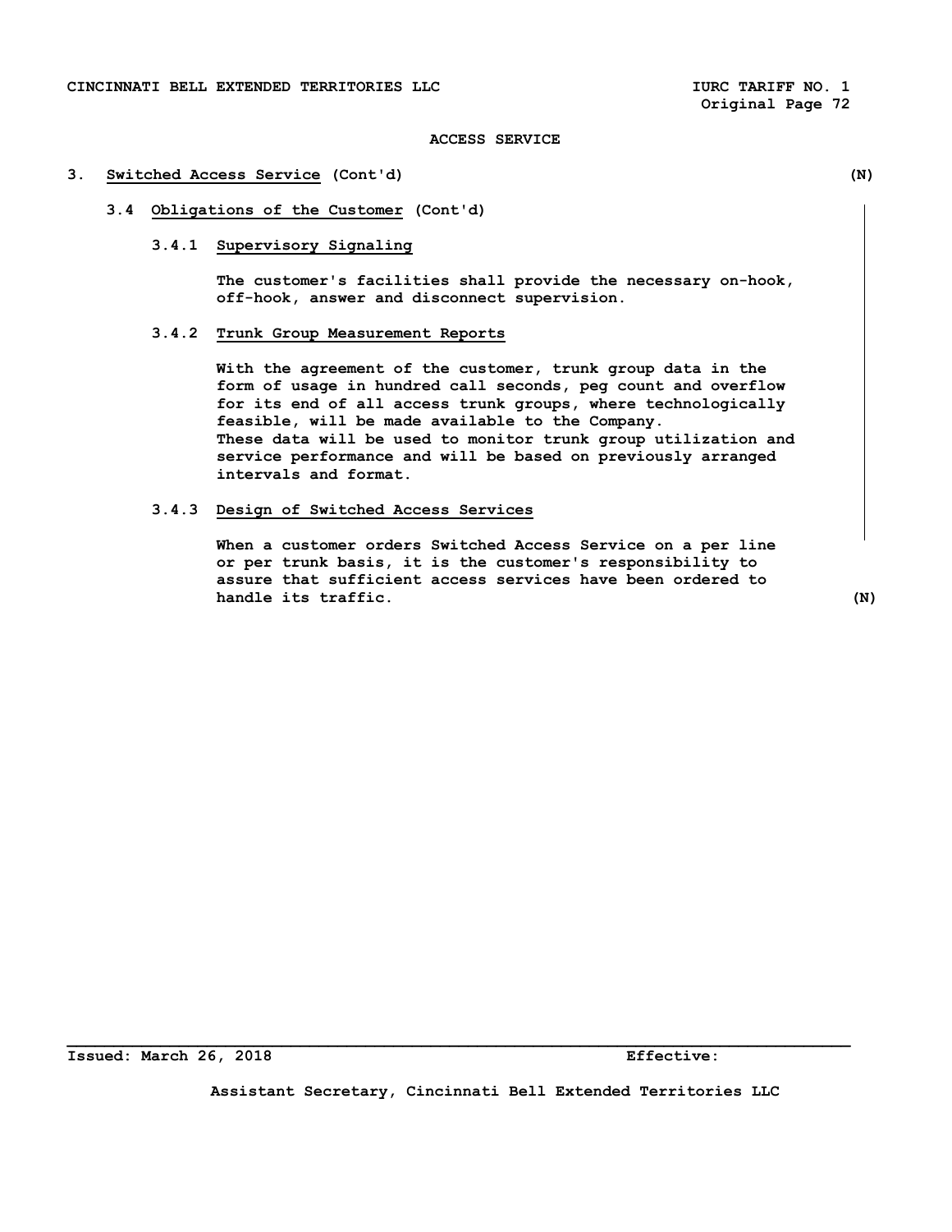## **3. Switched Access Service (Cont'd) (N)**

# **3.4 Obligations of the Customer (Cont'd)**

# **3.4.1 Supervisory Signaling**

 **The customer's facilities shall provide the necessary on-hook, off-hook, answer and disconnect supervision.** 

# **3.4.2 Trunk Group Measurement Reports**

 **With the agreement of the customer, trunk group data in the form of usage in hundred call seconds, peg count and overflow for its end of all access trunk groups, where technologically feasible, will be made available to the Company. These data will be used to monitor trunk group utilization and service performance and will be based on previously arranged intervals and format.** 

# **3.4.3 Design of Switched Access Services**

 **When a customer orders Switched Access Service on a per line or per trunk basis, it is the customer's responsibility to assure that sufficient access services have been ordered to handle its traffic.** (N)

**Assistant Secretary, Cincinnati Bell Extended Territories LLC**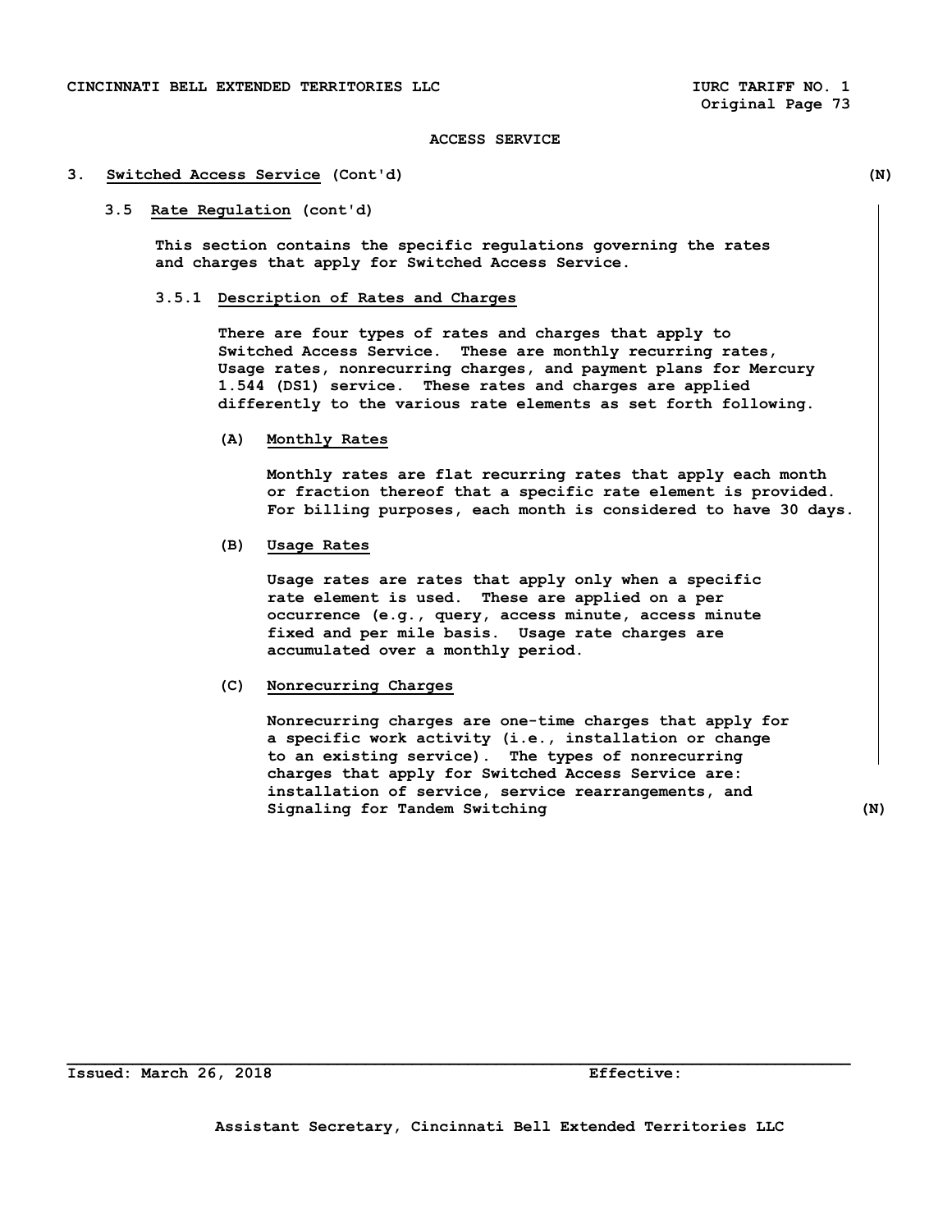#### **3. Switched Access Service (Cont'd) (N)**

## **3.5 Rate Regulation (cont'd)**

 **This section contains the specific regulations governing the rates and charges that apply for Switched Access Service.** 

#### **3.5.1 Description of Rates and Charges**

 **There are four types of rates and charges that apply to Switched Access Service. These are monthly recurring rates, Usage rates, nonrecurring charges, and payment plans for Mercury 1.544 (DS1) service. These rates and charges are applied differently to the various rate elements as set forth following.** 

 **(A) Monthly Rates** 

 **Monthly rates are flat recurring rates that apply each month or fraction thereof that a specific rate element is provided. For billing purposes, each month is considered to have 30 days.** 

## **(B) Usage Rates**

 **Usage rates are rates that apply only when a specific rate element is used. These are applied on a per occurrence (e.g., query, access minute, access minute fixed and per mile basis. Usage rate charges are accumulated over a monthly period.** 

#### **(C) Nonrecurring Charges**

 **Nonrecurring charges are one-time charges that apply for a specific work activity (i.e., installation or change to an existing service). The types of nonrecurring charges that apply for Switched Access Service are: installation of service, service rearrangements, and Signaling for Tandem Switching (N)**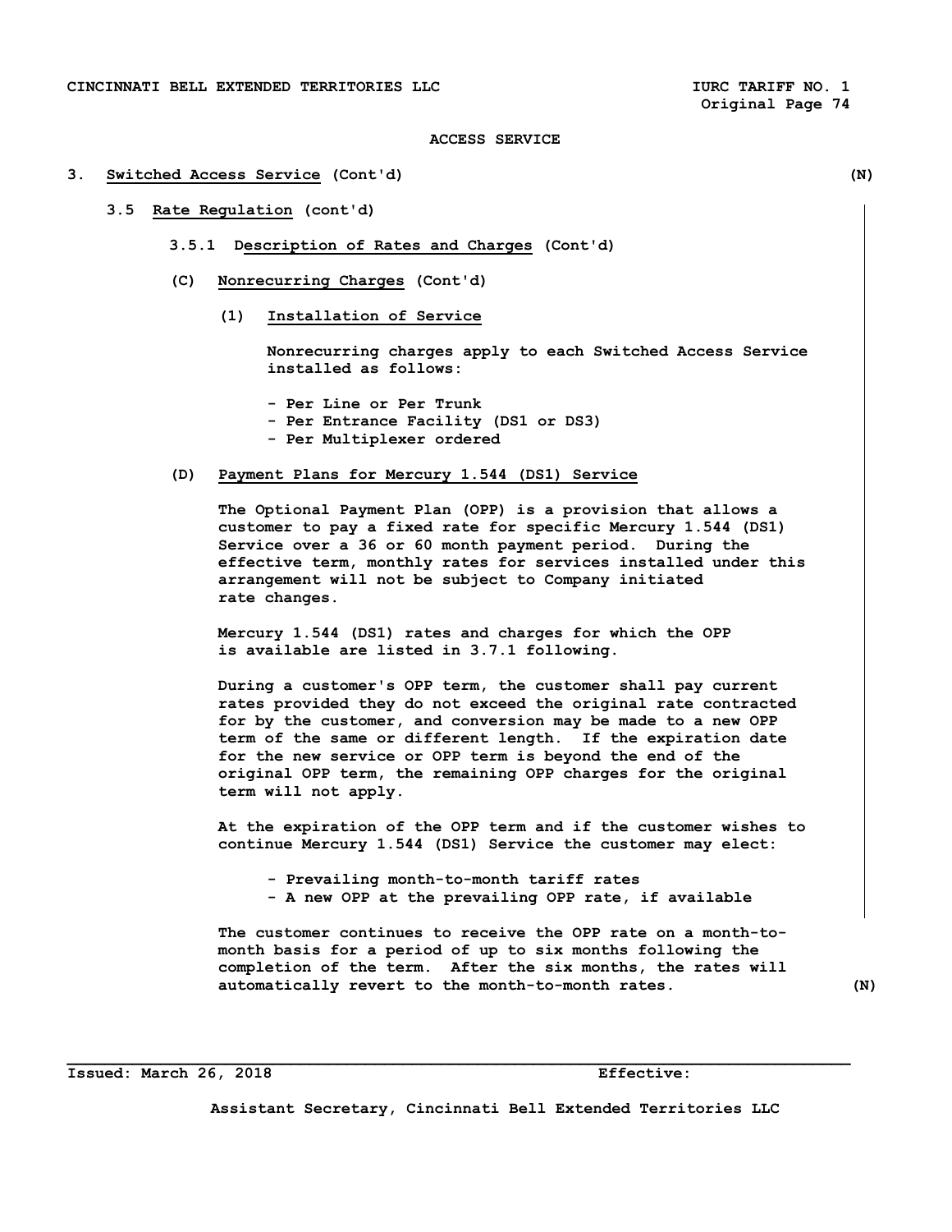#### **3. Switched Access Service (Cont'd) (N)**

## **3.5 Rate Regulation (cont'd)**

- **3.5.1 Description of Rates and Charges (Cont'd)**
- **(C) Nonrecurring Charges (Cont'd)** 
	- **(1) Installation of Service**

 **Nonrecurring charges apply to each Switched Access Service installed as follows:** 

- **Per Line or Per Trunk - Per Entrance Facility (DS1 or DS3)**
- **Per Multiplexer ordered**

## **(D) Payment Plans for Mercury 1.544 (DS1) Service**

 **The Optional Payment Plan (OPP) is a provision that allows a customer to pay a fixed rate for specific Mercury 1.544 (DS1) Service over a 36 or 60 month payment period. During the effective term, monthly rates for services installed under this arrangement will not be subject to Company initiated rate changes.** 

 **Mercury 1.544 (DS1) rates and charges for which the OPP is available are listed in 3.7.1 following.** 

 **During a customer's OPP term, the customer shall pay current rates provided they do not exceed the original rate contracted for by the customer, and conversion may be made to a new OPP term of the same or different length. If the expiration date for the new service or OPP term is beyond the end of the original OPP term, the remaining OPP charges for the original term will not apply.** 

 **At the expiration of the OPP term and if the customer wishes to continue Mercury 1.544 (DS1) Service the customer may elect:** 

 **- Prevailing month-to-month tariff rates** 

**\_\_\_\_\_\_\_\_\_\_\_\_\_\_\_\_\_\_\_\_\_\_\_\_\_\_\_\_\_\_\_\_\_\_\_\_\_\_\_\_\_\_\_\_\_\_\_\_\_\_\_\_\_\_\_\_\_\_\_\_\_\_\_\_\_\_\_\_\_\_\_\_\_\_\_\_\_\_\_\_\_\_\_\_** 

 **- A new OPP at the prevailing OPP rate, if available** 

 **The customer continues to receive the OPP rate on a month-to month basis for a period of up to six months following the completion of the term. After the six months, the rates will automatically revert to the month-to-month rates. (N)** 

#### **Issued: March 26, 2018 Effective:**

**Assistant Secretary, Cincinnati Bell Extended Territories LLC**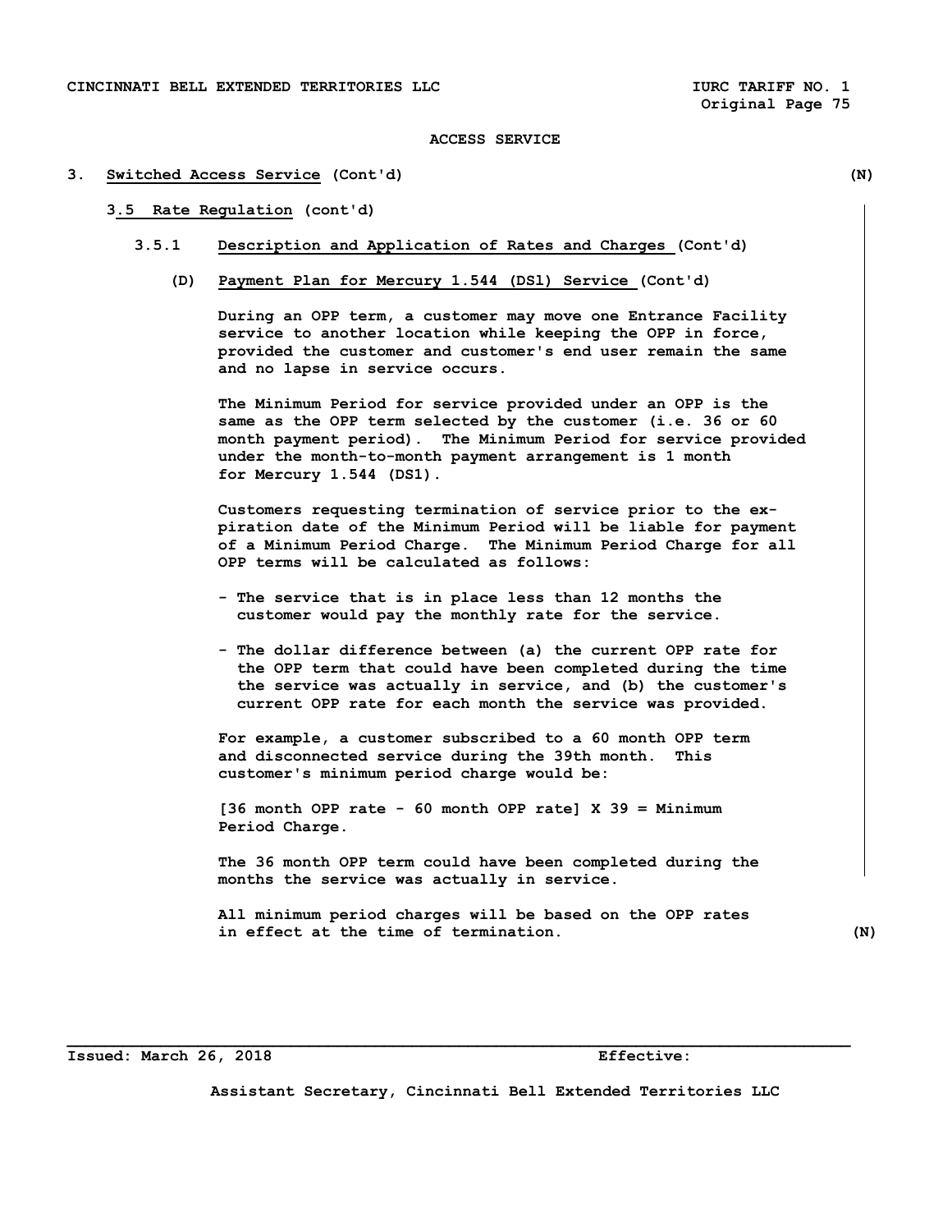#### **3. Switched Access Service (Cont'd) (N)**

## **3.5 Rate Regulation (cont'd)**

- **3.5.1 Description and Application of Rates and Charges (Cont'd)** 
	- **(D) Payment Plan for Mercury 1.544 (DSl) Service (Cont'd)**

 **During an OPP term, a customer may move one Entrance Facility service to another location while keeping the OPP in force, provided the customer and customer's end user remain the same and no lapse in service occurs.** 

 **The Minimum Period for service provided under an OPP is the same as the OPP term selected by the customer (i.e. 36 or 60 month payment period). The Minimum Period for service provided under the month-to-month payment arrangement is 1 month for Mercury 1.544 (DS1).** 

 **Customers requesting termination of service prior to the ex piration date of the Minimum Period will be liable for payment of a Minimum Period Charge. The Minimum Period Charge for all OPP terms will be calculated as follows:** 

- **The service that is in place less than 12 months the customer would pay the monthly rate for the service.**
- **The dollar difference between (a) the current OPP rate for the OPP term that could have been completed during the time the service was actually in service, and (b) the customer's current OPP rate for each month the service was provided.**

 **For example, a customer subscribed to a 60 month OPP term and disconnected service during the 39th month. This customer's minimum period charge would be:** 

 **[36 month OPP rate - 60 month OPP rate] X 39 = Minimum Period Charge.** 

 **The 36 month OPP term could have been completed during the months the service was actually in service.** 

 **All minimum period charges will be based on the OPP rates in effect at the time of termination. (N)** 

**Issued: March 26, 2018 Effective:** 

**Assistant Secretary, Cincinnati Bell Extended Territories LLC**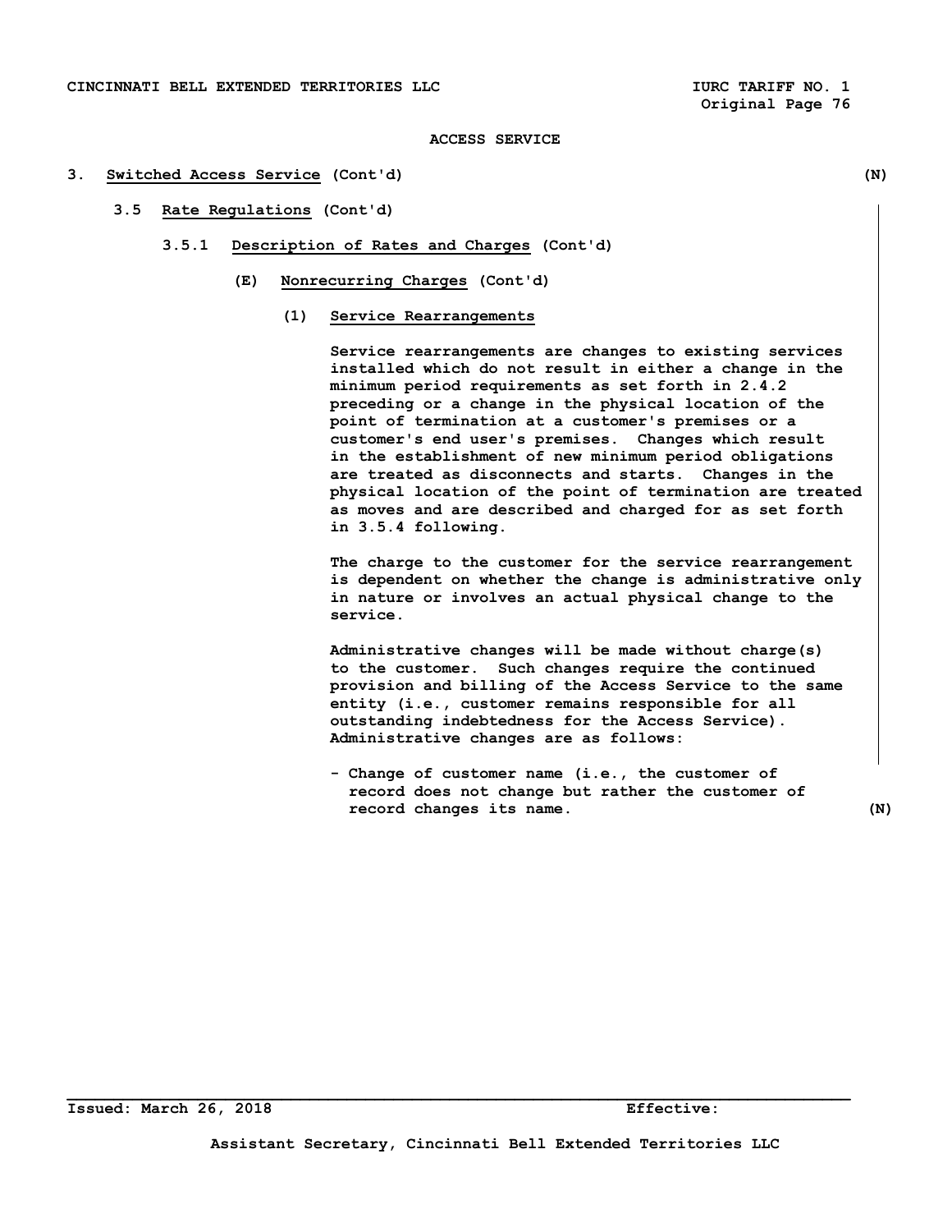#### **3. Switched Access Service (Cont'd) (N)**

# **3.5 Rate Regulations (Cont'd)**

- **3.5.1 Description of Rates and Charges (Cont'd)** 
	- **(E) Nonrecurring Charges (Cont'd)** 
		- **(1) Service Rearrangements**

 **Service rearrangements are changes to existing services installed which do not result in either a change in the minimum period requirements as set forth in 2.4.2 preceding or a change in the physical location of the point of termination at a customer's premises or a customer's end user's premises. Changes which result in the establishment of new minimum period obligations are treated as disconnects and starts. Changes in the physical location of the point of termination are treated as moves and are described and charged for as set forth in 3.5.4 following.** 

 **The charge to the customer for the service rearrangement is dependent on whether the change is administrative only in nature or involves an actual physical change to the service.** 

 **Administrative changes will be made without charge(s) to the customer. Such changes require the continued provision and billing of the Access Service to the same entity (i.e., customer remains responsible for all outstanding indebtedness for the Access Service). Administrative changes are as follows:** 

 **- Change of customer name (i.e., the customer of record does not change but rather the customer of record changes its name. (N)**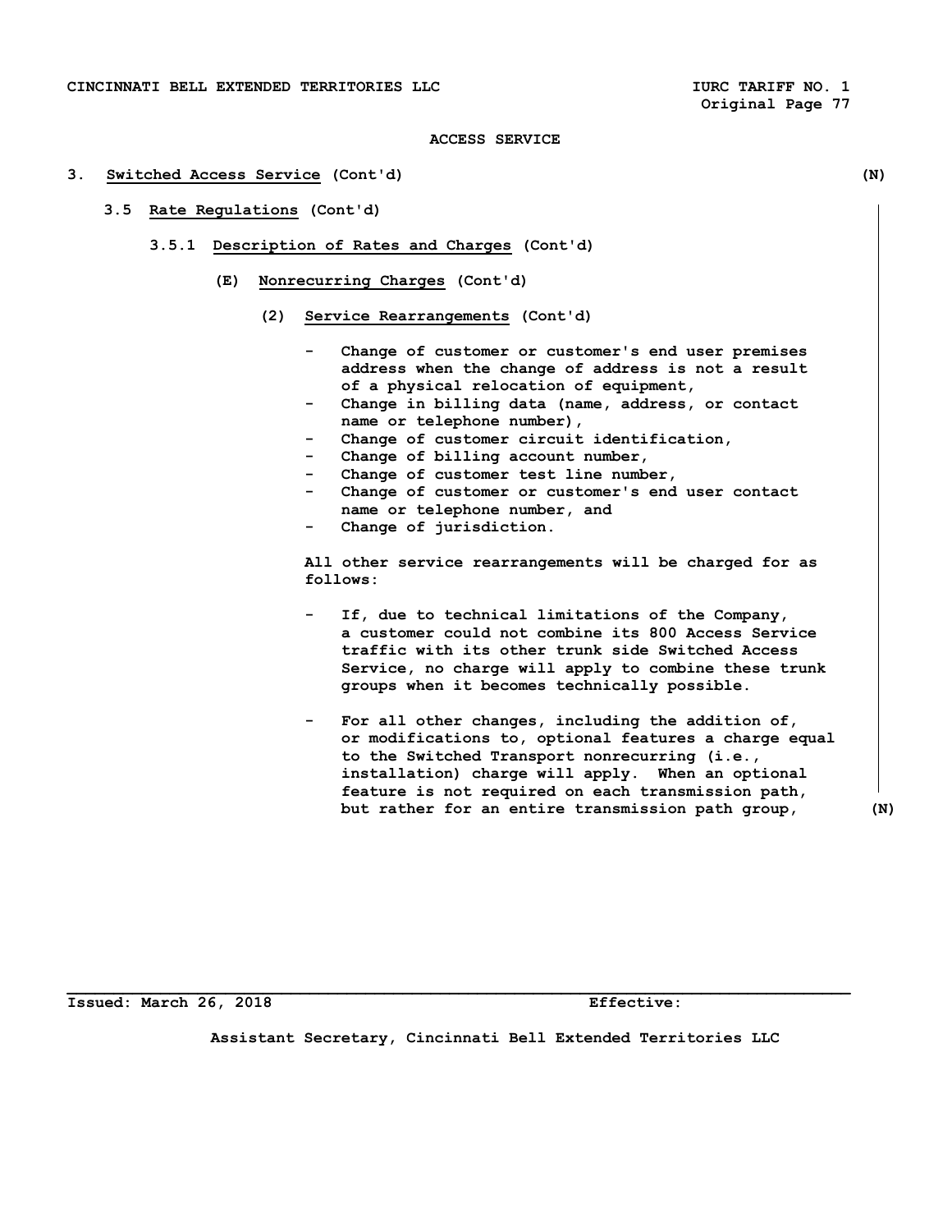#### **3. Switched Access Service (Cont'd) (N)**

- **3.5 Rate Regulations (Cont'd)** 
	- **3.5.1 Description of Rates and Charges (Cont'd)** 
		- **(E) Nonrecurring Charges (Cont'd)** 
			- **(2) Service Rearrangements (Cont'd)** 
				- Change of customer or customer's end user premises  **address when the change of address is not a result of a physical relocation of equipment,**
				- Change in billing data (name, address, or contact  **name or telephone number),**
				- Change of customer circuit identification,
				- Change of billing account number,
				- Change of customer test line number,
				- Change of customer or customer's end user contact  **name or telephone number, and**
				- Change of jurisdiction.

 **All other service rearrangements will be charged for as follows:** 

- If, due to technical limitations of the Company,  **a customer could not combine its 800 Access Service traffic with its other trunk side Switched Access Service, no charge will apply to combine these trunk groups when it becomes technically possible.**
- For all other changes, including the addition of,  **or modifications to, optional features a charge equal to the Switched Transport nonrecurring (i.e., installation) charge will apply. When an optional feature is not required on each transmission path, but rather for an entire transmission path group, (N)**

**Issued: March 26, 2018 Effective:** 

**Assistant Secretary, Cincinnati Bell Extended Territories LLC**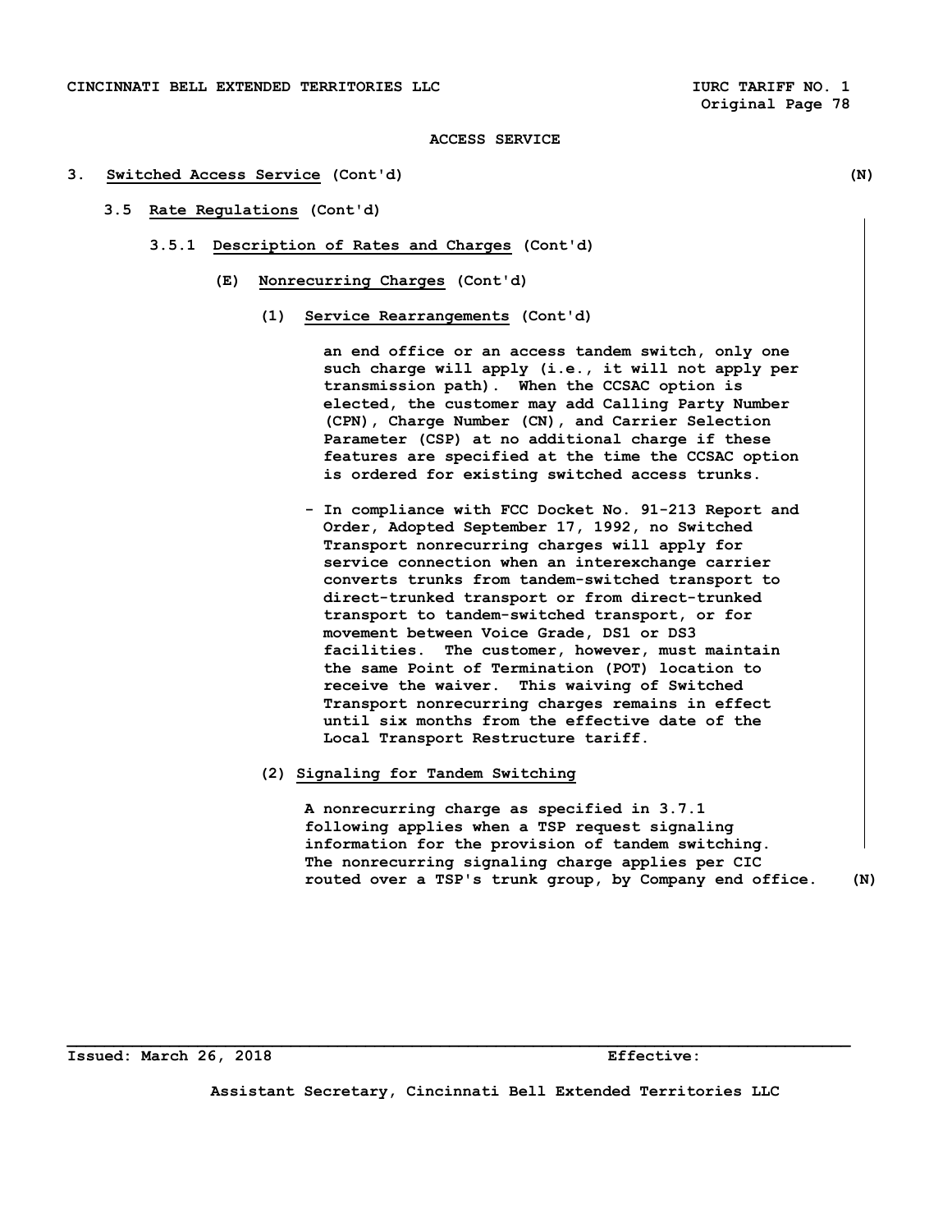#### **3. Switched Access Service (Cont'd) (N)**

- **3.5 Rate Regulations (Cont'd)** 
	- **3.5.1 Description of Rates and Charges (Cont'd)** 
		- **(E) Nonrecurring Charges (Cont'd)** 
			- **(1) Service Rearrangements (Cont'd)**

 **an end office or an access tandem switch, only one such charge will apply (i.e., it will not apply per transmission path). When the CCSAC option is elected, the customer may add Calling Party Number (CPN), Charge Number (CN), and Carrier Selection Parameter (CSP) at no additional charge if these features are specified at the time the CCSAC option is ordered for existing switched access trunks.** 

- **In compliance with FCC Docket No. 91-213 Report and Order, Adopted September 17, 1992, no Switched Transport nonrecurring charges will apply for service connection when an interexchange carrier converts trunks from tandem-switched transport to direct-trunked transport or from direct-trunked transport to tandem-switched transport, or for movement between Voice Grade, DS1 or DS3 facilities. The customer, however, must maintain the same Point of Termination (POT) location to receive the waiver. This waiving of Switched Transport nonrecurring charges remains in effect until six months from the effective date of the Local Transport Restructure tariff.**
- **(2) Signaling for Tandem Switching**

 **A nonrecurring charge as specified in 3.7.1 following applies when a TSP request signaling information for the provision of tandem switching. The nonrecurring signaling charge applies per CIC routed over a TSP's trunk group, by Company end office. (N)** 

**Issued: March 26, 2018 Effective:** 

**Assistant Secretary, Cincinnati Bell Extended Territories LLC**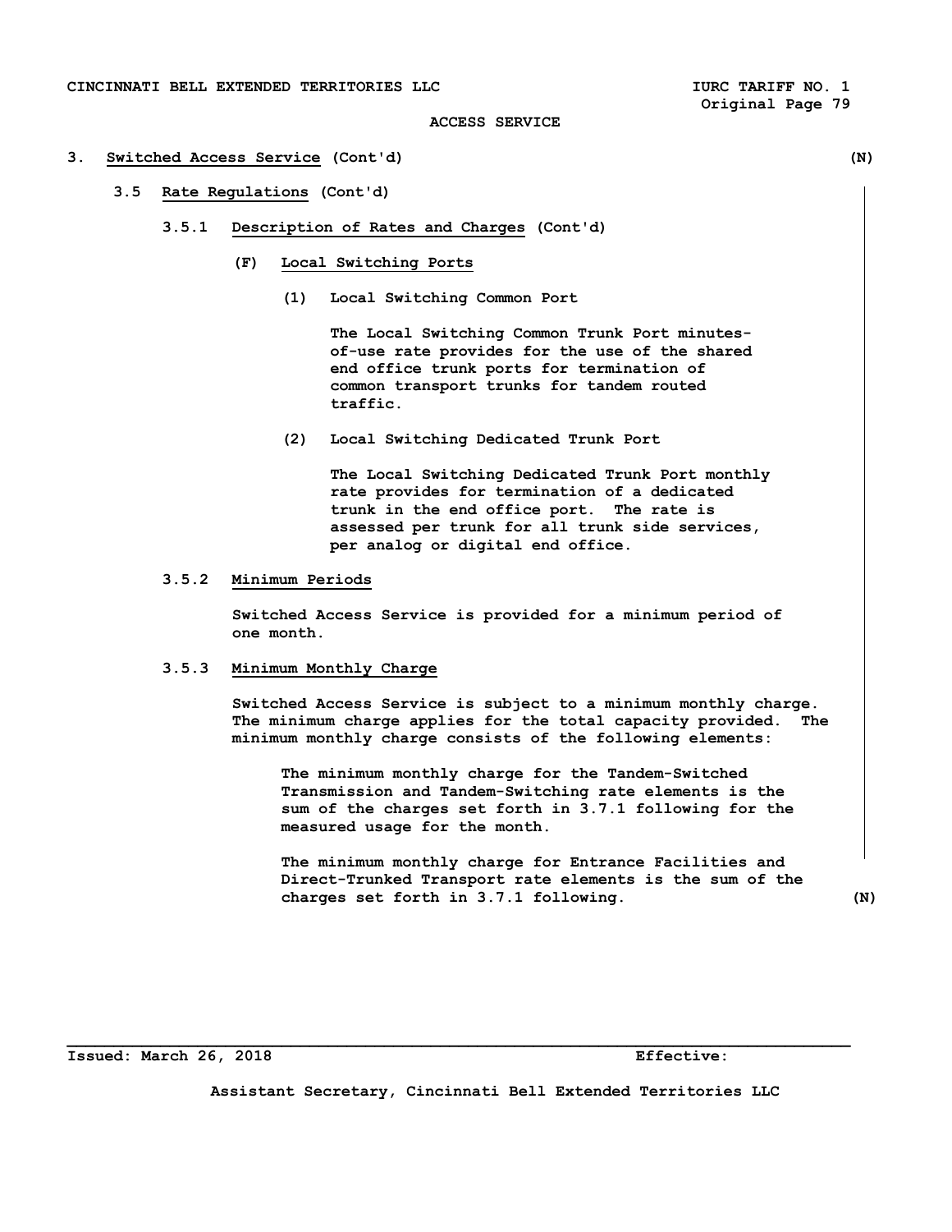## **3. Switched Access Service (Cont'd) (N)**

## **3.5 Rate Regulations (Cont'd)**

- **3.5.1 Description of Rates and Charges (Cont'd)** 
	- **(F) Local Switching Ports** 
		- **(1) Local Switching Common Port**

 **The Local Switching Common Trunk Port minutes of-use rate provides for the use of the shared end office trunk ports for termination of common transport trunks for tandem routed traffic.** 

 **(2) Local Switching Dedicated Trunk Port** 

 **The Local Switching Dedicated Trunk Port monthly rate provides for termination of a dedicated trunk in the end office port. The rate is assessed per trunk for all trunk side services, per analog or digital end office.** 

# **3.5.2 Minimum Periods**

 **Switched Access Service is provided for a minimum period of one month.** 

## **3.5.3 Minimum Monthly Charge**

 **Switched Access Service is subject to a minimum monthly charge. The minimum charge applies for the total capacity provided. The minimum monthly charge consists of the following elements:** 

 **The minimum monthly charge for the Tandem-Switched Transmission and Tandem-Switching rate elements is the sum of the charges set forth in 3.7.1 following for the measured usage for the month.** 

 **The minimum monthly charge for Entrance Facilities and Direct-Trunked Transport rate elements is the sum of the charges set forth in 3.7.1 following. (N)** 

**Issued: March 26, 2018 Effective:** 

**Assistant Secretary, Cincinnati Bell Extended Territories LLC**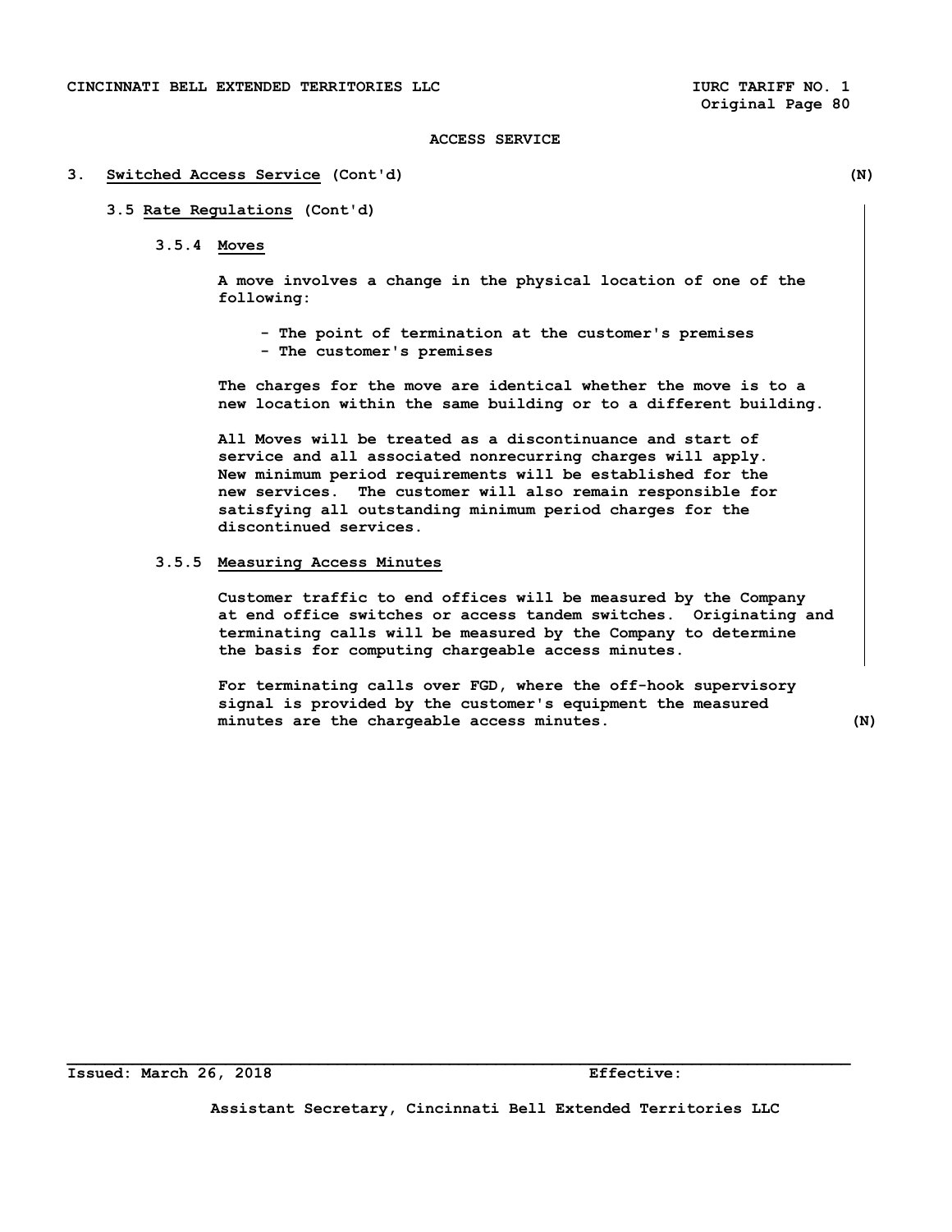#### **3. Switched Access Service (Cont'd) (N)**

## **3.5 Rate Regulations (Cont'd)**

 **3.5.4 Moves** 

 **A move involves a change in the physical location of one of the following:** 

 **- The point of termination at the customer's premises - The customer's premises** 

 **The charges for the move are identical whether the move is to a new location within the same building or to a different building.** 

 **All Moves will be treated as a discontinuance and start of service and all associated nonrecurring charges will apply. New minimum period requirements will be established for the new services. The customer will also remain responsible for satisfying all outstanding minimum period charges for the discontinued services.** 

# **3.5.5 Measuring Access Minutes**

 **Customer traffic to end offices will be measured by the Company at end office switches or access tandem switches. Originating and terminating calls will be measured by the Company to determine the basis for computing chargeable access minutes.** 

 **For terminating calls over FGD, where the off-hook supervisory signal is provided by the customer's equipment the measured minutes are the chargeable access minutes. (N)** 

**Assistant Secretary, Cincinnati Bell Extended Territories LLC**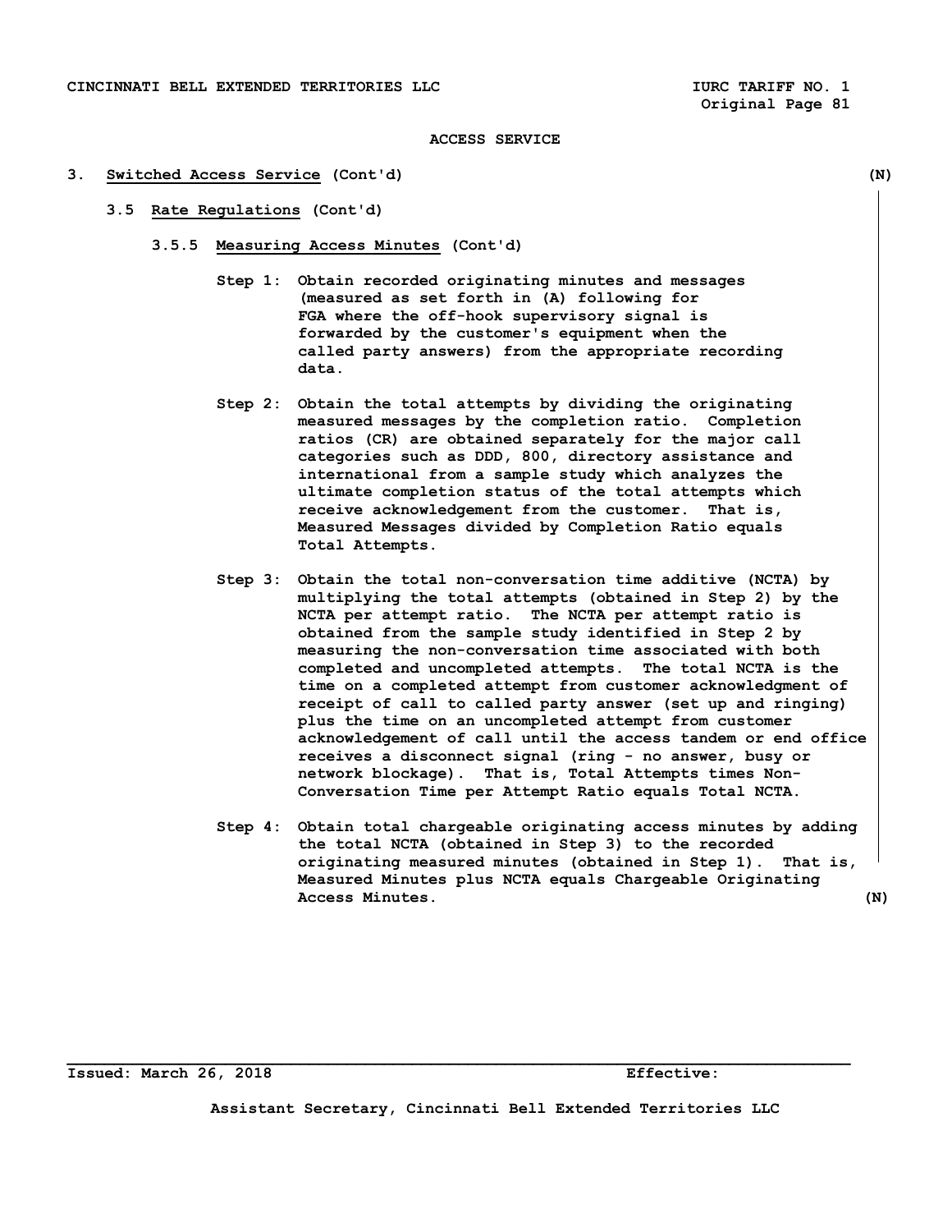#### **3. Switched Access Service (Cont'd) (N)**

- **3.5 Rate Regulations (Cont'd)** 
	- **3.5.5 Measuring Access Minutes (Cont'd)** 
		- **Step 1: Obtain recorded originating minutes and messages (measured as set forth in (A) following for FGA where the off-hook supervisory signal is forwarded by the customer's equipment when the called party answers) from the appropriate recording data.**
		- **Step 2: Obtain the total attempts by dividing the originating measured messages by the completion ratio. Completion ratios (CR) are obtained separately for the major call categories such as DDD, 800, directory assistance and international from a sample study which analyzes the ultimate completion status of the total attempts which receive acknowledgement from the customer. That is, Measured Messages divided by Completion Ratio equals Total Attempts.**
		- **Step 3: Obtain the total non-conversation time additive (NCTA) by multiplying the total attempts (obtained in Step 2) by the NCTA per attempt ratio. The NCTA per attempt ratio is obtained from the sample study identified in Step 2 by measuring the non-conversation time associated with both completed and uncompleted attempts. The total NCTA is the time on a completed attempt from customer acknowledgment of receipt of call to called party answer (set up and ringing) plus the time on an uncompleted attempt from customer acknowledgement of call until the access tandem or end office receives a disconnect signal (ring - no answer, busy or network blockage). That is, Total Attempts times Non- Conversation Time per Attempt Ratio equals Total NCTA.**
		- **Step 4: Obtain total chargeable originating access minutes by adding the total NCTA (obtained in Step 3) to the recorded originating measured minutes (obtained in Step 1). That is, Measured Minutes plus NCTA equals Chargeable Originating Access Minutes. (N)**

**Issued: March 26, 2018 Effective:** 

**Assistant Secretary, Cincinnati Bell Extended Territories LLC**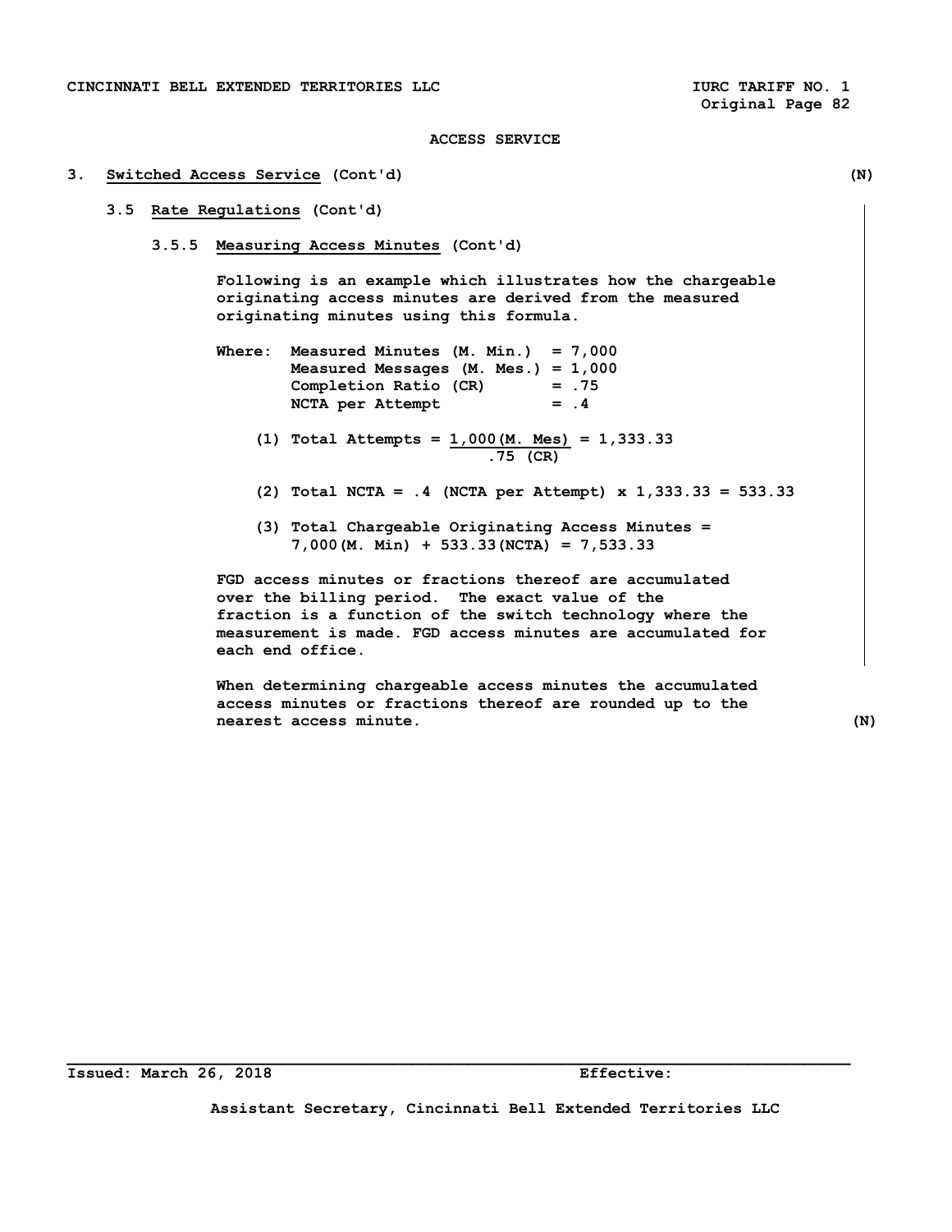#### **3. Switched Access Service (Cont'd) (N)**

# **3.5 Rate Regulations (Cont'd)**

 **3.5.5 Measuring Access Minutes (Cont'd)** 

 **Following is an example which illustrates how the chargeable originating access minutes are derived from the measured originating minutes using this formula.** 

- **Where: Measured Minutes (M. Min.) = 7,000 Measured Messages (M. Mes.) = 1,000 Completion Ratio (CR) = .75**  NCTA per Attempt = .4
	- **(1) Total Attempts = 1,000(M. Mes) = 1,333.33 .75 (CR)**
	- **(2) Total NCTA = .4 (NCTA per Attempt) x 1,333.33 = 533.33**
	- **(3) Total Chargeable Originating Access Minutes = 7,000(M. Min) + 533.33(NCTA) = 7,533.33**

 **FGD access minutes or fractions thereof are accumulated over the billing period. The exact value of the fraction is a function of the switch technology where the measurement is made. FGD access minutes are accumulated for each end office.** 

 **When determining chargeable access minutes the accumulated access minutes or fractions thereof are rounded up to the nearest access minute. (N)** 

**Assistant Secretary, Cincinnati Bell Extended Territories LLC**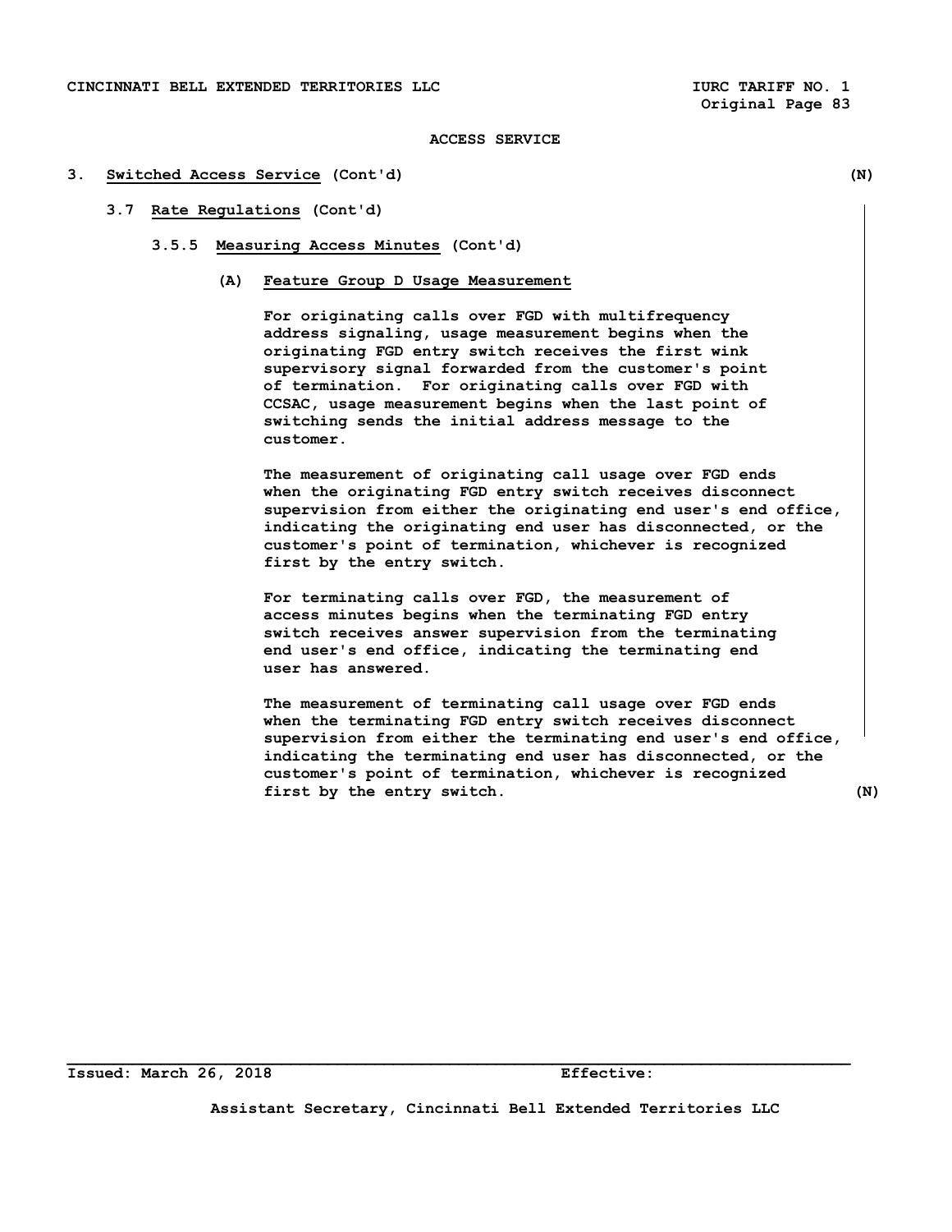#### **3. Switched Access Service (Cont'd) (N)**

## **3.7 Rate Regulations (Cont'd)**

- **3.5.5 Measuring Access Minutes (Cont'd)** 
	- **(A) Feature Group D Usage Measurement**

 **For originating calls over FGD with multifrequency address signaling, usage measurement begins when the originating FGD entry switch receives the first wink supervisory signal forwarded from the customer's point of termination. For originating calls over FGD with CCSAC, usage measurement begins when the last point of switching sends the initial address message to the customer.** 

 **The measurement of originating call usage over FGD ends when the originating FGD entry switch receives disconnect supervision from either the originating end user's end office, indicating the originating end user has disconnected, or the customer's point of termination, whichever is recognized first by the entry switch.** 

 **For terminating calls over FGD, the measurement of access minutes begins when the terminating FGD entry switch receives answer supervision from the terminating end user's end office, indicating the terminating end user has answered.** 

 **The measurement of terminating call usage over FGD ends when the terminating FGD entry switch receives disconnect supervision from either the terminating end user's end office, indicating the terminating end user has disconnected, or the customer's point of termination, whichever is recognized first by the entry switch. (N)** 

**Assistant Secretary, Cincinnati Bell Extended Territories LLC**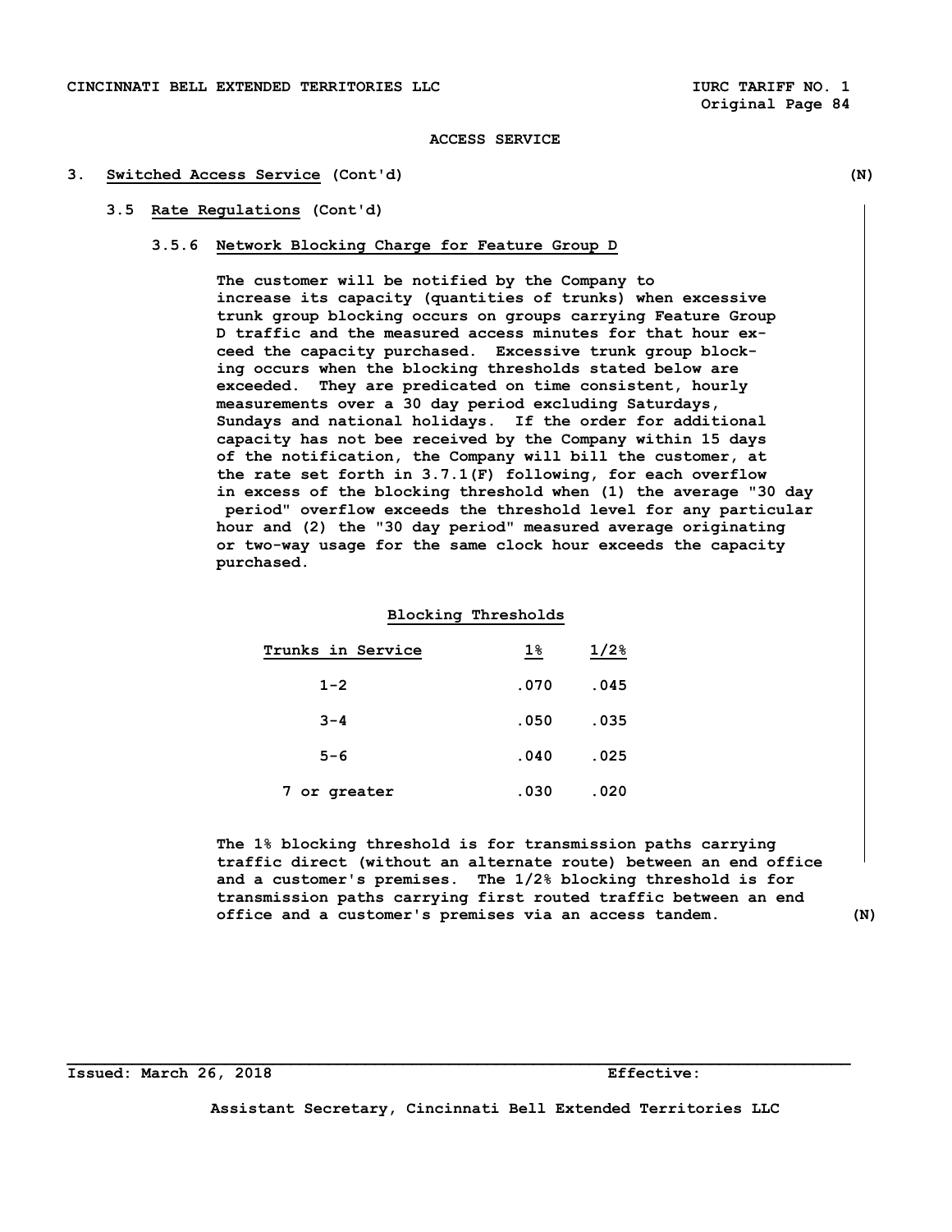#### **3. Switched Access Service (Cont'd) (N)**

## **3.5 Rate Regulations (Cont'd)**

#### **3.5.6 Network Blocking Charge for Feature Group D**

 **The customer will be notified by the Company to increase its capacity (quantities of trunks) when excessive trunk group blocking occurs on groups carrying Feature Group D traffic and the measured access minutes for that hour ex ceed the capacity purchased. Excessive trunk group block ing occurs when the blocking thresholds stated below are exceeded. They are predicated on time consistent, hourly measurements over a 30 day period excluding Saturdays, Sundays and national holidays. If the order for additional capacity has not bee received by the Company within 15 days of the notification, the Company will bill the customer, at the rate set forth in 3.7.1(F) following, for each overflow in excess of the blocking threshold when (1) the average "30 day period" overflow exceeds the threshold level for any particular hour and (2) the "30 day period" measured average originating or two-way usage for the same clock hour exceeds the capacity purchased.** 

### **Blocking Thresholds**

| Trunks in Service | $1\%$ | $1/2$ <sup>8</sup> |
|-------------------|-------|--------------------|
| $1 - 2$           | .070  | .045               |
| $3 - 4$           | .050  | .035               |
| $5 - 6$           | .040  | .025               |
| 7 or greater      | .030  | .020               |

 **The 1% blocking threshold is for transmission paths carrying traffic direct (without an alternate route) between an end office and a customer's premises. The 1/2% blocking threshold is for transmission paths carrying first routed traffic between an end office and a customer's premises via an access tandem. (N)** 

**Issued: March 26, 2018 Effective:** 

**Assistant Secretary, Cincinnati Bell Extended Territories LLC**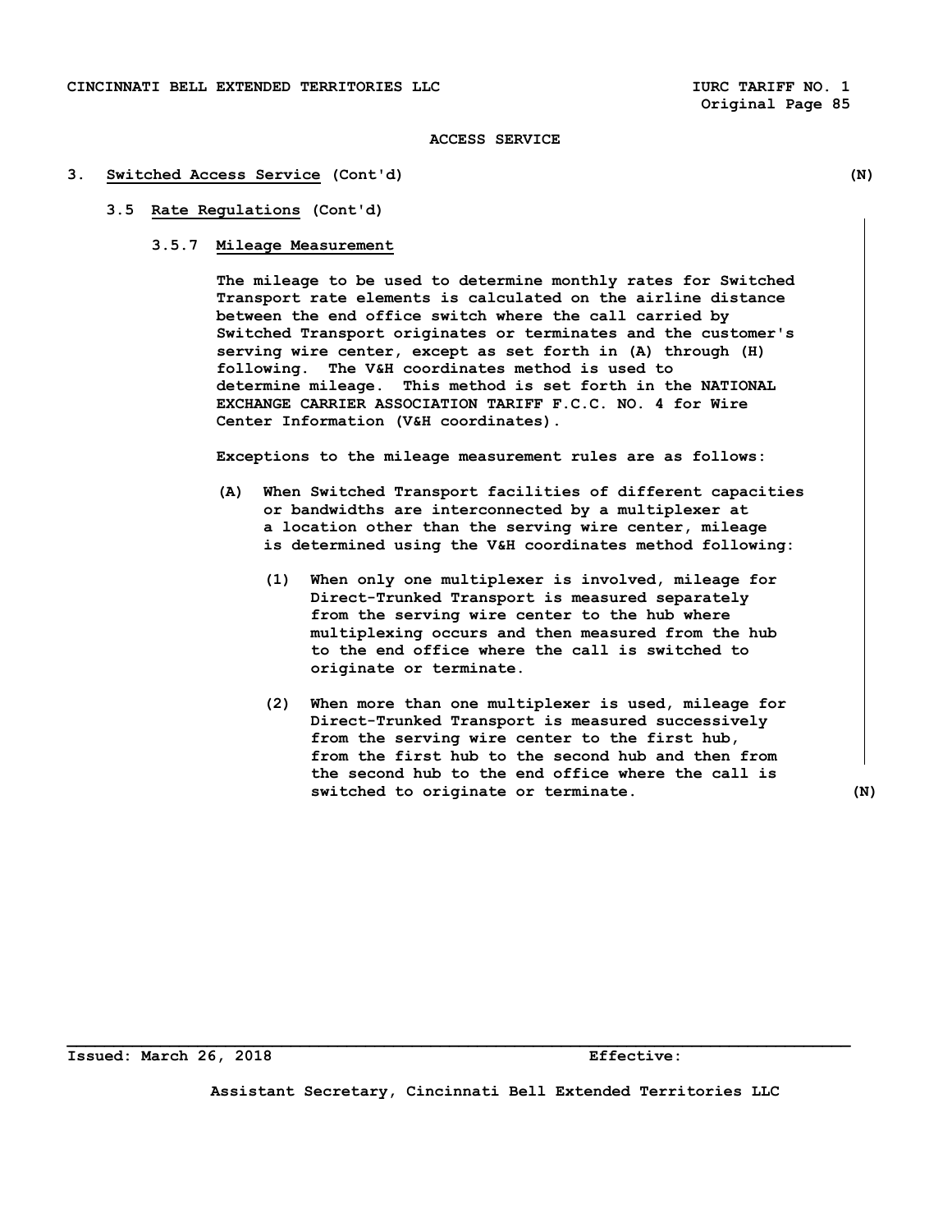#### **3. Switched Access Service (Cont'd) (N)**

# **3.5 Rate Regulations (Cont'd)**

# **3.5.7 Mileage Measurement**

 **The mileage to be used to determine monthly rates for Switched Transport rate elements is calculated on the airline distance between the end office switch where the call carried by Switched Transport originates or terminates and the customer's serving wire center, except as set forth in (A) through (H) following. The V&H coordinates method is used to determine mileage. This method is set forth in the NATIONAL EXCHANGE CARRIER ASSOCIATION TARIFF F.C.C. NO. 4 for Wire Center Information (V&H coordinates).** 

 **Exceptions to the mileage measurement rules are as follows:** 

- **(A) When Switched Transport facilities of different capacities or bandwidths are interconnected by a multiplexer at a location other than the serving wire center, mileage is determined using the V&H coordinates method following:** 
	- **(1) When only one multiplexer is involved, mileage for Direct-Trunked Transport is measured separately from the serving wire center to the hub where multiplexing occurs and then measured from the hub to the end office where the call is switched to originate or terminate.**
	- **(2) When more than one multiplexer is used, mileage for Direct-Trunked Transport is measured successively from the serving wire center to the first hub, from the first hub to the second hub and then from the second hub to the end office where the call is switched to originate or terminate. (N)**

**Issued: March 26, 2018 Effective:** 

**Assistant Secretary, Cincinnati Bell Extended Territories LLC**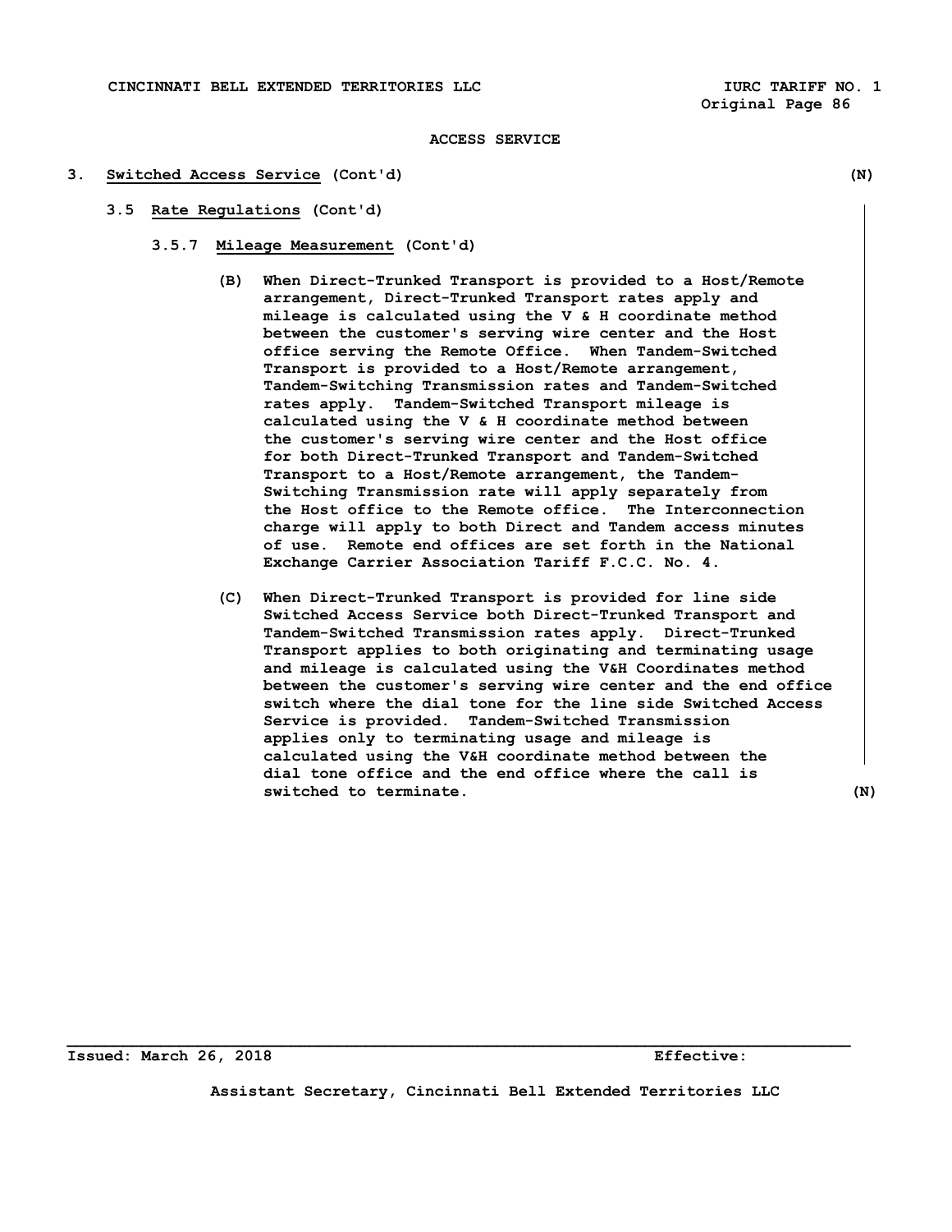#### **3. Switched Access Service (Cont'd) (N)**

- **3.5 Rate Regulations (Cont'd)** 
	- **3.5.7 Mileage Measurement (Cont'd)** 
		- **(B) When Direct-Trunked Transport is provided to a Host/Remote arrangement, Direct-Trunked Transport rates apply and mileage is calculated using the V & H coordinate method between the customer's serving wire center and the Host office serving the Remote Office. When Tandem-Switched Transport is provided to a Host/Remote arrangement, Tandem-Switching Transmission rates and Tandem-Switched rates apply. Tandem-Switched Transport mileage is calculated using the V & H coordinate method between the customer's serving wire center and the Host office for both Direct-Trunked Transport and Tandem-Switched Transport to a Host/Remote arrangement, the Tandem- Switching Transmission rate will apply separately from the Host office to the Remote office. The Interconnection charge will apply to both Direct and Tandem access minutes of use. Remote end offices are set forth in the National Exchange Carrier Association Tariff F.C.C. No. 4.**
		- **(C) When Direct-Trunked Transport is provided for line side Switched Access Service both Direct-Trunked Transport and Tandem-Switched Transmission rates apply. Direct-Trunked Transport applies to both originating and terminating usage and mileage is calculated using the V&H Coordinates method between the customer's serving wire center and the end office switch where the dial tone for the line side Switched Access Service is provided. Tandem-Switched Transmission applies only to terminating usage and mileage is calculated using the V&H coordinate method between the dial tone office and the end office where the call is switched to terminate. (N)**

**Issued: March 26, 2018 Effective:** 

**Assistant Secretary, Cincinnati Bell Extended Territories LLC**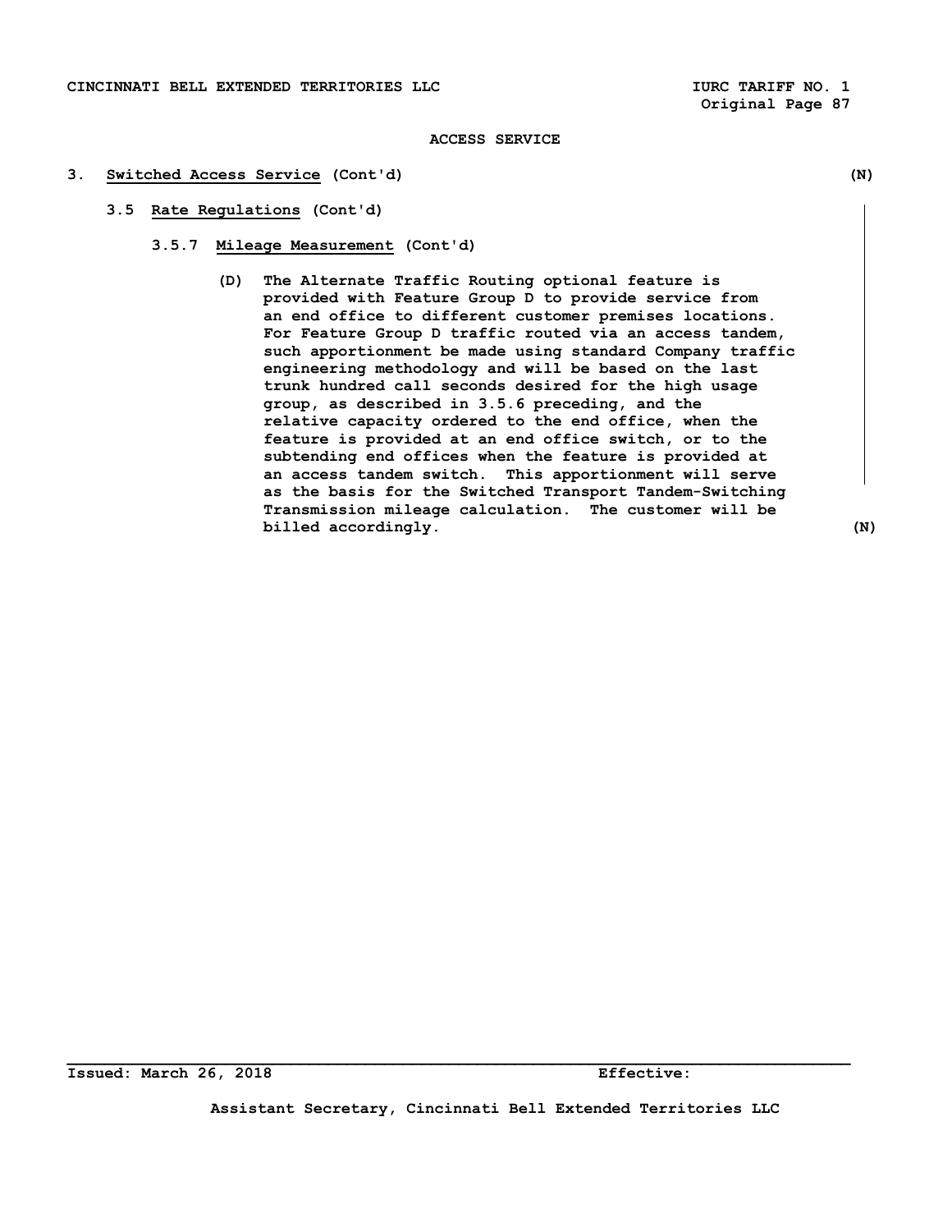#### **3. Switched Access Service (Cont'd) (N)**

- **3.5 Rate Regulations (Cont'd)** 
	- **3.5.7 Mileage Measurement (Cont'd)** 
		- **(D) The Alternate Traffic Routing optional feature is provided with Feature Group D to provide service from an end office to different customer premises locations. For Feature Group D traffic routed via an access tandem, such apportionment be made using standard Company traffic engineering methodology and will be based on the last trunk hundred call seconds desired for the high usage group, as described in 3.5.6 preceding, and the relative capacity ordered to the end office, when the feature is provided at an end office switch, or to the subtending end offices when the feature is provided at an access tandem switch. This apportionment will serve as the basis for the Switched Transport Tandem-Switching Transmission mileage calculation. The customer will be billed accordingly.** (N)

**Assistant Secretary, Cincinnati Bell Extended Territories LLC**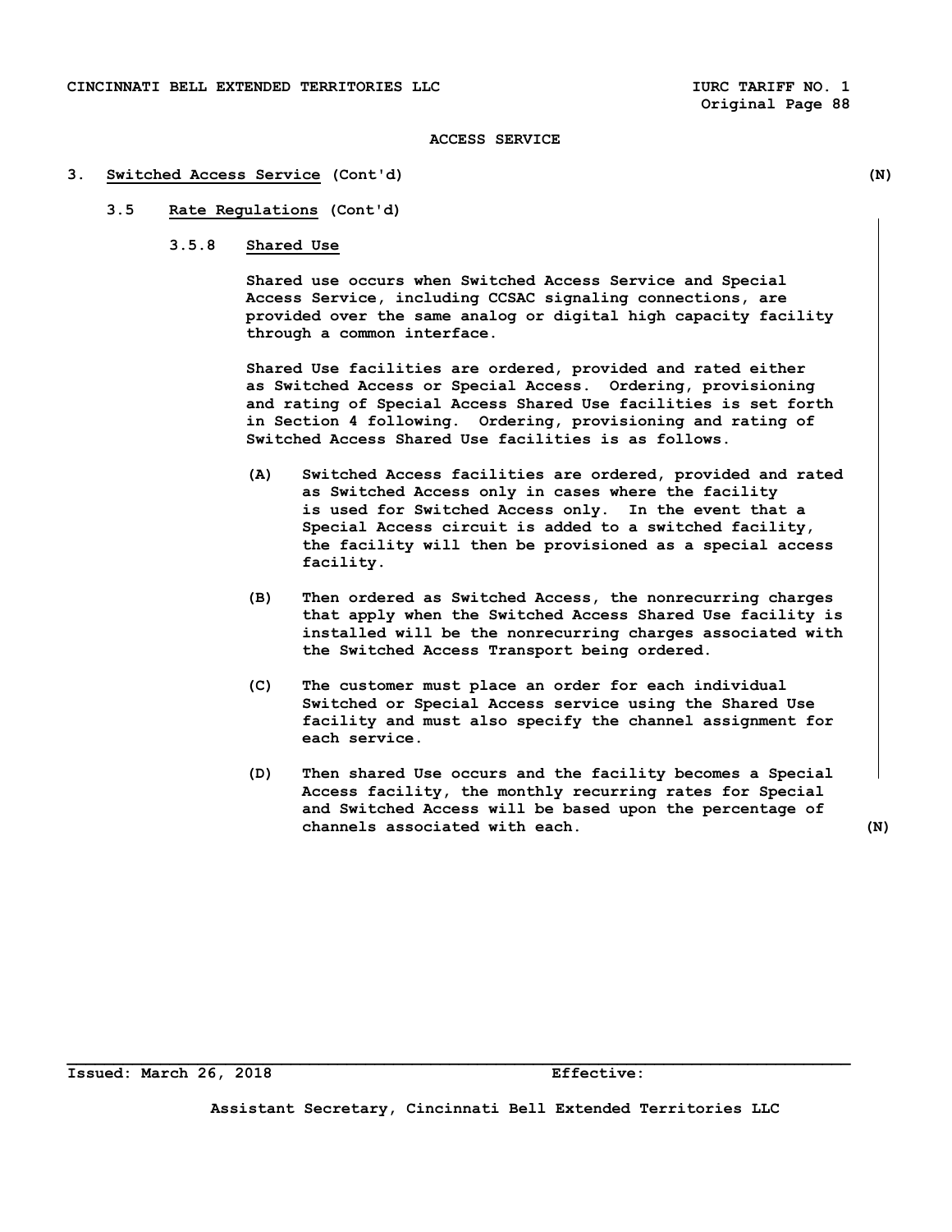#### **3. Switched Access Service (Cont'd) (N)**

# **3.5 Rate Regulations (Cont'd)**

## **3.5.8 Shared Use**

 **Shared use occurs when Switched Access Service and Special Access Service, including CCSAC signaling connections, are provided over the same analog or digital high capacity facility through a common interface.** 

 **Shared Use facilities are ordered, provided and rated either as Switched Access or Special Access. Ordering, provisioning and rating of Special Access Shared Use facilities is set forth in Section 4 following. Ordering, provisioning and rating of Switched Access Shared Use facilities is as follows.** 

- **(A) Switched Access facilities are ordered, provided and rated as Switched Access only in cases where the facility is used for Switched Access only. In the event that a Special Access circuit is added to a switched facility, the facility will then be provisioned as a special access facility.**
- **(B) Then ordered as Switched Access, the nonrecurring charges that apply when the Switched Access Shared Use facility is installed will be the nonrecurring charges associated with the Switched Access Transport being ordered.**
- **(C) The customer must place an order for each individual Switched or Special Access service using the Shared Use facility and must also specify the channel assignment for each service.**
- **(D) Then shared Use occurs and the facility becomes a Special Access facility, the monthly recurring rates for Special and Switched Access will be based upon the percentage of channels associated with each. (N)**

**Assistant Secretary, Cincinnati Bell Extended Territories LLC**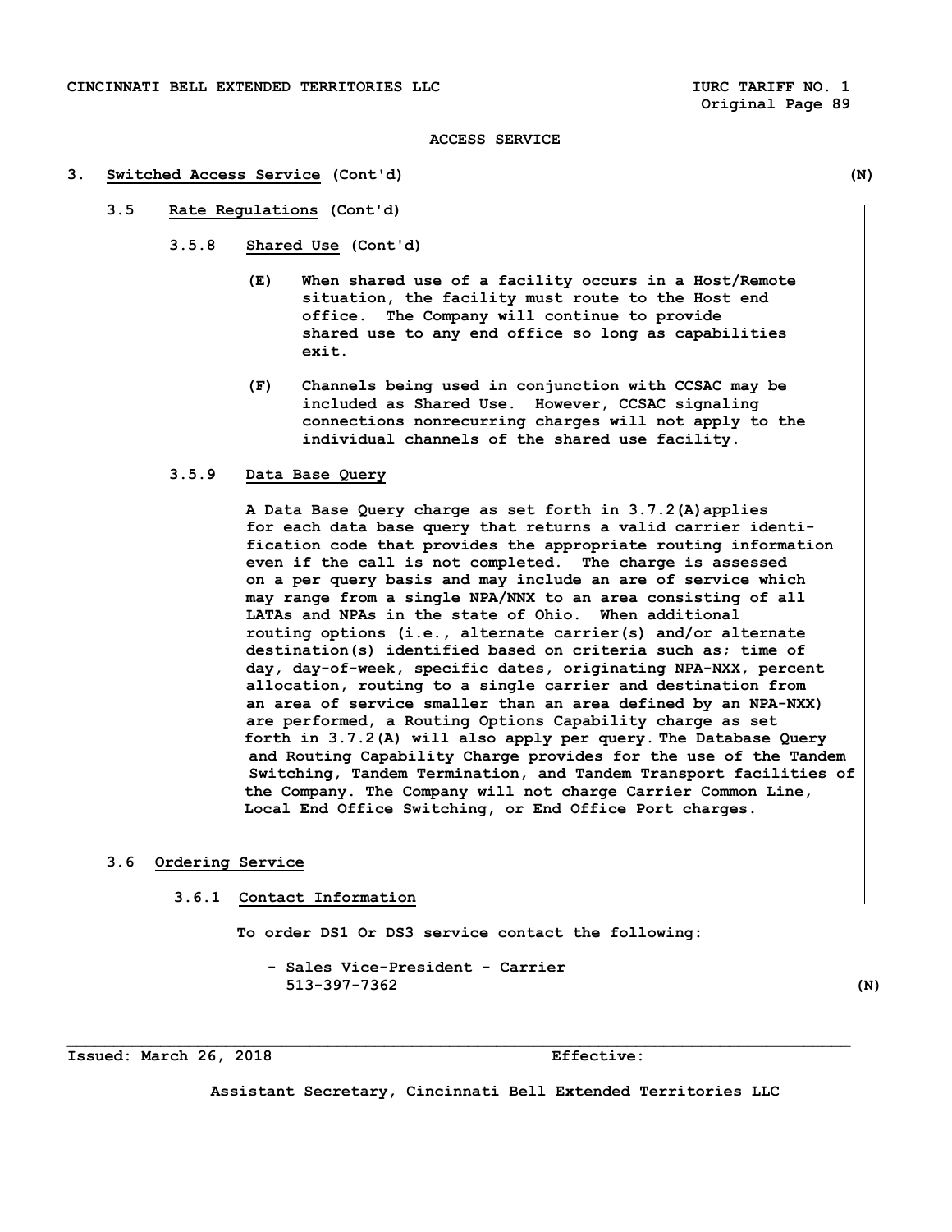#### **3. Switched Access Service (Cont'd) (N)**

- **3.5 Rate Regulations (Cont'd)** 
	- **3.5.8 Shared Use (Cont'd)** 
		- **(E) When shared use of a facility occurs in a Host/Remote situation, the facility must route to the Host end office. The Company will continue to provide shared use to any end office so long as capabilities exit.**
		- **(F) Channels being used in conjunction with CCSAC may be included as Shared Use. However, CCSAC signaling connections nonrecurring charges will not apply to the individual channels of the shared use facility.**

# **3.5.9 Data Base Query**

 **A Data Base Query charge as set forth in 3.7.2(A)applies for each data base query that returns a valid carrier identi fication code that provides the appropriate routing information even if the call is not completed. The charge is assessed on a per query basis and may include an are of service which may range from a single NPA/NNX to an area consisting of all LATAs and NPAs in the state of Ohio. When additional routing options (i.e., alternate carrier(s) and/or alternate destination(s) identified based on criteria such as; time of day, day-of-week, specific dates, originating NPA-NXX, percent allocation, routing to a single carrier and destination from an area of service smaller than an area defined by an NPA-NXX) are performed, a Routing Options Capability charge as set forth in 3.7.2(A) will also apply per query. The Database Query and Routing Capability Charge provides for the use of the Tandem Switching, Tandem Termination, and Tandem Transport facilities of the Company. The Company will not charge Carrier Common Line, Local End Office Switching, or End Office Port charges.** 

# **3.6 Ordering Service**

 **3.6.1 Contact Information** 

 **To order DS1 Or DS3 service contact the following:** 

**\_\_\_\_\_\_\_\_\_\_\_\_\_\_\_\_\_\_\_\_\_\_\_\_\_\_\_\_\_\_\_\_\_\_\_\_\_\_\_\_\_\_\_\_\_\_\_\_\_\_\_\_\_\_\_\_\_\_\_\_\_\_\_\_\_\_\_\_\_\_\_\_\_\_\_\_\_\_\_\_\_\_\_\_** 

 **- Sales Vice-President - Carrier 513-397-7362 (N)** 

**Issued: March 26, 2018 Effective:** 

**Assistant Secretary, Cincinnati Bell Extended Territories LLC**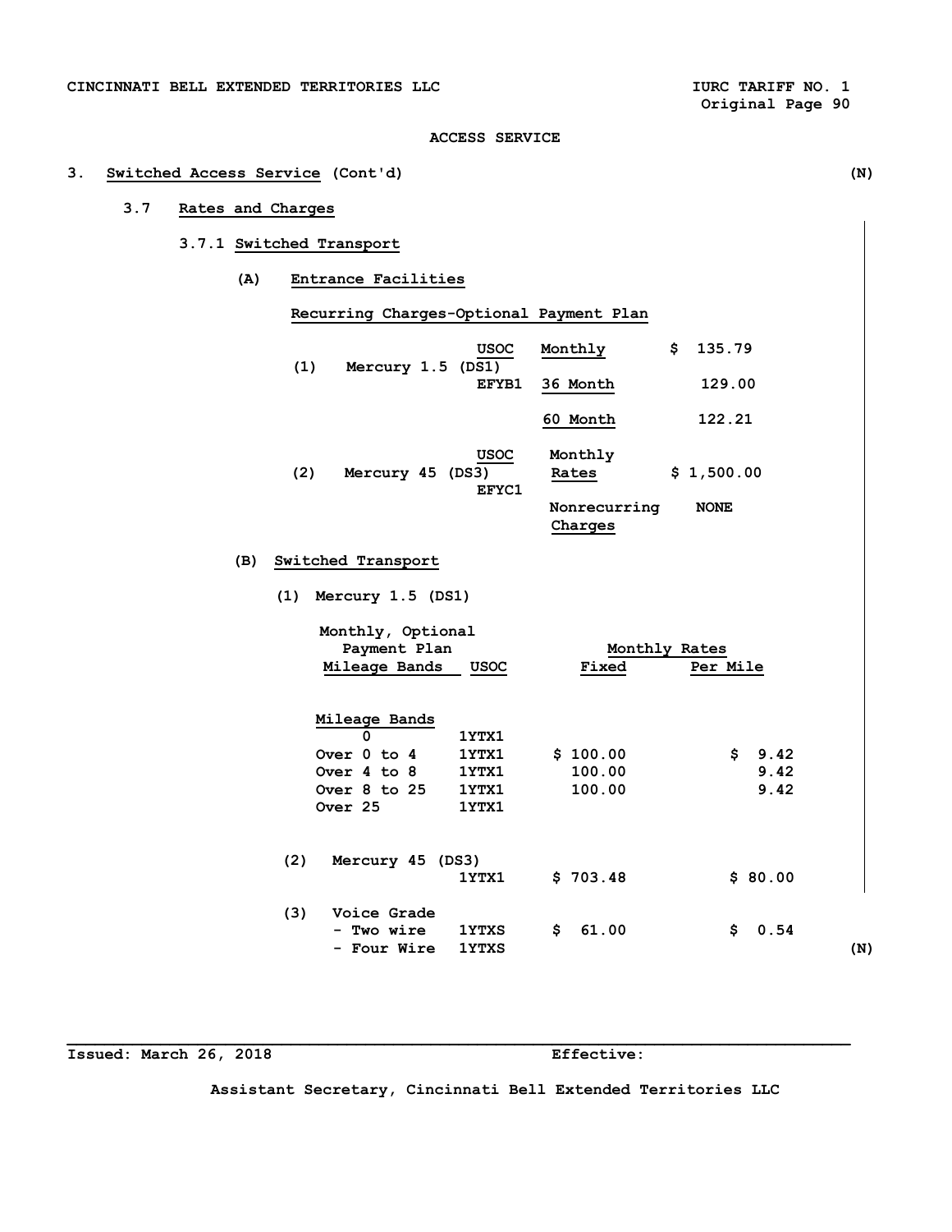# **3. Switched Access Service (Cont'd) (N)**

# **3.7 Rates and Charges**

# **3.7.1 Switched Transport**

 **(A) Entrance Facilities** 

|     |     | Recurring Charges-Optional Payment Plan |               |                         |               |
|-----|-----|-----------------------------------------|---------------|-------------------------|---------------|
|     | (1) | Mercury 1.5 (DS1)                       | <b>USOC</b>   | Monthly                 | 135.79<br>\$  |
|     |     |                                         | EFYB1         | 36 Month                | 129.00        |
|     |     |                                         |               | 60 Month                | 122.21        |
|     | (2) | Mercury 45 (DS3)                        | USOC<br>EFYC1 | Monthly<br>Rates        | \$1,500.00    |
|     |     |                                         |               | Nonrecurring<br>Charges | <b>NONE</b>   |
| (B) |     | Switched Transport                      |               |                         |               |
|     | (1) | Mercury 1.5 (DS1)                       |               |                         |               |
|     |     | Monthly, Optional<br>Payment Plan       |               |                         | Monthly Rates |

|     | Mileage Bands    | <b>USOC</b>  | Fixed       | Per Mile    |     |
|-----|------------------|--------------|-------------|-------------|-----|
|     | Mileage Bands    |              |             |             |     |
|     | 0                | 1YTX1        |             |             |     |
|     | Over 0 to 4      | 1YTX1        | \$100.00    | \$<br>9.42  |     |
|     | Over 4 to 8      | 1YTX1        | 100.00      | 9.42        |     |
|     | Over 8 to 25     | 1YTX1        | 100.00      | 9.42        |     |
|     | Over 25          | 1YTX1        |             |             |     |
| (2) | Mercury 45 (DS3) |              |             |             |     |
|     |                  | 1YTX1        | \$703.48    | \$80.00     |     |
| (3) | Voice Grade      |              |             |             |     |
|     | - Two wire       | <b>1YTXS</b> | \$<br>61.00 | \$.<br>0.54 |     |
|     | - Four Wire      | <b>1YTXS</b> |             |             | (N) |

**Issued: March 26, 2018 Effective:** 

**Assistant Secretary, Cincinnati Bell Extended Territories LLC**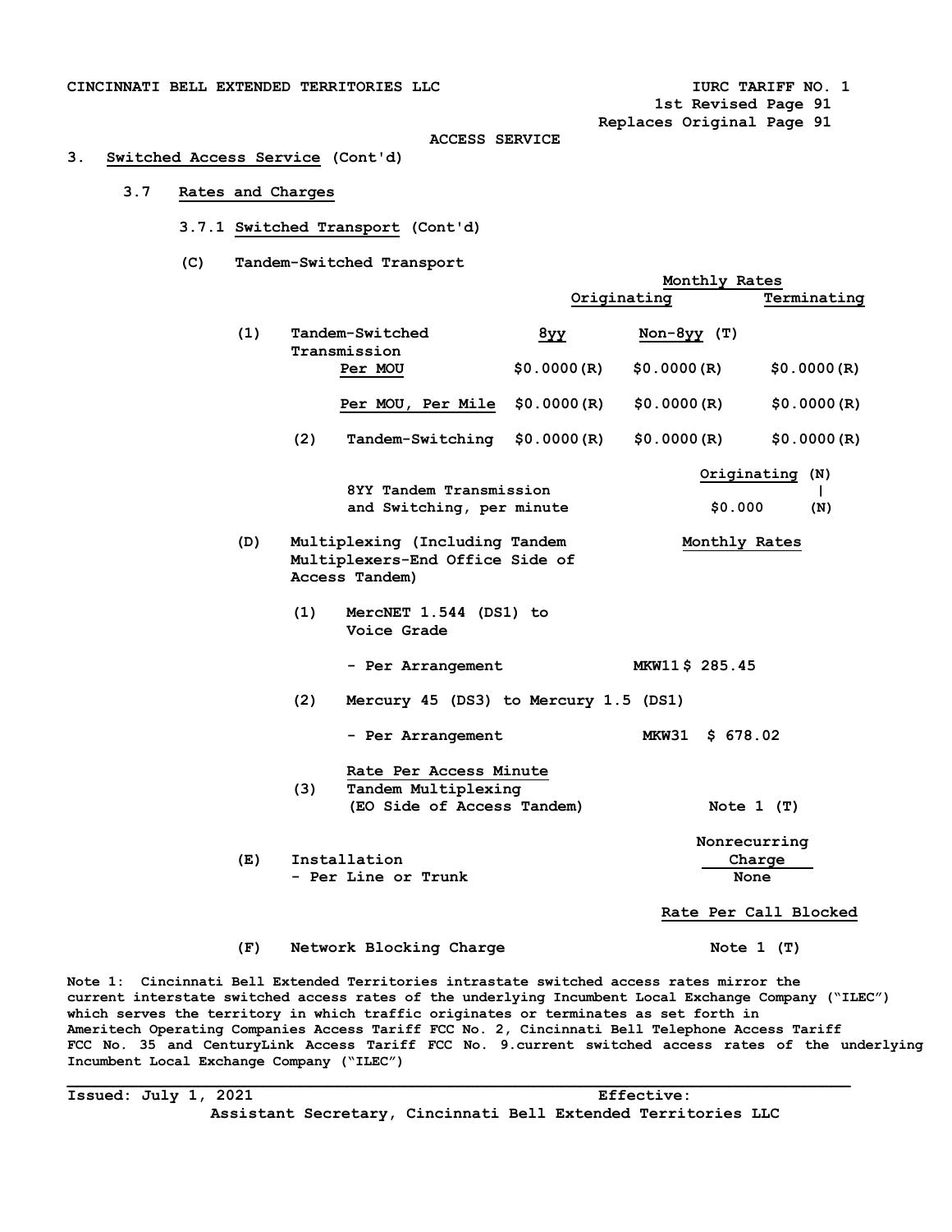**1st Revised Page 91** 

 **Monthly Rates** 

 **Replaces Original Page 91** 

#### **ACCESS SERVICE**

# **3. Switched Access Service (Cont'd)**

## **3.7 Rates and Charges**

- **3.7.1 Switched Transport (Cont'd)**
- **(C) Tandem-Switched Transport**

|     |                                                                                     | Originating |                                | Terminating                 |
|-----|-------------------------------------------------------------------------------------|-------------|--------------------------------|-----------------------------|
| (1) | Tandem-Switched<br>Transmission                                                     | $8y$ y      | $Non-8yy$ (T)                  |                             |
|     | Per MOU                                                                             | \$0.0000(R) | \$0.0000(R)                    | \$0.0000(R)                 |
|     | Per MOU, Per Mile                                                                   | \$0.0000(R) | \$0.0000(R)                    | \$0.0000(R)                 |
|     | (2)<br>Tandem-Switching                                                             | \$0.0000(R) | \$0.0000(R)                    | \$0.0000(R)                 |
|     | 8YY Tandem Transmission<br>and Switching, per minute                                |             | \$0.000                        | Originating (N)<br>L<br>(N) |
| (D) | Multiplexing (Including Tandem<br>Multiplexers-End Office Side of<br>Access Tandem) |             | Monthly Rates                  |                             |
|     | (1)<br>MercNET 1.544 (DS1) to<br>Voice Grade                                        |             |                                |                             |
|     | - Per Arrangement                                                                   |             | MKW11\$ 285.45                 |                             |
|     | (2)<br>Mercury 45 (DS3) to Mercury 1.5 (DS1)                                        |             |                                |                             |
|     | - Per Arrangement                                                                   |             | <b>MKW31</b><br>\$678.02       |                             |
|     | Rate Per Access Minute<br>(3)<br>Tandem Multiplexing                                |             |                                |                             |
|     | (EO Side of Access Tandem)                                                          |             | Note $1$ (T)                   |                             |
| (E) | Installation<br>- Per Line or Trunk                                                 |             | Nonrecurring<br>Charge<br>None |                             |
|     |                                                                                     |             |                                | Rate Per Call Blocked       |
| (F) | Network Blocking Charge                                                             |             | Note $1$ (T)                   |                             |

**Note 1: Cincinnati Bell Extended Territories intrastate switched access rates mirror the current interstate switched access rates of the underlying Incumbent Local Exchange Company ("ILEC") which serves the territory in which traffic originates or terminates as set forth in Ameritech Operating Companies Access Tariff FCC No. 2, Cincinnati Bell Telephone Access Tariff FCC No. 35 and CenturyLink Access Tariff FCC No. 9.current switched access rates of the underlying Incumbent Local Exchange Company ("ILEC")** 

**Issued: July 1, 2021 Effective: Assistant Secretary, Cincinnati Bell Extended Territories LLC**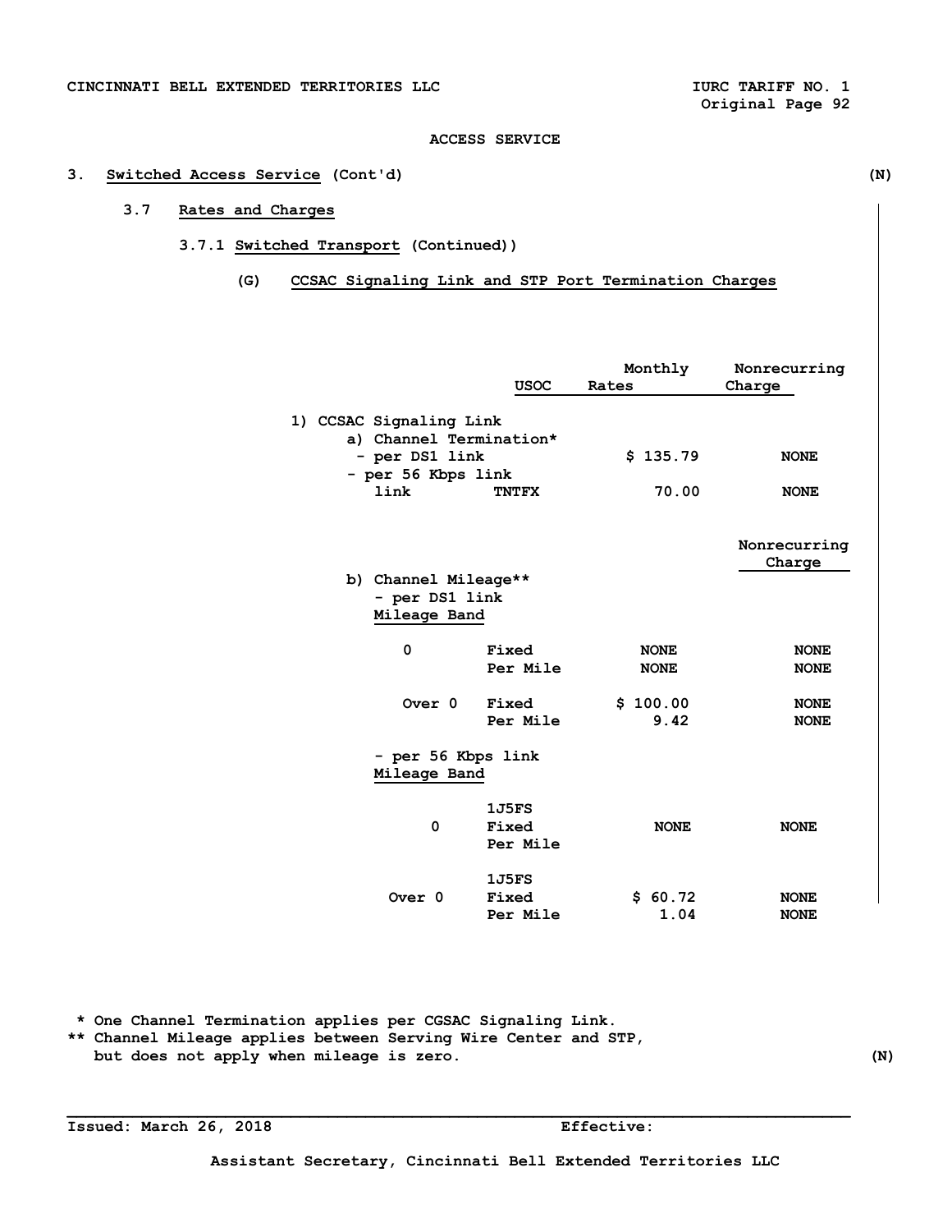# **3. Switched Access Service (Cont'd) (N)**

# **3.7 Rates and Charges**

# **3.7.1 Switched Transport (Continued))**

 **(G) CCSAC Signaling Link and STP Port Termination Charges** 

|                                                    |              | Monthly     | Nonrecurring |
|----------------------------------------------------|--------------|-------------|--------------|
|                                                    | <b>USOC</b>  | Rates       | Charge       |
| 1) CCSAC Signaling Link<br>a) Channel Termination* |              |             |              |
| - per DS1 link                                     |              | \$135.79    | <b>NONE</b>  |
| - per 56 Kbps link                                 |              |             |              |
| link                                               | <b>TNTFX</b> | 70.00       | <b>NONE</b>  |
|                                                    |              |             | Nonrecurring |
|                                                    |              |             | Charge       |
| b) Channel Mileage**                               |              |             |              |
| - per DS1 link                                     |              |             |              |
| Mileage Band                                       |              |             |              |
| 0                                                  | Fixed        | <b>NONE</b> | <b>NONE</b>  |
|                                                    | Per Mile     | <b>NONE</b> | <b>NONE</b>  |
|                                                    |              |             |              |
| Over 0                                             | Fixed        | \$100.00    | <b>NONE</b>  |
|                                                    | Per Mile     | 9.42        | <b>NONE</b>  |
| - per 56 Kbps link                                 |              |             |              |
| Mileage Band                                       |              |             |              |
|                                                    | 1J5FS        |             |              |
| 0                                                  | Fixed        | <b>NONE</b> | <b>NONE</b>  |
|                                                    | Per Mile     |             |              |
|                                                    | 1J5FS        |             |              |
| Over <sub>0</sub>                                  | Fixed        | \$60.72     | <b>NONE</b>  |
|                                                    | Per Mile     | 1.04        | <b>NONE</b>  |

 **\* One Channel Termination applies per CGSAC Signaling Link.** 

**\*\* Channel Mileage applies between Serving Wire Center and STP, but does not apply when mileage is zero. (N)** 

**Issued: March 26, 2018 Effective:**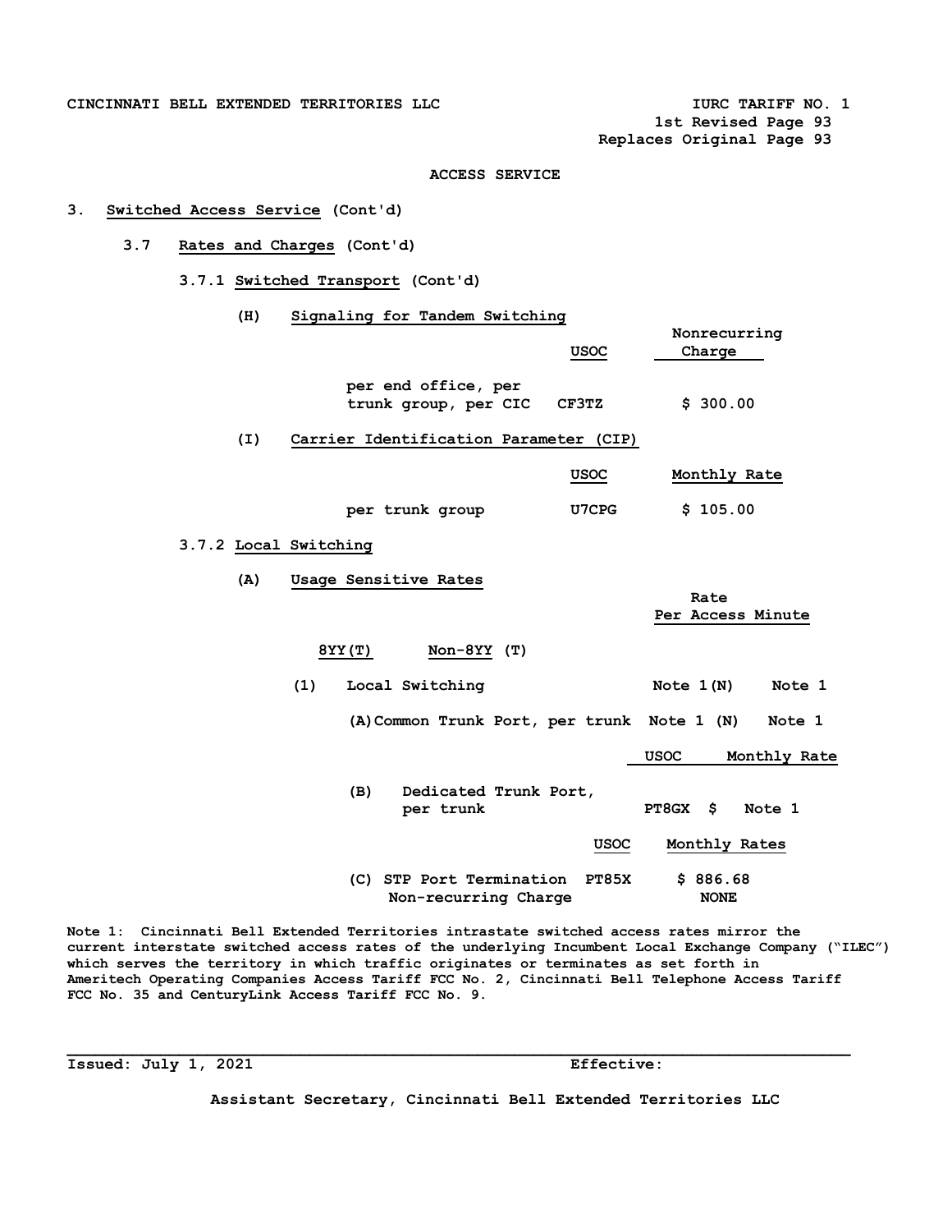CINCINNATI BELL EXTENDED TERRITORIES LLC **ACCESS OF AUTHOR OF A SET AND A LOST OF A SET A** LOST OF A LOST OF A LOST OF A LOST OF A LOST OF A LOST OF A LOST OF A LOST OF A LOST OF A LOST OF A LOST OF A LOST OF A LOST OF A L

 **1st Revised Page 93** 

 **Replaces Original Page 93** 

## **ACCESS SERVICE**

# **3. Switched Access Service (Cont'd)**

# **3.7 Rates and Charges (Cont'd)**

 **3.7.1 Switched Transport (Cont'd)** 

| (H)                   | Signaling for Tandem Switching                                   |                             |
|-----------------------|------------------------------------------------------------------|-----------------------------|
|                       | USOC                                                             | Nonrecurring<br>Charge      |
|                       | per end office, per<br>trunk group, per CIC<br>CF3TZ             | \$300.00                    |
| (I)                   | Carrier Identification Parameter (CIP)                           |                             |
|                       | <b>USOC</b>                                                      | Monthly Rate                |
|                       | U7CPG<br>per trunk group                                         | \$105.00                    |
| 3.7.2 Local Switching |                                                                  |                             |
| (A)                   | Usage Sensitive Rates                                            | Rate                        |
|                       |                                                                  | Per Access Minute           |
|                       | $Non-8YY(T)$<br>8YY (T)                                          |                             |
|                       | (1)<br>Local Switching                                           | Note $1(N)$<br>Note 1       |
|                       | (A) Common Trunk Port, per trunk Note 1 (N)                      | Note 1                      |
|                       |                                                                  | <b>USOC</b><br>Monthly Rate |
|                       | Dedicated Trunk Port,<br>(B)<br>per trunk                        | PT8GX \$<br>Note 1          |
|                       | <b>USOC</b>                                                      | Monthly Rates               |
|                       | (C) STP Port Termination<br><b>PT85X</b><br>Non-recurring Charge | \$886.68<br><b>NONE</b>     |

**Note 1: Cincinnati Bell Extended Territories intrastate switched access rates mirror the current interstate switched access rates of the underlying Incumbent Local Exchange Company ("ILEC") which serves the territory in which traffic originates or terminates as set forth in Ameritech Operating Companies Access Tariff FCC No. 2, Cincinnati Bell Telephone Access Tariff FCC No. 35 and CenturyLink Access Tariff FCC No. 9.** 

**\_\_\_\_\_\_\_\_\_\_\_\_\_\_\_\_\_\_\_\_\_\_\_\_\_\_\_\_\_\_\_\_\_\_\_\_\_\_\_\_\_\_\_\_\_\_\_\_\_\_\_\_\_\_\_\_\_\_\_\_\_\_\_\_\_\_\_\_\_\_\_\_\_\_\_\_\_\_\_\_\_\_\_\_** 

**Issued: July 1, 2021 Effective:** 

**Assistant Secretary, Cincinnati Bell Extended Territories LLC**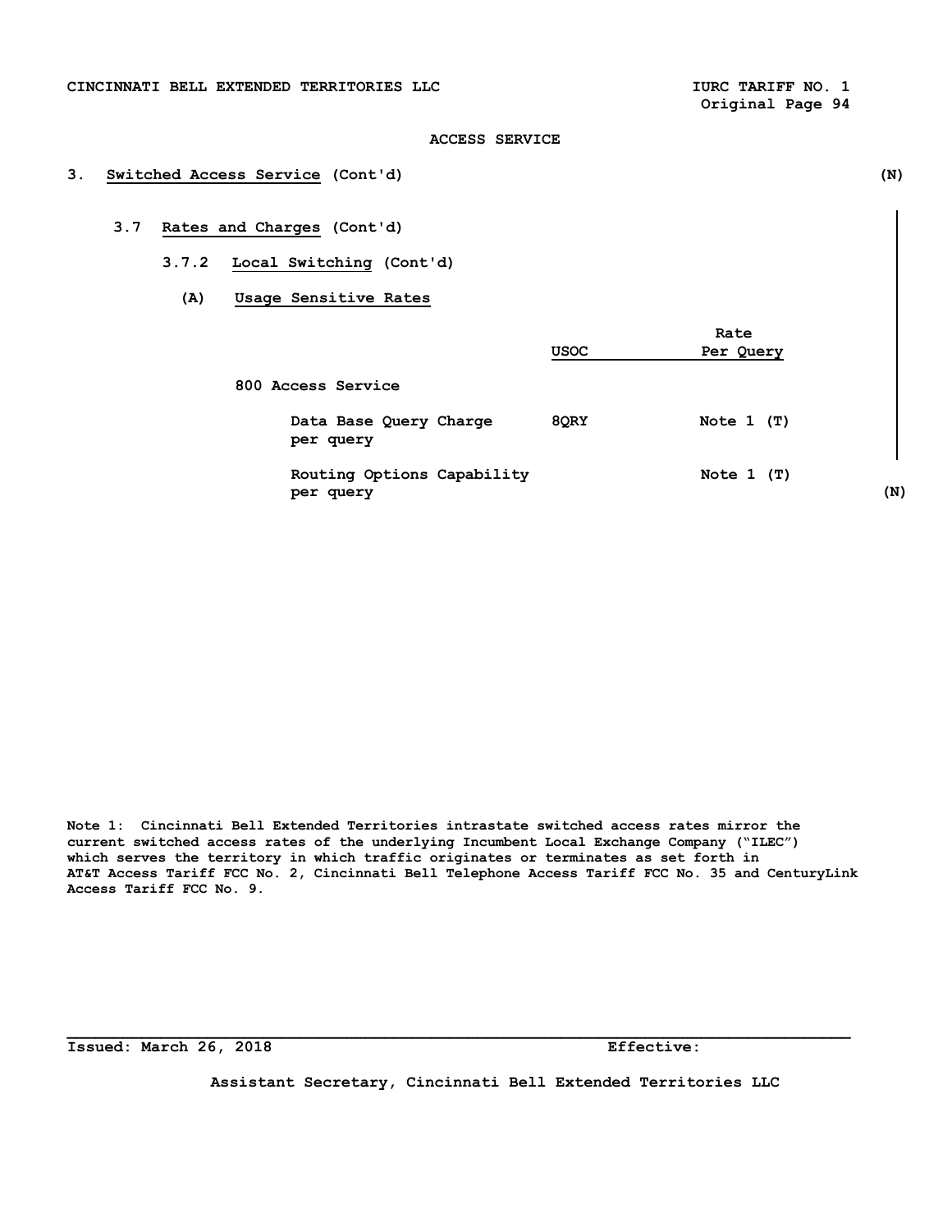# **3. Switched Access Service (Cont'd) (N)**

# **3.7 Rates and Charges (Cont'd)**

- **3.7.2 Local Switching (Cont'd)** 
	- **(A) Usage Sensitive Rates**

|                                         |             | Rate         |     |
|-----------------------------------------|-------------|--------------|-----|
|                                         | <b>USOC</b> | Per Query    |     |
| 800 Access Service                      |             |              |     |
| Data Base Query Charge<br>per query     | 8QRY        | Note $1$ (T) |     |
| Routing Options Capability<br>per query |             | Note $1$ (T) | (N) |

**Note 1: Cincinnati Bell Extended Territories intrastate switched access rates mirror the current switched access rates of the underlying Incumbent Local Exchange Company ("ILEC") which serves the territory in which traffic originates or terminates as set forth in AT&T Access Tariff FCC No. 2, Cincinnati Bell Telephone Access Tariff FCC No. 35 and CenturyLink Access Tariff FCC No. 9.**

**\_\_\_\_\_\_\_\_\_\_\_\_\_\_\_\_\_\_\_\_\_\_\_\_\_\_\_\_\_\_\_\_\_\_\_\_\_\_\_\_\_\_\_\_\_\_\_\_\_\_\_\_\_\_\_\_\_\_\_\_\_\_\_\_\_\_\_\_\_\_\_\_\_\_\_\_\_\_\_\_\_\_\_\_** 

**Issued: March 26, 2018 Effective:** 

**Assistant Secretary, Cincinnati Bell Extended Territories LLC**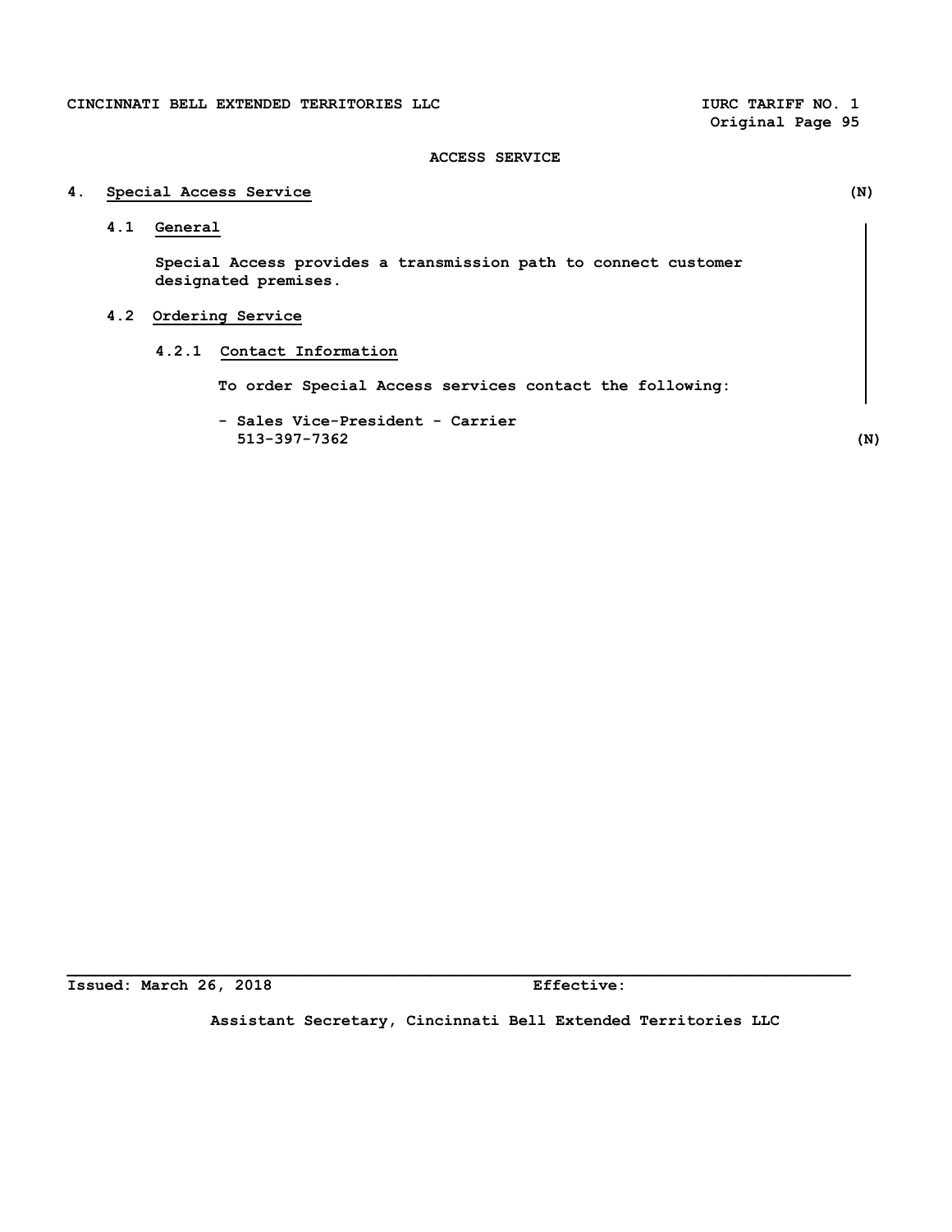**Original Page 95**

# **ACCESS SERVICE**

# **4. Special Access Service (N) 4.1 General Special Access provides a transmission path to connect customer designated premises. 4.2 Ordering Service 4.2.1 Contact Information To order Special Access services contact the following: - Sales Vice-President - Carrier 513-397-7362 (N)**

**Issued: March 26, 2018 Effective:** 

**Assistant Secretary, Cincinnati Bell Extended Territories LLC**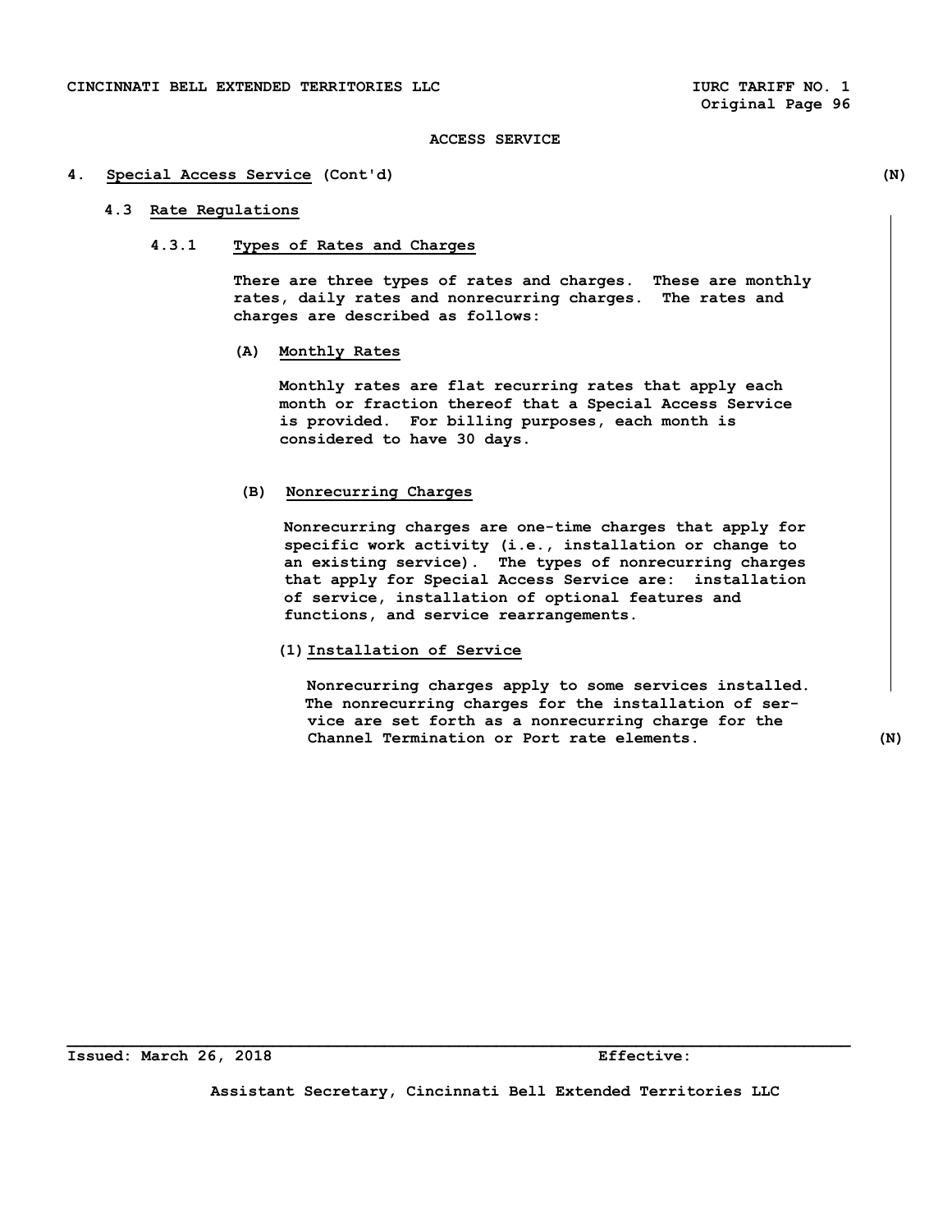#### **4. Special Access Service (Cont'd) (N)**

# **4.3 Rate Regulations**

 **4.3.1 Types of Rates and Charges** 

 **There are three types of rates and charges. These are monthly rates, daily rates and nonrecurring charges. The rates and charges are described as follows:** 

 **(A) Monthly Rates** 

 **Monthly rates are flat recurring rates that apply each month or fraction thereof that a Special Access Service is provided. For billing purposes, each month is considered to have 30 days.** 

#### **(B) Nonrecurring Charges**

 **Nonrecurring charges are one-time charges that apply for specific work activity (i.e., installation or change to an existing service). The types of nonrecurring charges that apply for Special Access Service are: installation of service, installation of optional features and functions, and service rearrangements.** 

 **(1) Installation of Service** 

 **Nonrecurring charges apply to some services installed. The nonrecurring charges for the installation of ser vice are set forth as a nonrecurring charge for the Channel Termination or Port rate elements. (N)** 

**Issued: March 26, 2018 Effective:** 

**Assistant Secretary, Cincinnati Bell Extended Territories LLC**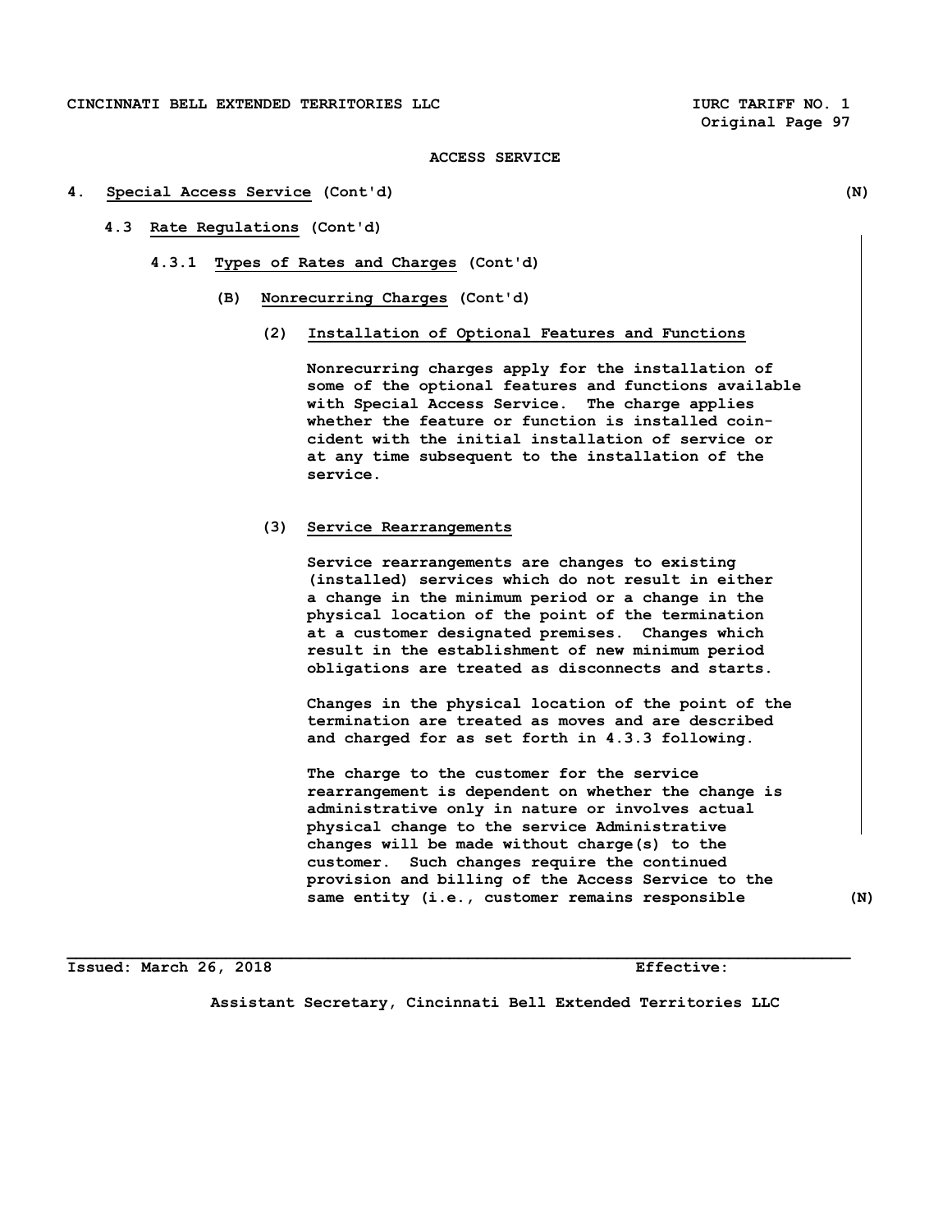**Original Page 97** 

#### **ACCESS SERVICE**

#### **4. Special Access Service (Cont'd) (N)**

- **4.3 Rate Regulations (Cont'd)** 
	- **4.3.1 Types of Rates and Charges (Cont'd)** 
		- **(B) Nonrecurring Charges (Cont'd)** 
			- **(2) Installation of Optional Features and Functions**

 **Nonrecurring charges apply for the installation of some of the optional features and functions available with Special Access Service. The charge applies whether the feature or function is installed coin cident with the initial installation of service or at any time subsequent to the installation of the service.** 

#### **(3) Service Rearrangements**

 **Service rearrangements are changes to existing (installed) services which do not result in either a change in the minimum period or a change in the physical location of the point of the termination at a customer designated premises. Changes which result in the establishment of new minimum period obligations are treated as disconnects and starts.** 

 **Changes in the physical location of the point of the termination are treated as moves and are described and charged for as set forth in 4.3.3 following.** 

 **The charge to the customer for the service rearrangement is dependent on whether the change is administrative only in nature or involves actual physical change to the service Administrative changes will be made without charge(s) to the customer. Such changes require the continued provision and billing of the Access Service to the same entity (i.e., customer remains responsible (N)** 

**Issued: March 26, 2018 Effective:** 

**Assistant Secretary, Cincinnati Bell Extended Territories LLC**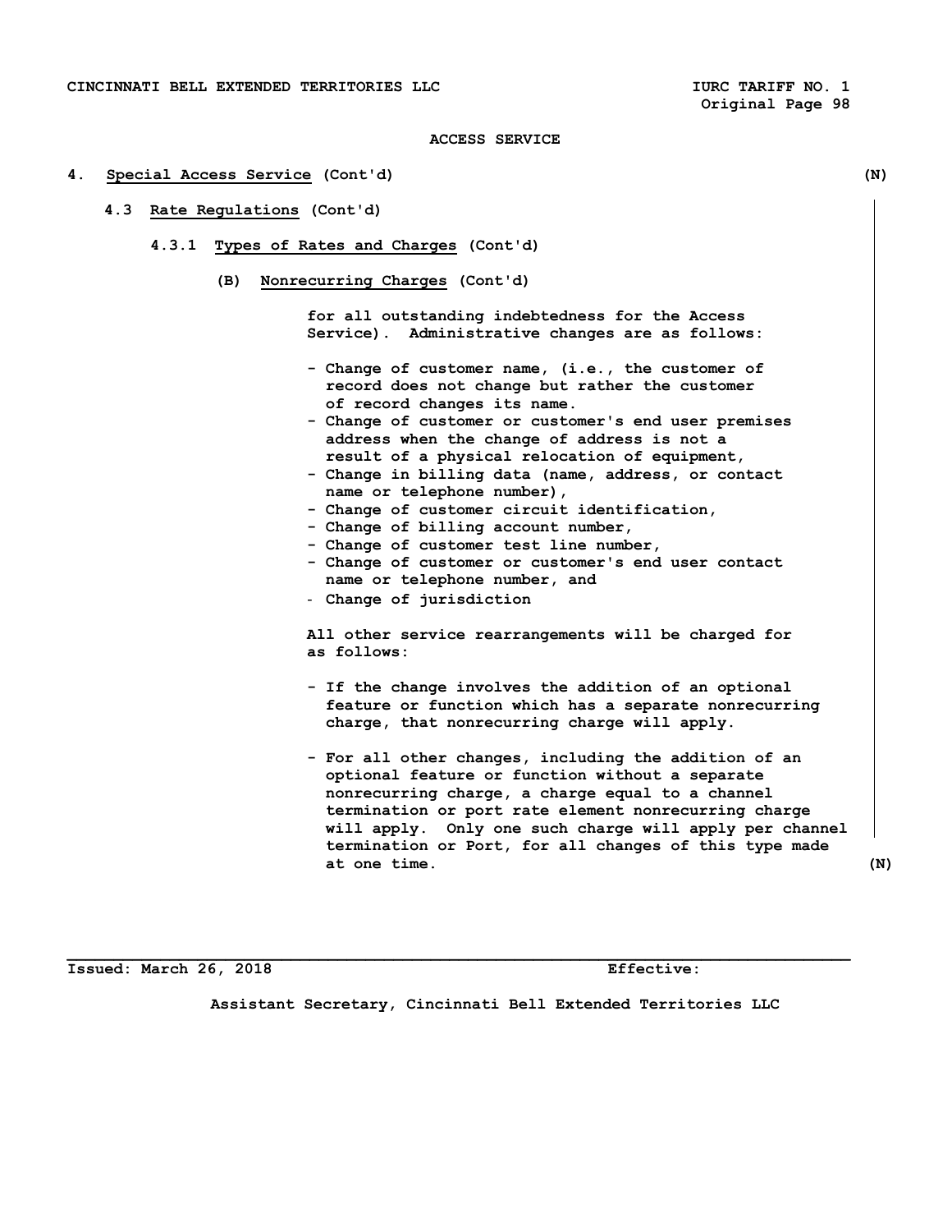#### **4. Special Access Service (Cont'd) (N)**

- **4.3 Rate Regulations (Cont'd)** 
	- **4.3.1 Types of Rates and Charges (Cont'd)** 
		- **(B) Nonrecurring Charges (Cont'd)**

 **for all outstanding indebtedness for the Access Service). Administrative changes are as follows:** 

- **Change of customer name, (i.e., the customer of record does not change but rather the customer of record changes its name.**
- **Change of customer or customer's end user premises address when the change of address is not a result of a physical relocation of equipment,**
- **Change in billing data (name, address, or contact name or telephone number),**
- **Change of customer circuit identification,**
- **Change of billing account number,**
- **Change of customer test line number,**
- **Change of customer or customer's end user contact name or telephone number, and**
- **Change of jurisdiction**

 **All other service rearrangements will be charged for as follows:** 

- **If the change involves the addition of an optional feature or function which has a separate nonrecurring charge, that nonrecurring charge will apply.**
- **For all other changes, including the addition of an optional feature or function without a separate nonrecurring charge, a charge equal to a channel termination or port rate element nonrecurring charge will apply. Only one such charge will apply per channel termination or Port, for all changes of this type made at one time. (N)**

**Issued: March 26, 2018 Effective:** 

**Assistant Secretary, Cincinnati Bell Extended Territories LLC**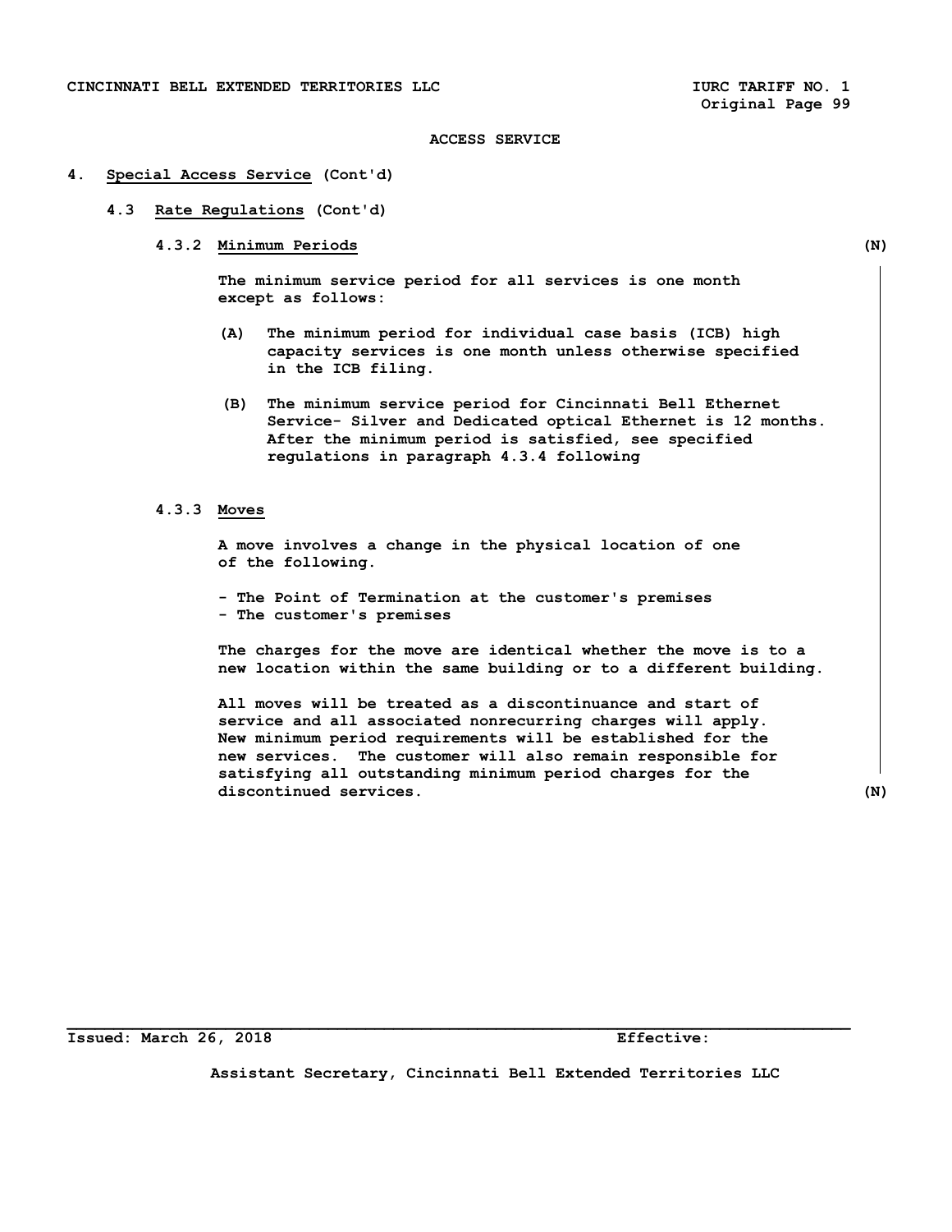#### **4. Special Access Service (Cont'd)**

- **4.3 Rate Regulations (Cont'd)** 
	- **4.3.2 Minimum Periods (N)**

 **The minimum service period for all services is one month except as follows:** 

- **(A) The minimum period for individual case basis (ICB) high capacity services is one month unless otherwise specified in the ICB filing.**
- **(B) The minimum service period for Cincinnati Bell Ethernet Service- Silver and Dedicated optical Ethernet is 12 months. After the minimum period is satisfied, see specified regulations in paragraph 4.3.4 following**

## **4.3.3 Moves**

 **A move involves a change in the physical location of one of the following.** 

 **- The Point of Termination at the customer's premises - The customer's premises** 

 **The charges for the move are identical whether the move is to a new location within the same building or to a different building.** 

 **All moves will be treated as a discontinuance and start of service and all associated nonrecurring charges will apply. New minimum period requirements will be established for the new services. The customer will also remain responsible for satisfying all outstanding minimum period charges for the discontinued services. (N)** 

**Issued: March 26, 2018 Effective:** 

**Assistant Secretary, Cincinnati Bell Extended Territories LLC**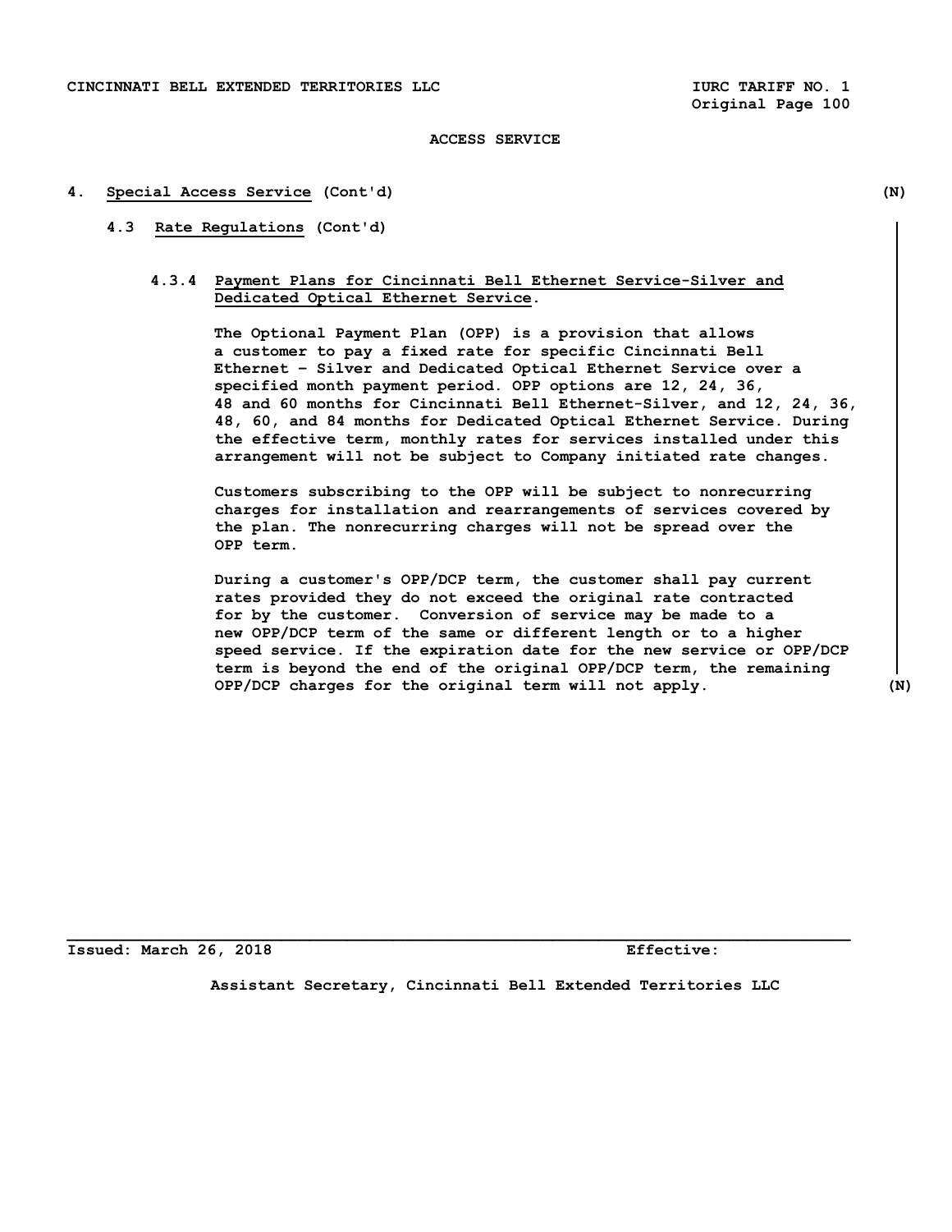## **4. Special Access Service (Cont'd) (N)**

# **4.3 Rate Regulations (Cont'd)**

# **4.3.4 Payment Plans for Cincinnati Bell Ethernet Service-Silver and Dedicated Optical Ethernet Service.**

 **The Optional Payment Plan (OPP) is a provision that allows a customer to pay a fixed rate for specific Cincinnati Bell Ethernet – Silver and Dedicated Optical Ethernet Service over a specified month payment period. OPP options are 12, 24, 36, 48 and 60 months for Cincinnati Bell Ethernet-Silver, and 12, 24, 36, 48, 60, and 84 months for Dedicated Optical Ethernet Service. During the effective term, monthly rates for services installed under this arrangement will not be subject to Company initiated rate changes.** 

 **Customers subscribing to the OPP will be subject to nonrecurring charges for installation and rearrangements of services covered by the plan. The nonrecurring charges will not be spread over the OPP term.** 

 **During a customer's OPP/DCP term, the customer shall pay current rates provided they do not exceed the original rate contracted for by the customer. Conversion of service may be made to a new OPP/DCP term of the same or different length or to a higher speed service. If the expiration date for the new service or OPP/DCP term is beyond the end of the original OPP/DCP term, the remaining OPP/DCP charges for the original term will not apply. (N)** 

**Issued: March 26, 2018 Effective:** 

**Assistant Secretary, Cincinnati Bell Extended Territories LLC**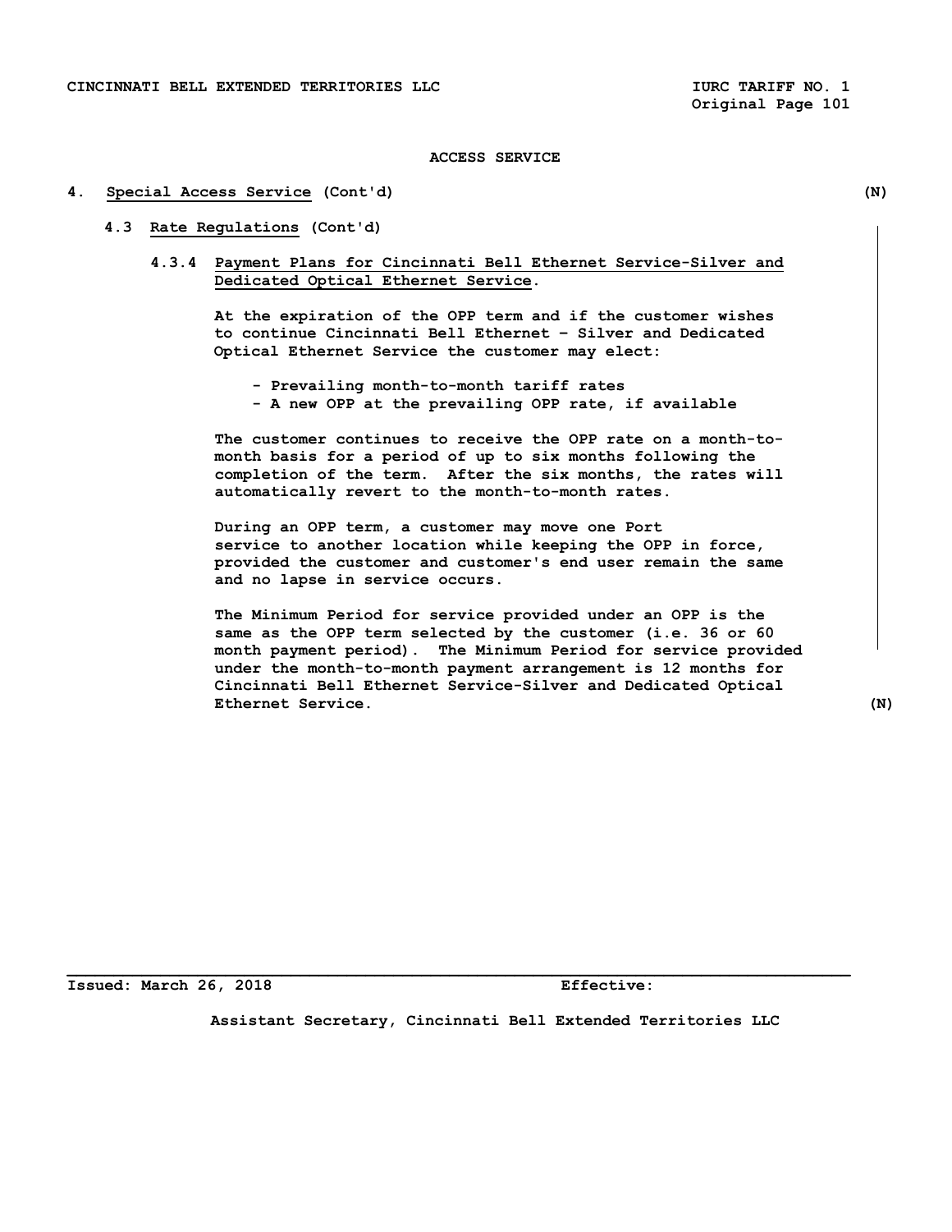#### **4. Special Access Service (Cont'd) (N)**

## **4.3 Rate Regulations (Cont'd)**

 **4.3.4 Payment Plans for Cincinnati Bell Ethernet Service-Silver and Dedicated Optical Ethernet Service.** 

 **At the expiration of the OPP term and if the customer wishes to continue Cincinnati Bell Ethernet – Silver and Dedicated Optical Ethernet Service the customer may elect:** 

- **Prevailing month-to-month tariff rates**
- **A new OPP at the prevailing OPP rate, if available**

 **The customer continues to receive the OPP rate on a month-to month basis for a period of up to six months following the completion of the term. After the six months, the rates will automatically revert to the month-to-month rates.** 

 **During an OPP term, a customer may move one Port service to another location while keeping the OPP in force, provided the customer and customer's end user remain the same and no lapse in service occurs.** 

 **The Minimum Period for service provided under an OPP is the same as the OPP term selected by the customer (i.e. 36 or 60 month payment period). The Minimum Period for service provided under the month-to-month payment arrangement is 12 months for Cincinnati Bell Ethernet Service-Silver and Dedicated Optical Ethernet Service. (N)** 

**Issued: March 26, 2018 Effective:** 

**Assistant Secretary, Cincinnati Bell Extended Territories LLC**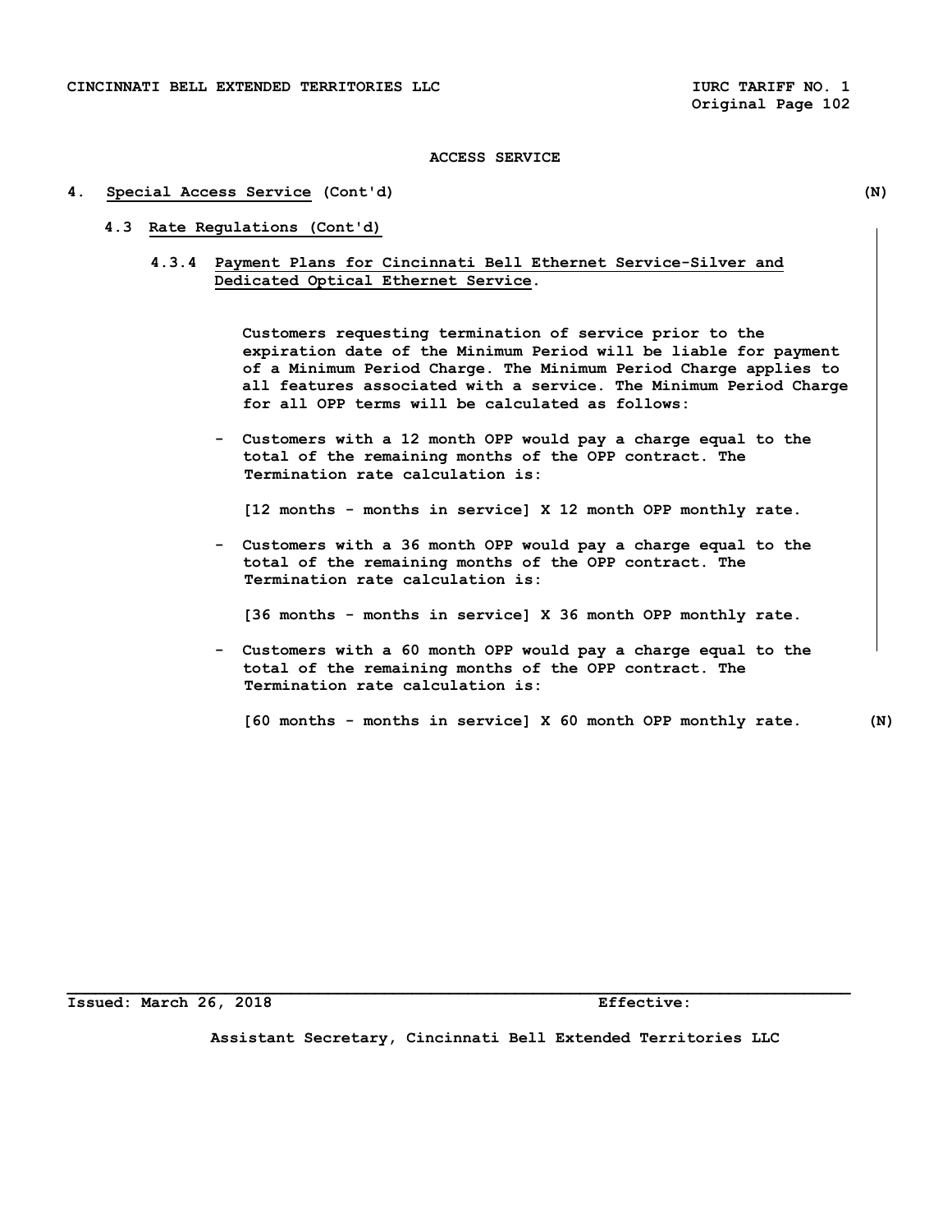#### **4. Special Access Service (Cont'd) (N)**

- **4.3 Rate Regulations (Cont'd)** 
	- **4.3.4 Payment Plans for Cincinnati Bell Ethernet Service-Silver and Dedicated Optical Ethernet Service.**

 **Customers requesting termination of service prior to the expiration date of the Minimum Period will be liable for payment of a Minimum Period Charge. The Minimum Period Charge applies to all features associated with a service. The Minimum Period Charge for all OPP terms will be calculated as follows:** 

 **- Customers with a 12 month OPP would pay a charge equal to the total of the remaining months of the OPP contract. The Termination rate calculation is:** 

 **[12 months - months in service] X 12 month OPP monthly rate.** 

 **- Customers with a 36 month OPP would pay a charge equal to the total of the remaining months of the OPP contract. The Termination rate calculation is:** 

 **[36 months - months in service] X 36 month OPP monthly rate.** 

 **- Customers with a 60 month OPP would pay a charge equal to the total of the remaining months of the OPP contract. The Termination rate calculation is:** 

 **[60 months - months in service] X 60 month OPP monthly rate. (N)** 

**Issued: March 26, 2018 Effective:** 

**Assistant Secretary, Cincinnati Bell Extended Territories LLC**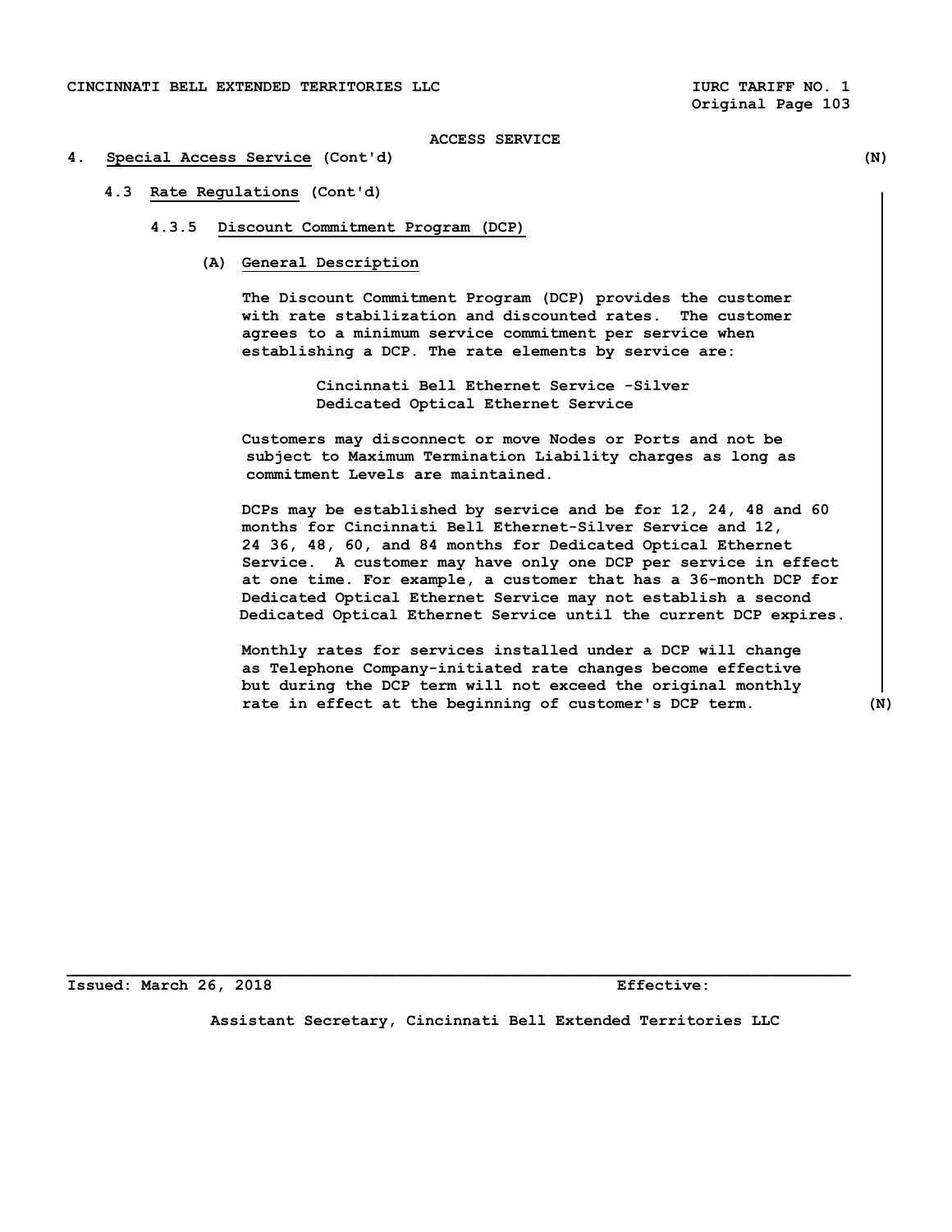## **4. Special Access Service (Cont'd) (N)**

 **4.3 Rate Regulations (Cont'd)** 

#### **4.3.5 Discount Commitment Program (DCP)**

 **(A) General Description** 

 **The Discount Commitment Program (DCP) provides the customer with rate stabilization and discounted rates. The customer agrees to a minimum service commitment per service when establishing a DCP. The rate elements by service are:** 

> **Cincinnati Bell Ethernet Service -Silver Dedicated Optical Ethernet Service**

 **Customers may disconnect or move Nodes or Ports and not be subject to Maximum Termination Liability charges as long as commitment Levels are maintained.** 

 **DCPs may be established by service and be for 12, 24, 48 and 60 months for Cincinnati Bell Ethernet-Silver Service and 12, 24 36, 48, 60, and 84 months for Dedicated Optical Ethernet Service. A customer may have only one DCP per service in effect at one time. For example, a customer that has a 36-month DCP for Dedicated Optical Ethernet Service may not establish a second Dedicated Optical Ethernet Service until the current DCP expires.** 

 **Monthly rates for services installed under a DCP will change as Telephone Company-initiated rate changes become effective but during the DCP term will not exceed the original monthly rate in effect at the beginning of customer's DCP term. (N)** 

**Issued: March 26, 2018 Effective:** 

**Assistant Secretary, Cincinnati Bell Extended Territories LLC**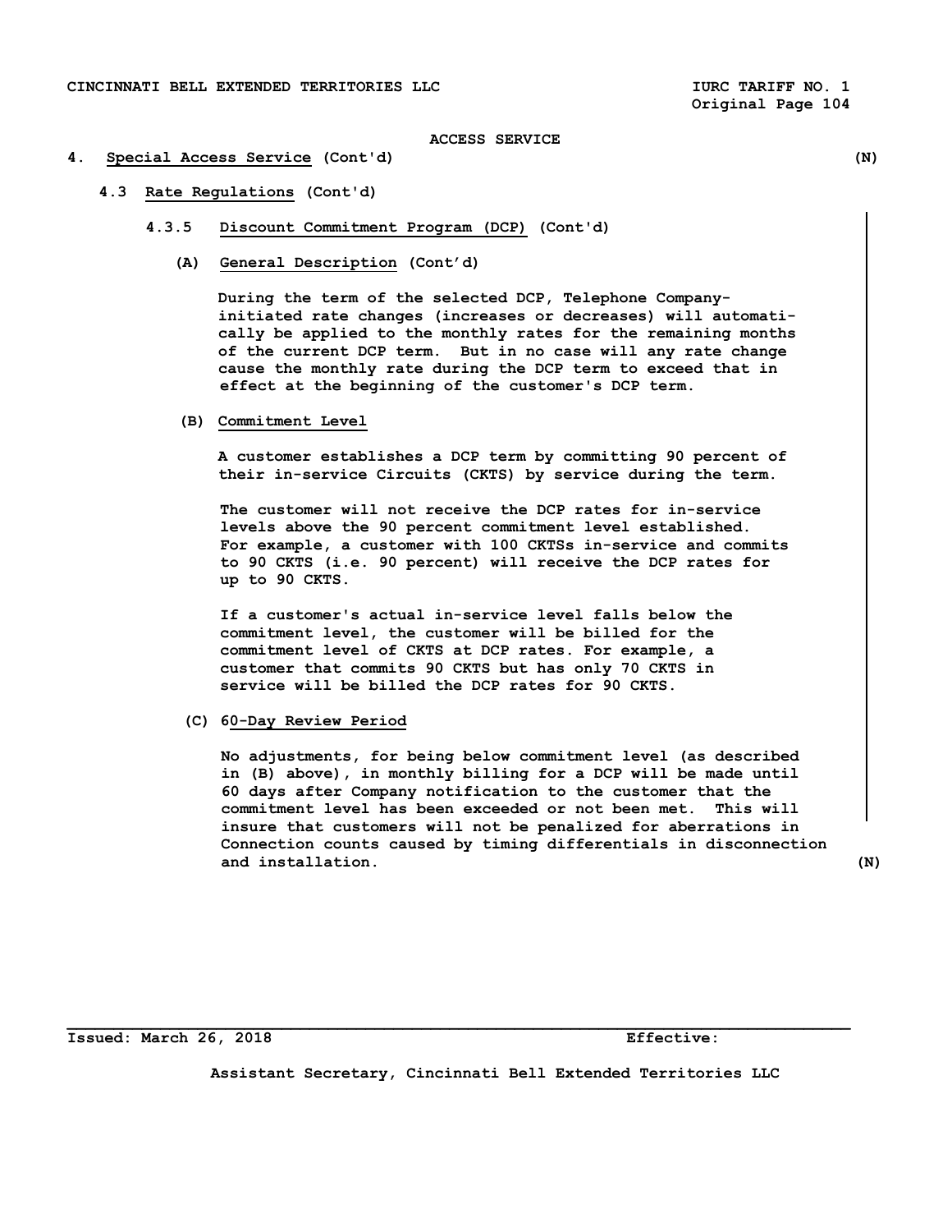## **4. Special Access Service (Cont'd) (N)**

- **4.3 Rate Regulations (Cont'd)** 
	- **4.3.5 Discount Commitment Program (DCP) (Cont'd)** 
		- **(A) General Description (Cont'd)**

 **During the term of the selected DCP, Telephone Company initiated rate changes (increases or decreases) will automati cally be applied to the monthly rates for the remaining months of the current DCP term. But in no case will any rate change cause the monthly rate during the DCP term to exceed that in effect at the beginning of the customer's DCP term.** 

 **(B) Commitment Level** 

 **A customer establishes a DCP term by committing 90 percent of their in-service Circuits (CKTS) by service during the term.** 

 **The customer will not receive the DCP rates for in-service levels above the 90 percent commitment level established. For example, a customer with 100 CKTSs in-service and commits to 90 CKTS (i.e. 90 percent) will receive the DCP rates for up to 90 CKTS.** 

 **If a customer's actual in-service level falls below the commitment level, the customer will be billed for the commitment level of CKTS at DCP rates. For example, a customer that commits 90 CKTS but has only 70 CKTS in service will be billed the DCP rates for 90 CKTS.** 

 **(C) 60-Day Review Period** 

 **No adjustments, for being below commitment level (as described in (B) above), in monthly billing for a DCP will be made until 60 days after Company notification to the customer that the commitment level has been exceeded or not been met. This will insure that customers will not be penalized for aberrations in Connection counts caused by timing differentials in disconnection and installation. (N)** 

**Issued: March 26, 2018 Effective:** 

**Assistant Secretary, Cincinnati Bell Extended Territories LLC**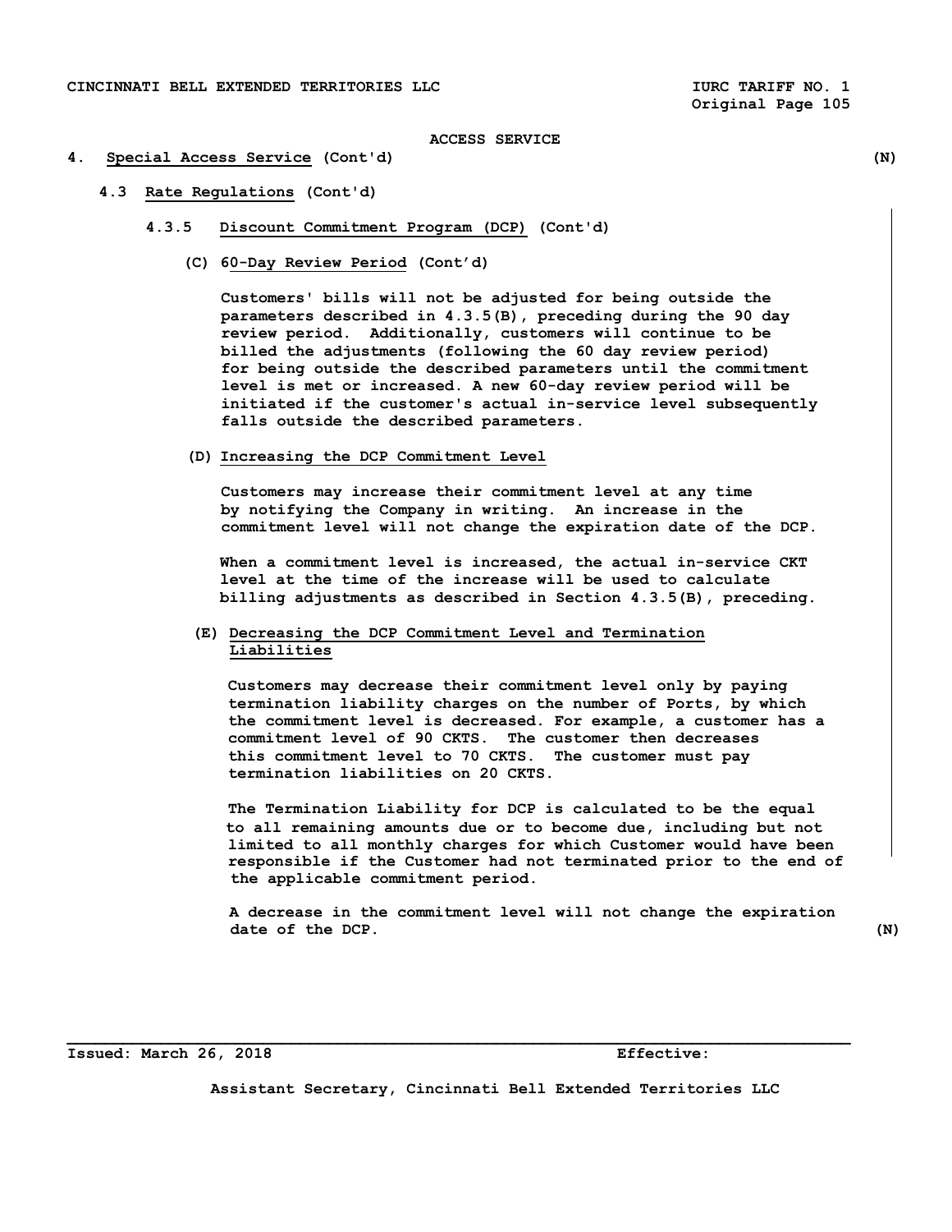## **4. Special Access Service (Cont'd) (N)**

- **4.3 Rate Regulations (Cont'd)** 
	- **4.3.5 Discount Commitment Program (DCP) (Cont'd)** 
		- **(C) 60-Day Review Period (Cont'd)**

 **Customers' bills will not be adjusted for being outside the parameters described in 4.3.5(B), preceding during the 90 day review period. Additionally, customers will continue to be billed the adjustments (following the 60 day review period) for being outside the described parameters until the commitment level is met or increased. A new 60-day review period will be initiated if the customer's actual in-service level subsequently falls outside the described parameters.** 

 **(D) Increasing the DCP Commitment Level** 

 **Customers may increase their commitment level at any time by notifying the Company in writing. An increase in the commitment level will not change the expiration date of the DCP.** 

 **When a commitment level is increased, the actual in-service CKT level at the time of the increase will be used to calculate billing adjustments as described in Section 4.3.5(B), preceding.** 

# **(E) Decreasing the DCP Commitment Level and Termination Liabilities**

**Customers may decrease their commitment level only by paying termination liability charges on the number of Ports, by which the commitment level is decreased. For example, a customer has a commitment level of 90 CKTS. The customer then decreases this commitment level to 70 CKTS. The customer must pay termination liabilities on 20 CKTS.** 

 **The Termination Liability for DCP is calculated to be the equal to all remaining amounts due or to become due, including but not limited to all monthly charges for which Customer would have been responsible if the Customer had not terminated prior to the end of the applicable commitment period.** 

 **A decrease in the commitment level will not change the expiration date of the DCP.** (N)

**Issued: March 26, 2018 Effective:** 

**Assistant Secretary, Cincinnati Bell Extended Territories LLC**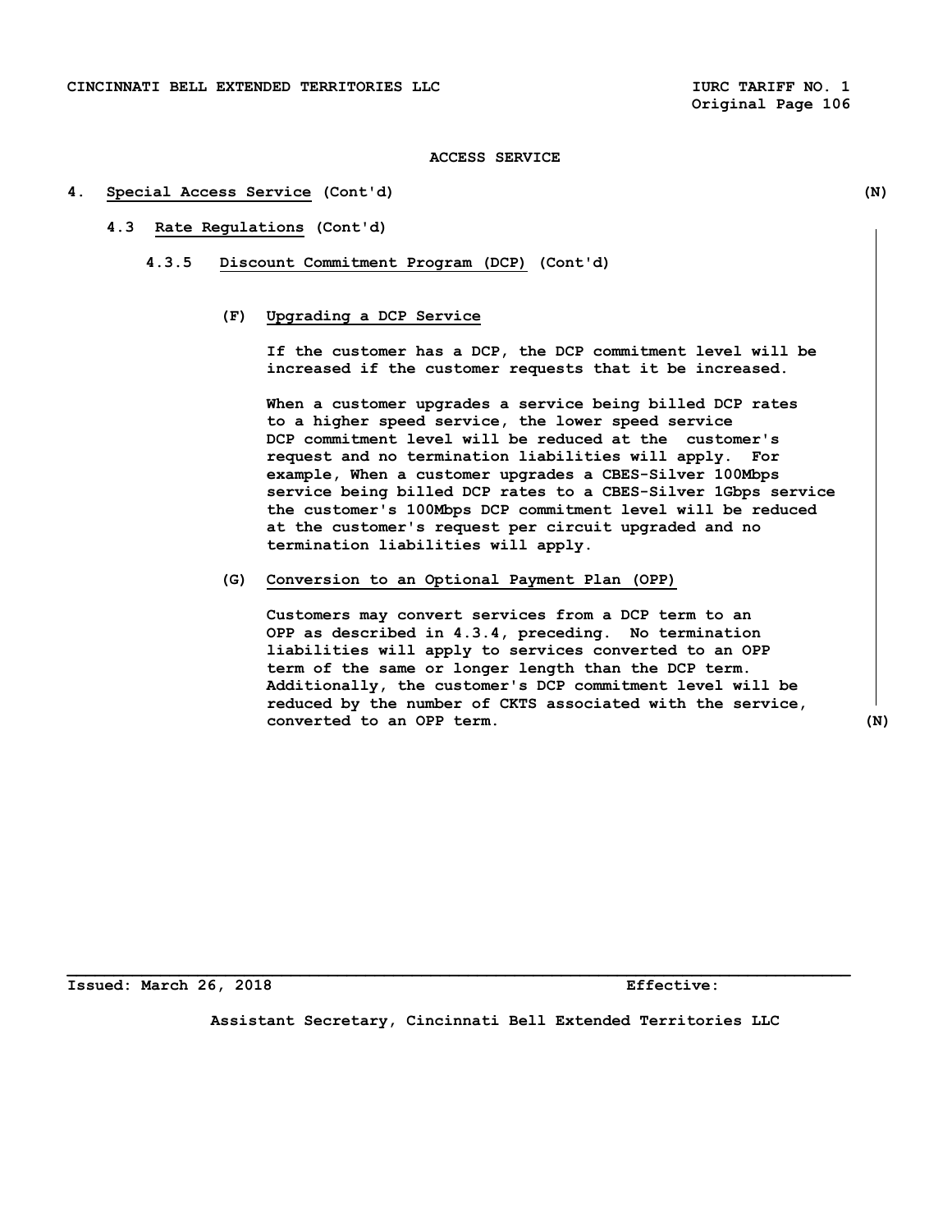#### **4. Special Access Service (Cont'd) (N)**

# **4.3 Rate Regulations (Cont'd)**

 **4.3.5 Discount Commitment Program (DCP) (Cont'd)** 

# **(F) Upgrading a DCP Service**

 **If the customer has a DCP, the DCP commitment level will be increased if the customer requests that it be increased.** 

 **When a customer upgrades a service being billed DCP rates to a higher speed service, the lower speed service DCP commitment level will be reduced at the customer's request and no termination liabilities will apply. For example, When a customer upgrades a CBES-Silver 100Mbps service being billed DCP rates to a CBES-Silver 1Gbps service the customer's 100Mbps DCP commitment level will be reduced at the customer's request per circuit upgraded and no termination liabilities will apply.** 

 **(G) Conversion to an Optional Payment Plan (OPP)** 

 **Customers may convert services from a DCP term to an OPP as described in 4.3.4, preceding. No termination liabilities will apply to services converted to an OPP term of the same or longer length than the DCP term. Additionally, the customer's DCP commitment level will be reduced by the number of CKTS associated with the service, converted to an OPP term. (N)** 

**Issued: March 26, 2018 Effective:** 

**Assistant Secretary, Cincinnati Bell Extended Territories LLC**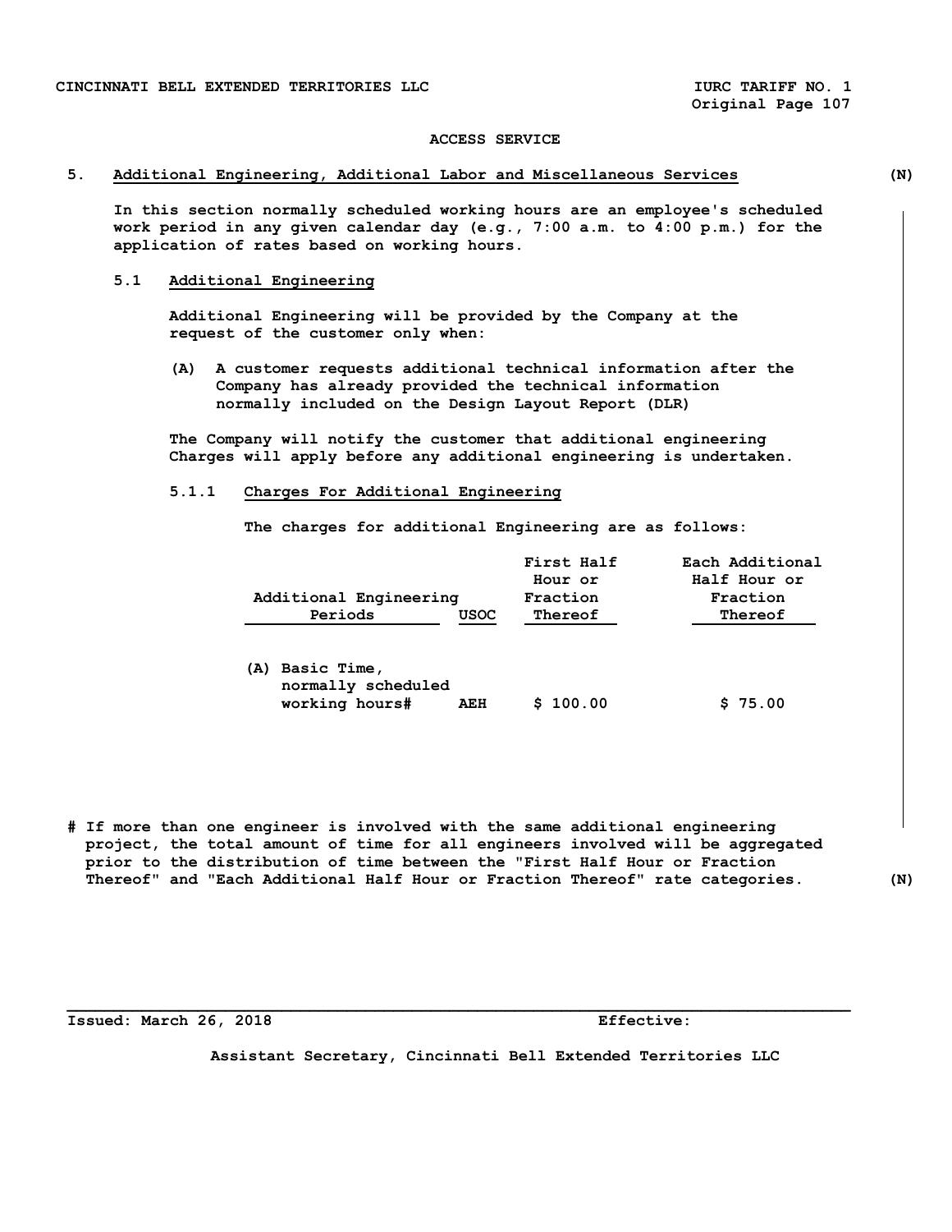## **5. Additional Engineering, Additional Labor and Miscellaneous Services (N)**

 **In this section normally scheduled working hours are an employee's scheduled work period in any given calendar day (e.g., 7:00 a.m. to 4:00 p.m.) for the application of rates based on working hours.** 

# **5.1 Additional Engineering**

 **Additional Engineering will be provided by the Company at the request of the customer only when:** 

 **(A) A customer requests additional technical information after the Company has already provided the technical information normally included on the Design Layout Report (DLR)** 

 **The Company will notify the customer that additional engineering Charges will apply before any additional engineering is undertaken.** 

## **5.1.1 Charges For Additional Engineering**

 **The charges for additional Engineering are as follows:** 

|     | Additional Engineering                              |      | First Half<br>Hour or<br>Fraction | Each Additional<br>Half Hour or<br>Fraction |
|-----|-----------------------------------------------------|------|-----------------------------------|---------------------------------------------|
|     | Periods                                             | USOC | Thereof                           | Thereof                                     |
| (A) | Basic Time,<br>normally scheduled<br>working hours# | AEH  | \$100.00                          | \$75.00                                     |

**# If more than one engineer is involved with the same additional engineering project, the total amount of time for all engineers involved will be aggregated prior to the distribution of time between the "First Half Hour or Fraction Thereof" and "Each Additional Half Hour or Fraction Thereof" rate categories. (N)** 

**Issued: March 26, 2018 Effective:** 

**Assistant Secretary, Cincinnati Bell Extended Territories LLC**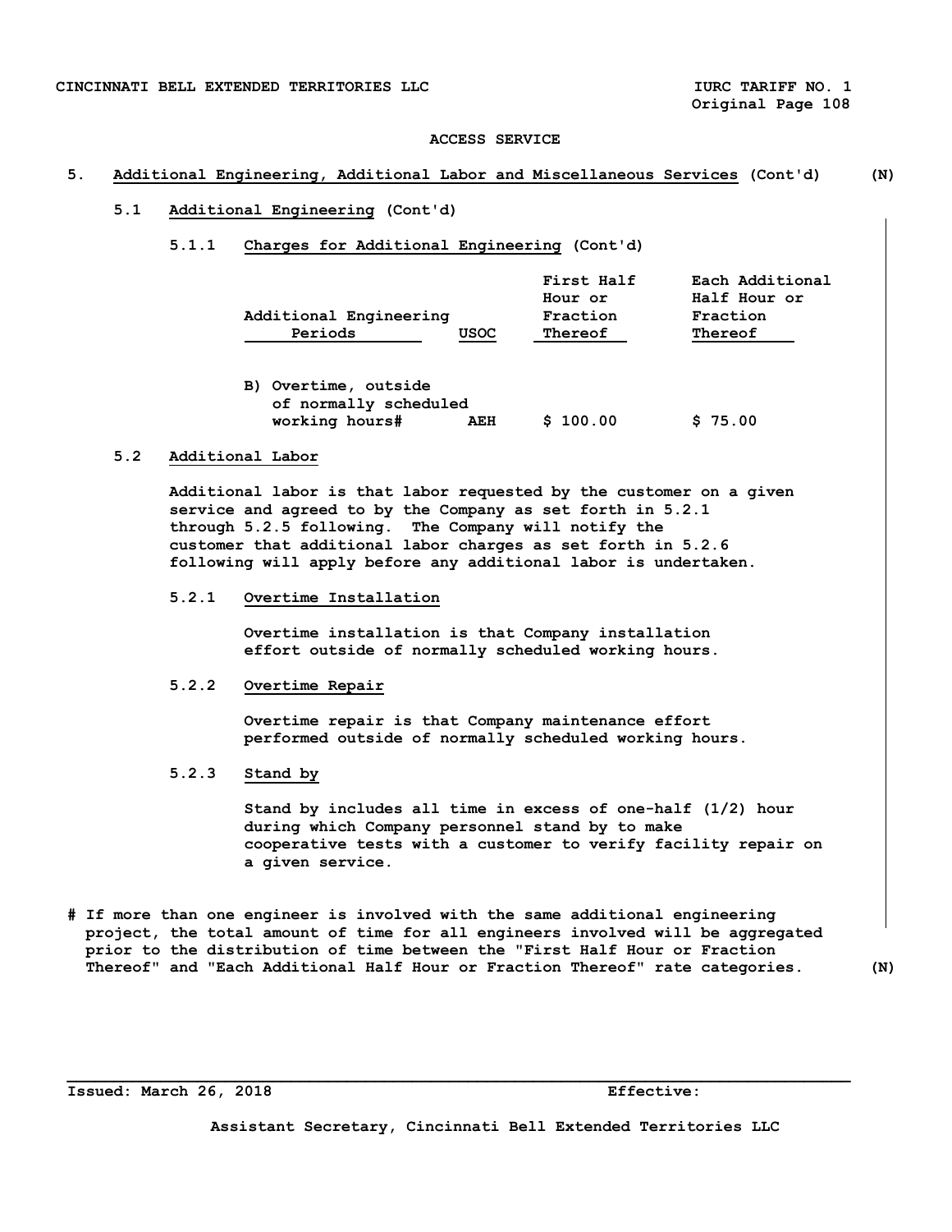### **5. Additional Engineering, Additional Labor and Miscellaneous Services (Cont'd) (N)**

### **5.1 Additional Engineering (Cont'd)**

 **5.1.1 Charges for Additional Engineering (Cont'd)** 

| <b>First Half</b> | Each Additional |
|-------------------|-----------------|
| Hour or           | Half Hour or    |
| Fraction          | Fraction        |
| Thereof           | Thereof         |
|                   |                 |

 **B) Overtime, outside of normally scheduled working hours# AEH \$ 100.00 \$ 75.00** 

# **5.2 Additional Labor**

 **Additional labor is that labor requested by the customer on a given service and agreed to by the Company as set forth in 5.2.1 through 5.2.5 following. The Company will notify the customer that additional labor charges as set forth in 5.2.6 following will apply before any additional labor is undertaken.** 

 **5.2.1 Overtime Installation** 

 **Overtime installation is that Company installation effort outside of normally scheduled working hours.** 

## **5.2.2 Overtime Repair**

 **Overtime repair is that Company maintenance effort performed outside of normally scheduled working hours.** 

 **5.2.3 Stand by** 

 **Stand by includes all time in excess of one-half (1/2) hour during which Company personnel stand by to make cooperative tests with a customer to verify facility repair on a given service.** 

**# If more than one engineer is involved with the same additional engineering project, the total amount of time for all engineers involved will be aggregated prior to the distribution of time between the "First Half Hour or Fraction Thereof" and "Each Additional Half Hour or Fraction Thereof" rate categories. (N)** 

**\_\_\_\_\_\_\_\_\_\_\_\_\_\_\_\_\_\_\_\_\_\_\_\_\_\_\_\_\_\_\_\_\_\_\_\_\_\_\_\_\_\_\_\_\_\_\_\_\_\_\_\_\_\_\_\_\_\_\_\_\_\_\_\_\_\_\_\_\_\_\_\_\_\_\_\_\_\_\_\_\_\_\_\_** 

**Issued: March 26, 2018 Effective:**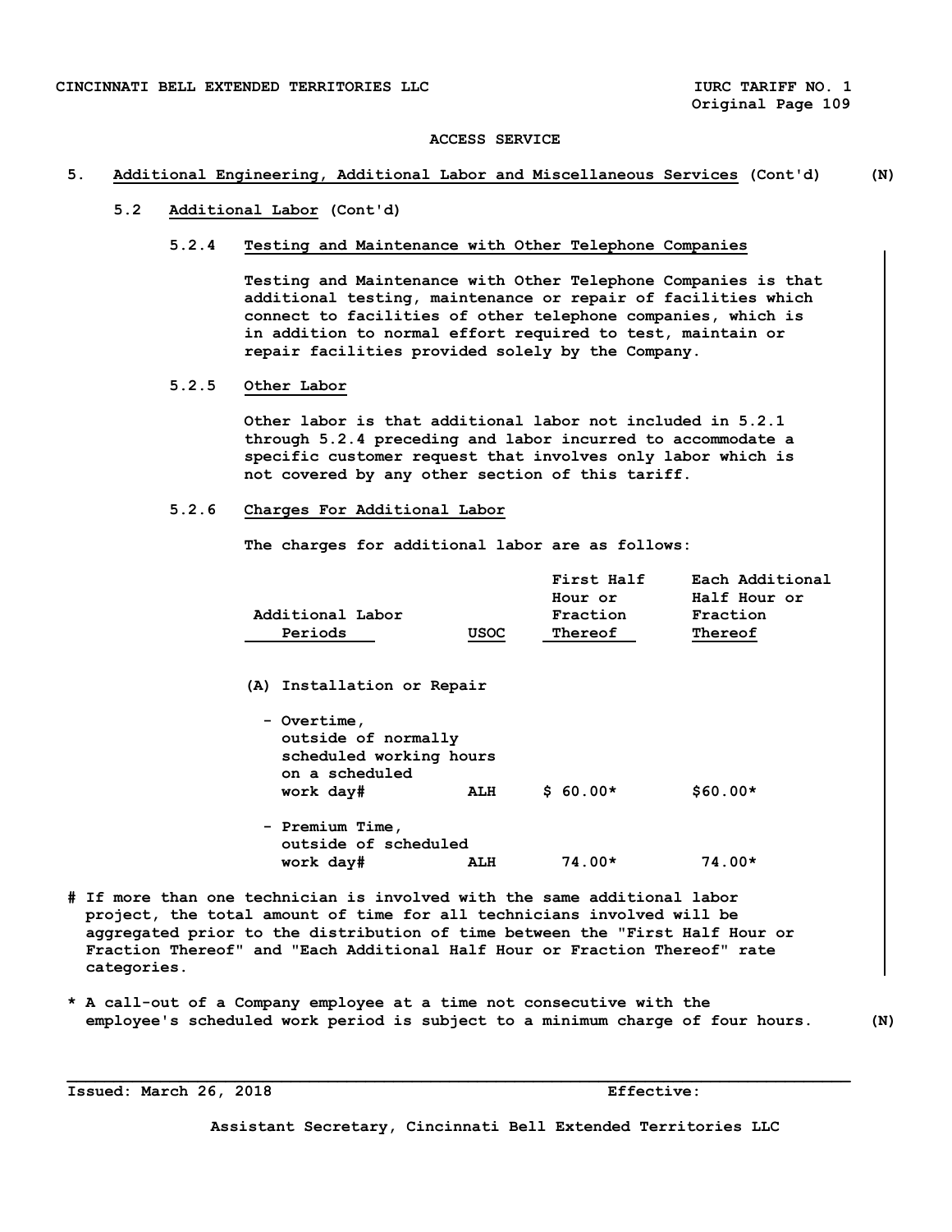## **5. Additional Engineering, Additional Labor and Miscellaneous Services (Cont'd) (N)**

# **5.2 Additional Labor (Cont'd)**

### **5.2.4 Testing and Maintenance with Other Telephone Companies**

 **Testing and Maintenance with Other Telephone Companies is that additional testing, maintenance or repair of facilities which connect to facilities of other telephone companies, which is in addition to normal effort required to test, maintain or repair facilities provided solely by the Company.** 

# **5.2.5 Other Labor**

 **Other labor is that additional labor not included in 5.2.1 through 5.2.4 preceding and labor incurred to accommodate a specific customer request that involves only labor which is not covered by any other section of this tariff.** 

## **5.2.6 Charges For Additional Labor**

 **The charges for additional labor are as follows:** 

|                  |      | <b>First Half</b> | Each Additional |
|------------------|------|-------------------|-----------------|
|                  |      | Hour or           | Half Hour or    |
| Additional Labor |      | Fraction          | Fraction        |
| Periods          | USOC | Thereof           | Thereof         |

 **(A) Installation or Repair** 

| - Overtime,<br>outside of normally<br>scheduled working hours<br>on a scheduled<br>work day# | ALH | $$60.00*$ | $$60.00*$ |
|----------------------------------------------------------------------------------------------|-----|-----------|-----------|
| - Premium Time,<br>outside of scheduled                                                      |     |           |           |

 **work day# ALH 74.00\* 74.00\*** 

- **# If more than one technician is involved with the same additional labor project, the total amount of time for all technicians involved will be aggregated prior to the distribution of time between the "First Half Hour or Fraction Thereof" and "Each Additional Half Hour or Fraction Thereof" rate categories.**
- **\* A call-out of a Company employee at a time not consecutive with the employee's scheduled work period is subject to a minimum charge of four hours. (N)**

**\_\_\_\_\_\_\_\_\_\_\_\_\_\_\_\_\_\_\_\_\_\_\_\_\_\_\_\_\_\_\_\_\_\_\_\_\_\_\_\_\_\_\_\_\_\_\_\_\_\_\_\_\_\_\_\_\_\_\_\_\_\_\_\_\_\_\_\_\_\_\_\_\_\_\_\_\_\_\_\_\_\_\_\_** 

**Issued: March 26, 2018 Effective:**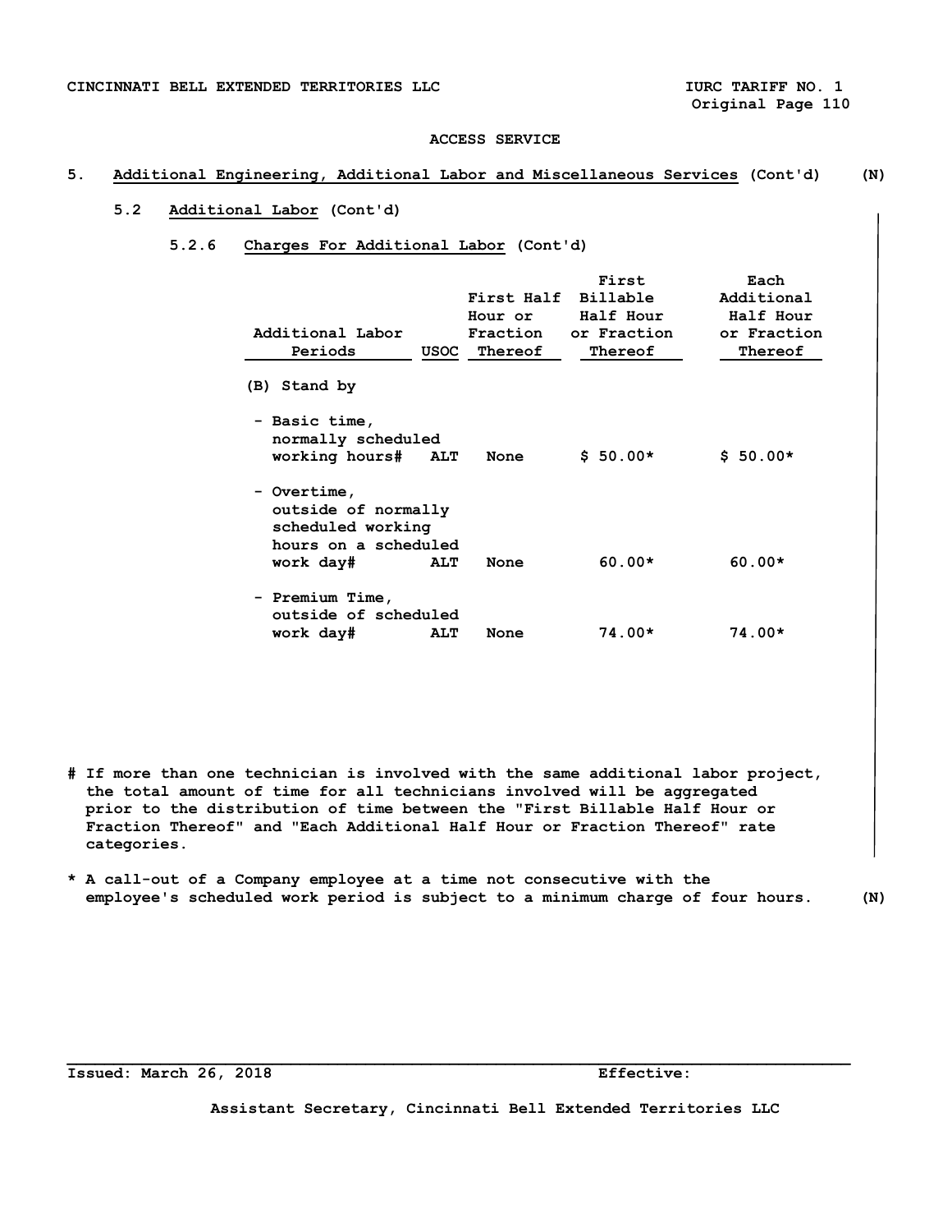# **5. Additional Engineering, Additional Labor and Miscellaneous Services (Cont'd) (N)**

# **5.2 Additional Labor (Cont'd)**

## **5.2.6 Charges For Additional Labor (Cont'd)**

| Additional Labor<br>Periods                                                     | USOC       | First Half<br>Hour or<br>Fraction<br>Thereof | First<br>Billable<br>Half Hour<br>or Fraction<br>Thereof | Each<br>Additional<br>Half Hour<br>or Fraction<br>Thereof |
|---------------------------------------------------------------------------------|------------|----------------------------------------------|----------------------------------------------------------|-----------------------------------------------------------|
| (B) Stand by                                                                    |            |                                              |                                                          |                                                           |
| - Basic time,<br>normally scheduled<br>working hours# ALT                       |            | None                                         | $$50.00*$                                                | $$50.00*$                                                 |
| - Overtime,<br>outside of normally<br>scheduled working<br>hours on a scheduled |            |                                              |                                                          |                                                           |
| work day#                                                                       | <b>ALT</b> | None                                         | $60.00*$                                                 | $60.00*$                                                  |
| - Premium Time,<br>outside of scheduled                                         |            |                                              |                                                          |                                                           |
| work day#                                                                       | <b>ALT</b> | None                                         | $74.00*$                                                 | $74.00*$                                                  |

**# If more than one technician is involved with the same additional labor project, the total amount of time for all technicians involved will be aggregated prior to the distribution of time between the "First Billable Half Hour or Fraction Thereof" and "Each Additional Half Hour or Fraction Thereof" rate categories.** 

**\* A call-out of a Company employee at a time not consecutive with the employee's scheduled work period is subject to a minimum charge of four hours. (N)** 

**Issued: March 26, 2018 Effective:** 

**Assistant Secretary, Cincinnati Bell Extended Territories LLC**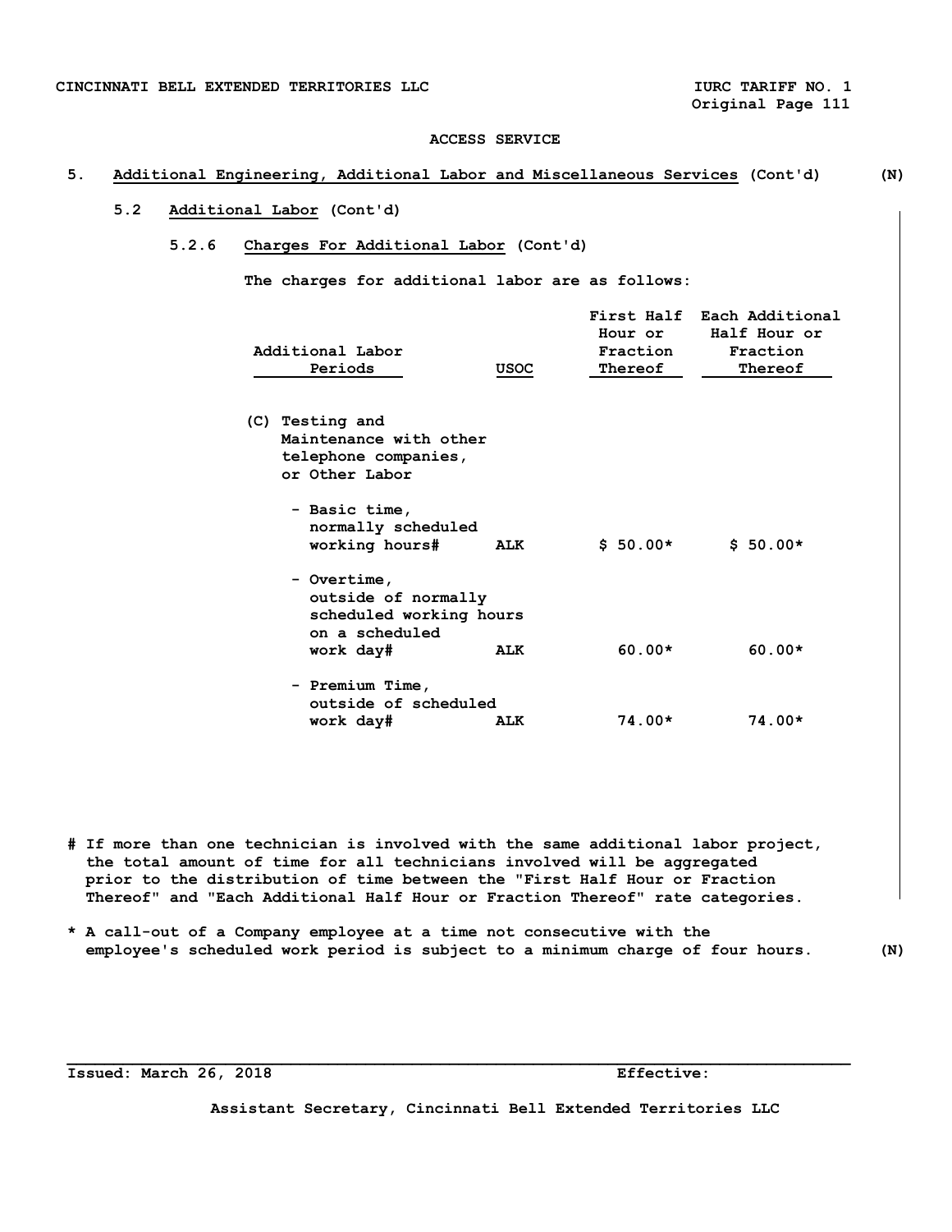**Original Page 111** 

### **ACCESS SERVICE**

# **5. Additional Engineering, Additional Labor and Miscellaneous Services (Cont'd) (N)**

# **5.2 Additional Labor (Cont'd)**

# **5.2.6 Charges For Additional Labor (Cont'd)**

 **The charges for additional labor are as follows:** 

| Additional Labor<br>Periods                                                                  | <b>USOC</b> | First Half<br>Hour or<br>Fraction<br>Thereof | Each Additional<br>Half Hour or<br>Fraction<br>Thereof |
|----------------------------------------------------------------------------------------------|-------------|----------------------------------------------|--------------------------------------------------------|
| (C) Testing and<br>Maintenance with other<br>telephone companies,<br>or Other Labor          |             |                                              |                                                        |
| - Basic time,<br>normally scheduled<br>working hours#                                        | ALK         | $$50.00*$                                    | $$50.00*$                                              |
| - Overtime,<br>outside of normally<br>scheduled working hours<br>on a scheduled<br>work day# | ALK         | $60.00*$                                     | $60.00*$                                               |
| - Premium Time,<br>outside of scheduled                                                      |             |                                              |                                                        |
| work day#                                                                                    | <b>ALK</b>  | 74.00*                                       | $74.00*$                                               |

- **# If more than one technician is involved with the same additional labor project, the total amount of time for all technicians involved will be aggregated prior to the distribution of time between the "First Half Hour or Fraction Thereof" and "Each Additional Half Hour or Fraction Thereof" rate categories.**
- **\* A call-out of a Company employee at a time not consecutive with the employee's scheduled work period is subject to a minimum charge of four hours. (N)**

**\_\_\_\_\_\_\_\_\_\_\_\_\_\_\_\_\_\_\_\_\_\_\_\_\_\_\_\_\_\_\_\_\_\_\_\_\_\_\_\_\_\_\_\_\_\_\_\_\_\_\_\_\_\_\_\_\_\_\_\_\_\_\_\_\_\_\_\_\_\_\_\_\_\_\_\_\_\_\_\_\_\_\_\_** 

**Issued: March 26, 2018 Effective:**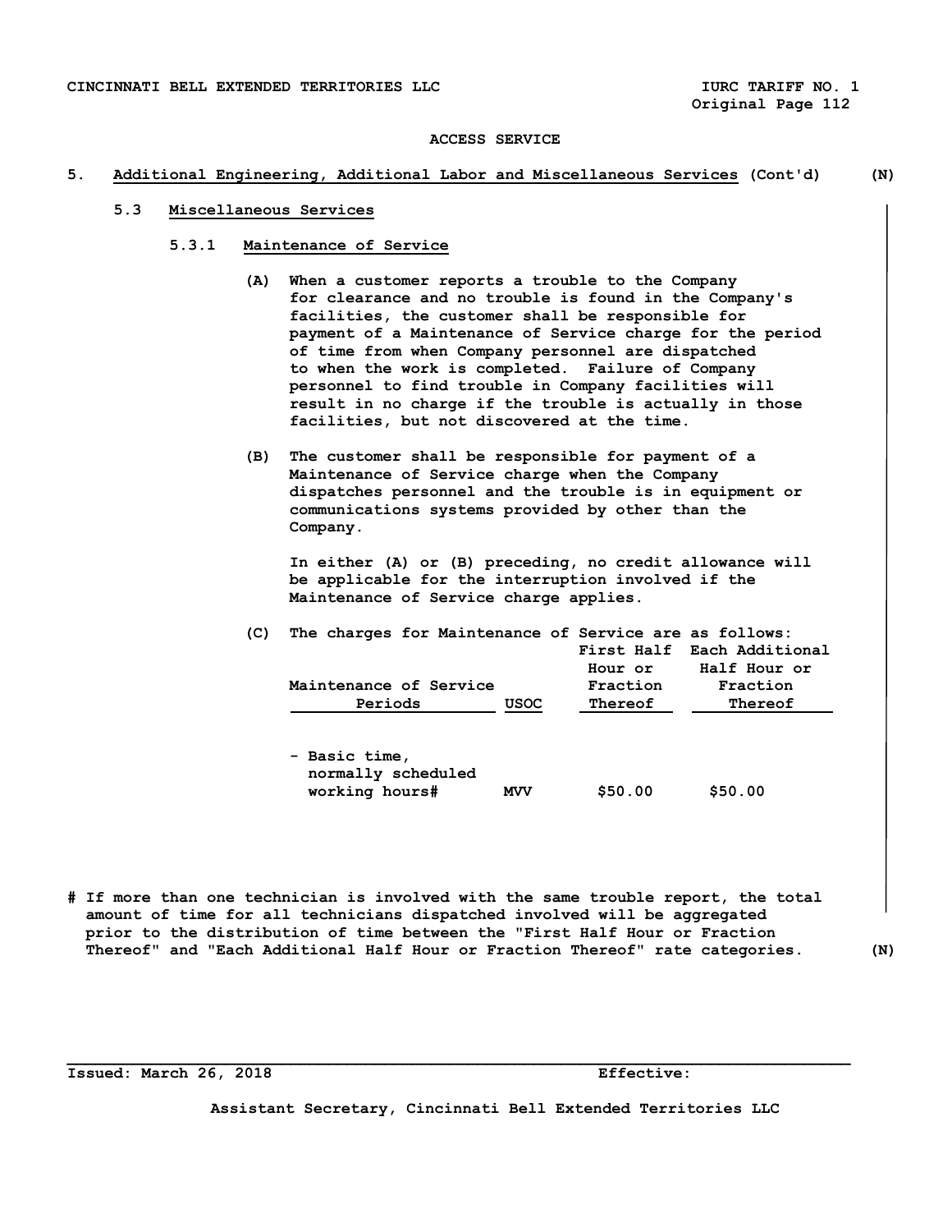## **5. Additional Engineering, Additional Labor and Miscellaneous Services (Cont'd) (N)**

## **5.3 Miscellaneous Services**

- **5.3.1 Maintenance of Service** 
	- **(A) When a customer reports a trouble to the Company for clearance and no trouble is found in the Company's facilities, the customer shall be responsible for payment of a Maintenance of Service charge for the period of time from when Company personnel are dispatched to when the work is completed. Failure of Company personnel to find trouble in Company facilities will result in no charge if the trouble is actually in those facilities, but not discovered at the time.**
	- **(B) The customer shall be responsible for payment of a Maintenance of Service charge when the Company dispatches personnel and the trouble is in equipment or communications systems provided by other than the Company.**

 **In either (A) or (B) preceding, no credit allowance will be applicable for the interruption involved if the Maintenance of Service charge applies.** 

| The charges for Maintenance of Service are as follows: |      |          |                            |
|--------------------------------------------------------|------|----------|----------------------------|
|                                                        |      |          | First Half Each Additional |
|                                                        |      | Hour or  | Half Hour or               |
| Maintenance of Service                                 |      | Fraction | Fraction                   |
| Periods                                                | USOC | Thereof  | Thereof                    |
|                                                        |      |          |                            |

| - Basic time,      |            |         |         |
|--------------------|------------|---------|---------|
| normally scheduled |            |         |         |
| working hours#     | <b>MVV</b> | \$50.00 | \$50.00 |

**# If more than one technician is involved with the same trouble report, the total amount of time for all technicians dispatched involved will be aggregated prior to the distribution of time between the "First Half Hour or Fraction Thereof" and "Each Additional Half Hour or Fraction Thereof" rate categories. (N)** 

**\_\_\_\_\_\_\_\_\_\_\_\_\_\_\_\_\_\_\_\_\_\_\_\_\_\_\_\_\_\_\_\_\_\_\_\_\_\_\_\_\_\_\_\_\_\_\_\_\_\_\_\_\_\_\_\_\_\_\_\_\_\_\_\_\_\_\_\_\_\_\_\_\_\_\_\_\_\_\_\_\_\_\_\_** 

**Issued: March 26, 2018 Effective:**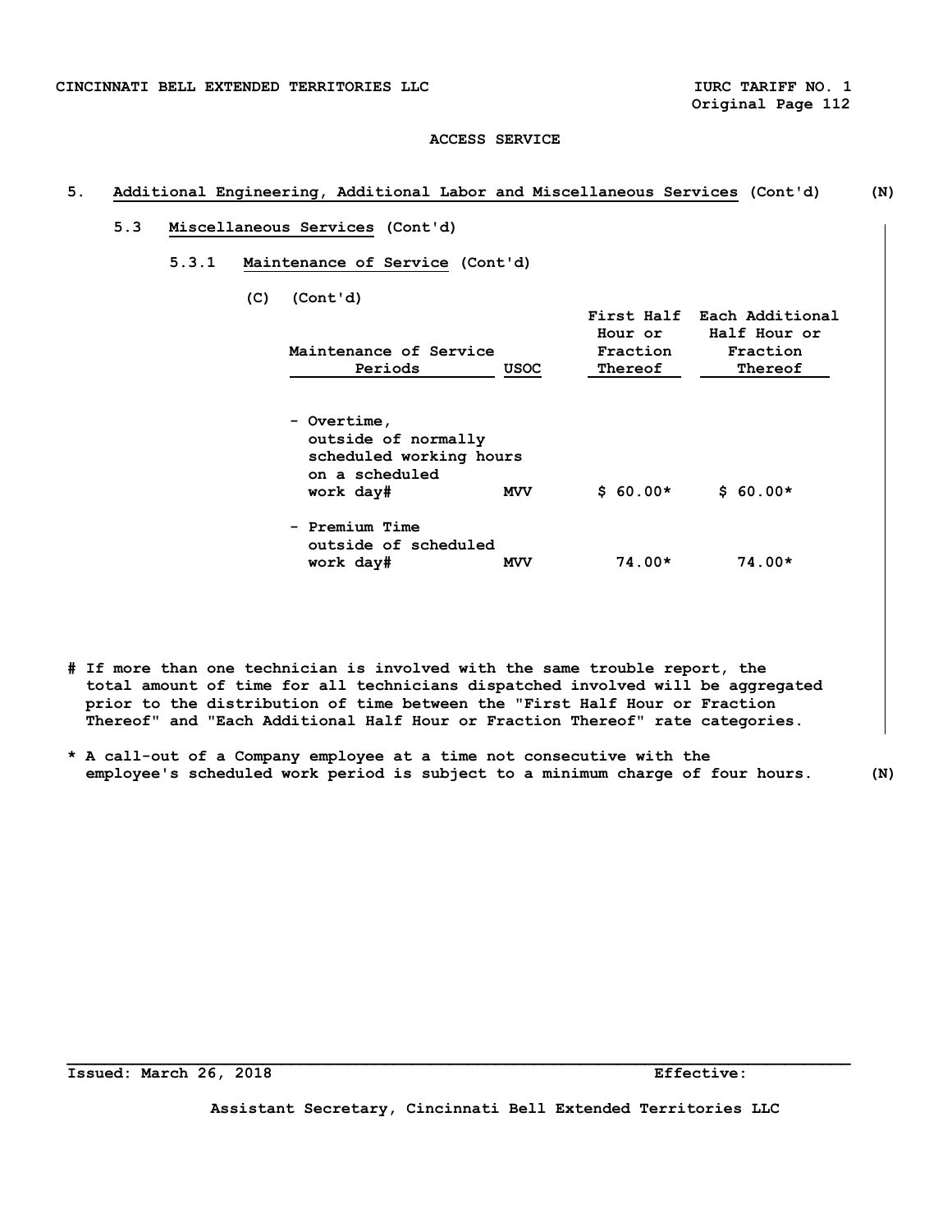**Original Page 112** 

### **ACCESS SERVICE**

## **5. Additional Engineering, Additional Labor and Miscellaneous Services (Cont'd) (N)**

# **5.3 Miscellaneous Services (Cont'd)**

 **5.3.1 Maintenance of Service (Cont'd)** 

 **(C) (Cont'd)** 

| Maintenance of Service<br>Periods                                                            | <b>USOC</b> | Hour or<br>Fraction<br>Thereof | First Half Each Additional<br>Half Hour or<br>Fraction<br>Thereof |
|----------------------------------------------------------------------------------------------|-------------|--------------------------------|-------------------------------------------------------------------|
| - Overtime,<br>outside of normally<br>scheduled working hours<br>on a scheduled<br>work day# | <b>MVV</b>  | $$60.00*$                      | $$60.00*$                                                         |
| - Premium Time<br>outside of scheduled<br>work day#                                          | <b>MVV</b>  | $74.00*$                       | $74.00*$                                                          |

- **# If more than one technician is involved with the same trouble report, the total amount of time for all technicians dispatched involved will be aggregated prior to the distribution of time between the "First Half Hour or Fraction Thereof" and "Each Additional Half Hour or Fraction Thereof" rate categories.**
- **\* A call-out of a Company employee at a time not consecutive with the employee's scheduled work period is subject to a minimum charge of four hours. (N)**

**Issued: March 26, 2018 Effective:** 

**Assistant Secretary, Cincinnati Bell Extended Territories LLC**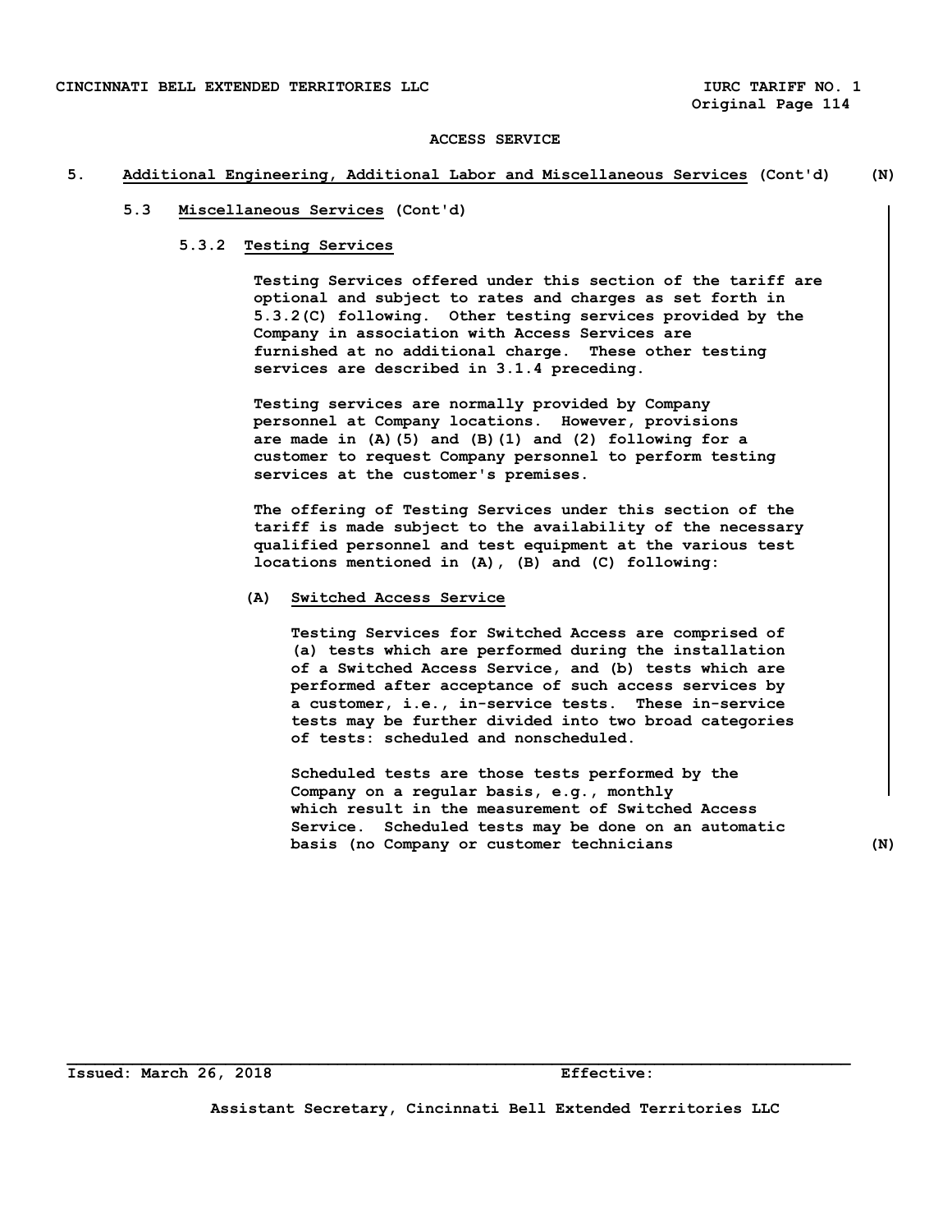### **5. Additional Engineering, Additional Labor and Miscellaneous Services (Cont'd) (N)**

## **5.3 Miscellaneous Services (Cont'd)**

# **5.3.2 Testing Services**

 **Testing Services offered under this section of the tariff are optional and subject to rates and charges as set forth in 5.3.2(C) following. Other testing services provided by the Company in association with Access Services are furnished at no additional charge. These other testing services are described in 3.1.4 preceding.** 

 **Testing services are normally provided by Company personnel at Company locations. However, provisions are made in (A)(5) and (B)(1) and (2) following for a customer to request Company personnel to perform testing services at the customer's premises.** 

 **The offering of Testing Services under this section of the tariff is made subject to the availability of the necessary qualified personnel and test equipment at the various test locations mentioned in (A), (B) and (C) following:** 

## **(A) Switched Access Service**

 **Testing Services for Switched Access are comprised of (a) tests which are performed during the installation of a Switched Access Service, and (b) tests which are performed after acceptance of such access services by a customer, i.e., in-service tests. These in-service tests may be further divided into two broad categories of tests: scheduled and nonscheduled.** 

 **Scheduled tests are those tests performed by the Company on a regular basis, e.g., monthly which result in the measurement of Switched Access Service. Scheduled tests may be done on an automatic basis (no Company or customer technicians (N)** 

**Assistant Secretary, Cincinnati Bell Extended Territories LLC**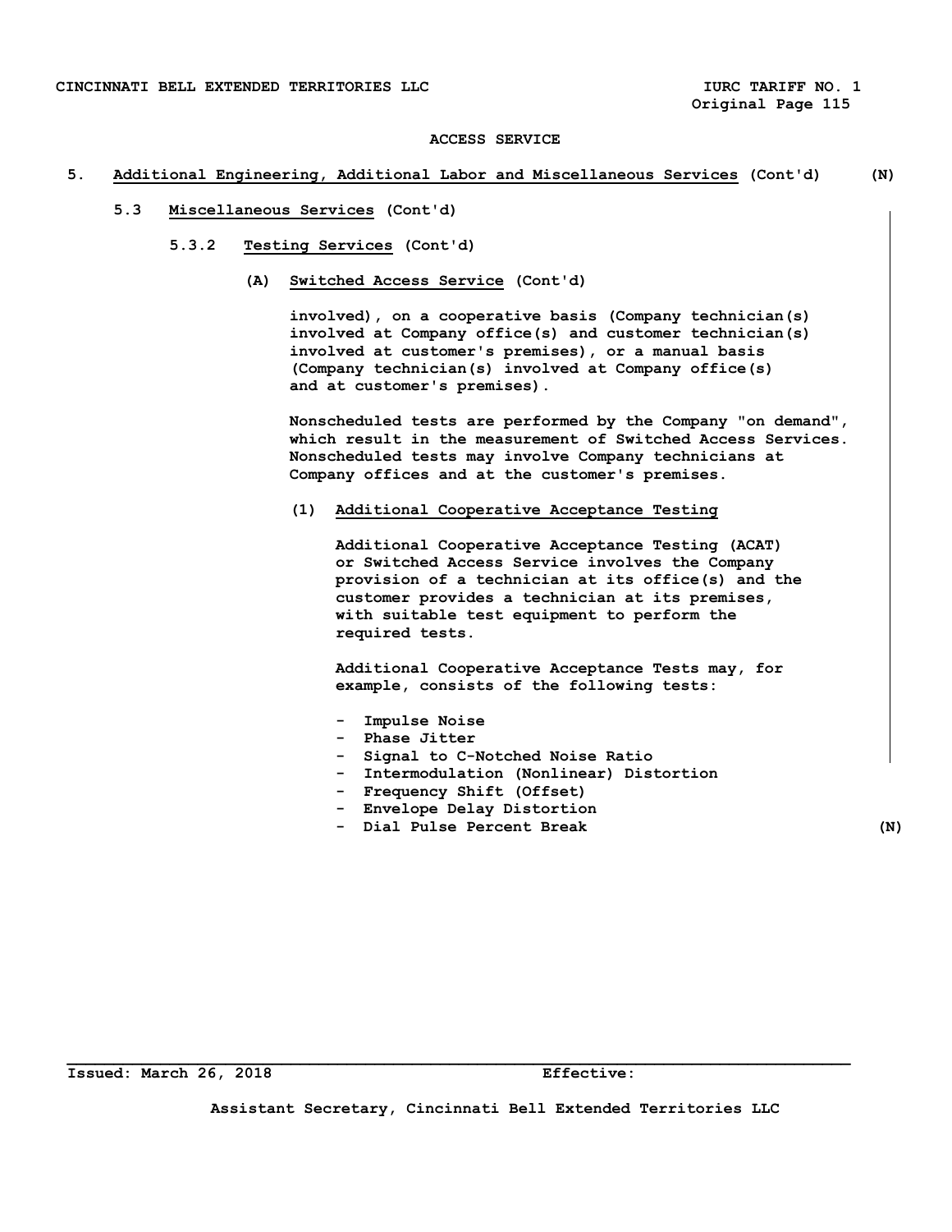### **5. Additional Engineering, Additional Labor and Miscellaneous Services (Cont'd) (N)**

- **5.3 Miscellaneous Services (Cont'd)** 
	- **5.3.2 Testing Services (Cont'd)** 
		- **(A) Switched Access Service (Cont'd)**

 **involved), on a cooperative basis (Company technician(s) involved at Company office(s) and customer technician(s) involved at customer's premises), or a manual basis (Company technician(s) involved at Company office(s) and at customer's premises).** 

 **Nonscheduled tests are performed by the Company "on demand", which result in the measurement of Switched Access Services. Nonscheduled tests may involve Company technicians at Company offices and at the customer's premises.** 

 **(1) Additional Cooperative Acceptance Testing** 

 **Additional Cooperative Acceptance Testing (ACAT) or Switched Access Service involves the Company provision of a technician at its office(s) and the customer provides a technician at its premises, with suitable test equipment to perform the required tests.** 

 **Additional Cooperative Acceptance Tests may, for example, consists of the following tests:** 

- **Impulse Noise**
- **Phase Jitter**
- **Signal to C-Notched Noise Ratio**
- **Intermodulation (Nonlinear) Distortion**
- **Frequency Shift (Offset)**
- **Envelope Delay Distortion**
- **Dial Pulse Percent Break (N)**

**Assistant Secretary, Cincinnati Bell Extended Territories LLC**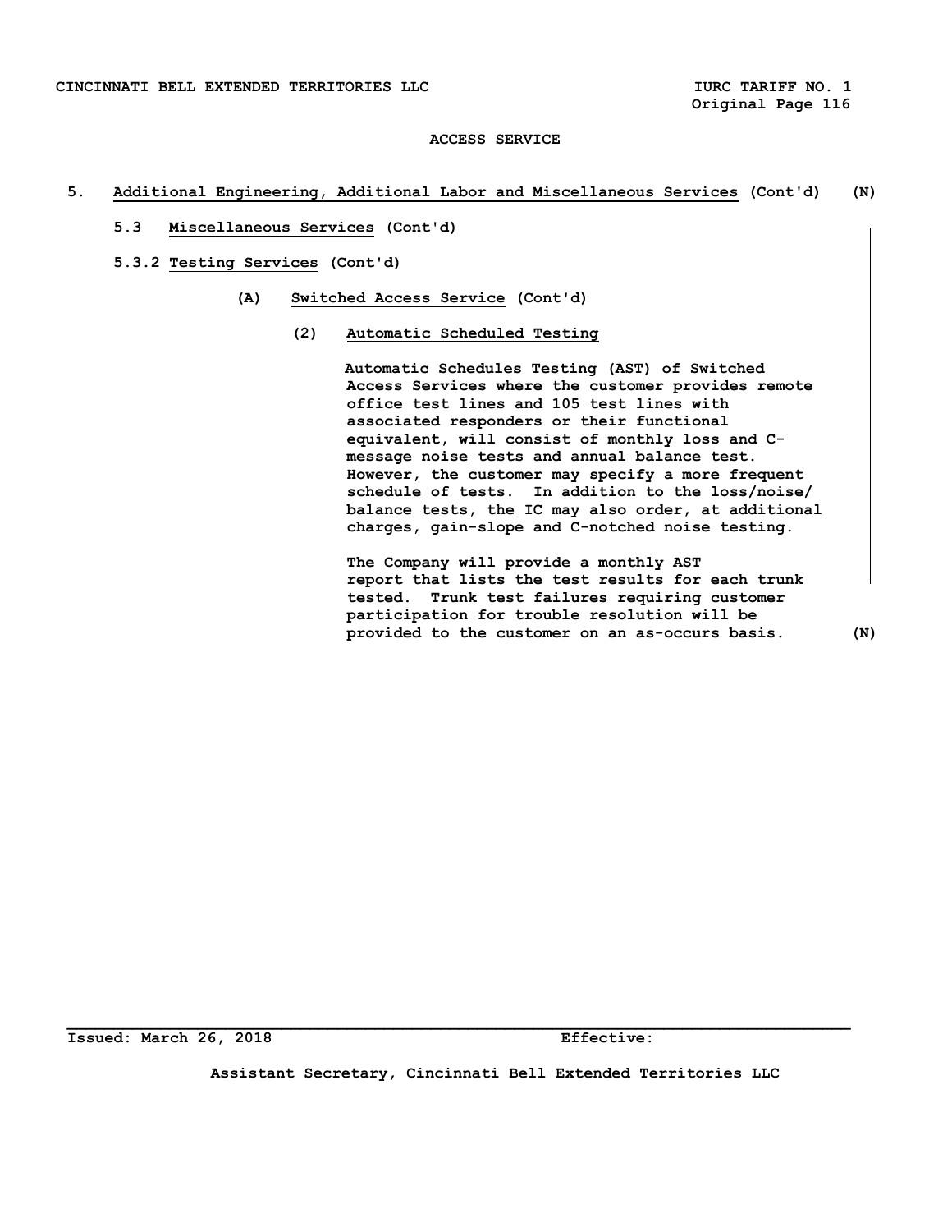## **5. Additional Engineering, Additional Labor and Miscellaneous Services (Cont'd) (N)**

- **5.3 Miscellaneous Services (Cont'd)**
- **5.3.2 Testing Services (Cont'd)** 
	- **(A) Switched Access Service (Cont'd)** 
		- **(2) Automatic Scheduled Testing**

 **Automatic Schedules Testing (AST) of Switched Access Services where the customer provides remote office test lines and 105 test lines with associated responders or their functional equivalent, will consist of monthly loss and C message noise tests and annual balance test. However, the customer may specify a more frequent schedule of tests. In addition to the loss/noise/ balance tests, the IC may also order, at additional charges, gain-slope and C-notched noise testing.** 

 **The Company will provide a monthly AST report that lists the test results for each trunk tested. Trunk test failures requiring customer participation for trouble resolution will be provided to the customer on an as-occurs basis. (N)** 

**Issued: March 26, 2018 Effective:** 

**Assistant Secretary, Cincinnati Bell Extended Territories LLC**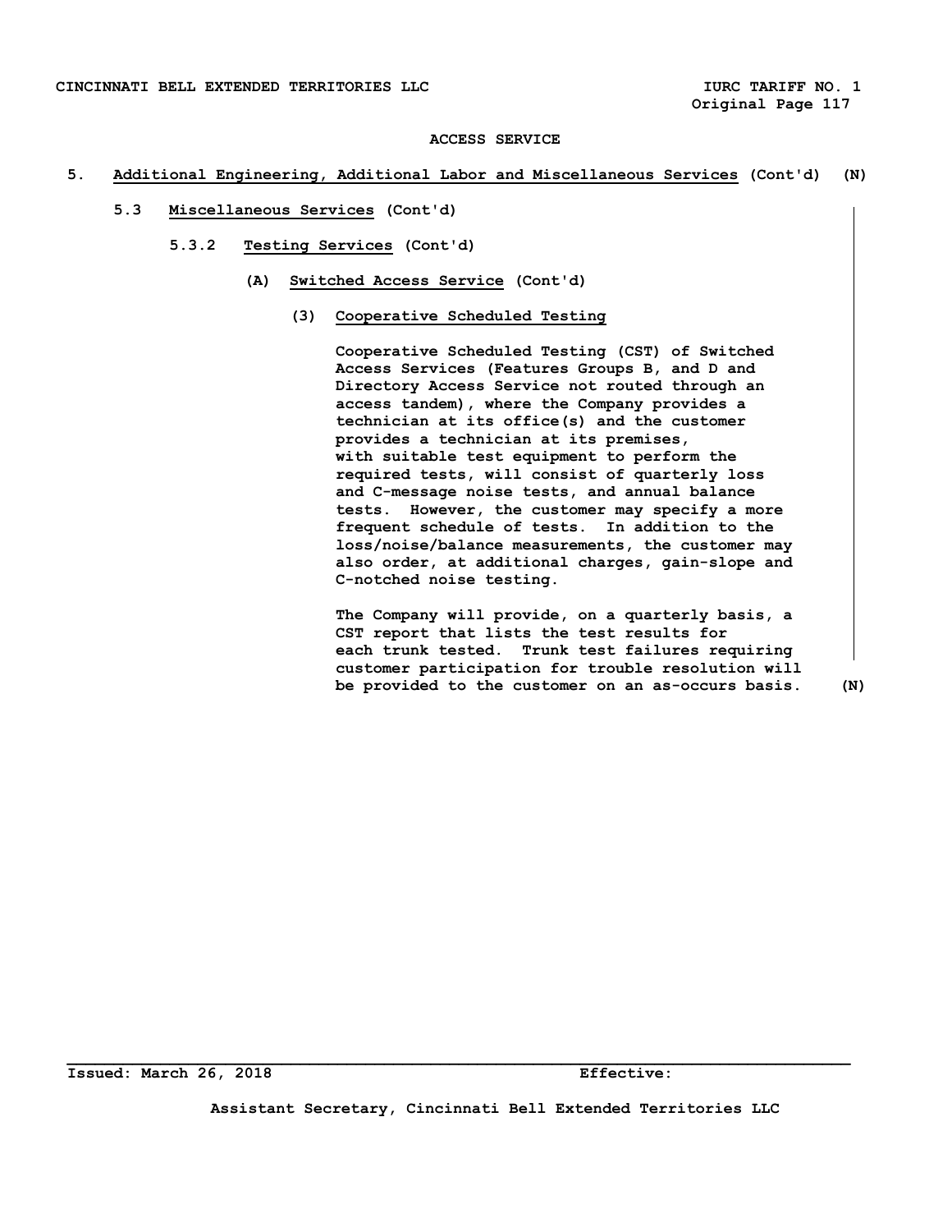## **5. Additional Engineering, Additional Labor and Miscellaneous Services (Cont'd) (N)**

- **5.3 Miscellaneous Services (Cont'd)** 
	- **5.3.2 Testing Services (Cont'd)** 
		- **(A) Switched Access Service (Cont'd)** 
			- **(3) Cooperative Scheduled Testing**

 **Cooperative Scheduled Testing (CST) of Switched Access Services (Features Groups B, and D and Directory Access Service not routed through an access tandem), where the Company provides a technician at its office(s) and the customer provides a technician at its premises, with suitable test equipment to perform the required tests, will consist of quarterly loss and C-message noise tests, and annual balance tests. However, the customer may specify a more frequent schedule of tests. In addition to the loss/noise/balance measurements, the customer may also order, at additional charges, gain-slope and C-notched noise testing.** 

 **The Company will provide, on a quarterly basis, a CST report that lists the test results for each trunk tested. Trunk test failures requiring customer participation for trouble resolution will be provided to the customer on an as-occurs basis. (N)** 

**Assistant Secretary, Cincinnati Bell Extended Territories LLC**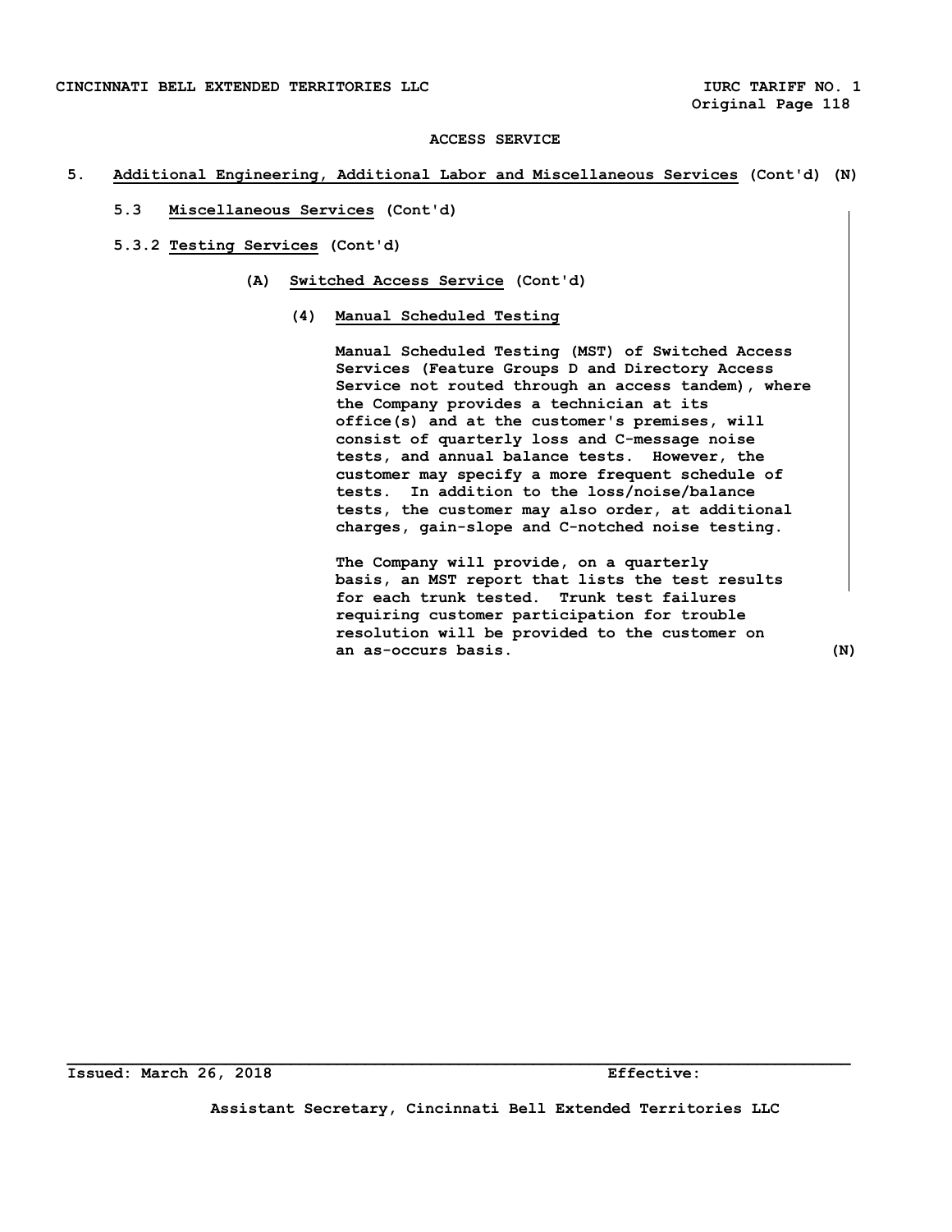## **5. Additional Engineering, Additional Labor and Miscellaneous Services (Cont'd) (N)**

- **5.3 Miscellaneous Services (Cont'd)**
- **5.3.2 Testing Services (Cont'd)** 
	- **(A) Switched Access Service (Cont'd)**

## **(4) Manual Scheduled Testing**

 **Manual Scheduled Testing (MST) of Switched Access Services (Feature Groups D and Directory Access Service not routed through an access tandem), where the Company provides a technician at its office(s) and at the customer's premises, will consist of quarterly loss and C-message noise tests, and annual balance tests. However, the customer may specify a more frequent schedule of tests. In addition to the loss/noise/balance tests, the customer may also order, at additional charges, gain-slope and C-notched noise testing.** 

 **The Company will provide, on a quarterly basis, an MST report that lists the test results for each trunk tested. Trunk test failures requiring customer participation for trouble resolution will be provided to the customer on an as-occurs basis. (N)** 

**Assistant Secretary, Cincinnati Bell Extended Territories LLC**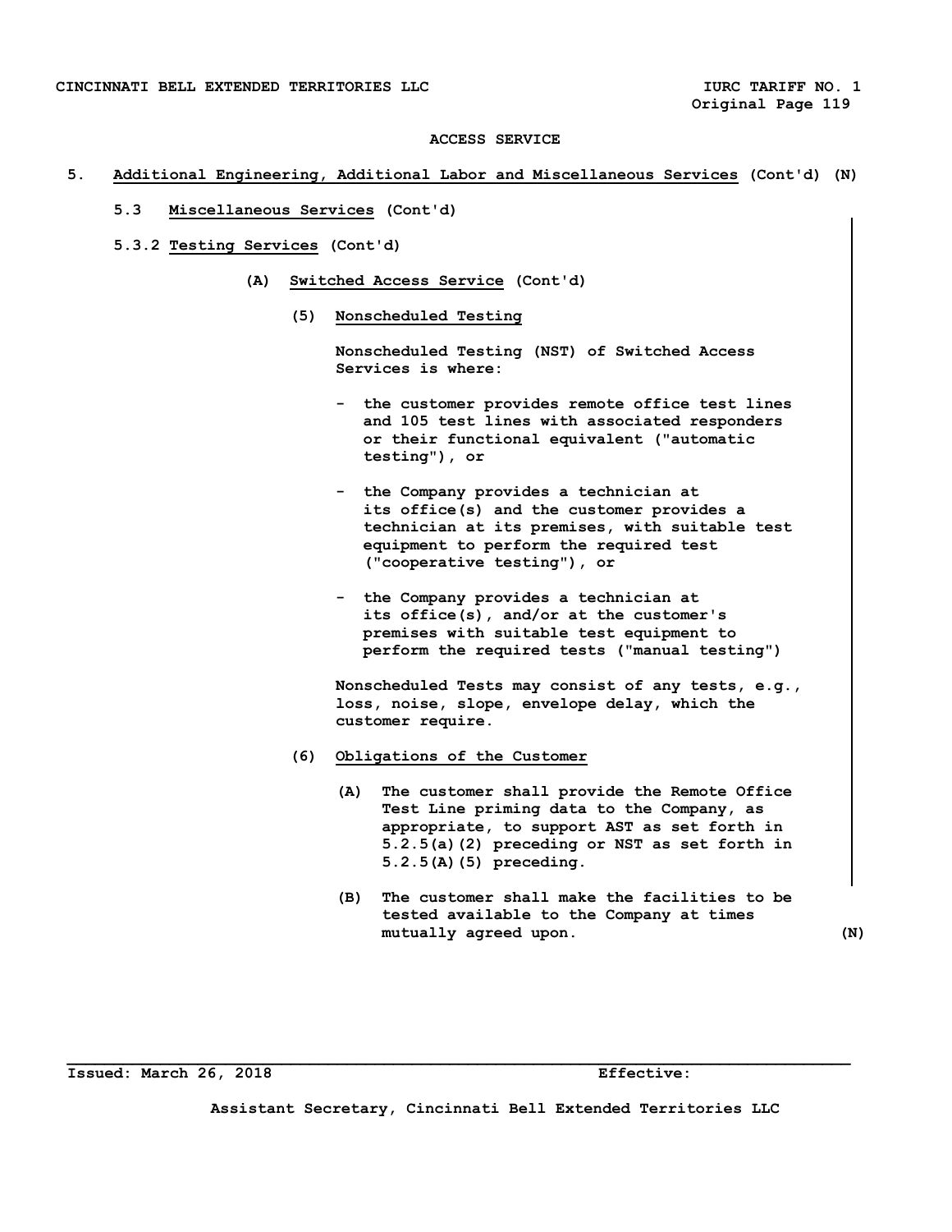## **5. Additional Engineering, Additional Labor and Miscellaneous Services (Cont'd) (N)**

- **5.3 Miscellaneous Services (Cont'd)**
- **5.3.2 Testing Services (Cont'd)** 
	- **(A) Switched Access Service (Cont'd)** 
		- **(5) Nonscheduled Testing**

 **Nonscheduled Testing (NST) of Switched Access Services is where:** 

- **the customer provides remote office test lines and 105 test lines with associated responders or their functional equivalent ("automatic testing"), or**
- **the Company provides a technician at its office(s) and the customer provides a technician at its premises, with suitable test equipment to perform the required test ("cooperative testing"), or**
- **the Company provides a technician at its office(s), and/or at the customer's premises with suitable test equipment to perform the required tests ("manual testing")**

 **Nonscheduled Tests may consist of any tests, e.g., loss, noise, slope, envelope delay, which the customer require.** 

- **(6) Obligations of the Customer** 
	- **(A) The customer shall provide the Remote Office Test Line priming data to the Company, as appropriate, to support AST as set forth in 5.2.5(a)(2) preceding or NST as set forth in 5.2.5(A)(5) preceding.**
	- **(B) The customer shall make the facilities to be tested available to the Company at times**  mutually agreed upon. (N)

**Issued: March 26, 2018 Effective:** 

**Assistant Secretary, Cincinnati Bell Extended Territories LLC**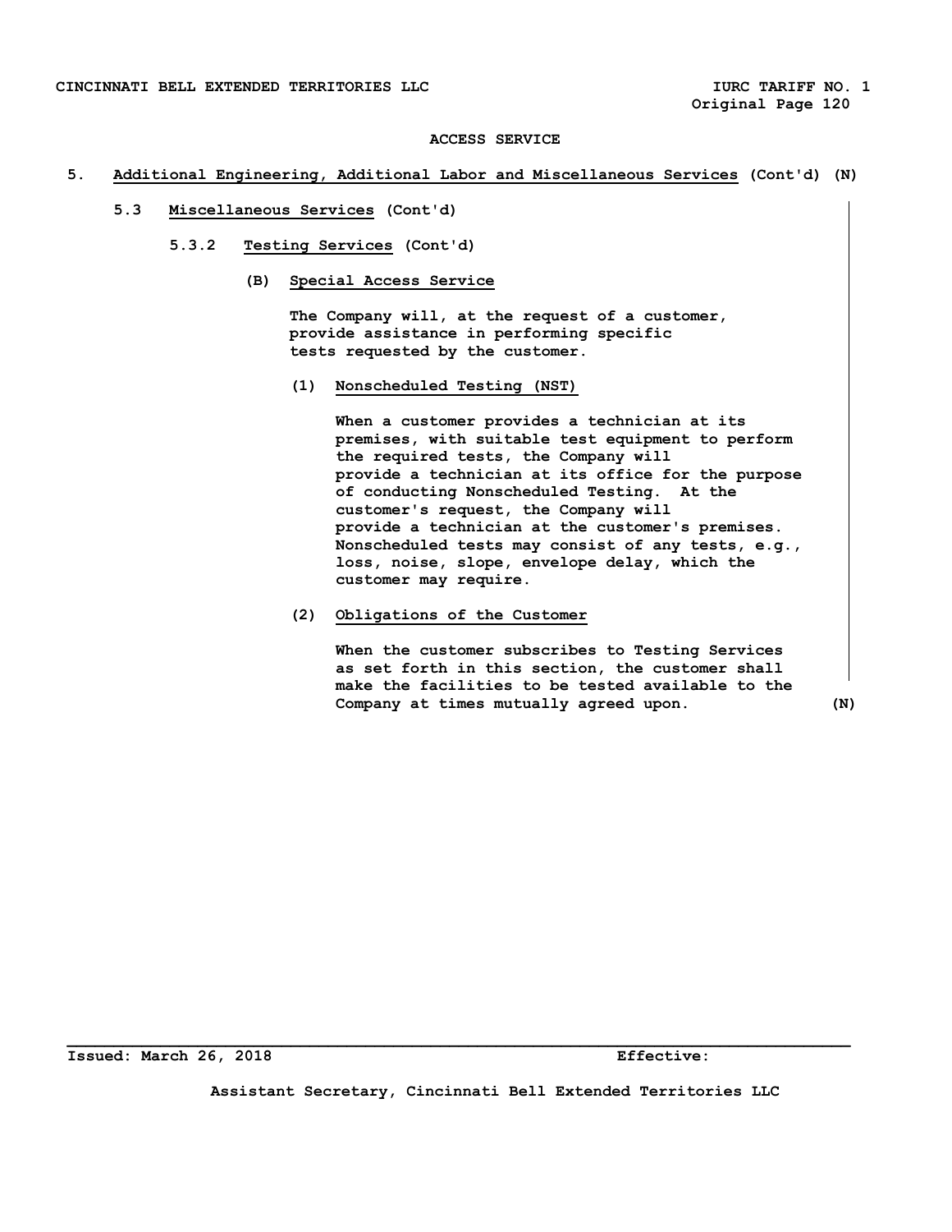## **5. Additional Engineering, Additional Labor and Miscellaneous Services (Cont'd) (N)**

- **5.3 Miscellaneous Services (Cont'd)** 
	- **5.3.2 Testing Services (Cont'd)** 
		- **(B) Special Access Service**

 **The Company will, at the request of a customer, provide assistance in performing specific tests requested by the customer.** 

 **(1) Nonscheduled Testing (NST)** 

 **When a customer provides a technician at its premises, with suitable test equipment to perform the required tests, the Company will provide a technician at its office for the purpose of conducting Nonscheduled Testing. At the customer's request, the Company will provide a technician at the customer's premises. Nonscheduled tests may consist of any tests, e.g., loss, noise, slope, envelope delay, which the customer may require.** 

 **(2) Obligations of the Customer** 

 **When the customer subscribes to Testing Services as set forth in this section, the customer shall make the facilities to be tested available to the Company at times mutually agreed upon. (N)** 

**Assistant Secretary, Cincinnati Bell Extended Territories LLC**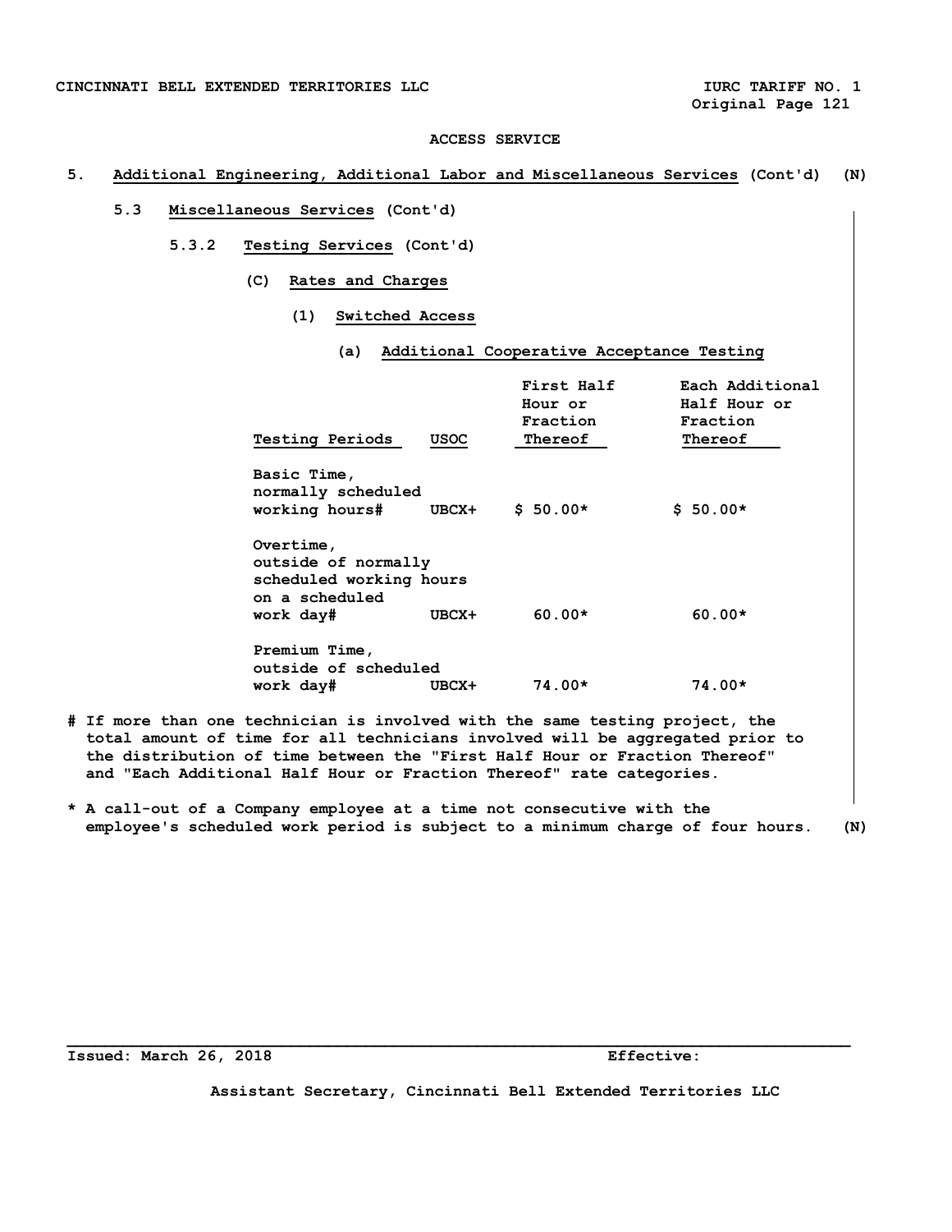## **5. Additional Engineering, Additional Labor and Miscellaneous Services (Cont'd) (N)**

# **5.3 Miscellaneous Services (Cont'd)**

- **5.3.2 Testing Services (Cont'd)** 
	- **(C) Rates and Charges** 
		- **(1) Switched Access** 
			- **(a) Additional Cooperative Acceptance Testing**

| <b>Testing Periods</b>                                                                     | USOC  | First Half<br>Hour or<br>Fraction<br>Thereof | Each Additional<br>Half Hour or<br>Fraction<br>Thereof |
|--------------------------------------------------------------------------------------------|-------|----------------------------------------------|--------------------------------------------------------|
| Basic Time,<br>normally scheduled<br>working hours#                                        | UBCX+ | $$50.00*$                                    | $$50.00*$                                              |
| Overtime,<br>outside of normally<br>scheduled working hours<br>on a scheduled<br>work day# | UBCX+ | $60.00*$                                     | $60.00*$                                               |
| Premium Time,<br>outside of scheduled<br>work day#                                         | UBCX+ | $74.00*$                                     | 74.00*                                                 |

- **# If more than one technician is involved with the same testing project, the total amount of time for all technicians involved will be aggregated prior to the distribution of time between the "First Half Hour or Fraction Thereof" and "Each Additional Half Hour or Fraction Thereof" rate categories.**
- **\* A call-out of a Company employee at a time not consecutive with the employee's scheduled work period is subject to a minimum charge of four hours. (N)**

**Issued: March 26, 2018 Effective:** 

**Assistant Secretary, Cincinnati Bell Extended Territories LLC**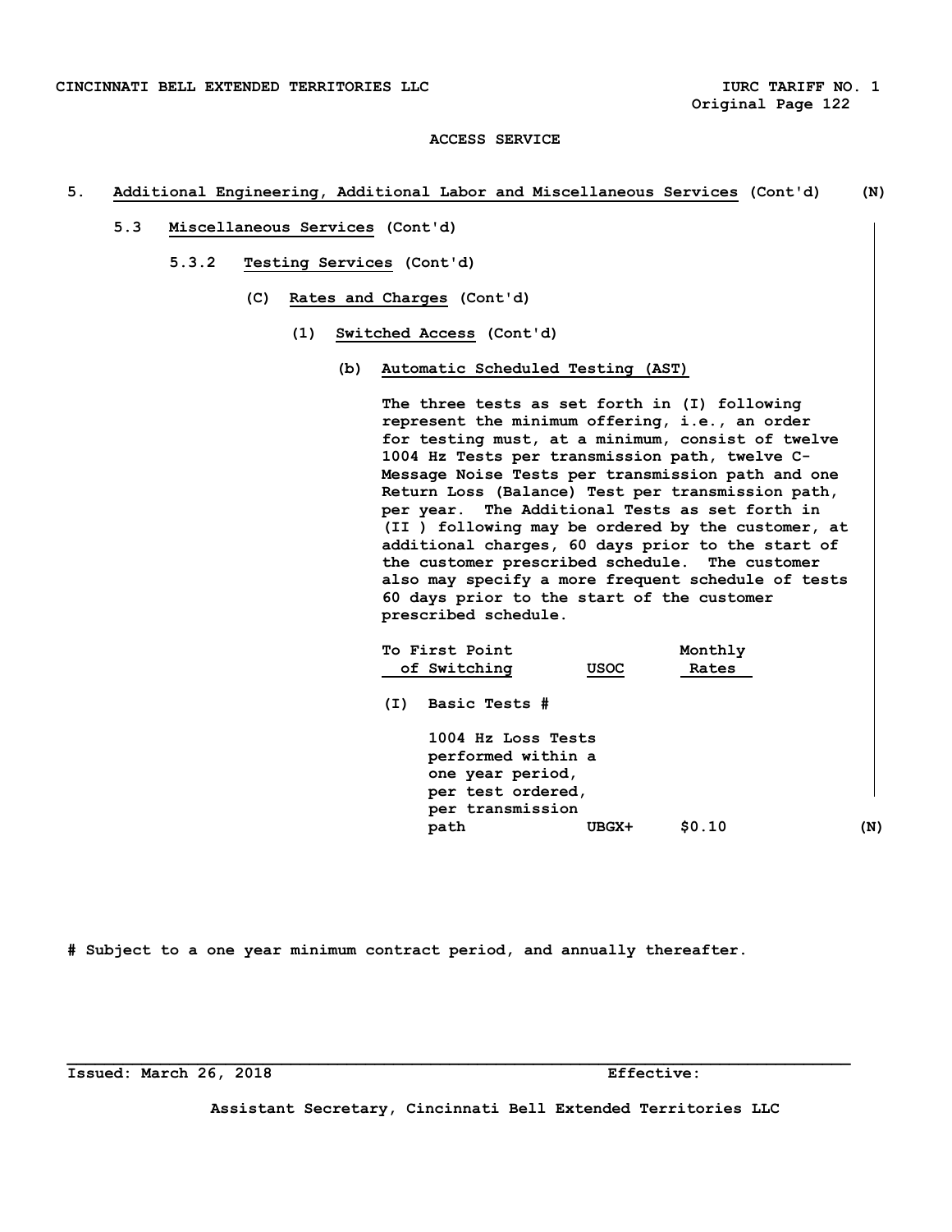## **5. Additional Engineering, Additional Labor and Miscellaneous Services (Cont'd) (N)**

- **5.3 Miscellaneous Services (Cont'd)** 
	- **5.3.2 Testing Services (Cont'd)** 
		- **(C) Rates and Charges (Cont'd)** 
			- **(1) Switched Access (Cont'd)** 
				- **(b) Automatic Scheduled Testing (AST)**

 **The three tests as set forth in (I) following represent the minimum offering, i.e., an order for testing must, at a minimum, consist of twelve 1004 Hz Tests per transmission path, twelve C- Message Noise Tests per transmission path and one Return Loss (Balance) Test per transmission path, per year. The Additional Tests as set forth in (II ) following may be ordered by the customer, at additional charges, 60 days prior to the start of the customer prescribed schedule. The customer also may specify a more frequent schedule of tests 60 days prior to the start of the customer prescribed schedule.** 

|     | To First Point<br>of Switching                                                                                | <b>USOC</b> | Monthly<br>Rates |     |
|-----|---------------------------------------------------------------------------------------------------------------|-------------|------------------|-----|
| (I) | Basic Tests #                                                                                                 |             |                  |     |
|     | 1004 Hz Loss Tests<br>performed within a<br>one year period,<br>per test ordered,<br>per transmission<br>path | UBGX+       | \$0.10           | (N) |

**# Subject to a one year minimum contract period, and annually thereafter.** 

**Issued: March 26, 2018 Effective:** 

**Assistant Secretary, Cincinnati Bell Extended Territories LLC**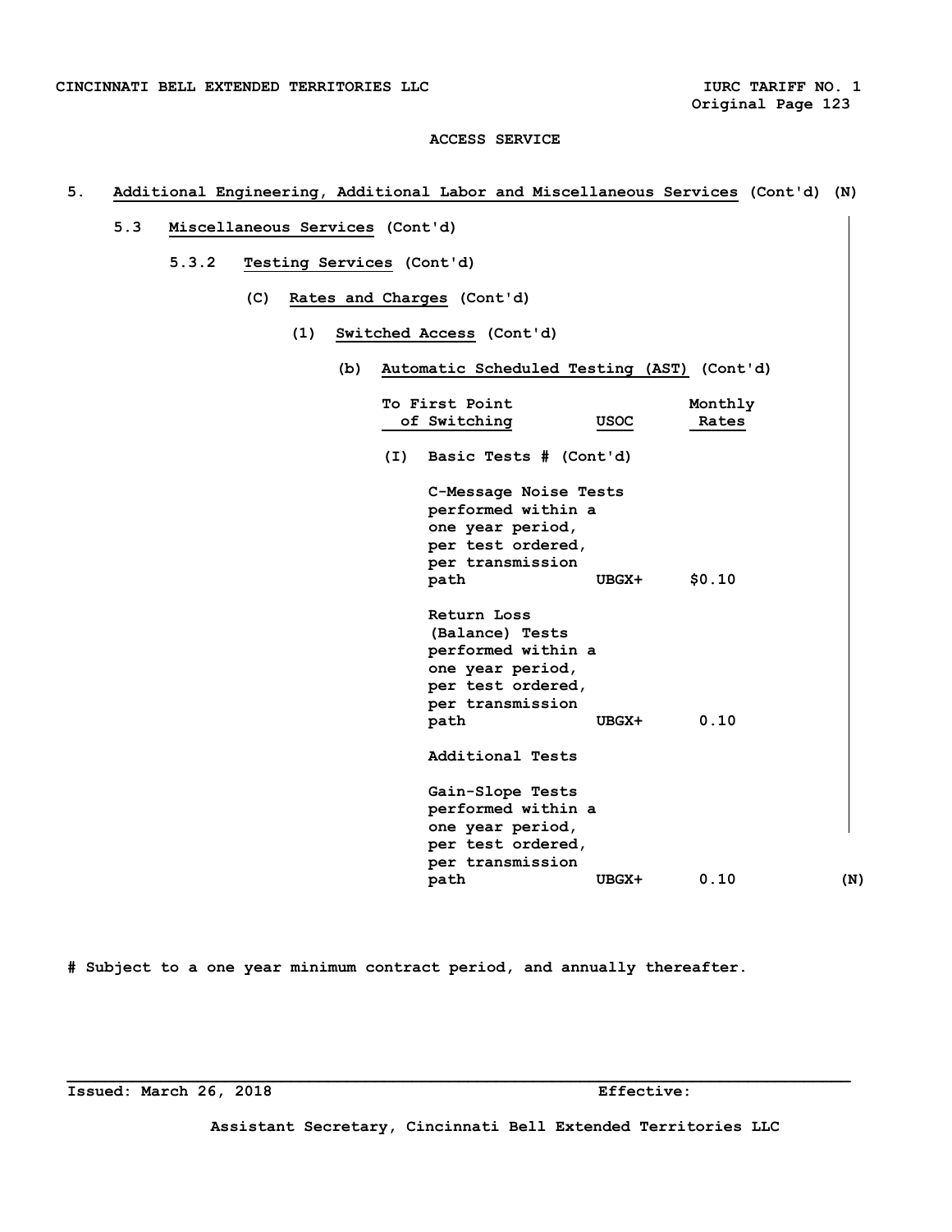# **5. Additional Engineering, Additional Labor and Miscellaneous Services (Cont'd) (N)**

- **5.3 Miscellaneous Services (Cont'd)** 
	- **5.3.2 Testing Services (Cont'd)** 
		- **(C) Rates and Charges (Cont'd)** 
			- **(1) Switched Access (Cont'd)** 
				- **(b) Automatic Scheduled Testing (AST) (Cont'd)**

|     | To First Point         |             | Monthly |     |
|-----|------------------------|-------------|---------|-----|
|     | of Switching           | <b>USOC</b> | Rates   |     |
| (I) | Basic Tests # (Cont'd) |             |         |     |
|     | C-Message Noise Tests  |             |         |     |
|     | performed within a     |             |         |     |
|     | one year period,       |             |         |     |
|     | per test ordered,      |             |         |     |
|     | per transmission       | UBGX+       | \$0.10  |     |
|     | path                   |             |         |     |
|     | Return Loss            |             |         |     |
|     | (Balance) Tests        |             |         |     |
|     | performed within a     |             |         |     |
|     | one year period,       |             |         |     |
|     | per test ordered,      |             |         |     |
|     | per transmission       |             |         |     |
|     | path                   | UBGX+       | 0.10    |     |
|     | Additional Tests       |             |         |     |
|     | Gain-Slope Tests       |             |         |     |
|     | performed within a     |             |         |     |
|     | one year period,       |             |         |     |
|     | per test ordered,      |             |         |     |
|     | per transmission       |             |         |     |
|     | path                   | UBGX+       | 0.10    | (N) |

**# Subject to a one year minimum contract period, and annually thereafter.** 

**Assistant Secretary, Cincinnati Bell Extended Territories LLC**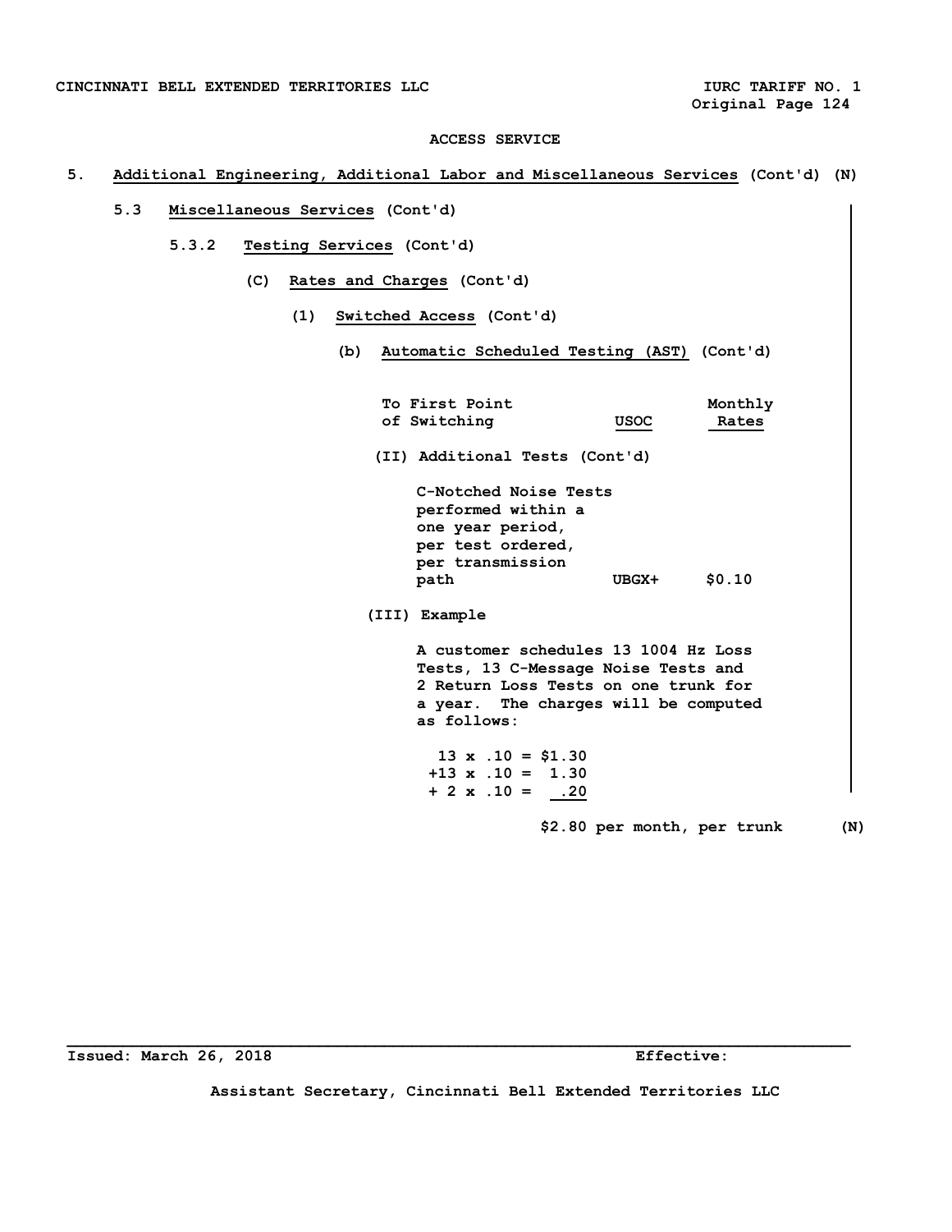# **5. Additional Engineering, Additional Labor and Miscellaneous Services (Cont'd) (N)**

- **5.3 Miscellaneous Services (Cont'd)** 
	- **5.3.2 Testing Services (Cont'd)** 
		- **(C) Rates and Charges (Cont'd)** 
			- **(1) Switched Access (Cont'd)** 
				- **(b) Automatic Scheduled Testing (AST) (Cont'd)**

| To First Point                                                                                                                                                             |                             | Monthly |     |
|----------------------------------------------------------------------------------------------------------------------------------------------------------------------------|-----------------------------|---------|-----|
| of Switching                                                                                                                                                               | <b>USOC</b>                 | Rates   |     |
| (II) Additional Tests (Cont'd)                                                                                                                                             |                             |         |     |
| C-Notched Noise Tests<br>performed within a<br>one year period,<br>per test ordered,<br>per transmission                                                                   |                             |         |     |
| path                                                                                                                                                                       | UBGX+                       | \$0.10  |     |
| (III) Example                                                                                                                                                              |                             |         |     |
| A customer schedules 13 1004 Hz Loss<br>Tests, 13 C-Message Noise Tests and<br>2 Return Loss Tests on one trunk for<br>a year. The charges will be computed<br>as follows: |                             |         |     |
| $13 \times .10 = $1.30$<br>$+13 \times .10 = 1.30$<br>$+ 2 \times .10 = .20$                                                                                               |                             |         |     |
|                                                                                                                                                                            | \$2.80 per month, per trunk |         | (N) |

**Issued: March 26, 2018 Effective:** 

**Assistant Secretary, Cincinnati Bell Extended Territories LLC**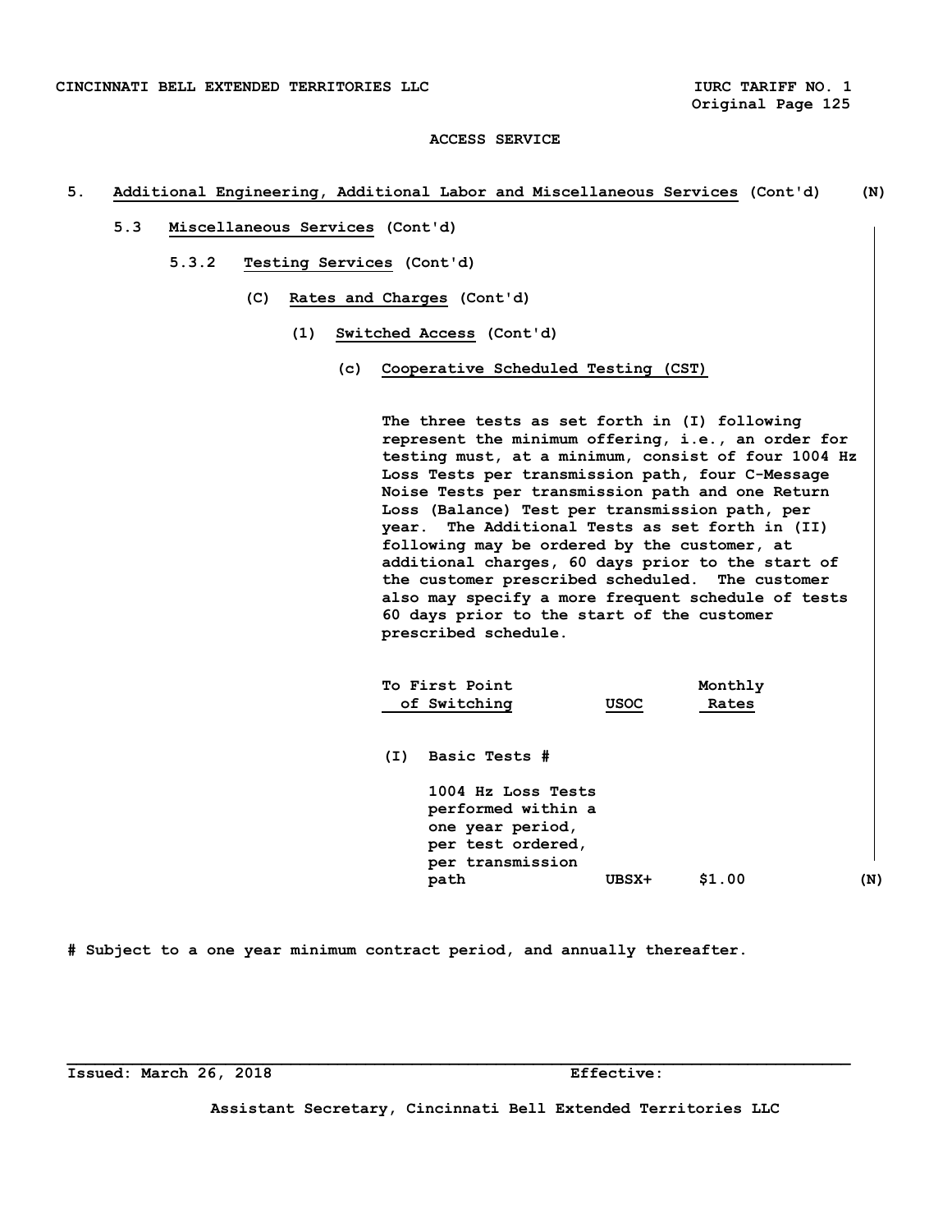### **5. Additional Engineering, Additional Labor and Miscellaneous Services (Cont'd) (N)**

- **5.3 Miscellaneous Services (Cont'd)** 
	- **5.3.2 Testing Services (Cont'd)** 
		- **(C) Rates and Charges (Cont'd)** 
			- **(1) Switched Access (Cont'd)** 
				- **(c) Cooperative Scheduled Testing (CST)**

 **The three tests as set forth in (I) following represent the minimum offering, i.e., an order for testing must, at a minimum, consist of four 1004 Hz Loss Tests per transmission path, four C-Message Noise Tests per transmission path and one Return Loss (Balance) Test per transmission path, per year. The Additional Tests as set forth in (II) following may be ordered by the customer, at additional charges, 60 days prior to the start of the customer prescribed scheduled. The customer also may specify a more frequent schedule of tests 60 days prior to the start of the customer prescribed schedule.** 

|     | To First Point<br>of Switching                                                                        | <b>USOC</b> | Monthly<br>Rates |     |
|-----|-------------------------------------------------------------------------------------------------------|-------------|------------------|-----|
| (I) | Basic Tests #                                                                                         |             |                  |     |
|     | 1004 Hz Loss Tests<br>performed within a<br>one year period,<br>per test ordered,<br>per transmission |             |                  |     |
|     | path                                                                                                  | UBSX+       | \$1.00           | (N) |

**# Subject to a one year minimum contract period, and annually thereafter.** 

**Issued: March 26, 2018 Effective:** 

**Assistant Secretary, Cincinnati Bell Extended Territories LLC**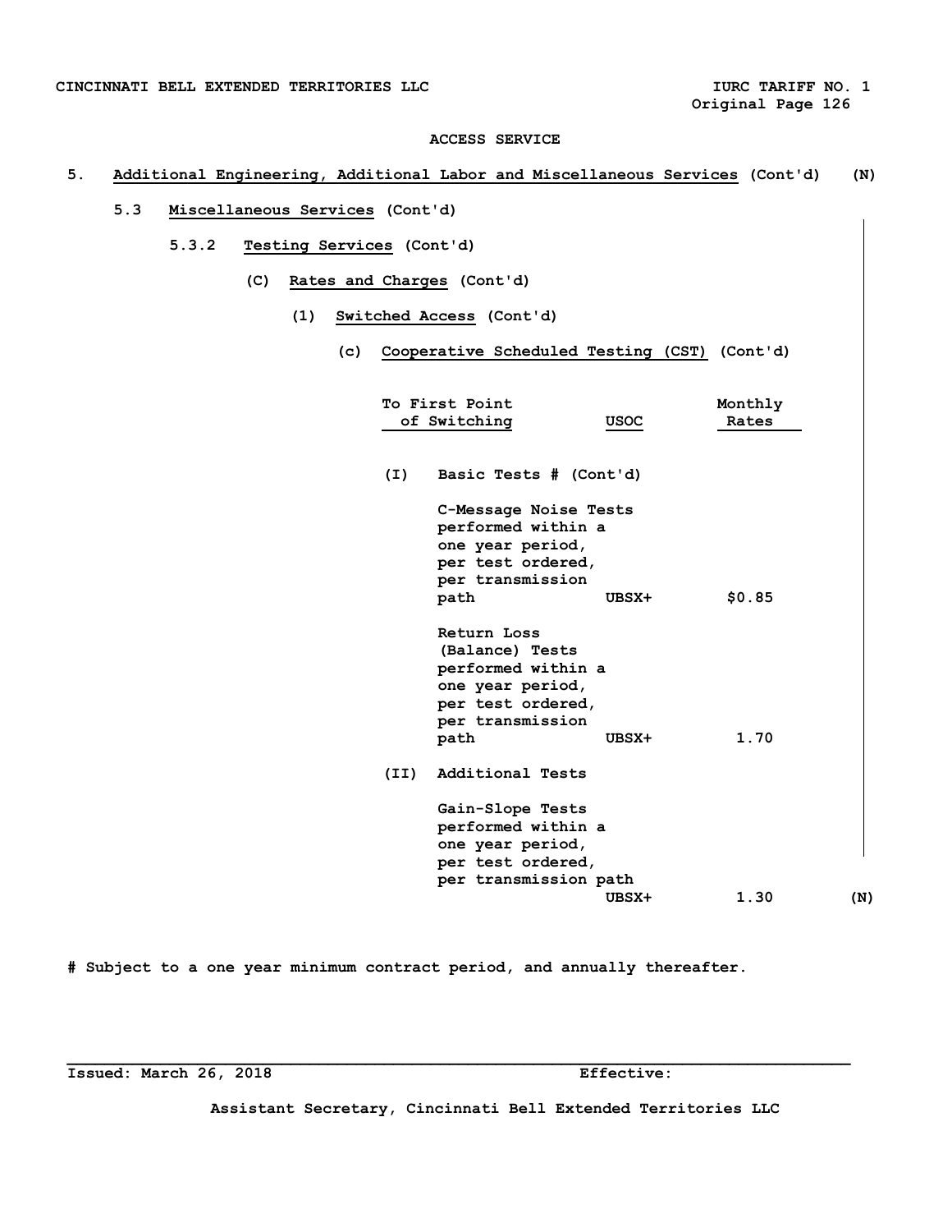# **5. Additional Engineering, Additional Labor and Miscellaneous Services (Cont'd) (N)**

- **5.3 Miscellaneous Services (Cont'd)** 
	- **5.3.2 Testing Services (Cont'd)** 
		- **(C) Rates and Charges (Cont'd)** 
			- **(1) Switched Access (Cont'd)** 
				- **(c) Cooperative Scheduled Testing (CST) (Cont'd)**

|      | To First Point<br>of Switching                                                                                            | USOC  | Monthly<br>Rates |     |
|------|---------------------------------------------------------------------------------------------------------------------------|-------|------------------|-----|
| (I)  | Basic Tests # (Cont'd)                                                                                                    |       |                  |     |
|      | C-Message Noise Tests<br>performed within a<br>one year period,<br>per test ordered,<br>per transmission                  |       |                  |     |
|      | path                                                                                                                      | UBSX+ | \$0.85           |     |
|      | Return Loss<br>(Balance) Tests<br>performed within a<br>one year period,<br>per test ordered,<br>per transmission<br>path | UBSX+ | 1.70             |     |
| (II) | Additional Tests                                                                                                          |       |                  |     |
|      | Gain-Slope Tests<br>performed within a<br>one year period,<br>per test ordered,<br>per transmission path                  |       |                  |     |
|      |                                                                                                                           | UBSX+ | 1.30             | (N) |

**# Subject to a one year minimum contract period, and annually thereafter.** 

**Issued: March 26, 2018 Effective:** 

**Assistant Secretary, Cincinnati Bell Extended Territories LLC**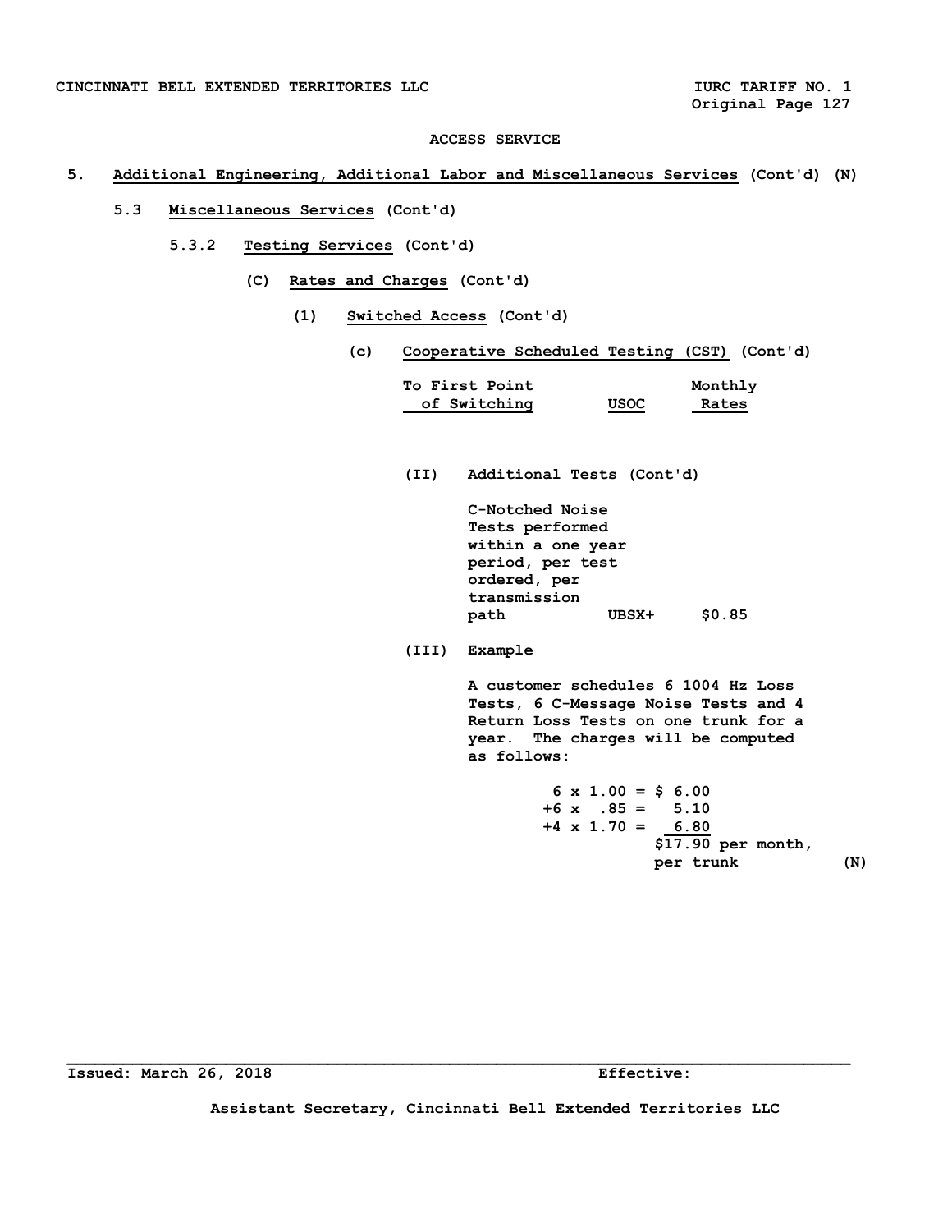**Original Page 127** 

## **ACCESS SERVICE**

# **5. Additional Engineering, Additional Labor and Miscellaneous Services (Cont'd) (N)**

- **5.3 Miscellaneous Services (Cont'd)** 
	- **5.3.2 Testing Services (Cont'd)** 
		- **(C) Rates and Charges (Cont'd)** 
			- **(1) Switched Access (Cont'd)** 
				- **(c) Cooperative Scheduled Testing (CST) (Cont'd)**

| To First Point<br>Monthly<br>of Switching<br>$USOC$<br>Rates<br>Additional Tests (Cont'd)<br>(II)<br>C-Notched Noise<br>Tests performed<br>within a one year<br>period, per test<br>ordered, per<br>transmission<br>\$0.85<br>UBSX+<br>path<br>Example<br>(III)<br>A customer schedules 6 1004 Hz Loss<br>Tests, 6 C-Message Noise Tests and 4<br>Return Loss Tests on one trunk for a<br>year. The charges will be computed<br>as follows:<br>$6 \times 1.00 = 56.00$<br>$+6$ x $.85 = 5.10$<br>$+4 \times 1.70 = 6.80$<br>\$17.90 per month, |  |  |
|------------------------------------------------------------------------------------------------------------------------------------------------------------------------------------------------------------------------------------------------------------------------------------------------------------------------------------------------------------------------------------------------------------------------------------------------------------------------------------------------------------------------------------------------|--|--|
|                                                                                                                                                                                                                                                                                                                                                                                                                                                                                                                                                |  |  |
|                                                                                                                                                                                                                                                                                                                                                                                                                                                                                                                                                |  |  |
|                                                                                                                                                                                                                                                                                                                                                                                                                                                                                                                                                |  |  |
|                                                                                                                                                                                                                                                                                                                                                                                                                                                                                                                                                |  |  |
|                                                                                                                                                                                                                                                                                                                                                                                                                                                                                                                                                |  |  |
|                                                                                                                                                                                                                                                                                                                                                                                                                                                                                                                                                |  |  |
|                                                                                                                                                                                                                                                                                                                                                                                                                                                                                                                                                |  |  |
|                                                                                                                                                                                                                                                                                                                                                                                                                                                                                                                                                |  |  |
|                                                                                                                                                                                                                                                                                                                                                                                                                                                                                                                                                |  |  |
|                                                                                                                                                                                                                                                                                                                                                                                                                                                                                                                                                |  |  |
|                                                                                                                                                                                                                                                                                                                                                                                                                                                                                                                                                |  |  |
|                                                                                                                                                                                                                                                                                                                                                                                                                                                                                                                                                |  |  |
|                                                                                                                                                                                                                                                                                                                                                                                                                                                                                                                                                |  |  |
|                                                                                                                                                                                                                                                                                                                                                                                                                                                                                                                                                |  |  |
|                                                                                                                                                                                                                                                                                                                                                                                                                                                                                                                                                |  |  |
|                                                                                                                                                                                                                                                                                                                                                                                                                                                                                                                                                |  |  |
|                                                                                                                                                                                                                                                                                                                                                                                                                                                                                                                                                |  |  |
|                                                                                                                                                                                                                                                                                                                                                                                                                                                                                                                                                |  |  |
|                                                                                                                                                                                                                                                                                                                                                                                                                                                                                                                                                |  |  |
|                                                                                                                                                                                                                                                                                                                                                                                                                                                                                                                                                |  |  |
| per trunk                                                                                                                                                                                                                                                                                                                                                                                                                                                                                                                                      |  |  |

**Issued: March 26, 2018 Effective:** 

**Assistant Secretary, Cincinnati Bell Extended Territories LLC**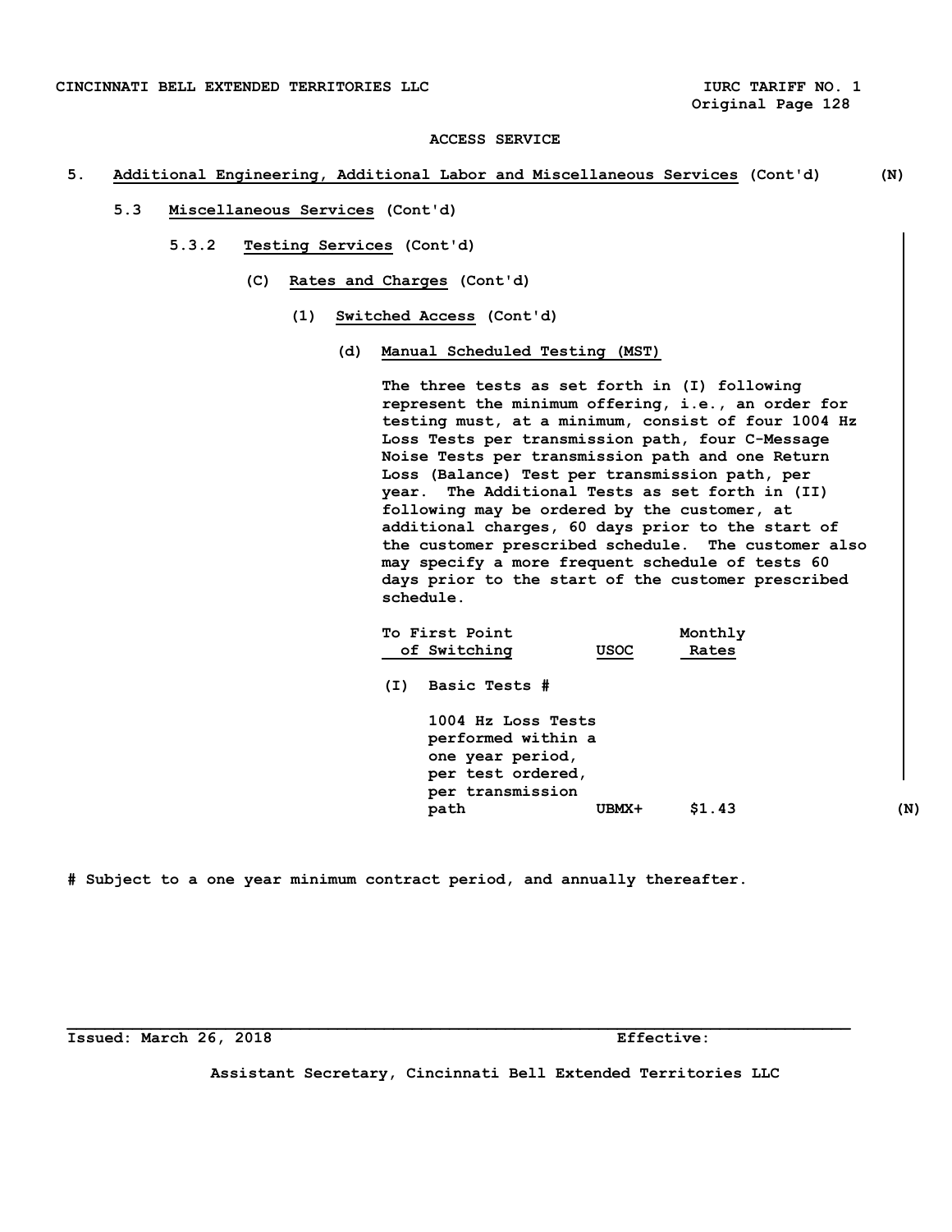## **5. Additional Engineering, Additional Labor and Miscellaneous Services (Cont'd) (N)**

- **5.3 Miscellaneous Services (Cont'd)** 
	- **5.3.2 Testing Services (Cont'd)** 
		- **(C) Rates and Charges (Cont'd)** 
			- **(1) Switched Access (Cont'd)** 
				- **(d) Manual Scheduled Testing (MST)**

 **The three tests as set forth in (I) following represent the minimum offering, i.e., an order for testing must, at a minimum, consist of four 1004 Hz Loss Tests per transmission path, four C-Message Noise Tests per transmission path and one Return Loss (Balance) Test per transmission path, per year. The Additional Tests as set forth in (II) following may be ordered by the customer, at additional charges, 60 days prior to the start of the customer prescribed schedule. The customer also may specify a more frequent schedule of tests 60 days prior to the start of the customer prescribed schedule.** 

|     | To First Point                                                                                        |       | Monthly |     |
|-----|-------------------------------------------------------------------------------------------------------|-------|---------|-----|
|     | of Switching                                                                                          | USOC  | Rates   |     |
| (I) | Basic Tests #                                                                                         |       |         |     |
|     | 1004 Hz Loss Tests<br>performed within a<br>one year period,<br>per test ordered,<br>per transmission |       |         |     |
|     | path                                                                                                  | UBMX+ | \$1.43  | (N) |
|     |                                                                                                       |       |         |     |

**# Subject to a one year minimum contract period, and annually thereafter.** 

**Issued: March 26, 2018 Effective:** 

**Assistant Secretary, Cincinnati Bell Extended Territories LLC**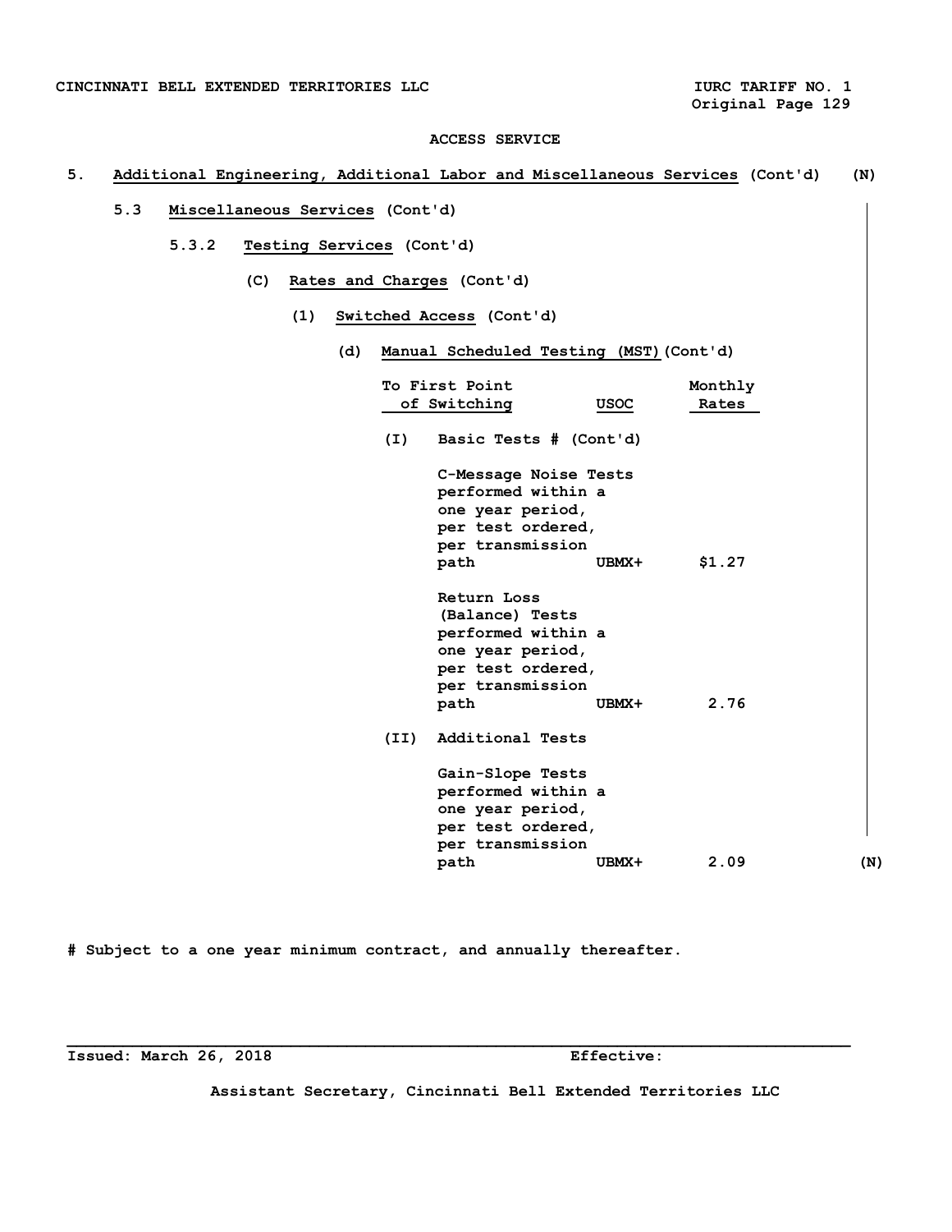# **5. Additional Engineering, Additional Labor and Miscellaneous Services (Cont'd) (N)**

- **5.3 Miscellaneous Services (Cont'd)** 
	- **5.3.2 Testing Services (Cont'd)** 
		- **(C) Rates and Charges (Cont'd)** 
			- **(1) Switched Access (Cont'd)** 
				- **(d) Manual Scheduled Testing (MST)(Cont'd)**

|      | To First Point<br>of Switching                                                                                            | <b>USOC</b> | Monthly<br>Rates |     |
|------|---------------------------------------------------------------------------------------------------------------------------|-------------|------------------|-----|
| (I)  | Basic Tests # (Cont'd)                                                                                                    |             |                  |     |
|      | C-Message Noise Tests<br>performed within a<br>one year period,<br>per test ordered,<br>per transmission<br>path          | UBMX+       | \$1.27           |     |
|      | Return Loss<br>(Balance) Tests<br>performed within a<br>one year period,<br>per test ordered,<br>per transmission<br>path | UBMX+       | 2.76             |     |
| (II) | Additional Tests                                                                                                          |             |                  |     |
|      | Gain-Slope Tests<br>performed within a<br>one year period,<br>per test ordered,<br>per transmission                       |             |                  |     |
|      | path                                                                                                                      | UBMX+       | 2.09             | (N) |

**# Subject to a one year minimum contract, and annually thereafter.** 

**Issued: March 26, 2018 Effective:** 

**Assistant Secretary, Cincinnati Bell Extended Territories LLC**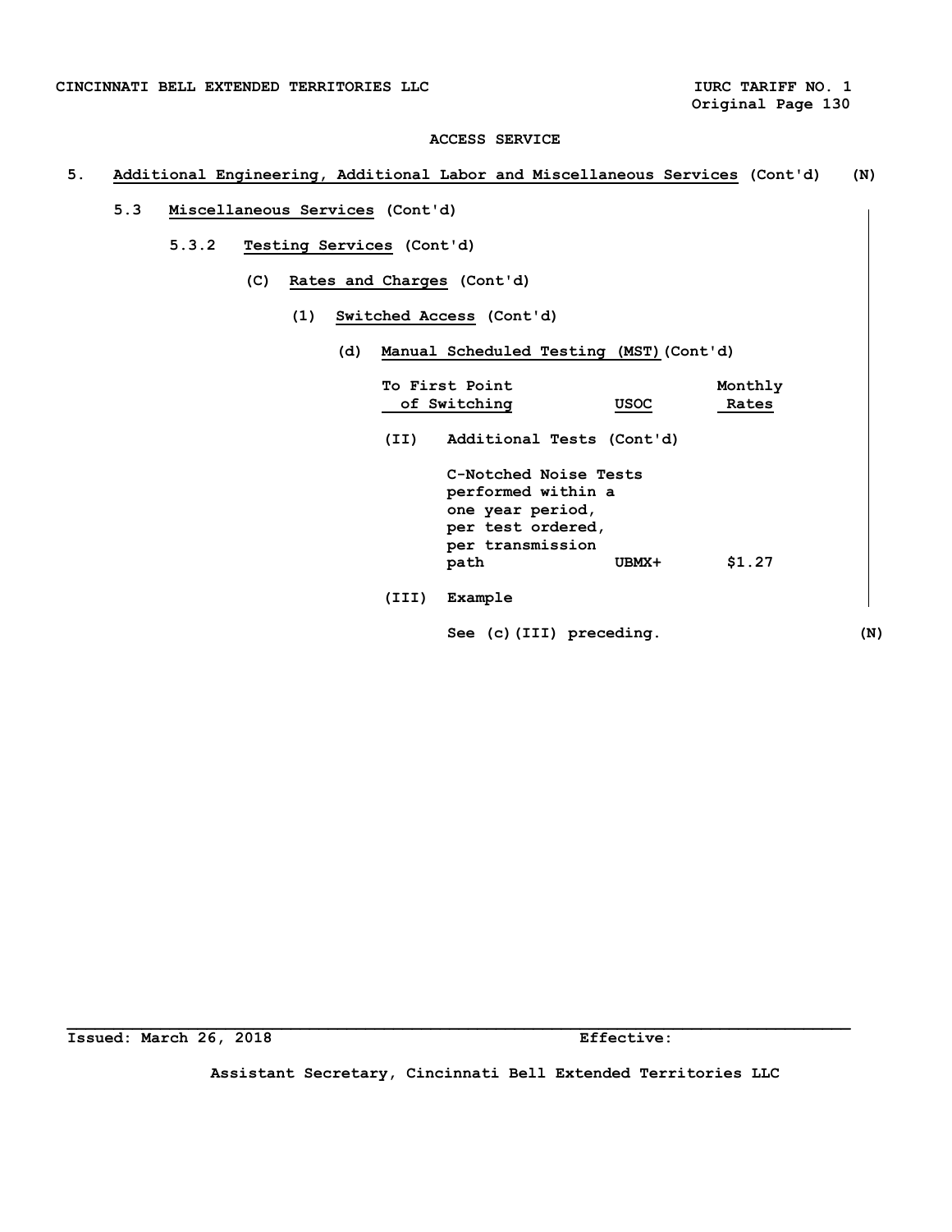# **5. Additional Engineering, Additional Labor and Miscellaneous Services (Cont'd) (N)**

- **5.3 Miscellaneous Services (Cont'd)** 
	- **5.3.2 Testing Services (Cont'd)** 
		- **(C) Rates and Charges (Cont'd)** 
			- **(1) Switched Access (Cont'd)** 
				- **(d) Manual Scheduled Testing (MST)(Cont'd)**

|       | To First Point<br>of Switching                                                                                   | <b>USOC</b> | Monthly<br>Rates |     |
|-------|------------------------------------------------------------------------------------------------------------------|-------------|------------------|-----|
| (II)  | Additional Tests (Cont'd)                                                                                        |             |                  |     |
|       | C-Notched Noise Tests<br>performed within a<br>one year period,<br>per test ordered,<br>per transmission<br>path | UBMX+       | \$1.27           |     |
| (III) | Example                                                                                                          |             |                  |     |
|       | See (c) (III) preceding.                                                                                         |             |                  | (N) |

**Issued: March 26, 2018 Effective:** 

**Assistant Secretary, Cincinnati Bell Extended Territories LLC**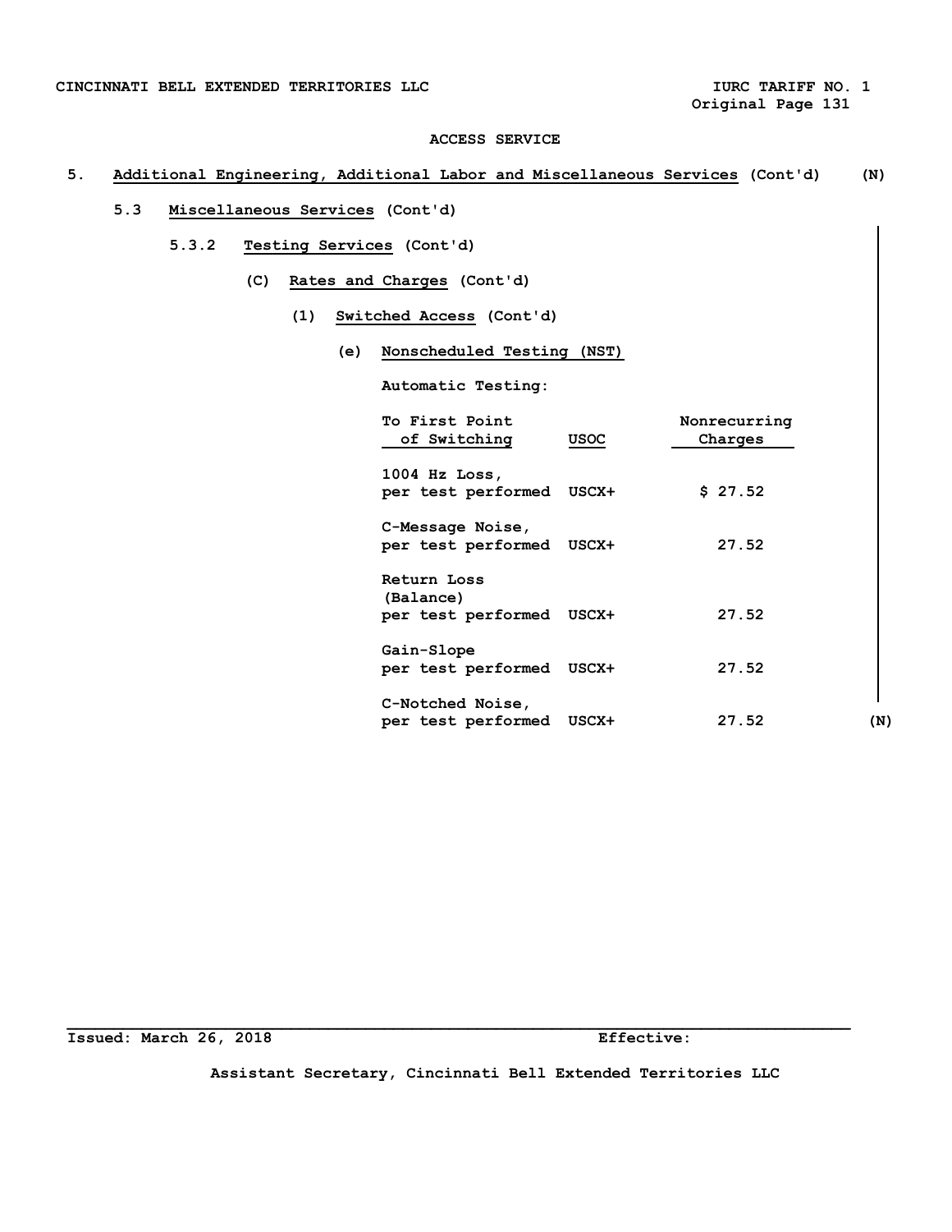**Original Page 131** 

## **ACCESS SERVICE**

# **5. Additional Engineering, Additional Labor and Miscellaneous Services (Cont'd) (N)**

# **5.3 Miscellaneous Services (Cont'd)**

- **5.3.2 Testing Services (Cont'd)** 
	- **(C) Rates and Charges (Cont'd)** 
		- **(1) Switched Access (Cont'd)** 
			- **(e) Nonscheduled Testing (NST)**

 **Automatic Testing:** 

| To First Point<br>of Switching                       | <b>USOC</b> | Nonrecurring<br>Charges |     |
|------------------------------------------------------|-------------|-------------------------|-----|
| $1004$ Hz Loss,<br>per test performed USCX+          |             | \$27.52                 |     |
| C-Message Noise,<br>per test performed USCX+         |             | 27.52                   |     |
| Return Loss<br>(Balance)<br>per test performed USCX+ |             | 27.52                   |     |
| Gain-Slope<br>per test performed USCX+               |             | 27.52                   |     |
| C-Notched Noise,<br>per test performed               | USCX+       | 27.52                   | (N) |

**Issued: March 26, 2018 Effective:** 

**Assistant Secretary, Cincinnati Bell Extended Territories LLC**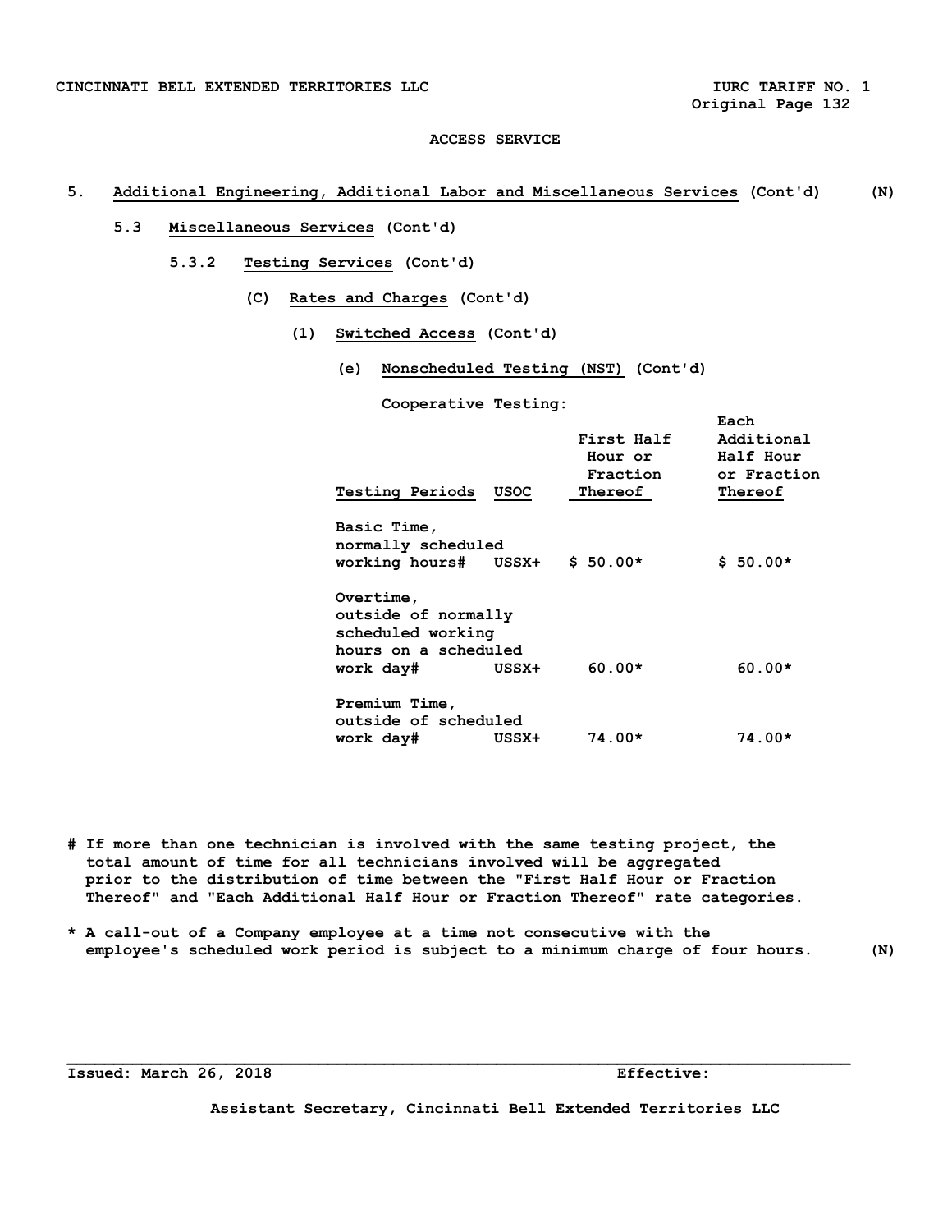# **5. Additional Engineering, Additional Labor and Miscellaneous Services (Cont'd) (N)**

- **5.3 Miscellaneous Services (Cont'd)** 
	- **5.3.2 Testing Services (Cont'd)** 
		- **(C) Rates and Charges (Cont'd)** 
			- **(1) Switched Access (Cont'd)** 
				- **(e) Nonscheduled Testing (NST) (Cont'd)**

 **Cooperative Testing:** 

| <b>Testing Periods</b>                                                                     | <b>USOC</b> | First Half<br>Hour or<br>Fraction<br>Thereof | Each<br>Additional<br>Half Hour<br>or Fraction<br>Thereof |
|--------------------------------------------------------------------------------------------|-------------|----------------------------------------------|-----------------------------------------------------------|
| Basic Time,<br>normally scheduled<br>working hours# USSX+                                  |             | $$50.00*$                                    | $$50.00*$                                                 |
| Overtime,<br>outside of normally<br>scheduled working<br>hours on a scheduled<br>work day# | USSX+       | $60.00*$                                     | $60.00*$                                                  |
| Premium Time,<br>outside of scheduled<br>work day#                                         | USSX+       | $74.00*$                                     | $74.00*$                                                  |

- **# If more than one technician is involved with the same testing project, the total amount of time for all technicians involved will be aggregated prior to the distribution of time between the "First Half Hour or Fraction Thereof" and "Each Additional Half Hour or Fraction Thereof" rate categories.**
- **\* A call-out of a Company employee at a time not consecutive with the employee's scheduled work period is subject to a minimum charge of four hours. (N)**

**\_\_\_\_\_\_\_\_\_\_\_\_\_\_\_\_\_\_\_\_\_\_\_\_\_\_\_\_\_\_\_\_\_\_\_\_\_\_\_\_\_\_\_\_\_\_\_\_\_\_\_\_\_\_\_\_\_\_\_\_\_\_\_\_\_\_\_\_\_\_\_\_\_\_\_\_\_\_\_\_\_\_\_\_** 

**Issued: March 26, 2018 Effective:**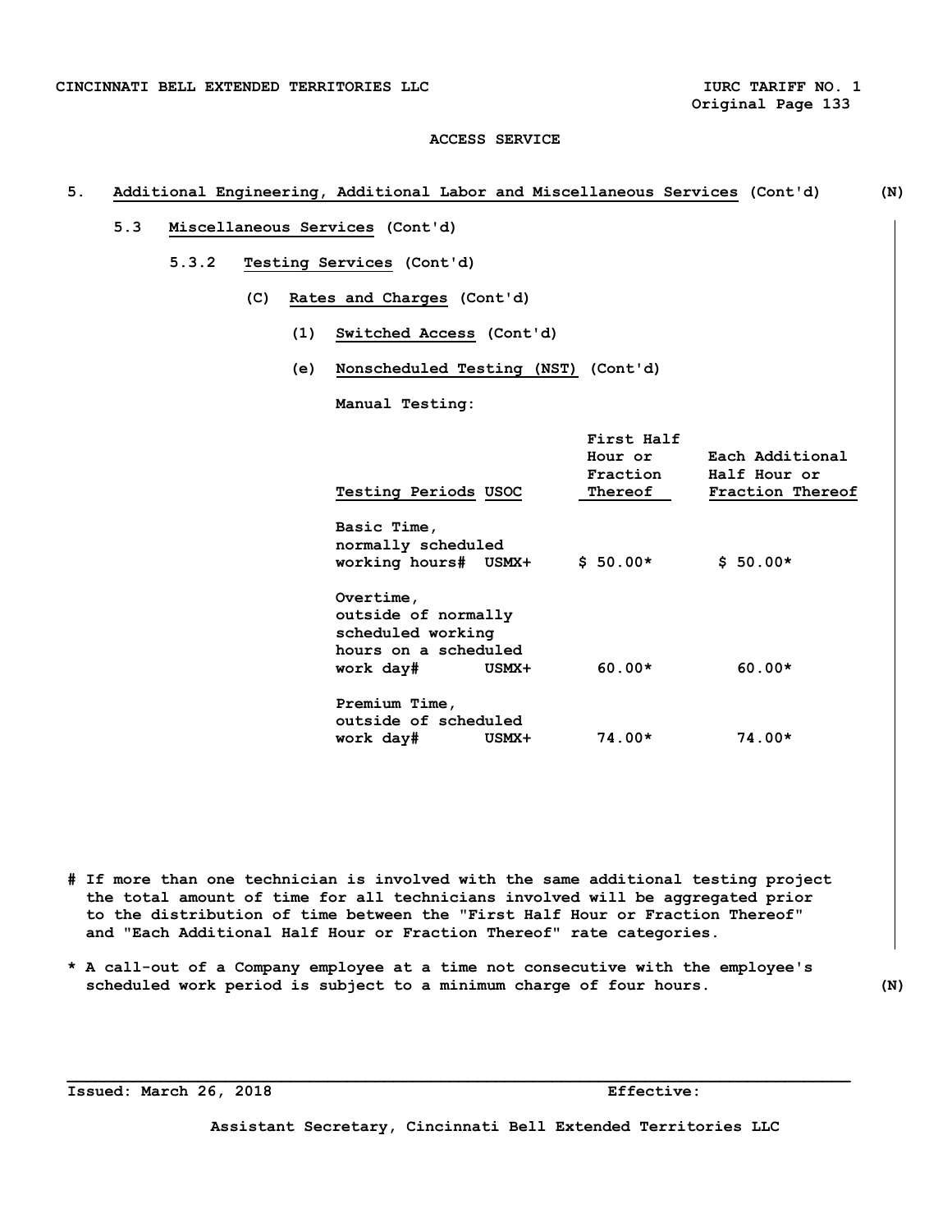## **5. Additional Engineering, Additional Labor and Miscellaneous Services (Cont'd) (N)**

- **5.3 Miscellaneous Services (Cont'd)** 
	- **5.3.2 Testing Services (Cont'd)** 
		- **(C) Rates and Charges (Cont'd)** 
			- **(1) Switched Access (Cont'd)**
			- **(e) Nonscheduled Testing (NST) (Cont'd)**

 **Manual Testing:** 

| Testing Periods USOC                                  |       | First Half<br>Hour or<br>Fraction<br>Thereof | Each Additional<br>Half Hour or<br>Fraction Thereof |
|-------------------------------------------------------|-------|----------------------------------------------|-----------------------------------------------------|
| Basic Time,<br>normally scheduled                     |       |                                              |                                                     |
| working hours# USMX+                                  |       | $$50.00*$                                    | $$50.00*$                                           |
| Overtime,<br>outside of normally<br>scheduled working |       |                                              |                                                     |
| hours on a scheduled                                  |       |                                              |                                                     |
| work day#                                             | USMX+ | $60.00*$                                     | $60.00*$                                            |
| Premium Time,<br>outside of scheduled                 |       |                                              |                                                     |
| work day#                                             | USMX+ | $74.00*$                                     | $74.00*$                                            |

**# If more than one technician is involved with the same additional testing project the total amount of time for all technicians involved will be aggregated prior to the distribution of time between the "First Half Hour or Fraction Thereof" and "Each Additional Half Hour or Fraction Thereof" rate categories.** 

**\* A call-out of a Company employee at a time not consecutive with the employee's scheduled work period is subject to a minimum charge of four hours. (N)** 

**\_\_\_\_\_\_\_\_\_\_\_\_\_\_\_\_\_\_\_\_\_\_\_\_\_\_\_\_\_\_\_\_\_\_\_\_\_\_\_\_\_\_\_\_\_\_\_\_\_\_\_\_\_\_\_\_\_\_\_\_\_\_\_\_\_\_\_\_\_\_\_\_\_\_\_\_\_\_\_\_\_\_\_\_** 

**Issued: March 26, 2018** Effective: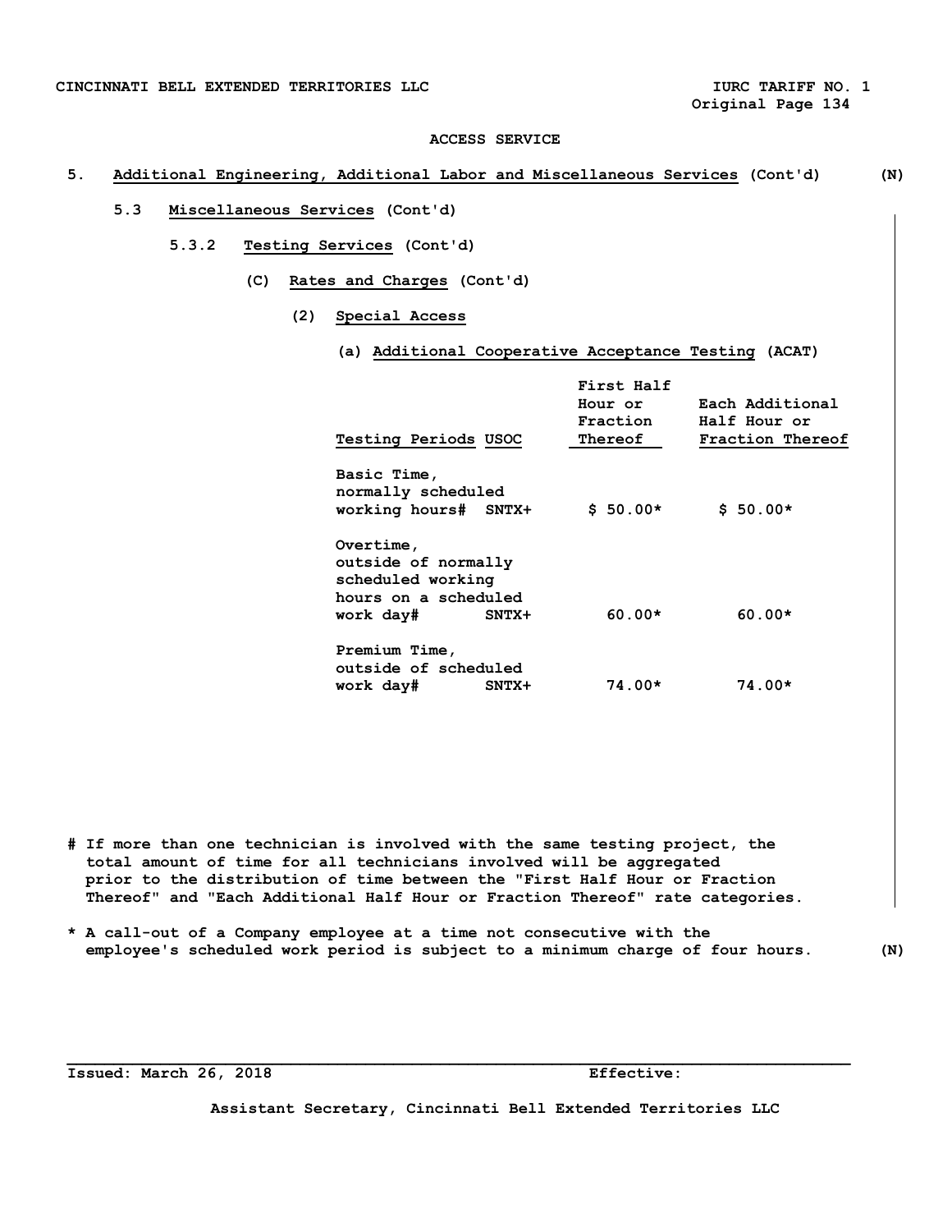## **5. Additional Engineering, Additional Labor and Miscellaneous Services (Cont'd) (N)**

# **5.3 Miscellaneous Services (Cont'd)**

- **5.3.2 Testing Services (Cont'd)** 
	- **(C) Rates and Charges (Cont'd)** 
		- **(2) Special Access** 
			- **(a) Additional Cooperative Acceptance Testing (ACAT)**

| Testing Periods USOC                                                                                  | First Half<br>Hour or<br>Fraction<br>Thereof | Each Additional<br>Half Hour or<br>Fraction Thereof |
|-------------------------------------------------------------------------------------------------------|----------------------------------------------|-----------------------------------------------------|
| Basic Time,<br>normally scheduled<br>working hours# SNTX+                                             | $$50.00*$                                    | $$50.00*$                                           |
| Overtime,<br>outside of normally<br>scheduled working<br>hours on a scheduled<br>work day#<br>$SNTX+$ | $60.00*$                                     | $60.00*$                                            |
| Premium Time,<br>outside of scheduled<br>work day#<br>$SNTX+$                                         | $74.00*$                                     | $74.00*$                                            |

- **# If more than one technician is involved with the same testing project, the total amount of time for all technicians involved will be aggregated prior to the distribution of time between the "First Half Hour or Fraction Thereof" and "Each Additional Half Hour or Fraction Thereof" rate categories.**
- **\* A call-out of a Company employee at a time not consecutive with the employee's scheduled work period is subject to a minimum charge of four hours. (N)**

**\_\_\_\_\_\_\_\_\_\_\_\_\_\_\_\_\_\_\_\_\_\_\_\_\_\_\_\_\_\_\_\_\_\_\_\_\_\_\_\_\_\_\_\_\_\_\_\_\_\_\_\_\_\_\_\_\_\_\_\_\_\_\_\_\_\_\_\_\_\_\_\_\_\_\_\_\_\_\_\_\_\_\_\_** 

**Issued: March 26, 2018 Effective:**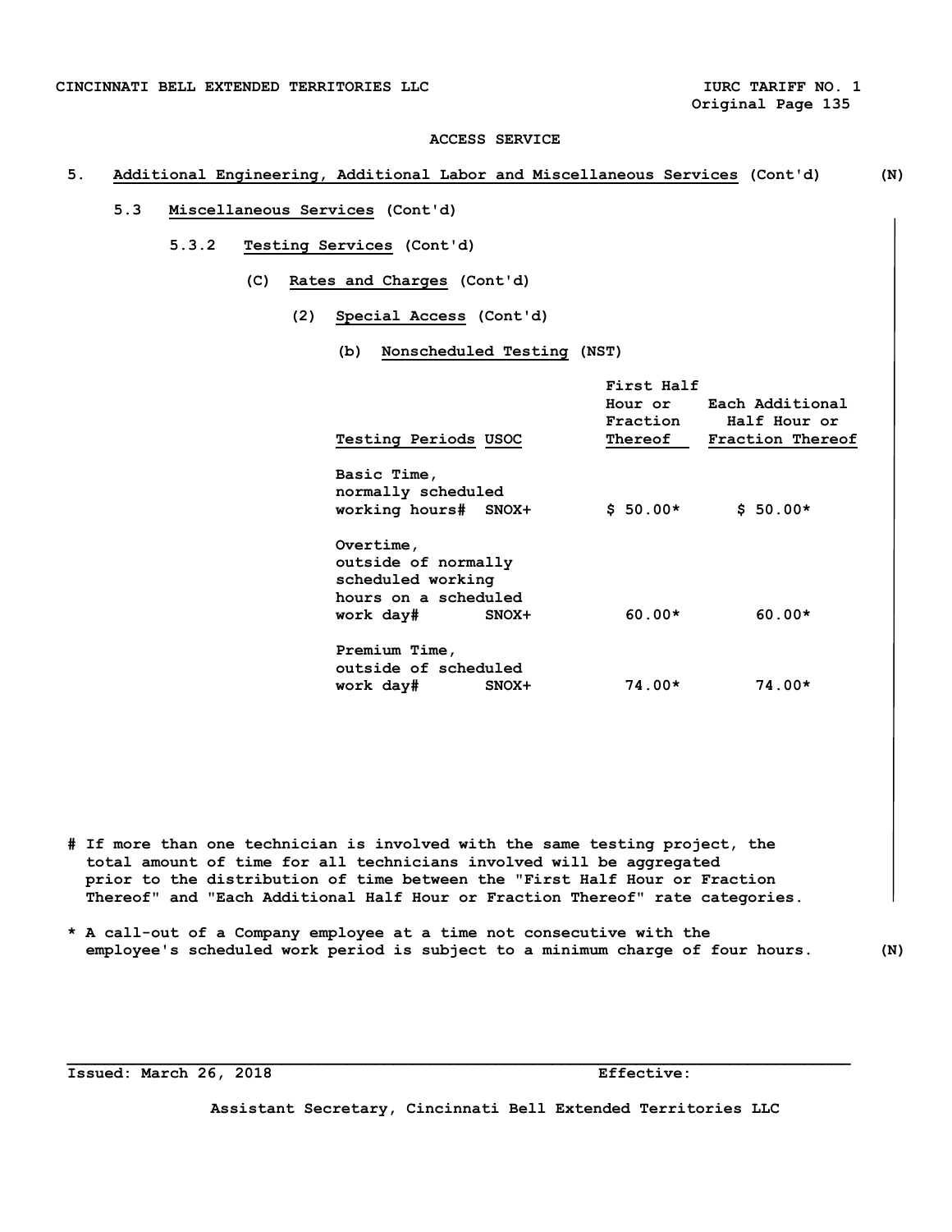## **5. Additional Engineering, Additional Labor and Miscellaneous Services (Cont'd) (N)**

# **5.3 Miscellaneous Services (Cont'd)**

- **5.3.2 Testing Services (Cont'd)** 
	- **(C) Rates and Charges (Cont'd)** 
		- **(2) Special Access (Cont'd)** 
			- **(b) Nonscheduled Testing (NST)**

| <b>Testing Periods USOC</b>                                                         | First Half<br>Fraction<br>Thereof | Hour or Each Additional<br>Half Hour or<br>Fraction Thereof |
|-------------------------------------------------------------------------------------|-----------------------------------|-------------------------------------------------------------|
| Basic Time,<br>normally scheduled<br>working hours# SNOX+                           | $$50.00*$                         | $$50.00*$                                                   |
| Overtime,<br>outside of normally<br>scheduled working<br>hours on a scheduled       |                                   |                                                             |
| work day#<br>$SNOX+$<br>Premium Time,<br>outside of scheduled<br>work day#<br>SNOX+ | $60.00*$<br>$74.00*$              | $60.00*$<br>$74.00*$                                        |

- **# If more than one technician is involved with the same testing project, the total amount of time for all technicians involved will be aggregated prior to the distribution of time between the "First Half Hour or Fraction Thereof" and "Each Additional Half Hour or Fraction Thereof" rate categories.**
- **\* A call-out of a Company employee at a time not consecutive with the employee's scheduled work period is subject to a minimum charge of four hours. (N)**

**\_\_\_\_\_\_\_\_\_\_\_\_\_\_\_\_\_\_\_\_\_\_\_\_\_\_\_\_\_\_\_\_\_\_\_\_\_\_\_\_\_\_\_\_\_\_\_\_\_\_\_\_\_\_\_\_\_\_\_\_\_\_\_\_\_\_\_\_\_\_\_\_\_\_\_\_\_\_\_\_\_\_\_\_** 

**Issued: March 26, 2018 Effective:**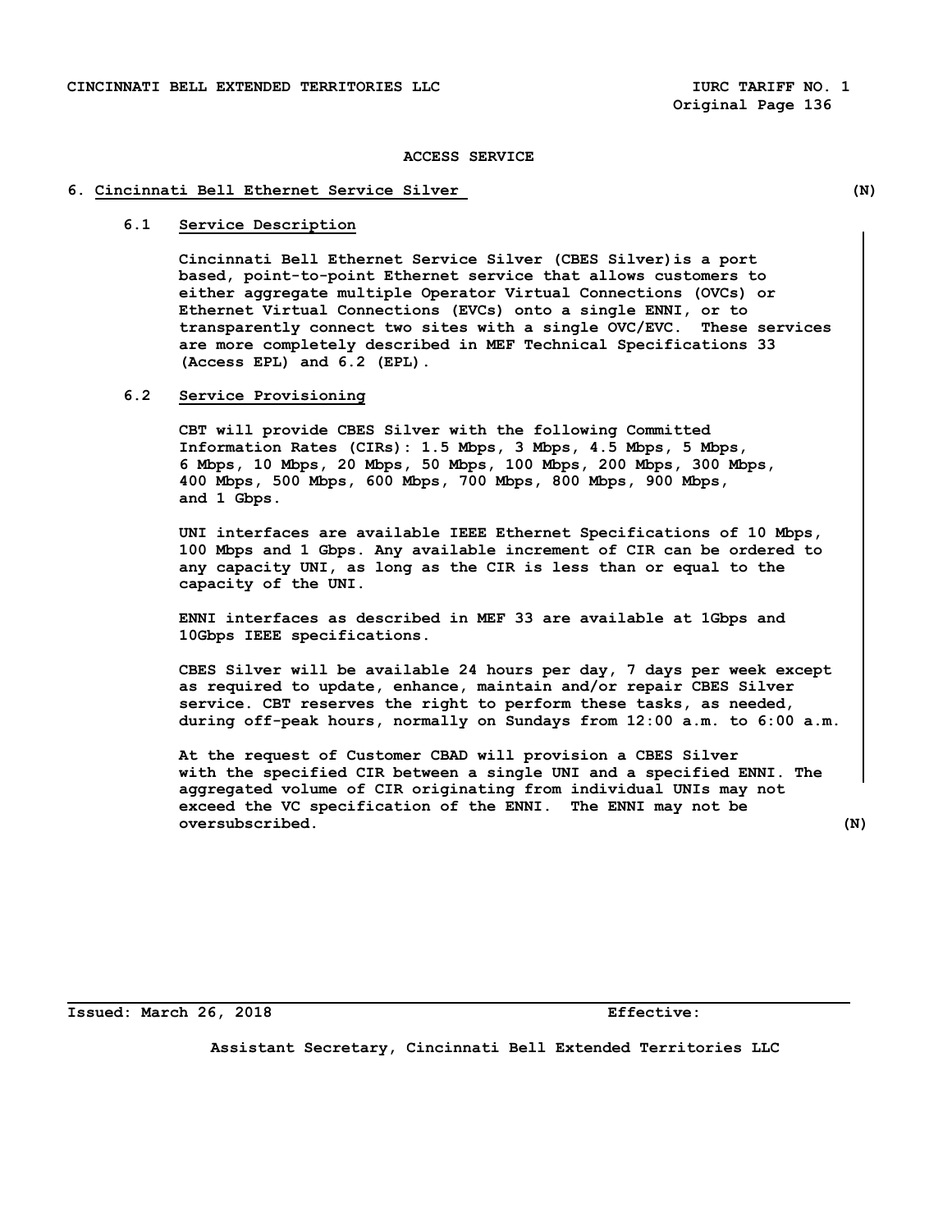## **6. Cincinnati Bell Ethernet Service Silver (N)**

# **6.1 Service Description**

 **Cincinnati Bell Ethernet Service Silver (CBES Silver)is a port based, point-to-point Ethernet service that allows customers to either aggregate multiple Operator Virtual Connections (OVCs) or Ethernet Virtual Connections (EVCs) onto a single ENNI, or to transparently connect two sites with a single OVC/EVC. These services are more completely described in MEF Technical Specifications 33 (Access EPL) and 6.2 (EPL).**

# **6.2 Service Provisioning**

 **CBT will provide CBES Silver with the following Committed Information Rates (CIRs): 1.5 Mbps, 3 Mbps, 4.5 Mbps, 5 Mbps, 6 Mbps, 10 Mbps, 20 Mbps, 50 Mbps, 100 Mbps, 200 Mbps, 300 Mbps, 400 Mbps, 500 Mbps, 600 Mbps, 700 Mbps, 800 Mbps, 900 Mbps, and 1 Gbps.**

 **UNI interfaces are available IEEE Ethernet Specifications of 10 Mbps, 100 Mbps and 1 Gbps. Any available increment of CIR can be ordered to any capacity UNI, as long as the CIR is less than or equal to the capacity of the UNI.**

 **ENNI interfaces as described in MEF 33 are available at 1Gbps and 10Gbps IEEE specifications.** 

 **CBES Silver will be available 24 hours per day, 7 days per week except as required to update, enhance, maintain and/or repair CBES Silver service. CBT reserves the right to perform these tasks, as needed, during off-peak hours, normally on Sundays from 12:00 a.m. to 6:00 a.m.**

 **At the request of Customer CBAD will provision a CBES Silver with the specified CIR between a single UNI and a specified ENNI. The aggregated volume of CIR originating from individual UNIs may not exceed the VC specification of the ENNI. The ENNI may not be oversubscribed. (N)** 

**Issued: March 26, 2018 Effective:**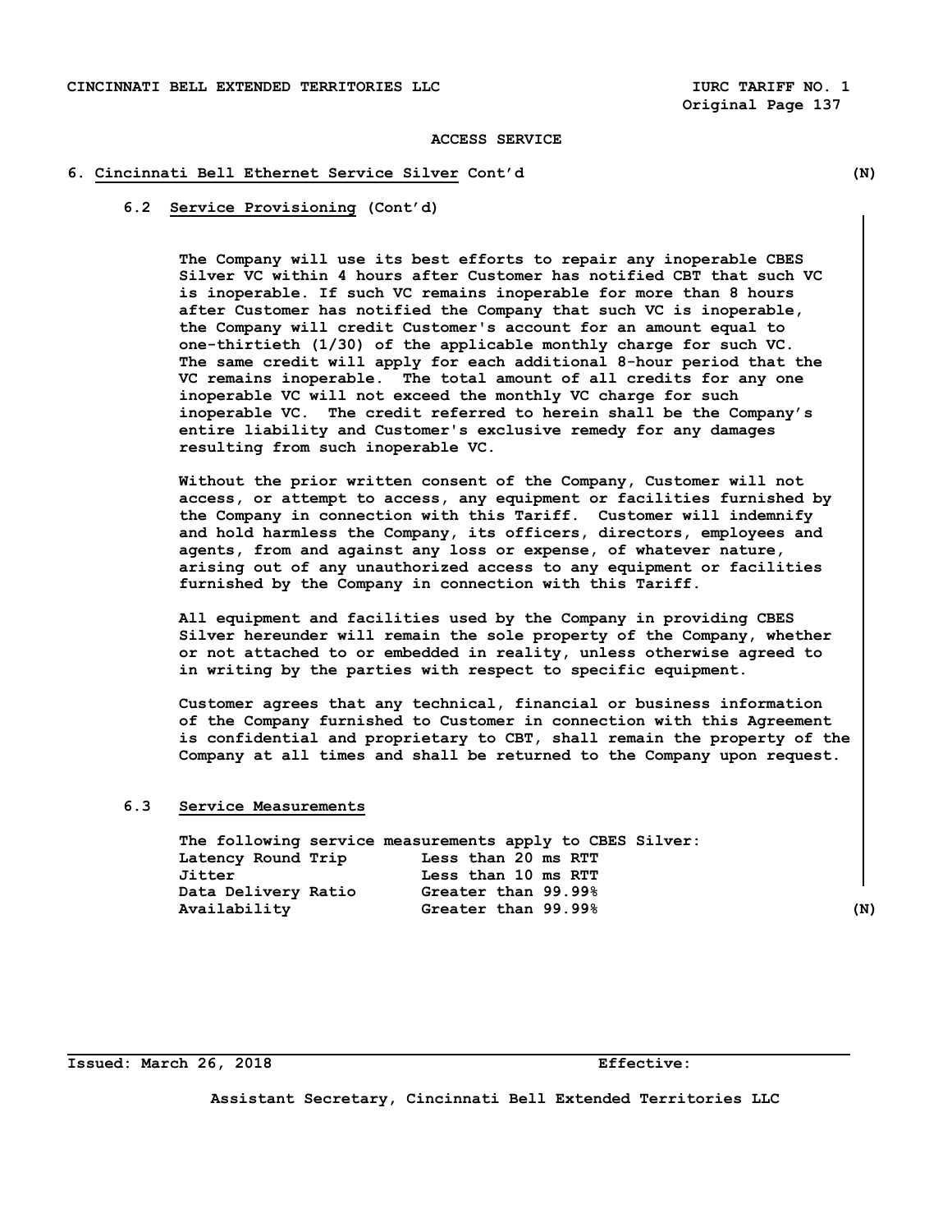## **6. Cincinnati Bell Ethernet Service Silver Cont'd (N)**

## **6.2 Service Provisioning (Cont'd)**

 **The Company will use its best efforts to repair any inoperable CBES Silver VC within 4 hours after Customer has notified CBT that such VC is inoperable. If such VC remains inoperable for more than 8 hours after Customer has notified the Company that such VC is inoperable, the Company will credit Customer's account for an amount equal to one-thirtieth (1/30) of the applicable monthly charge for such VC. The same credit will apply for each additional 8-hour period that the VC remains inoperable. The total amount of all credits for any one inoperable VC will not exceed the monthly VC charge for such inoperable VC. The credit referred to herein shall be the Company's entire liability and Customer's exclusive remedy for any damages resulting from such inoperable VC.** 

 **Without the prior written consent of the Company, Customer will not access, or attempt to access, any equipment or facilities furnished by the Company in connection with this Tariff. Customer will indemnify and hold harmless the Company, its officers, directors, employees and agents, from and against any loss or expense, of whatever nature, arising out of any unauthorized access to any equipment or facilities furnished by the Company in connection with this Tariff.**

 **All equipment and facilities used by the Company in providing CBES Silver hereunder will remain the sole property of the Company, whether or not attached to or embedded in reality, unless otherwise agreed to in writing by the parties with respect to specific equipment.**

 **Customer agrees that any technical, financial or business information of the Company furnished to Customer in connection with this Agreement is confidential and proprietary to CBT, shall remain the property of the Company at all times and shall be returned to the Company upon request.** 

## **6.3 Service Measurements**

| The following service measurements apply to CBES Silver: |  |                     |  |     |
|----------------------------------------------------------|--|---------------------|--|-----|
| Latency Round Trip                                       |  | Less than 20 ms RTT |  |     |
| Jitter                                                   |  | Less than 10 ms RTT |  |     |
| Data Delivery Ratio                                      |  | Greater than 99.99% |  |     |
| Availability                                             |  | Greater than 99.99% |  | (N) |

**Issued: March 26, 2018 Effective:**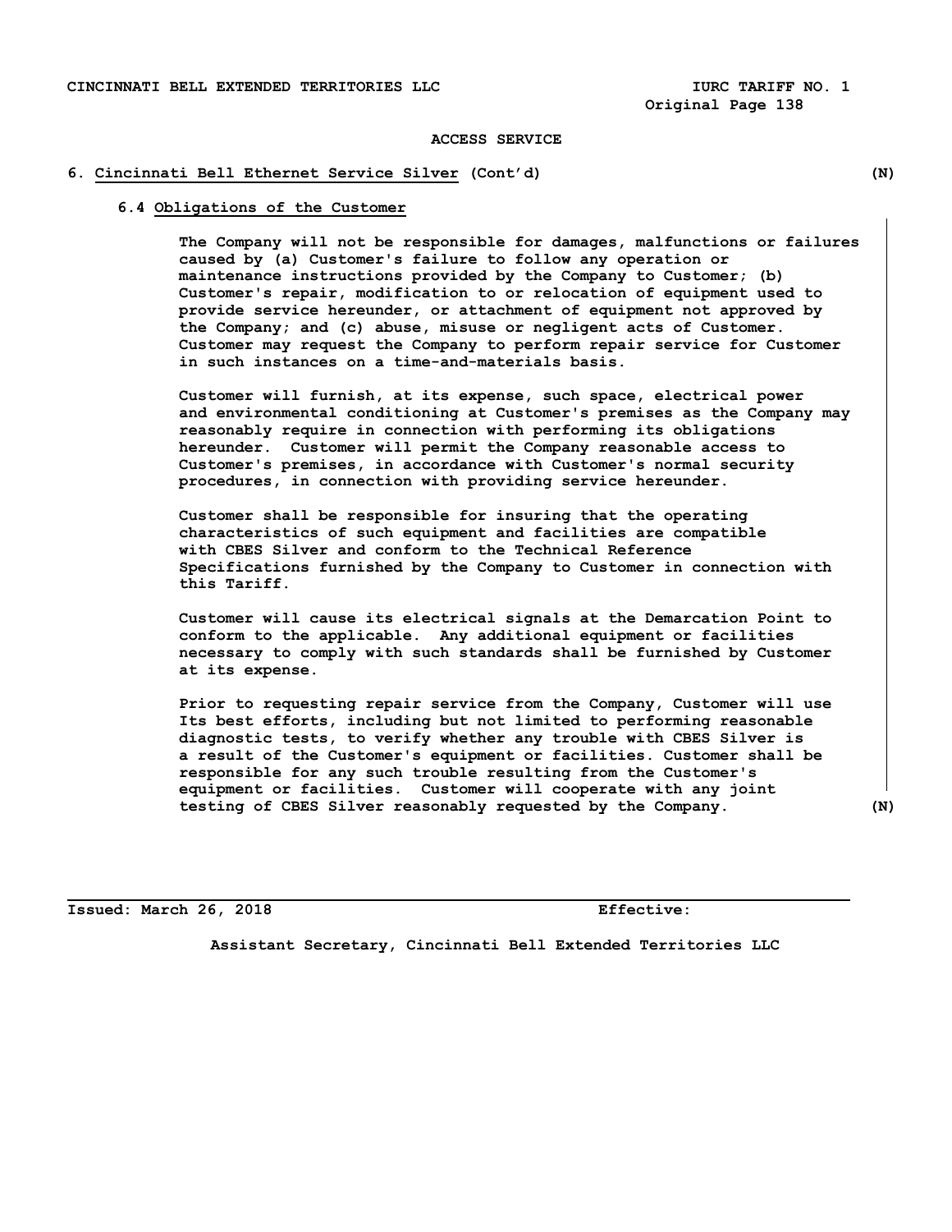## **6. Cincinnati Bell Ethernet Service Silver (Cont'd) (N)**

## **6.4 Obligations of the Customer**

**The Company will not be responsible for damages, malfunctions or failures caused by (a) Customer's failure to follow any operation or maintenance instructions provided by the Company to Customer; (b) Customer's repair, modification to or relocation of equipment used to provide service hereunder, or attachment of equipment not approved by the Company; and (c) abuse, misuse or negligent acts of Customer. Customer may request the Company to perform repair service for Customer in such instances on a time-and-materials basis.**

 **Customer will furnish, at its expense, such space, electrical power and environmental conditioning at Customer's premises as the Company may reasonably require in connection with performing its obligations hereunder. Customer will permit the Company reasonable access to Customer's premises, in accordance with Customer's normal security procedures, in connection with providing service hereunder.**

 **Customer shall be responsible for insuring that the operating characteristics of such equipment and facilities are compatible with CBES Silver and conform to the Technical Reference Specifications furnished by the Company to Customer in connection with this Tariff.**

 **Customer will cause its electrical signals at the Demarcation Point to conform to the applicable. Any additional equipment or facilities necessary to comply with such standards shall be furnished by Customer at its expense.**

 **Prior to requesting repair service from the Company, Customer will use Its best efforts, including but not limited to performing reasonable diagnostic tests, to verify whether any trouble with CBES Silver is a result of the Customer's equipment or facilities. Customer shall be responsible for any such trouble resulting from the Customer's equipment or facilities. Customer will cooperate with any joint testing of CBES Silver reasonably requested by the Company. (N)** 

**Issued: March 26, 2018 Effective:**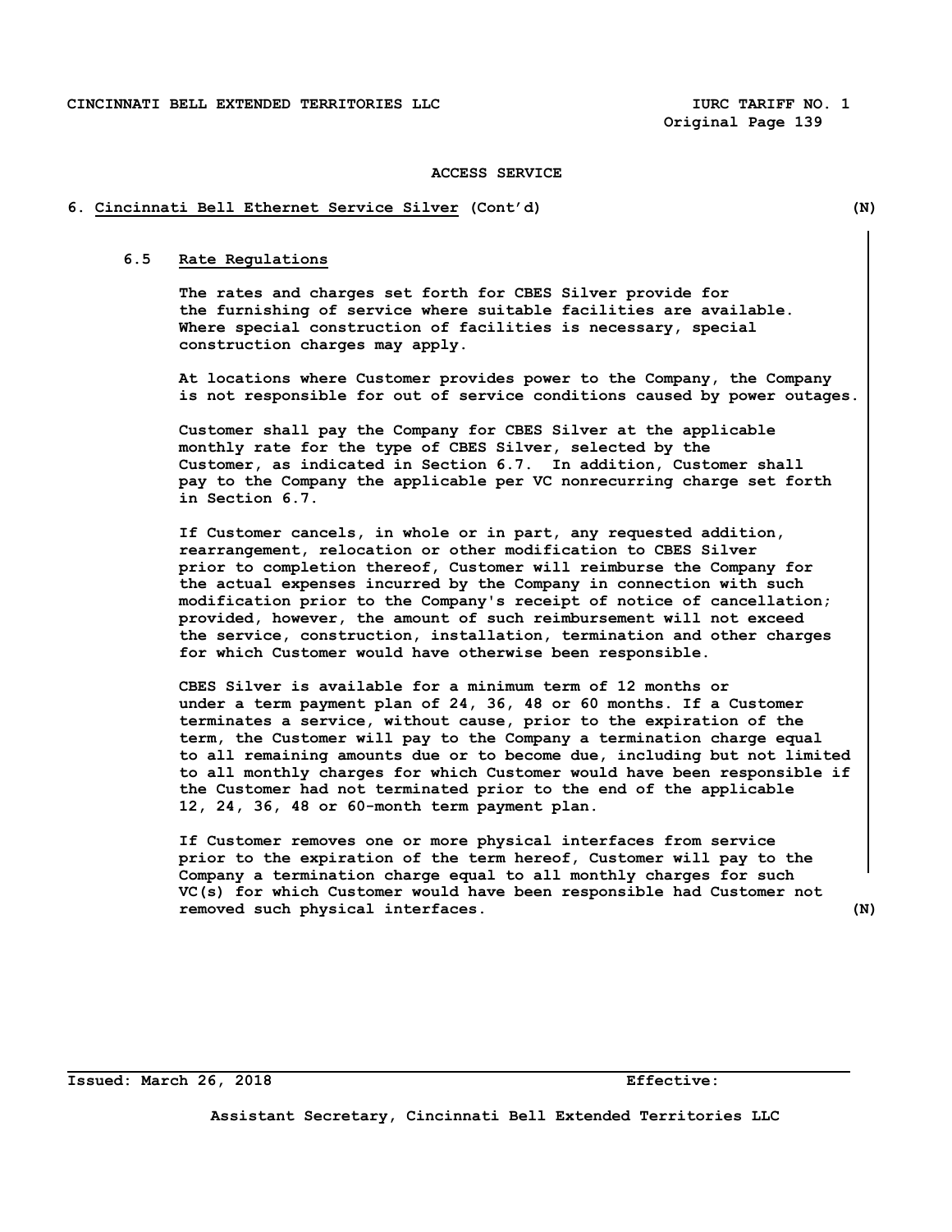**Original Page 139**

### **ACCESS SERVICE**

### **6. Cincinnati Bell Ethernet Service Silver (Cont'd) (N)**

# **6.5 Rate Regulations**

 **The rates and charges set forth for CBES Silver provide for the furnishing of service where suitable facilities are available. Where special construction of facilities is necessary, special construction charges may apply.**

 **At locations where Customer provides power to the Company, the Company is not responsible for out of service conditions caused by power outages.**

 **Customer shall pay the Company for CBES Silver at the applicable monthly rate for the type of CBES Silver, selected by the Customer, as indicated in Section 6.7. In addition, Customer shall pay to the Company the applicable per VC nonrecurring charge set forth in Section 6.7.** 

 **If Customer cancels, in whole or in part, any requested addition, rearrangement, relocation or other modification to CBES Silver prior to completion thereof, Customer will reimburse the Company for the actual expenses incurred by the Company in connection with such modification prior to the Company's receipt of notice of cancellation; provided, however, the amount of such reimbursement will not exceed the service, construction, installation, termination and other charges for which Customer would have otherwise been responsible.**

 **CBES Silver is available for a minimum term of 12 months or under a term payment plan of 24, 36, 48 or 60 months. If a Customer terminates a service, without cause, prior to the expiration of the term, the Customer will pay to the Company a termination charge equal to all remaining amounts due or to become due, including but not limited to all monthly charges for which Customer would have been responsible if the Customer had not terminated prior to the end of the applicable 12, 24, 36, 48 or 60-month term payment plan.** 

 **If Customer removes one or more physical interfaces from service prior to the expiration of the term hereof, Customer will pay to the Company a termination charge equal to all monthly charges for such VC(s) for which Customer would have been responsible had Customer not removed such physical interfaces. (N)**

**Issued: March 26, 2018 Effective:**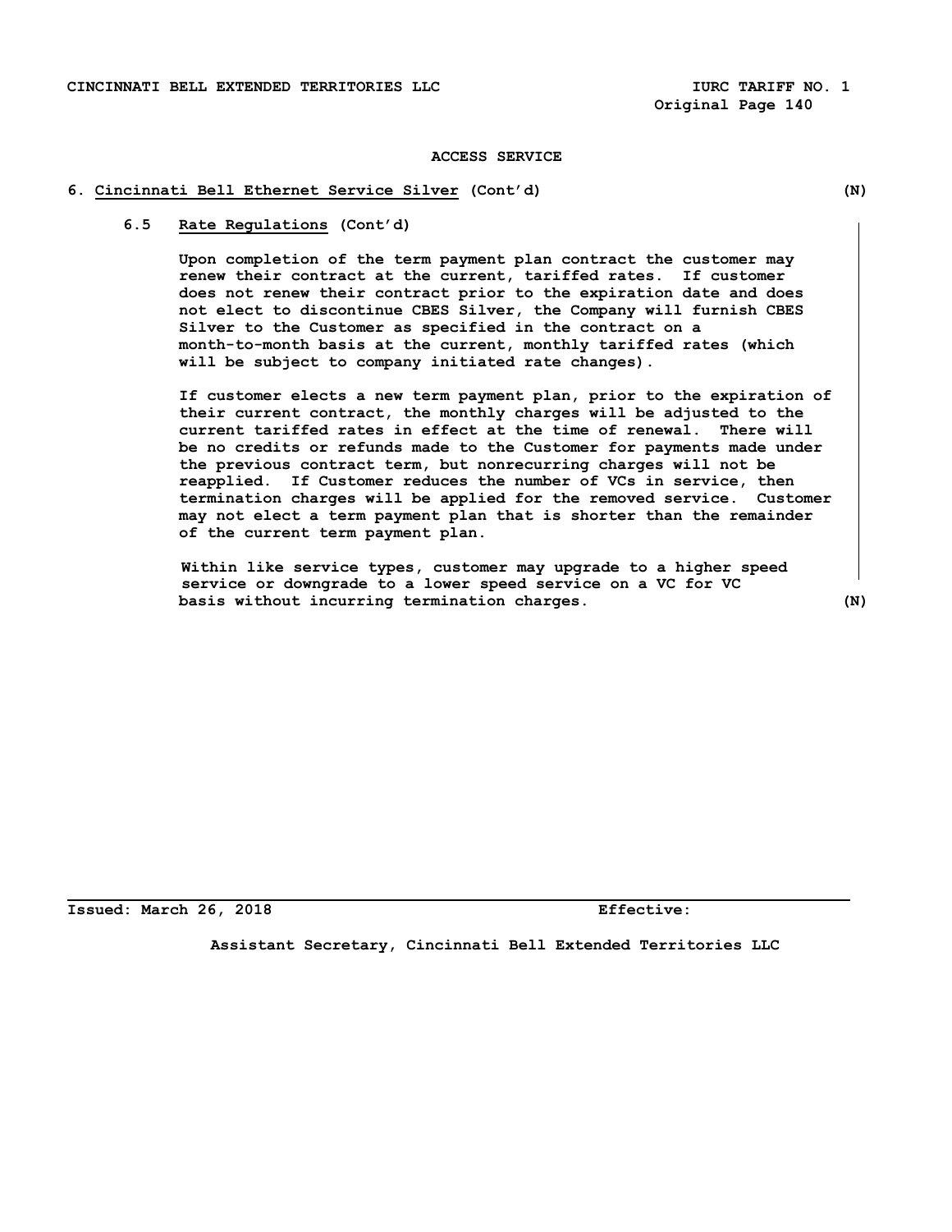## **6. Cincinnati Bell Ethernet Service Silver (Cont'd) (N)**

## **6.5 Rate Regulations (Cont'd)**

**Upon completion of the term payment plan contract the customer may renew their contract at the current, tariffed rates. If customer does not renew their contract prior to the expiration date and does not elect to discontinue CBES Silver, the Company will furnish CBES Silver to the Customer as specified in the contract on a month-to-month basis at the current, monthly tariffed rates (which will be subject to company initiated rate changes).** 

**If customer elects a new term payment plan, prior to the expiration of their current contract, the monthly charges will be adjusted to the current tariffed rates in effect at the time of renewal. There will be no credits or refunds made to the Customer for payments made under the previous contract term, but nonrecurring charges will not be reapplied. If Customer reduces the number of VCs in service, then termination charges will be applied for the removed service. Customer may not elect a term payment plan that is shorter than the remainder of the current term payment plan.** 

 **Within like service types, customer may upgrade to a higher speed service or downgrade to a lower speed service on a VC for VC basis without incurring termination charges. (N)**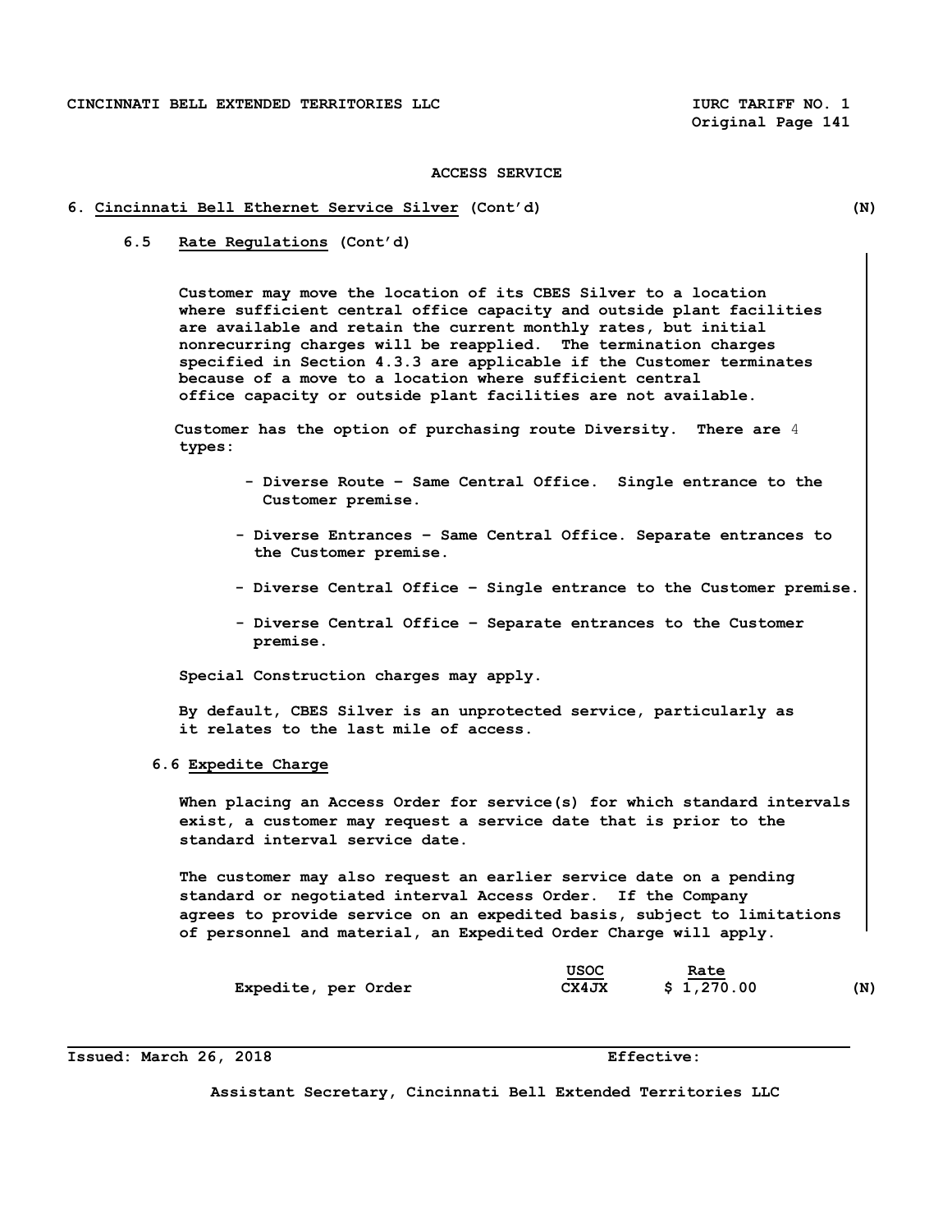## **6. Cincinnati Bell Ethernet Service Silver (Cont'd) (N)**

 **6.5 Rate Regulations (Cont'd)**

**Customer may move the location of its CBES Silver to a location where sufficient central office capacity and outside plant facilities are available and retain the current monthly rates, but initial nonrecurring charges will be reapplied. The termination charges specified in Section 4.3.3 are applicable if the Customer terminates because of a move to a location where sufficient central office capacity or outside plant facilities are not available.**

 **Customer has the option of purchasing route Diversity. There are** 4  **types:**

- **Diverse Route Same Central Office. Single entrance to the Customer premise.**
- **Diverse Entrances Same Central Office. Separate entrances to the Customer premise.**
- **Diverse Central Office Single entrance to the Customer premise.**
- **Diverse Central Office Separate entrances to the Customer premise.**

 **Special Construction charges may apply.**

 **By default, CBES Silver is an unprotected service, particularly as it relates to the last mile of access.** 

 **6.6 Expedite Charge** 

 **When placing an Access Order for service(s) for which standard intervals exist, a customer may request a service date that is prior to the standard interval service date.** 

 **The customer may also request an earlier service date on a pending standard or negotiated interval Access Order. If the Company agrees to provide service on an expedited basis, subject to limitations of personnel and material, an Expedited Order Charge will apply.**

|                     | USOC  | Rate       |     |
|---------------------|-------|------------|-----|
| Expedite, per Order | CX4JX | \$1,270.00 | (N) |

**Issued: March 26, 2018 Effective:**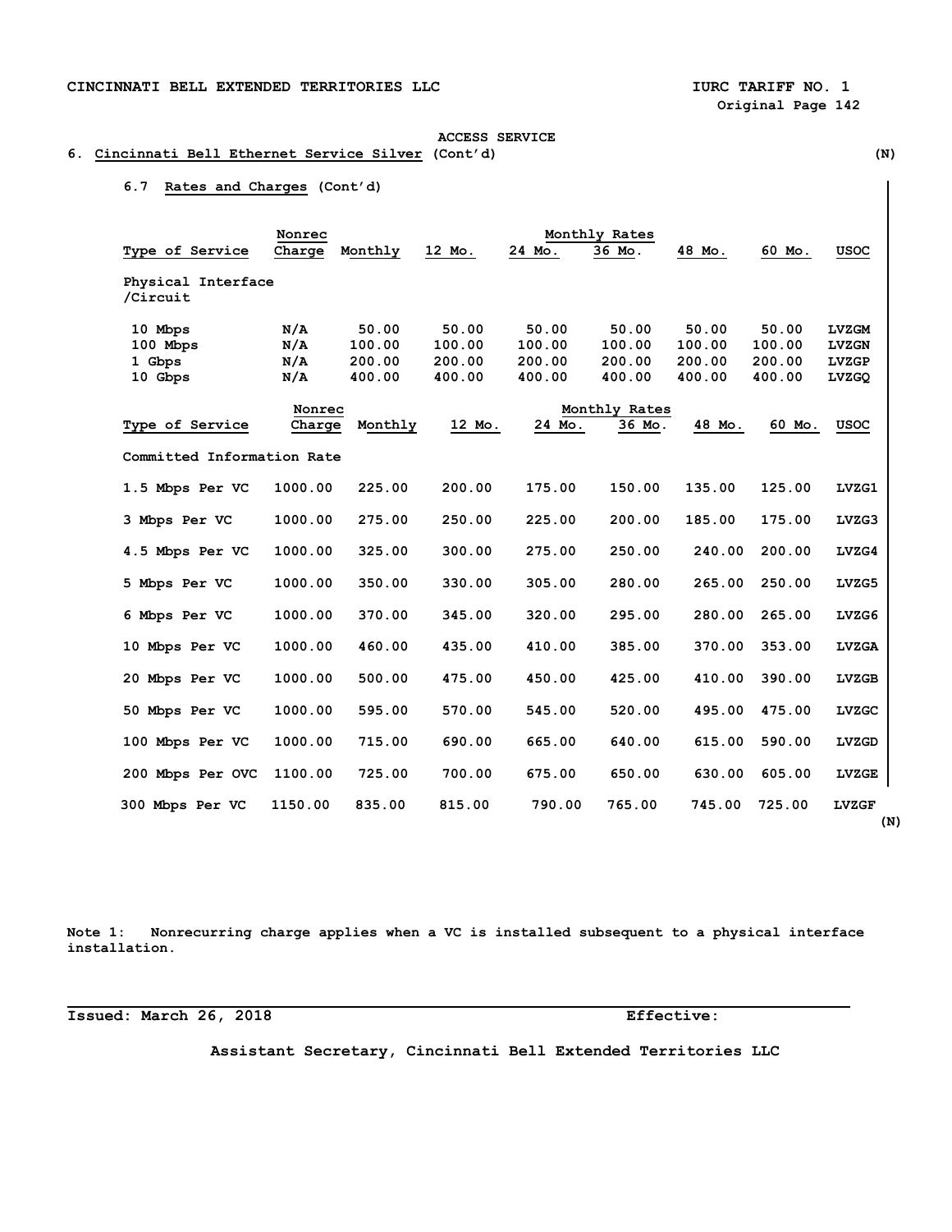# **ACCESS SERVICE 6. Cincinnati Bell Ethernet Service Silver (Cont'd) (N)**

# **6.7 Rates and Charges (Cont'd)**

|                                | Nonrec  |         |        | Monthly Rates |               |        |        |              |
|--------------------------------|---------|---------|--------|---------------|---------------|--------|--------|--------------|
| Type of Service                | Charge  | Monthly | 12 Mo. | 24 Mo.        | 36 Mo.        | 48 Mo. | 60 Mo. | USOC         |
| Physical Interface<br>/Circuit |         |         |        |               |               |        |        |              |
| 10 Mbps                        | N/A     | 50.00   | 50.00  | 50.00         | 50.00         | 50.00  | 50.00  | <b>LVZGM</b> |
| 100 Mbps                       | N/A     | 100.00  | 100.00 | 100.00        | 100.00        | 100.00 | 100.00 | <b>LVZGN</b> |
| 1 Gbps                         | N/A     | 200.00  | 200.00 | 200.00        | 200.00        | 200.00 | 200.00 | <b>LVZGP</b> |
| 10 Gbps                        | N/A     | 400.00  | 400.00 | 400.00        | 400.00        | 400.00 | 400.00 | LVZGQ        |
|                                | Nonrec  |         |        |               | Monthly Rates |        |        |              |
| Type of Service                | Charge  | Monthly | 12 Mo. | 24 Mo.        | 36 Mo.        | 48 Mo. | 60 Mo. | <b>USOC</b>  |
| Committed Information Rate     |         |         |        |               |               |        |        |              |
| 1.5 Mbps Per VC                | 1000.00 | 225.00  | 200.00 | 175.00        | 150.00        | 135.00 | 125.00 | LVZG1        |
| 3 Mbps Per VC                  | 1000.00 | 275.00  | 250.00 | 225.00        | 200.00        | 185.00 | 175.00 | LVZG3        |
| 4.5 Mbps Per VC                | 1000.00 | 325.00  | 300.00 | 275.00        | 250.00        | 240.00 | 200.00 | LVZG4        |
| 5 Mbps Per VC                  | 1000.00 | 350.00  | 330.00 | 305.00        | 280.00        | 265.00 | 250.00 | LVZG5        |
| 6 Mbps Per VC                  | 1000.00 | 370.00  | 345.00 | 320.00        | 295.00        | 280.00 | 265.00 | LVZG6        |
| 10 Mbps Per VC                 | 1000.00 | 460.00  | 435.00 | 410.00        | 385.00        | 370.00 | 353.00 | <b>LVZGA</b> |
| 20 Mbps Per VC                 | 1000.00 | 500.00  | 475.00 | 450.00        | 425.00        | 410.00 | 390.00 | <b>LVZGB</b> |
| 50 Mbps Per VC                 | 1000.00 | 595.00  | 570.00 | 545.00        | 520.00        | 495.00 | 475.00 | <b>LVZGC</b> |
| 100 Mbps Per VC                | 1000.00 | 715.00  | 690.00 | 665.00        | 640.00        | 615.00 | 590.00 | LVZGD        |
| 200 Mbps Per OVC               | 1100.00 | 725.00  | 700.00 | 675.00        | 650.00        | 630.00 | 605.00 | <b>LVZGE</b> |
| 300 Mbps Per VC                | 1150.00 | 835.00  | 815.00 | 790.00        | 765.00        | 745.00 | 725.00 | <b>LVZGF</b> |

**Note 1: Nonrecurring charge applies when a VC is installed subsequent to a physical interface installation.**

**Issued: March 26, 2018 Effective:**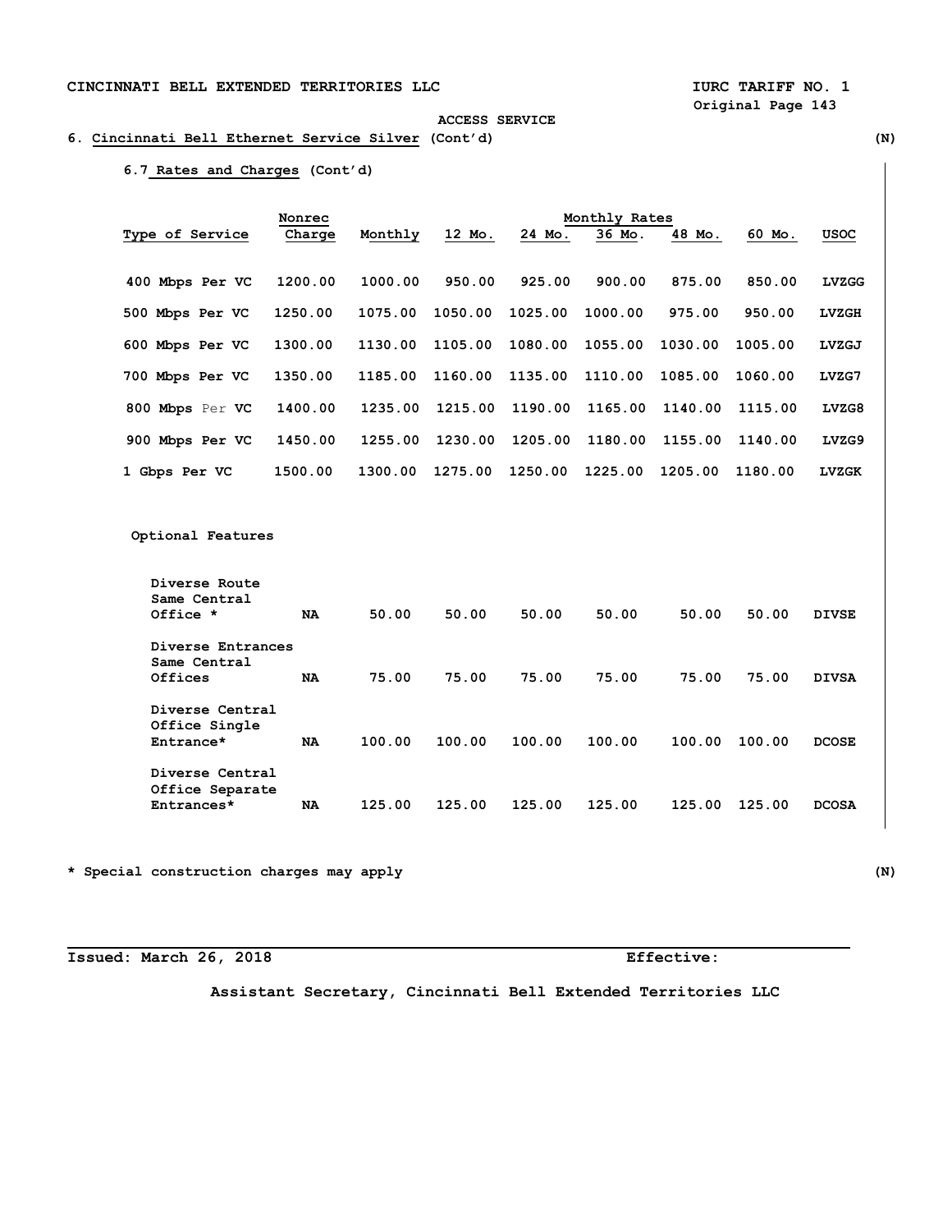# **Original Page 143 ACCESS SERVICE**

# **6. Cincinnati Bell Ethernet Service Silver (Cont'd) (N)**

# **6.7 Rates and Charges (Cont'd)**

|                 | Nonrec  |         |         |         |         |         |         |              |
|-----------------|---------|---------|---------|---------|---------|---------|---------|--------------|
| Type of Service | Charge  | Monthly | 12 Mo.  | 24 Mo.  | 36 Mo.  | 48 Mo.  | 60 Mo.  | <b>USOC</b>  |
| 400 Mbps Per VC | 1200.00 | 1000.00 | 950.00  | 925.00  | 900.00  | 875.00  | 850.00  | <b>LVZGG</b> |
| 500 Mbps Per VC | 1250.00 | 1075.00 | 1050.00 | 1025.00 | 1000.00 | 975.00  | 950.00  | <b>LVZGH</b> |
| 600 Mbps Per VC | 1300.00 | 1130.00 | 1105.00 | 1080.00 | 1055.00 | 1030.00 | 1005.00 | LVZGJ        |
| 700 Mbps Per VC | 1350.00 | 1185.00 | 1160.00 | 1135.00 | 1110.00 | 1085.00 | 1060.00 | LVZG7        |
| 800 Mbps Per VC | 1400.00 | 1235.00 | 1215.00 | 1190.00 | 1165.00 | 1140.00 | 1115.00 | LVZG8        |
| 900 Mbps Per VC | 1450.00 | 1255.00 | 1230.00 | 1205.00 | 1180.00 | 1155.00 | 1140.00 | LVZG9        |
| 1 Gbps Per VC   | 1500.00 | 1300.00 | 1275.00 | 1250.00 | 1225.00 | 1205.00 | 1180.00 | <b>LVZGK</b> |

 **Optional Features** 

| Diverse Route<br>Same Central<br>Office *        | <b>NA</b> | 50.00  | 50.00  | 50.00  | 50.00  | 50.00  | 50.00  | <b>DIVSE</b> |
|--------------------------------------------------|-----------|--------|--------|--------|--------|--------|--------|--------------|
| Diverse Entrances<br>Same Central<br>Offices     | <b>NA</b> | 75.00  | 75.00  | 75.00  | 75.00  | 75.00  | 75.00  | <b>DIVSA</b> |
| Diverse Central<br>Office Single<br>Entrance*    | <b>NA</b> | 100.00 | 100.00 | 100.00 | 100.00 | 100.00 | 100.00 | <b>DCOSE</b> |
| Diverse Central<br>Office Separate<br>Entrances* | NA        | 125.00 | 125.00 | 125.00 | 125.00 | 125.00 | 125.00 | <b>DCOSA</b> |

**\* Special construction charges may apply (N)** 

**Issued: March 26, 2018 Effective:**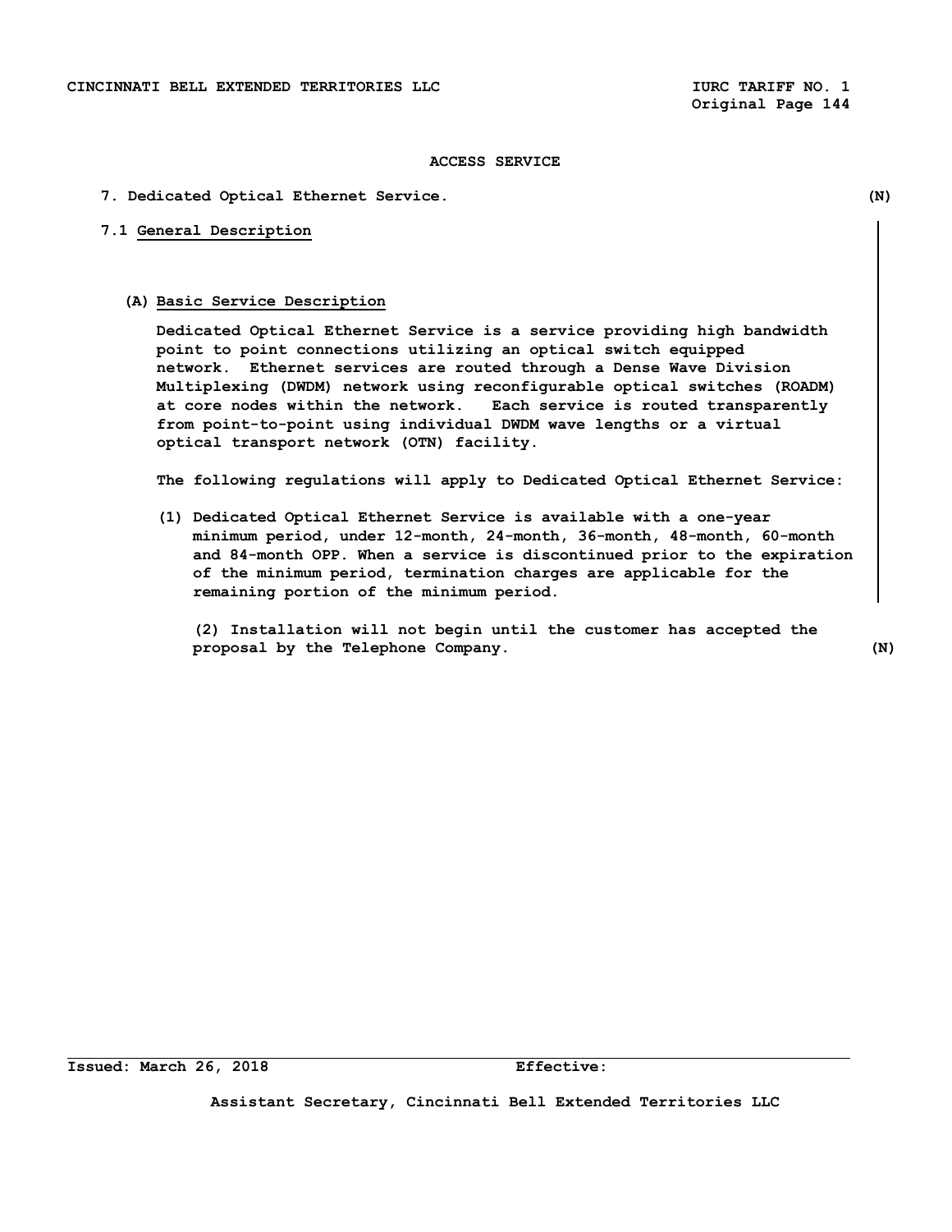## **7. Dedicated Optical Ethernet Service. (N)**

# **7.1 General Description**

#### **(A) Basic Service Description**

**Dedicated Optical Ethernet Service is a service providing high bandwidth point to point connections utilizing an optical switch equipped network. Ethernet services are routed through a Dense Wave Division Multiplexing (DWDM) network using reconfigurable optical switches (ROADM) at core nodes within the network. Each service is routed transparently from point-to-point using individual DWDM wave lengths or a virtual optical transport network (OTN) facility.** 

**The following regulations will apply to Dedicated Optical Ethernet Service:**

**(1) Dedicated Optical Ethernet Service is available with a one-year minimum period, under 12-month, 24-month, 36-month, 48-month, 60-month and 84-month OPP. When a service is discontinued prior to the expiration of the minimum period, termination charges are applicable for the remaining portion of the minimum period.**

**(2) Installation will not begin until the customer has accepted the proposal by the Telephone Company. (N)**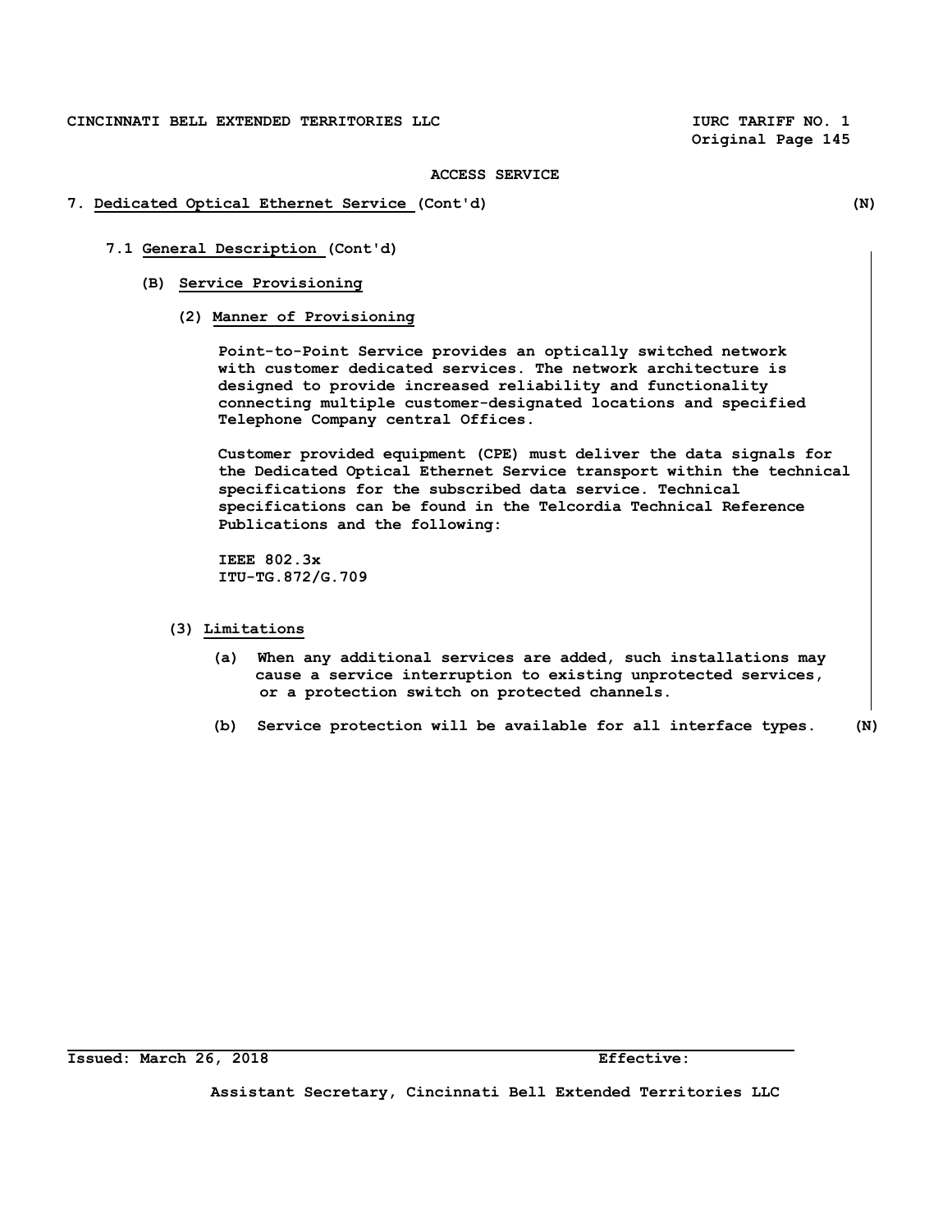#### **ACCESS SERVICE**

- **7. Dedicated Optical Ethernet Service (Cont'd) (N)** 
	- **7.1 General Description (Cont'd)**
		- **(B) Service Provisioning**
			- **(2) Manner of Provisioning**

 **Point-to-Point Service provides an optically switched network with customer dedicated services. The network architecture is designed to provide increased reliability and functionality connecting multiple customer-designated locations and specified Telephone Company central Offices.**

 **Customer provided equipment (CPE) must deliver the data signals for the Dedicated Optical Ethernet Service transport within the technical specifications for the subscribed data service. Technical specifications can be found in the Telcordia Technical Reference Publications and the following:**

 **IEEE 802.3x ITU-TG.872/G.709**

- **(3) Limitations**
	- **(a) When any additional services are added, such installations may cause a service interruption to existing unprotected services, or a protection switch on protected channels.**
	- **(b) Service protection will be available for all interface types. (N)**

**Issued: March 26, 2018 Effective:**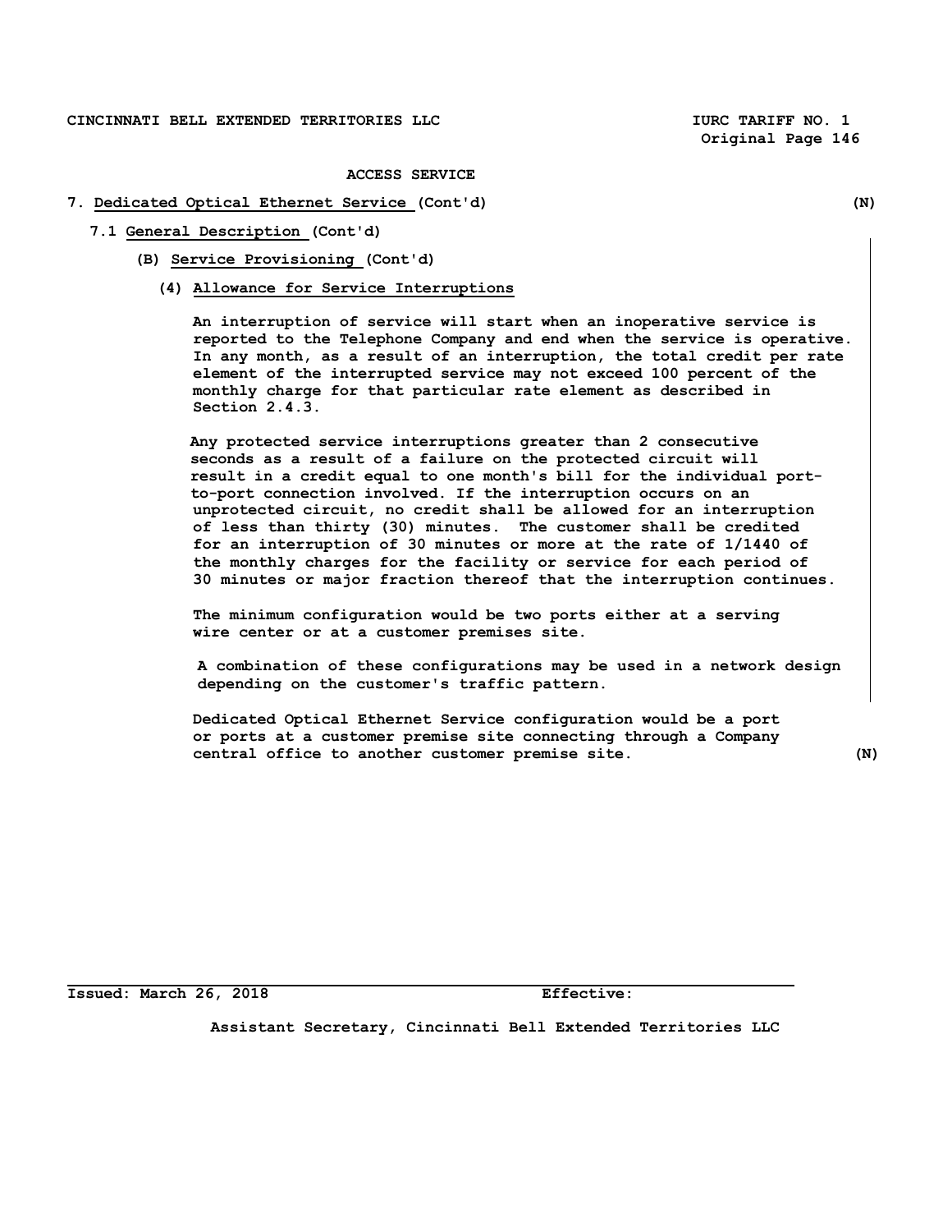#### **ACCESS SERVICE**

# **7. Dedicated Optical Ethernet Service (Cont'd) (N)**

- **7.1 General Description (Cont'd)**
	- **(B) Service Provisioning (Cont'd)**
		- **(4) Allowance for Service Interruptions**

**An interruption of service will start when an inoperative service is reported to the Telephone Company and end when the service is operative. In any month, as a result of an interruption, the total credit per rate element of the interrupted service may not exceed 100 percent of the monthly charge for that particular rate element as described in Section 2.4.3.**

**Any protected service interruptions greater than 2 consecutive seconds as a result of a failure on the protected circuit will result in a credit equal to one month's bill for the individual portto-port connection involved. If the interruption occurs on an unprotected circuit, no credit shall be allowed for an interruption of less than thirty (30) minutes. The customer shall be credited for an interruption of 30 minutes or more at the rate of 1/1440 of the monthly charges for the facility or service for each period of 30 minutes or major fraction thereof that the interruption continues.** 

**The minimum configuration would be two ports either at a serving wire center or at a customer premises site.** 

 **A combination of these configurations may be used in a network design depending on the customer's traffic pattern.**

**Dedicated Optical Ethernet Service configuration would be a port or ports at a customer premise site connecting through a Company central office to another customer premise site. (N)**

**Issued: March 26, 2018 Effective:**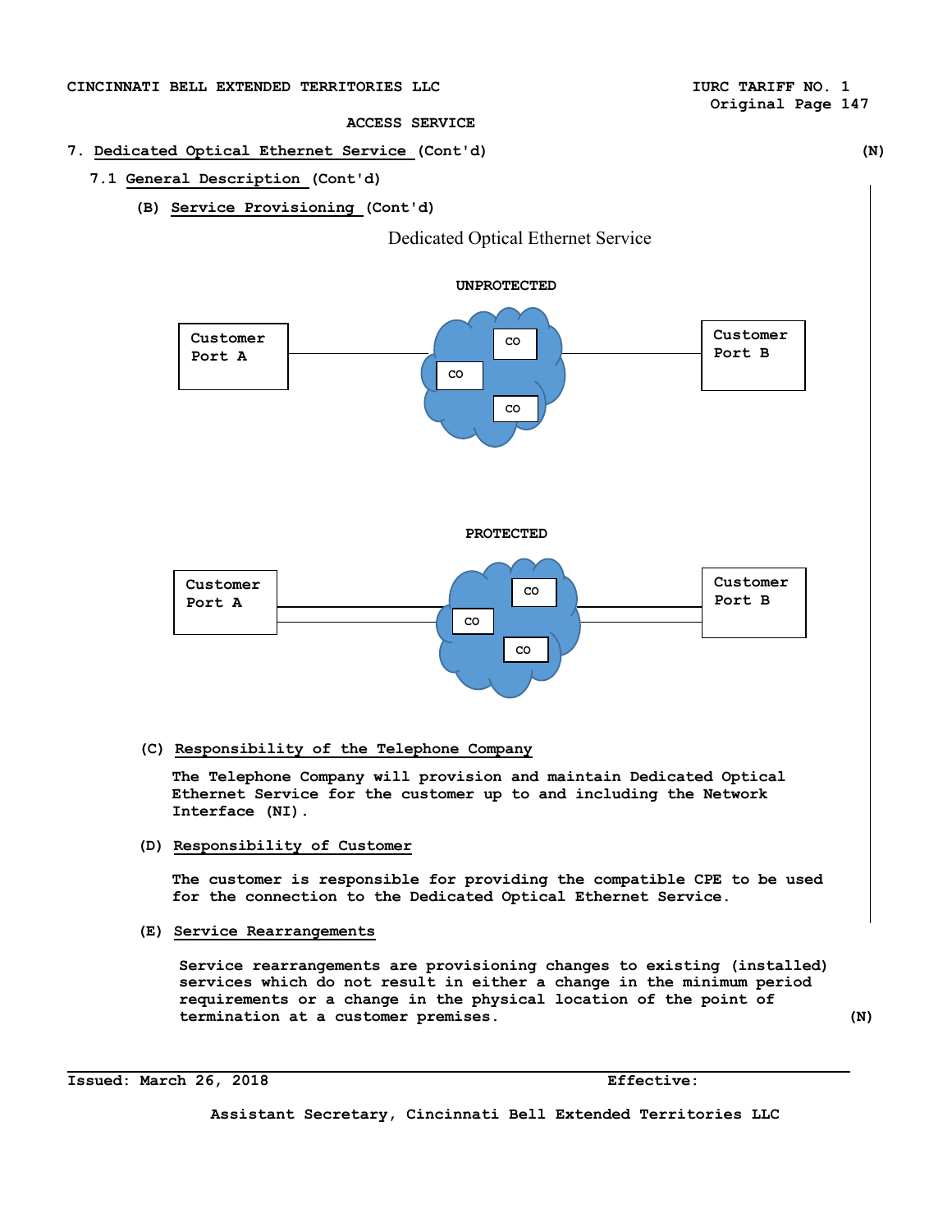# CINCINNATI BELL EXTENDED TERRITORIES LLC **ACCESS OF AUTHOR OF ALC CONTRACT CONTRACTS** NO. 1

# **Original Page 147**

## **ACCESS SERVICE**

# **7. Dedicated Optical Ethernet Service (Cont'd) (N)**

# **7.1 General Description (Cont'd)**

**(B) Service Provisioning (Cont'd)**





# **(C) Responsibility of the Telephone Company**

**The Telephone Company will provision and maintain Dedicated Optical Ethernet Service for the customer up to and including the Network Interface (NI).**

**(D) Responsibility of Customer**

**The customer is responsible for providing the compatible CPE to be used for the connection to the Dedicated Optical Ethernet Service.**

**(E) Service Rearrangements**

**Service rearrangements are provisioning changes to existing (installed) services which do not result in either a change in the minimum period requirements or a change in the physical location of the point of termination at a customer premises. (N)**

**Issued: March 26, 2018 Effective:**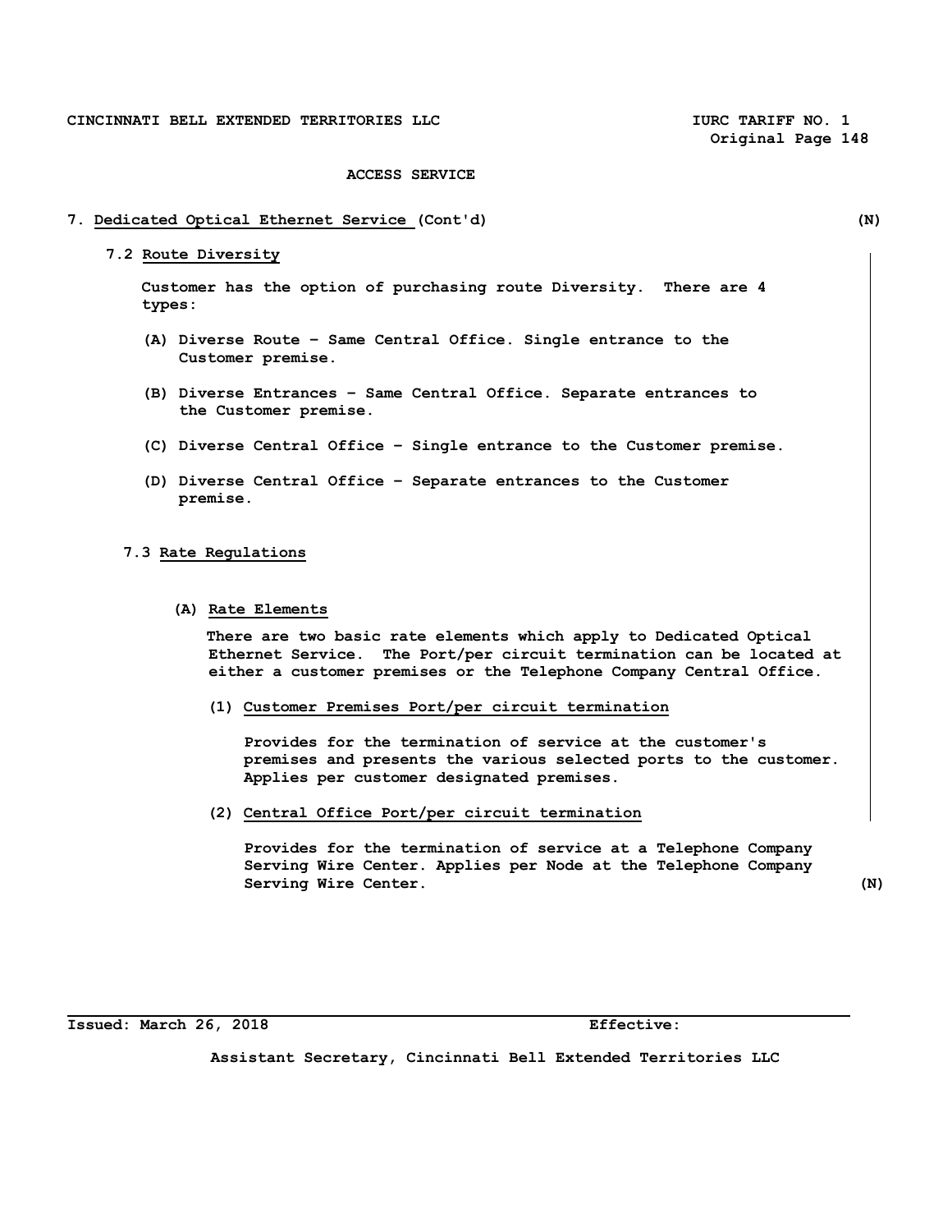## **7. Dedicated Optical Ethernet Service (Cont'd) (N)**

 **7.2 Route Diversity**

 **Customer has the option of purchasing route Diversity. There are 4 types:** 

- **(A) Diverse Route Same Central Office. Single entrance to the Customer premise.**
- **(B) Diverse Entrances Same Central Office. Separate entrances to the Customer premise.**
- **(C) Diverse Central Office Single entrance to the Customer premise.**
- **(D) Diverse Central Office Separate entrances to the Customer premise.**

#### **7.3 Rate Regulations**

#### **(A) Rate Elements**

 **There are two basic rate elements which apply to Dedicated Optical Ethernet Service. The Port/per circuit termination can be located at either a customer premises or the Telephone Company Central Office.**

**(1) Customer Premises Port/per circuit termination**

 **Provides for the termination of service at the customer's premises and presents the various selected ports to the customer. Applies per customer designated premises.** 

**(2) Central Office Port/per circuit termination**

 **Provides for the termination of service at a Telephone Company Serving Wire Center. Applies per Node at the Telephone Company Serving Wire Center.** (N)

**Issued: March 26, 2018 Effective:**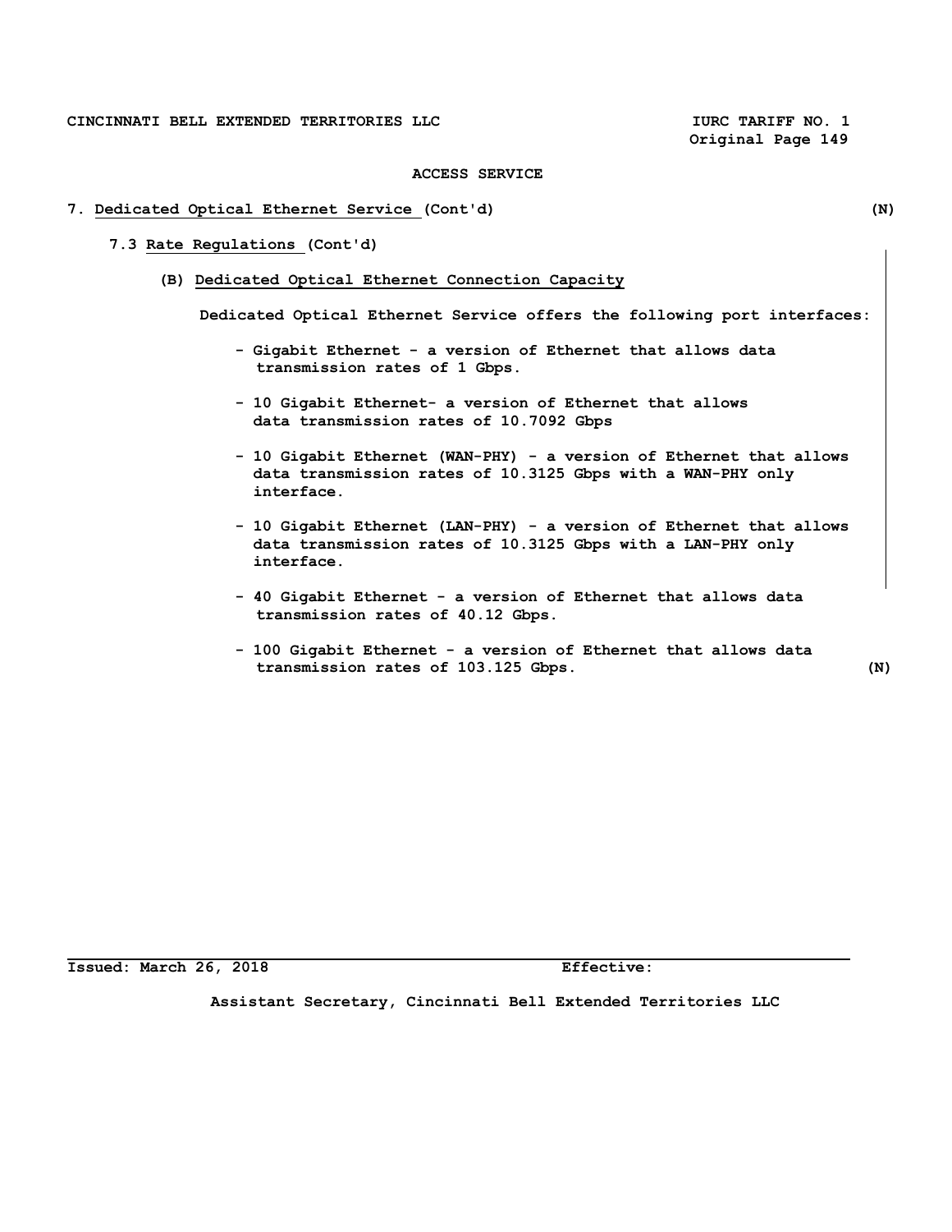#### **ACCESS SERVICE**

# **7. Dedicated Optical Ethernet Service (Cont'd) (N)**

- **7.3 Rate Regulations (Cont'd)**
	- **(B) Dedicated Optical Ethernet Connection Capacity**

**Dedicated Optical Ethernet Service offers the following port interfaces:**

- **Gigabit Ethernet a version of Ethernet that allows data transmission rates of 1 Gbps.**
- **10 Gigabit Ethernet- a version of Ethernet that allows data transmission rates of 10.7092 Gbps**
- **10 Gigabit Ethernet (WAN-PHY) a version of Ethernet that allows data transmission rates of 10.3125 Gbps with a WAN-PHY only interface.**
- **10 Gigabit Ethernet (LAN-PHY) a version of Ethernet that allows data transmission rates of 10.3125 Gbps with a LAN-PHY only interface.**
- **40 Gigabit Ethernet a version of Ethernet that allows data transmission rates of 40.12 Gbps.**
- **100 Gigabit Ethernet a version of Ethernet that allows data transmission rates of 103.125 Gbps. (N)**

**Issued: March 26, 2018 Effective:**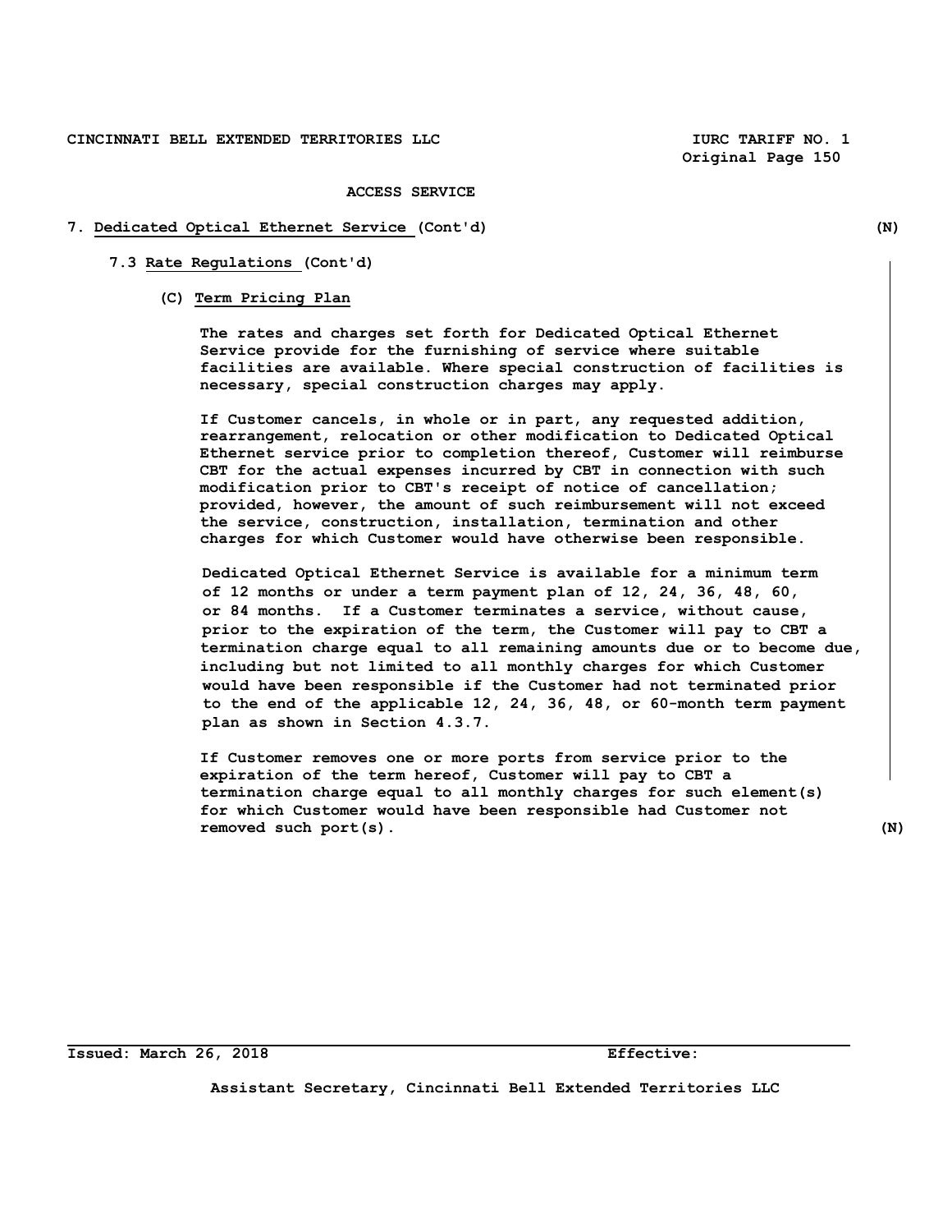#### **ACCESS SERVICE**

#### **7. Dedicated Optical Ethernet Service (Cont'd) (N)**

## **7.3 Rate Regulations (Cont'd)**

## **(C) Term Pricing Plan**

 **The rates and charges set forth for Dedicated Optical Ethernet Service provide for the furnishing of service where suitable facilities are available. Where special construction of facilities is necessary, special construction charges may apply.**

 **If Customer cancels, in whole or in part, any requested addition, rearrangement, relocation or other modification to Dedicated Optical Ethernet service prior to completion thereof, Customer will reimburse CBT for the actual expenses incurred by CBT in connection with such modification prior to CBT's receipt of notice of cancellation; provided, however, the amount of such reimbursement will not exceed the service, construction, installation, termination and other charges for which Customer would have otherwise been responsible.**

 **Dedicated Optical Ethernet Service is available for a minimum term of 12 months or under a term payment plan of 12, 24, 36, 48, 60, or 84 months. If a Customer terminates a service, without cause, prior to the expiration of the term, the Customer will pay to CBT a termination charge equal to all remaining amounts due or to become due, including but not limited to all monthly charges for which Customer would have been responsible if the Customer had not terminated prior to the end of the applicable 12, 24, 36, 48, or 60-month term payment plan as shown in Section 4.3.7.**

**If Customer removes one or more ports from service prior to the expiration of the term hereof, Customer will pay to CBT a termination charge equal to all monthly charges for such element(s) for which Customer would have been responsible had Customer not removed such port(s). (N)**

**Issued: March 26, 2018 Effective:**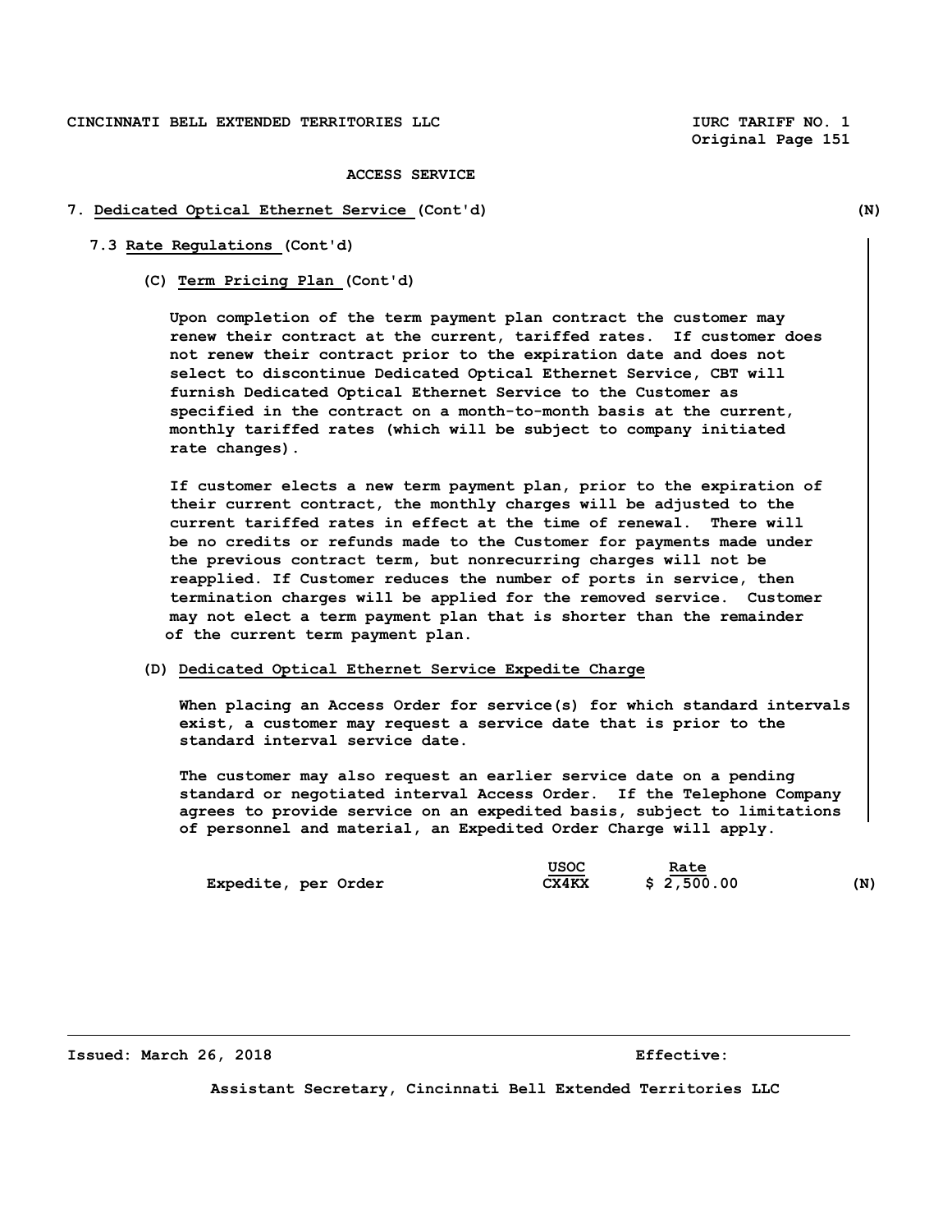#### **ACCESS SERVICE**

#### **7. Dedicated Optical Ethernet Service (Cont'd) (N)**

#### **7.3 Rate Regulations (Cont'd)**

 **(C) Term Pricing Plan (Cont'd)**

 **Upon completion of the term payment plan contract the customer may renew their contract at the current, tariffed rates. If customer does not renew their contract prior to the expiration date and does not select to discontinue Dedicated Optical Ethernet Service, CBT will furnish Dedicated Optical Ethernet Service to the Customer as specified in the contract on a month-to-month basis at the current, monthly tariffed rates (which will be subject to company initiated rate changes).** 

 **If customer elects a new term payment plan, prior to the expiration of their current contract, the monthly charges will be adjusted to the current tariffed rates in effect at the time of renewal. There will be no credits or refunds made to the Customer for payments made under the previous contract term, but nonrecurring charges will not be reapplied. If Customer reduces the number of ports in service, then termination charges will be applied for the removed service. Customer may not elect a term payment plan that is shorter than the remainder of the current term payment plan.** 

# **(D) Dedicated Optical Ethernet Service Expedite Charge**

 **When placing an Access Order for service(s) for which standard intervals exist, a customer may request a service date that is prior to the standard interval service date.** 

 **The customer may also request an earlier service date on a pending standard or negotiated interval Access Order. If the Telephone Company agrees to provide service on an expedited basis, subject to limitations of personnel and material, an Expedited Order Charge will apply.**

|                     | USOC                              | Rate       |     |
|---------------------|-----------------------------------|------------|-----|
| Expedite, per Order | $\overline{\phantom{a}}$<br>CX4KX | \$2,500.00 | (N) |

**Issued: March 26, 2018 Effective:**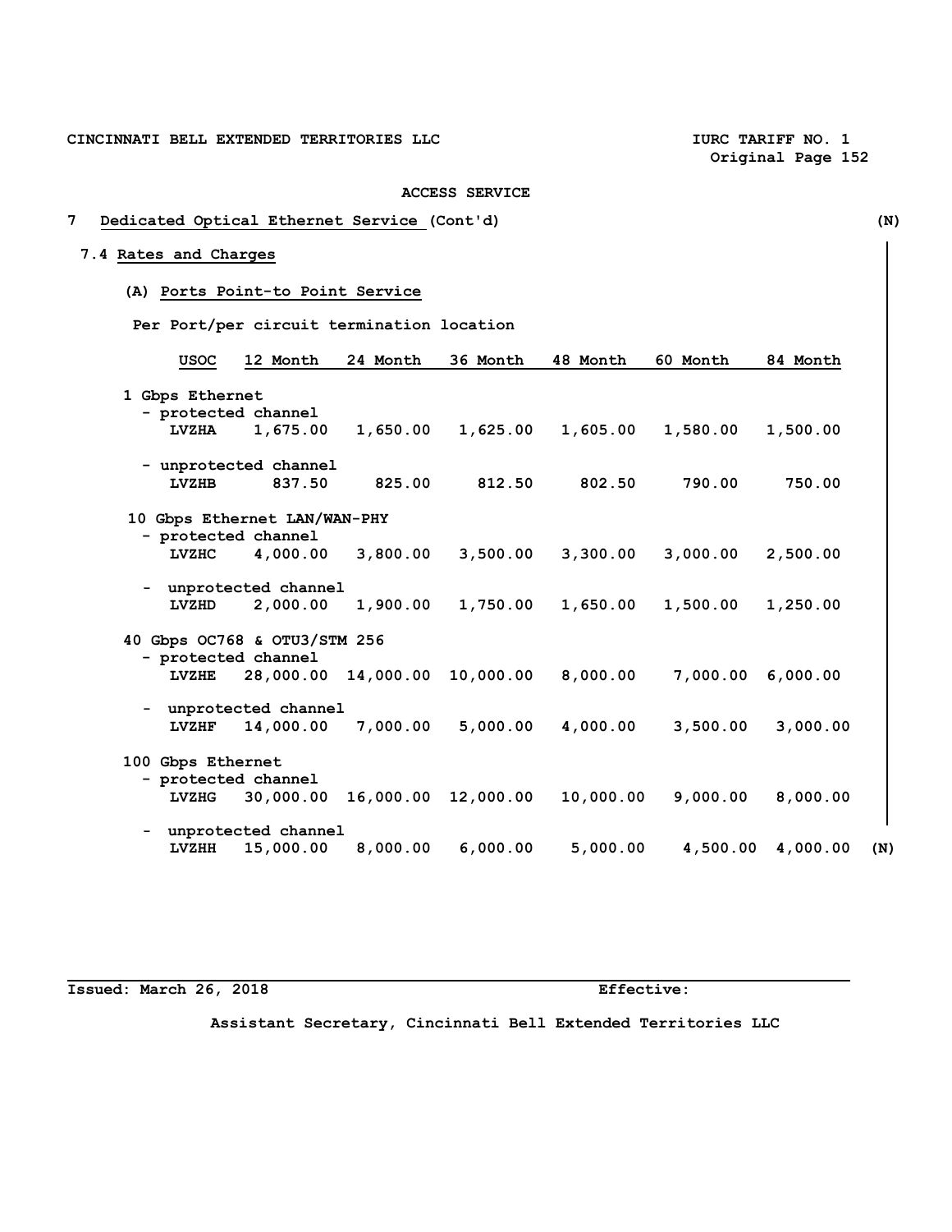# **7 Dedicated Optical Ethernet Service (Cont'd) (N)**

# **7.4 Rates and Charges**

**(A) Ports Point-to Point Service** 

 **Per Port/per circuit termination location**

| <b>USOC</b>       | 12 Month                     | 24 Month | 36 Month            | 48 Month  | 60 Month | 84 Month |
|-------------------|------------------------------|----------|---------------------|-----------|----------|----------|
| 1 Gbps Ethernet   |                              |          |                     |           |          |          |
|                   |                              |          |                     |           |          |          |
|                   | - protected channel          |          |                     |           |          |          |
| <b>LVZHA</b>      | 1,675.00                     | 1,650.00 | 1,625.00            | 1,605.00  | 1,580.00 | 1,500.00 |
|                   | - unprotected channel        |          |                     |           |          |          |
| LVZHB             | 837.50                       | 825.00   | 812.50              | 802.50    | 790.00   | 750.00   |
|                   | 10 Gbps Ethernet LAN/WAN-PHY |          |                     |           |          |          |
|                   | - protected channel          |          |                     |           |          |          |
| <b>LVZHC</b>      | 4,000.00                     | 3,800.00 | 3,500.00            | 3,300.00  | 3,000.00 | 2,500.00 |
|                   |                              |          |                     |           |          |          |
|                   | - unprotected channel        |          |                     |           |          |          |
| LVZHD             | 2,000.00                     | 1,900.00 | 1,750.00            | 1,650.00  | 1,500.00 | 1,250.00 |
|                   | 40 Gbps OC768 & OTU3/STM 256 |          |                     |           |          |          |
|                   | - protected channel          |          |                     |           |          |          |
| <b>LVZHE</b>      | 28,000.00 14,000.00          |          | 10,000.00           | 8,000.00  | 7,000.00 | 6,000.00 |
|                   |                              |          |                     |           |          |          |
|                   | - unprotected channel        |          |                     |           |          |          |
| LVZHF             | 14,000.00                    | 7,000.00 | 5,000.00            | 4,000.00  | 3,500.00 | 3,000.00 |
|                   |                              |          |                     |           |          |          |
| 100 Gbps Ethernet |                              |          |                     |           |          |          |
|                   | - protected channel          |          |                     |           |          |          |
| <b>LVZHG</b>      | 30,000.00                    |          | 16,000.00 12,000.00 | 10,000.00 | 9,000.00 | 8,000.00 |
|                   |                              |          |                     |           |          |          |
|                   | - unprotected channel        |          |                     |           |          |          |
| <b>LVZHH</b>      | 15,000.00                    | 8,000.00 | 6,000.00            | 5,000.00  | 4,500.00 | 4,000.00 |
|                   |                              |          |                     |           |          |          |

## **Issued: March 26, 2018 Effective:**